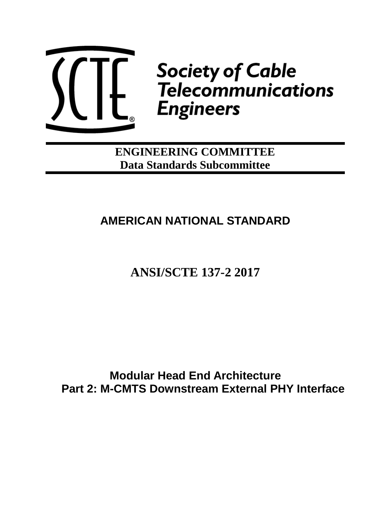

# **Society of Cable<br>Telecommunications Engineers**

**ENGINEERING COMMITTEE Data Standards Subcommittee**

# **AMERICAN NATIONAL STANDARD**

**ANSI/SCTE 137-2 2017**

<span id="page-0-0"></span>**Modular Head End Architecture Part 2: M-CMTS Downstream External PHY Interface**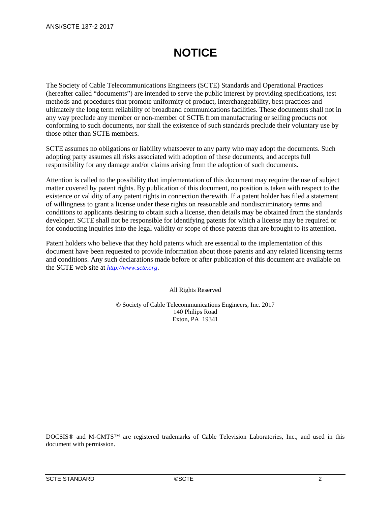# **NOTICE**

The Society of Cable Telecommunications Engineers (SCTE) Standards and Operational Practices (hereafter called "documents") are intended to serve the public interest by providing specifications, test methods and procedures that promote uniformity of product, interchangeability, best practices and ultimately the long term reliability of broadband communications facilities. These documents shall not in any way preclude any member or non-member of SCTE from manufacturing or selling products not conforming to such documents, nor shall the existence of such standards preclude their voluntary use by those other than SCTE members.

SCTE assumes no obligations or liability whatsoever to any party who may adopt the documents. Such adopting party assumes all risks associated with adoption of these documents, and accepts full responsibility for any damage and/or claims arising from the adoption of such documents.

Attention is called to the possibility that implementation of this document may require the use of subject matter covered by patent rights. By publication of this document, no position is taken with respect to the existence or validity of any patent rights in connection therewith. If a patent holder has filed a statement of willingness to grant a license under these rights on reasonable and nondiscriminatory terms and conditions to applicants desiring to obtain such a license, then details may be obtained from the standards developer. SCTE shall not be responsible for identifying patents for which a license may be required or for conducting inquiries into the legal validity or scope of those patents that are brought to its attention.

Patent holders who believe that they hold patents which are essential to the implementation of this document have been requested to provide information about those patents and any related licensing terms and conditions. Any such declarations made before or after publication of this document are available on the SCTE web site at *[http://www.scte.org](http://www.scte.org/)*.

All Rights Reserved

© Society of Cable Telecommunications Engineers, Inc. 2017 140 Philips Road Exton, PA 19341

DOCSIS® and M-CMTS™ are registered trademarks of Cable Television Laboratories, Inc., and used in this document with permission.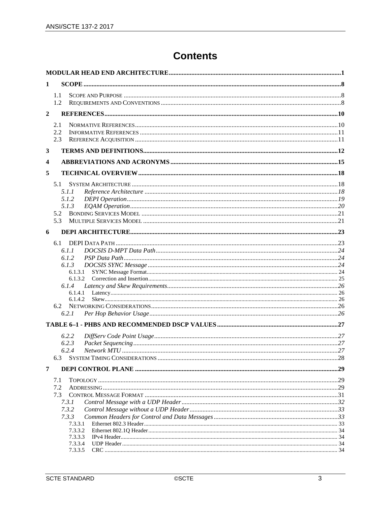## **Contents**

| 1                |                    |  |
|------------------|--------------------|--|
|                  | 1.1                |  |
|                  | 1.2                |  |
| $\boldsymbol{2}$ |                    |  |
|                  | 2.1                |  |
|                  | 2.2                |  |
|                  | 2.3                |  |
| 3                |                    |  |
| 4                |                    |  |
| 5                |                    |  |
|                  | 5.1                |  |
|                  | 5.1.1              |  |
|                  | 5.1.2              |  |
|                  | 5.1.3              |  |
|                  | 5.2                |  |
|                  | 5.3                |  |
| 6                |                    |  |
|                  |                    |  |
|                  | 6.1.1              |  |
|                  | 6.1.2              |  |
|                  | 6.1.3              |  |
|                  | 6.1.3.1            |  |
|                  | 6.1.3.2            |  |
|                  | 6.1.4              |  |
|                  | 6.1.4.1<br>6.1.4.2 |  |
|                  | 6.2                |  |
|                  | 6.2.1              |  |
|                  |                    |  |
|                  |                    |  |
|                  | 6.2.2<br>6.2.3     |  |
|                  | 6.2.4              |  |
|                  | 6.3                |  |
| 7                |                    |  |
|                  |                    |  |
|                  | 7.1<br>7.2         |  |
|                  | 7.3                |  |
|                  | 7.3.1              |  |
|                  | 7.3.2              |  |
|                  | 7.3.3              |  |
|                  | 7.3.3.1            |  |
|                  | 7.3.3.2            |  |
|                  | 7.3.3.3            |  |
|                  | 7.3.3.4            |  |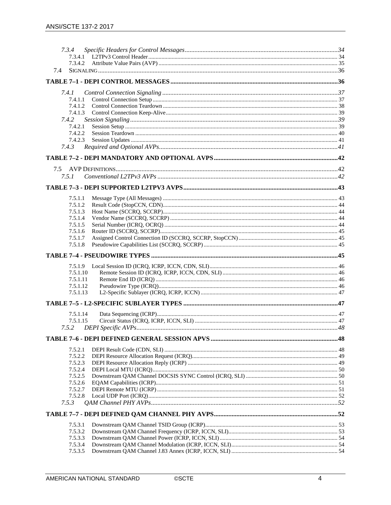| 7.3.4    |  |
|----------|--|
|          |  |
| 7.3.4.2  |  |
| 7.4      |  |
|          |  |
|          |  |
| 7.4.1    |  |
| 7.4.1.1  |  |
| 7.4.1.2  |  |
| 7.4.1.3  |  |
| 7.4.2    |  |
| 7.4.2.1  |  |
| 7.4.2.2  |  |
| 7.4.2.3  |  |
| 7.4.3    |  |
|          |  |
|          |  |
| 7.5      |  |
| 7.5.1    |  |
|          |  |
|          |  |
| 7.5.1.1  |  |
| 7.5.1.2  |  |
| 7.5.1.3  |  |
| 7.5.1.4  |  |
| 7.5.1.5  |  |
| 7.5.1.6  |  |
| 7.5.1.7  |  |
| 7.5.1.8  |  |
|          |  |
| 7.5.1.9  |  |
| 7.5.1.10 |  |
| 7.5.1.11 |  |
| 7.5.1.12 |  |
| 7.5.1.13 |  |
|          |  |
|          |  |
| 7.5.1.14 |  |
| 7.5.1.15 |  |
| 7.5.2    |  |
|          |  |
|          |  |
| 7.5.2.1  |  |
| 7.5.2.2  |  |
| 7.5.2.3  |  |
| 7.5.2.4  |  |
| 7.5.2.5  |  |
| 7.5.2.6  |  |
| 7.5.2.7  |  |
| 7.5.2.8  |  |
| 7.5.3    |  |
|          |  |
| 7.5.3.1  |  |
| 7.5.3.2  |  |
| 7.5.3.3  |  |
| 7.5.3.4  |  |
| 7.5.3.5  |  |
|          |  |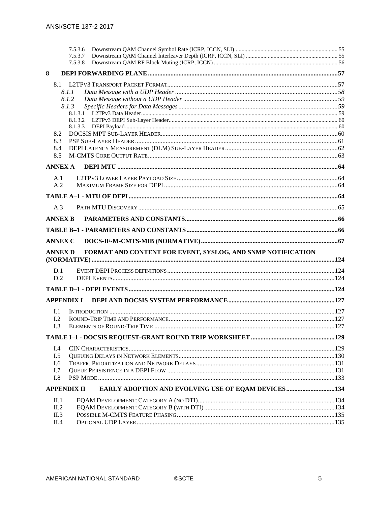|                | 7.5.3.6<br>7.5.3.7                                          |  |
|----------------|-------------------------------------------------------------|--|
|                | 7.5.3.8                                                     |  |
| 8              |                                                             |  |
|                |                                                             |  |
|                | 8.1.1                                                       |  |
|                | 8.1.2                                                       |  |
|                | 8.1.3                                                       |  |
|                |                                                             |  |
|                |                                                             |  |
| 8.2            |                                                             |  |
| 8.3            |                                                             |  |
| 8.4            |                                                             |  |
| 8.5            |                                                             |  |
| <b>ANNEX A</b> |                                                             |  |
| A.1            |                                                             |  |
| A.2            |                                                             |  |
|                |                                                             |  |
|                |                                                             |  |
| A.3            |                                                             |  |
| <b>ANNEX B</b> |                                                             |  |
|                |                                                             |  |
|                |                                                             |  |
|                |                                                             |  |
| <b>ANNEX C</b> |                                                             |  |
| <b>ANNEX D</b> | FORMAT AND CONTENT FOR EVENT, SYSLOG, AND SNMP NOTIFICATION |  |
|                |                                                             |  |
| D.1            |                                                             |  |
| D.2            |                                                             |  |
|                |                                                             |  |
|                | <b>APPENDIX I</b>                                           |  |
|                |                                                             |  |
| L1             |                                                             |  |
| L <sub>2</sub> |                                                             |  |
| I.3            |                                                             |  |
|                |                                                             |  |
| I.4            |                                                             |  |
| I.5            |                                                             |  |
| I.6            |                                                             |  |
| I.7            |                                                             |  |
| I.8            | <b>APPENDIX II</b>                                          |  |
|                | EARLY ADOPTION AND EVOLVING USE OF EQAM DEVICES134          |  |
| II.1           |                                                             |  |
| II.2           |                                                             |  |
| II.3<br>II.4   |                                                             |  |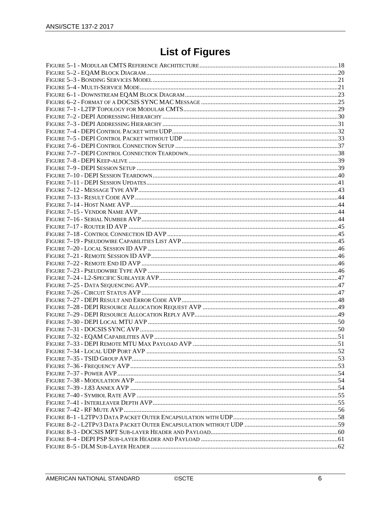# **List of Figures**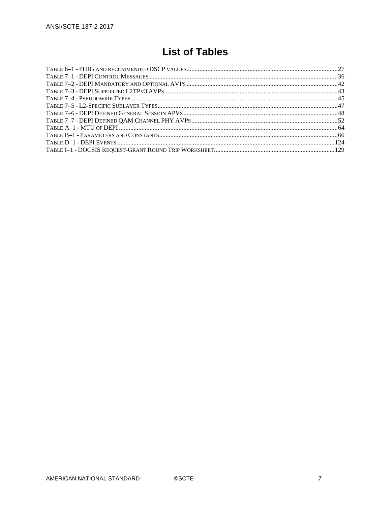## **List of Tables**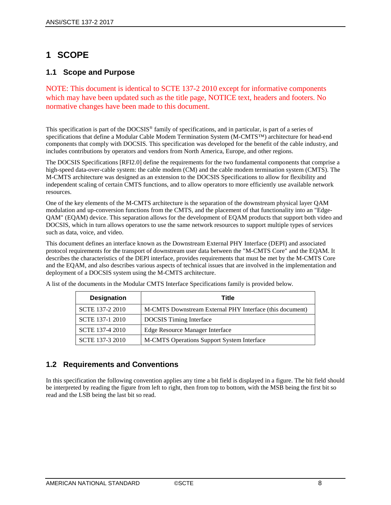## <span id="page-7-0"></span>**1 SCOPE**

#### <span id="page-7-1"></span>**1.1 Scope and Purpose**

NOTE: This document is identical to SCTE 137-2 2010 except for informative components which may have been updated such as the title page, NOTICE text, headers and footers. No normative changes have been made to this document.

This specification is part of the DOCSIS® family of specifications, and in particular, is part of a series of specifications that define a Modular Cable Modem Termination System (M-CMTS™) architecture for head-end components that comply with DOCSIS. This specification was developed for the benefit of the cable industry, and includes contributions by operators and vendors from North America, Europe, and other regions.

The DOCSIS Specifications [\[RFI2.0\]](#page-9-2) define the requirements for the two fundamental components that comprise a high-speed data-over-cable system: the cable modem (CM) and the cable modem termination system (CMTS). The M-CMTS architecture was designed as an extension to the DOCSIS Specifications to allow for flexibility and independent scaling of certain CMTS functions, and to allow operators to more efficiently use available network resources.

One of the key elements of the M-CMTS architecture is the separation of the downstream physical layer QAM modulation and up-conversion functions from the CMTS, and the placement of that functionality into an "Edge-QAM" (EQAM) device. This separation allows for the development of EQAM products that support both video and DOCSIS, which in turn allows operators to use the same network resources to support multiple types of services such as data, voice, and video.

This document defines an interface known as the Downstream External PHY Interface (DEPI) and associated protocol requirements for the transport of downstream user data between the "M-CMTS Core" and the EQAM. It describes the characteristics of the DEPI interface, provides requirements that must be met by the M-CMTS Core and the EQAM, and also describes various aspects of technical issues that are involved in the implementation and deployment of a DOCSIS system using the M-CMTS architecture.

| <b>Designation</b> | Title                                                    |
|--------------------|----------------------------------------------------------|
| SCTE 137-2 2010    | M-CMTS Downstream External PHY Interface (this document) |
| SCTE 137-1 2010    | <b>DOCSIS</b> Timing Interface                           |
| SCTE 137-4 2010    | Edge Resource Manager Interface                          |
| SCTE 137-3 2010    | M-CMTS Operations Support System Interface               |

A list of the documents in the Modular CMTS Interface Specifications family is provided below.

#### <span id="page-7-2"></span>**1.2 Requirements and Conventions**

In this specification the following convention applies any time a bit field is displayed in a figure. The bit field should be interpreted by reading the figure from left to right, then from top to bottom, with the MSB being the first bit so read and the LSB being the last bit so read.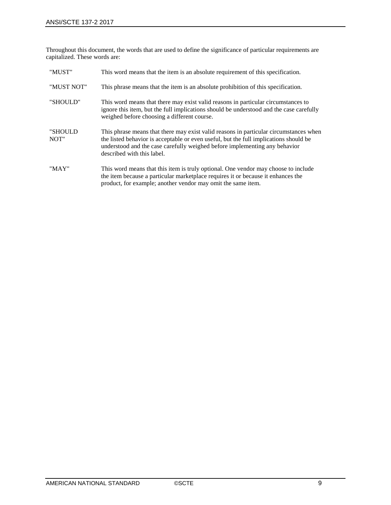Throughout this document, the words that are used to define the significance of particular requirements are capitalized. These words are:

| "MUST"          | This word means that the item is an absolute requirement of this specification.                                                                                                                                                                                                            |
|-----------------|--------------------------------------------------------------------------------------------------------------------------------------------------------------------------------------------------------------------------------------------------------------------------------------------|
| "MUST NOT"      | This phrase means that the item is an absolute prohibition of this specification.                                                                                                                                                                                                          |
| "SHOULD"        | This word means that there may exist valid reasons in particular circumstances to<br>ignore this item, but the full implications should be understood and the case carefully<br>weighed before choosing a different course.                                                                |
| "SHOULD<br>NOT" | This phrase means that there may exist valid reasons in particular circumstances when<br>the listed behavior is acceptable or even useful, but the full implications should be<br>understood and the case carefully weighed before implementing any behavior<br>described with this label. |
| "MAY"           | This word means that this item is truly optional. One vendor may choose to include<br>the item because a particular marketplace requires it or because it enhances the<br>product, for example; another vendor may omit the same item.                                                     |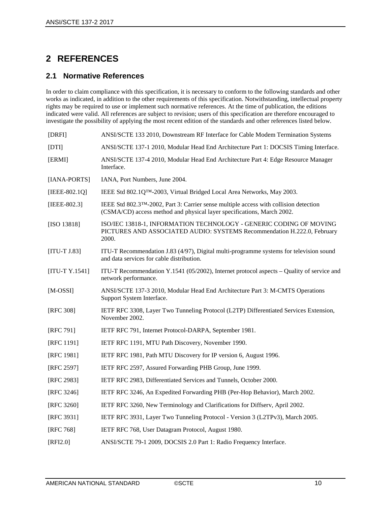## <span id="page-9-0"></span>**2 REFERENCES**

#### <span id="page-9-1"></span>**2.1 Normative References**

In order to claim compliance with this specification, it is necessary to conform to the following standards and other works as indicated, in addition to the other requirements of this specification. Notwithstanding, intellectual property rights may be required to use or implement such normative references. At the time of publication, the editions indicated were valid. All references are subject to revision; users of this specification are therefore encouraged to investigate the possibility of applying the most recent edition of the standards and other references listed below.

<span id="page-9-18"></span><span id="page-9-17"></span><span id="page-9-16"></span><span id="page-9-15"></span><span id="page-9-14"></span><span id="page-9-13"></span><span id="page-9-12"></span><span id="page-9-11"></span><span id="page-9-10"></span><span id="page-9-9"></span><span id="page-9-8"></span><span id="page-9-7"></span><span id="page-9-6"></span><span id="page-9-5"></span><span id="page-9-4"></span><span id="page-9-3"></span><span id="page-9-2"></span>

| ANSI/SCTE 133 2010, Downstream RF Interface for Cable Modem Termination Systems                                                                                 |
|-----------------------------------------------------------------------------------------------------------------------------------------------------------------|
| ANSI/SCTE 137-1 2010, Modular Head End Architecture Part 1: DOCSIS Timing Interface.                                                                            |
| ANSI/SCTE 137-4 2010, Modular Head End Architecture Part 4: Edge Resource Manager<br>Interface.                                                                 |
| IANA, Port Numbers, June 2004.                                                                                                                                  |
| IEEE Std 802.1Q <sup>TM</sup> -2003, Virtual Bridged Local Area Networks, May 2003.                                                                             |
| IEEE Std 802.3TM-2002, Part 3: Carrier sense multiple access with collision detection<br>(CSMA/CD) access method and physical layer specifications, March 2002. |
| ISO/IEC 13818-1, INFORMATION TECHNOLOGY - GENERIC CODING OF MOVING<br>PICTURES AND ASSOCIATED AUDIO: SYSTEMS Recommendation H.222.0, February<br>2000.          |
| ITU-T Recommendation J.83 (4/97), Digital multi-programme systems for television sound<br>and data services for cable distribution.                             |
| ITU-T Recommendation Y.1541 (05/2002), Internet protocol aspects $-$ Quality of service and<br>network performance.                                             |
| ANSI/SCTE 137-3 2010, Modular Head End Architecture Part 3: M-CMTS Operations<br>Support System Interface.                                                      |
| IETF RFC 3308, Layer Two Tunneling Protocol (L2TP) Differentiated Services Extension,<br>November 2002.                                                         |
| IETF RFC 791, Internet Protocol-DARPA, September 1981.                                                                                                          |
| IETF RFC 1191, MTU Path Discovery, November 1990.                                                                                                               |
| IETF RFC 1981, Path MTU Discovery for IP version 6, August 1996.                                                                                                |
| IETF RFC 2597, Assured Forwarding PHB Group, June 1999.                                                                                                         |
| IETF RFC 2983, Differentiated Services and Tunnels, October 2000.                                                                                               |
| IETF RFC 3246, An Expedited Forwarding PHB (Per-Hop Behavior), March 2002.                                                                                      |
| IETF RFC 3260, New Terminology and Clarifications for Diffserv, April 2002.                                                                                     |
| IETF RFC 3931, Layer Two Tunneling Protocol - Version 3 (L2TPv3), March 2005.                                                                                   |
| IETF RFC 768, User Datagram Protocol, August 1980.                                                                                                              |
| ANSI/SCTE 79-1 2009, DOCSIS 2.0 Part 1: Radio Frequency Interface.                                                                                              |
|                                                                                                                                                                 |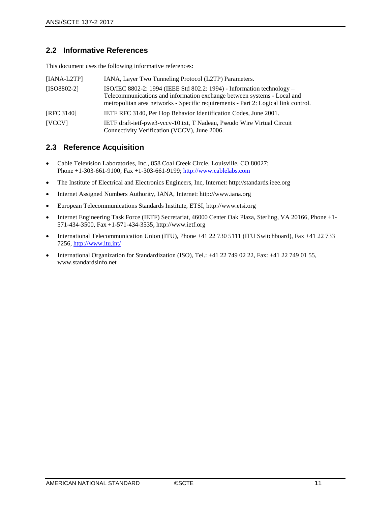#### <span id="page-10-0"></span>**2.2 Informative References**

This document uses the following informative references:

<span id="page-10-3"></span><span id="page-10-2"></span>

| $[IANA-L2TP]$ | IANA, Layer Two Tunneling Protocol (L2TP) Parameters.                                                                                                                                                                                   |
|---------------|-----------------------------------------------------------------------------------------------------------------------------------------------------------------------------------------------------------------------------------------|
| $[ISO8802-2]$ | ISO/IEC 8802-2: 1994 (IEEE Std 802.2: 1994) - Information technology -<br>Telecommunications and information exchange between systems - Local and<br>metropolitan area networks - Specific requirements - Part 2: Logical link control. |
| [RFC 3140]    | IETF RFC 3140, Per Hop Behavior Identification Codes, June 2001.                                                                                                                                                                        |
| <b>IVCCVI</b> | IETF draft-ietf-pwe3-vccv-10.txt, T Nadeau, Pseudo Wire Virtual Circuit<br>Connectivity Verification (VCCV), June 2006.                                                                                                                 |

#### <span id="page-10-1"></span>**2.3 Reference Acquisition**

- Cable Television Laboratories, Inc., 858 Coal Creek Circle, Louisville, CO 80027; Phone +1-303-661-9100; Fax +1-303-661-9199; [http://www.cablelabs.com](http://www.cablelabs.com/)
- The Institute of Electrical and Electronics Engineers, Inc, Internet: http://standards.ieee.org
- Internet Assigned Numbers Authority, IANA, Internet: http://www.iana.org
- European Telecommunications Standards Institute, ETSI, http://www.etsi.org
- Internet Engineering Task Force (IETF) Secretariat, 46000 Center Oak Plaza, Sterling, VA 20166, Phone +1- 571-434-3500, Fax +1-571-434-3535, http://www.ietf.org
- International Telecommunication Union (ITU), Phone +41 22 730 5111 (ITU Switchboard), Fax +41 22 733 7256,<http://www.itu.int/>
- International Organization for Standardization (ISO), Tel.: +41 22 749 02 22, Fax: +41 22 749 01 55, [www.standardsinfo.net](http://www.standardsinfo.net/)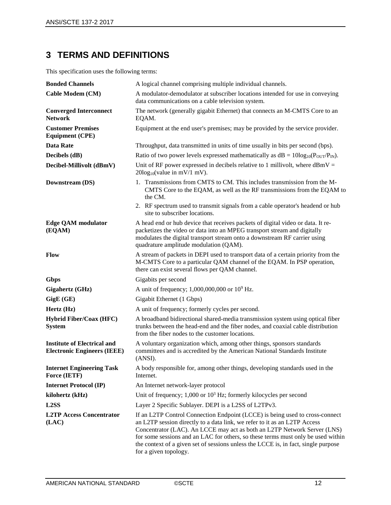## <span id="page-11-0"></span>**3 TERMS AND DEFINITIONS**

This specification uses the following terms:

| <b>Bonded Channels</b>                                                   | A logical channel comprising multiple individual channels.                                                                                                                                                                                                                                                                                                                                                                               |
|--------------------------------------------------------------------------|------------------------------------------------------------------------------------------------------------------------------------------------------------------------------------------------------------------------------------------------------------------------------------------------------------------------------------------------------------------------------------------------------------------------------------------|
| <b>Cable Modem (CM)</b>                                                  | A modulator-demodulator at subscriber locations intended for use in conveying<br>data communications on a cable television system.                                                                                                                                                                                                                                                                                                       |
| <b>Converged Interconnect</b><br><b>Network</b>                          | The network (generally gigabit Ethernet) that connects an M-CMTS Core to an<br>EQAM.                                                                                                                                                                                                                                                                                                                                                     |
| <b>Customer Premises</b><br><b>Equipment (CPE)</b>                       | Equipment at the end user's premises; may be provided by the service provider.                                                                                                                                                                                                                                                                                                                                                           |
| <b>Data Rate</b>                                                         | Throughput, data transmitted in units of time usually in bits per second (bps).                                                                                                                                                                                                                                                                                                                                                          |
| Decibels (dB)                                                            | Ratio of two power levels expressed mathematically as $dB = 10\log_{10}(P_{\text{OUT}}/P_{\text{IN}})$ .                                                                                                                                                                                                                                                                                                                                 |
| Decibel-Millivolt (dBmV)                                                 | Unit of RF power expressed in decibels relative to 1 millivolt, where $dBmV =$<br>$20\log_{10}(value in mV/1 mV).$                                                                                                                                                                                                                                                                                                                       |
| Downstream (DS)                                                          | 1. Transmissions from CMTS to CM. This includes transmission from the M-<br>CMTS Core to the EQAM, as well as the RF transmissions from the EQAM to<br>the CM.<br>2. RF spectrum used to transmit signals from a cable operator's headend or hub                                                                                                                                                                                         |
|                                                                          | site to subscriber locations.                                                                                                                                                                                                                                                                                                                                                                                                            |
| <b>Edge QAM</b> modulator<br>(EQAM)                                      | A head end or hub device that receives packets of digital video or data. It re-<br>packetizes the video or data into an MPEG transport stream and digitally<br>modulates the digital transport stream onto a downstream RF carrier using<br>quadrature amplitude modulation (QAM).                                                                                                                                                       |
| <b>Flow</b>                                                              | A stream of packets in DEPI used to transport data of a certain priority from the<br>M-CMTS Core to a particular QAM channel of the EQAM. In PSP operation,<br>there can exist several flows per QAM channel.                                                                                                                                                                                                                            |
| Gbps                                                                     | Gigabits per second                                                                                                                                                                                                                                                                                                                                                                                                                      |
| Gigahertz (GHz)                                                          | A unit of frequency; 1,000,000,000 or $10^9$ Hz.                                                                                                                                                                                                                                                                                                                                                                                         |
| GigE (GE)                                                                | Gigabit Ethernet (1 Gbps)                                                                                                                                                                                                                                                                                                                                                                                                                |
| Hertz (Hz)                                                               | A unit of frequency; formerly cycles per second.                                                                                                                                                                                                                                                                                                                                                                                         |
| <b>Hybrid Fiber/Coax (HFC)</b><br><b>System</b>                          | A broadband bidirectional shared-media transmission system using optical fiber<br>trunks between the head-end and the fiber nodes, and coaxial cable distribution<br>from the fiber nodes to the customer locations.                                                                                                                                                                                                                     |
| <b>Institute of Electrical and</b><br><b>Electronic Engineers (IEEE)</b> | A voluntary organization which, among other things, sponsors standards<br>committees and is accredited by the American National Standards Institute<br>(ANSI).                                                                                                                                                                                                                                                                           |
| <b>Internet Engineering Task</b><br>Force (IETF)                         | A body responsible for, among other things, developing standards used in the<br>Internet.                                                                                                                                                                                                                                                                                                                                                |
| <b>Internet Protocol (IP)</b>                                            | An Internet network-layer protocol                                                                                                                                                                                                                                                                                                                                                                                                       |
| kilohertz (kHz)                                                          | Unit of frequency; $1,000$ or $103$ Hz; formerly kilocycles per second                                                                                                                                                                                                                                                                                                                                                                   |
| L2SS                                                                     | Layer 2 Specific Sublayer. DEPI is a L2SS of L2TPv3.                                                                                                                                                                                                                                                                                                                                                                                     |
| <b>L2TP Access Concentrator</b><br>(LAC)                                 | If an L2TP Control Connection Endpoint (LCCE) is being used to cross-connect<br>an L2TP session directly to a data link, we refer to it as an L2TP Access<br>Concentrator (LAC). An LCCE may act as both an L2TP Network Server (LNS)<br>for some sessions and an LAC for others, so these terms must only be used within<br>the context of a given set of sessions unless the LCCE is, in fact, single purpose<br>for a given topology. |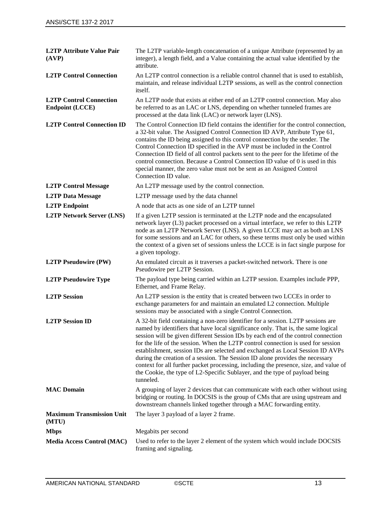| <b>L2TP Attribute Value Pair</b><br>(AVP)                | The L2TP variable-length concatenation of a unique Attribute (represented by an<br>integer), a length field, and a Value containing the actual value identified by the<br>attribute.                                                                                                                                                                                                                                                                                                                                                                                                                                                                                                                    |
|----------------------------------------------------------|---------------------------------------------------------------------------------------------------------------------------------------------------------------------------------------------------------------------------------------------------------------------------------------------------------------------------------------------------------------------------------------------------------------------------------------------------------------------------------------------------------------------------------------------------------------------------------------------------------------------------------------------------------------------------------------------------------|
| <b>L2TP Control Connection</b>                           | An L2TP control connection is a reliable control channel that is used to establish,<br>maintain, and release individual L2TP sessions, as well as the control connection<br><i>itself.</i>                                                                                                                                                                                                                                                                                                                                                                                                                                                                                                              |
| <b>L2TP Control Connection</b><br><b>Endpoint (LCCE)</b> | An L2TP node that exists at either end of an L2TP control connection. May also<br>be referred to as an LAC or LNS, depending on whether tunneled frames are<br>processed at the data link (LAC) or network layer (LNS).                                                                                                                                                                                                                                                                                                                                                                                                                                                                                 |
| <b>L2TP Control Connection ID</b>                        | The Control Connection ID field contains the identifier for the control connection,<br>a 32-bit value. The Assigned Control Connection ID AVP, Attribute Type 61,<br>contains the ID being assigned to this control connection by the sender. The<br>Control Connection ID specified in the AVP must be included in the Control<br>Connection ID field of all control packets sent to the peer for the lifetime of the<br>control connection. Because a Control Connection ID value of 0 is used in this<br>special manner, the zero value must not be sent as an Assigned Control<br>Connection ID value.                                                                                              |
| <b>L2TP Control Message</b>                              | An L2TP message used by the control connection.                                                                                                                                                                                                                                                                                                                                                                                                                                                                                                                                                                                                                                                         |
| <b>L2TP Data Message</b>                                 | L2TP message used by the data channel                                                                                                                                                                                                                                                                                                                                                                                                                                                                                                                                                                                                                                                                   |
| <b>L2TP</b> Endpoint                                     | A node that acts as one side of an L2TP tunnel                                                                                                                                                                                                                                                                                                                                                                                                                                                                                                                                                                                                                                                          |
| <b>L2TP Network Server (LNS)</b>                         | If a given L2TP session is terminated at the L2TP node and the encapsulated<br>network layer (L3) packet processed on a virtual interface, we refer to this L2TP<br>node as an L2TP Network Server (LNS). A given LCCE may act as both an LNS<br>for some sessions and an LAC for others, so these terms must only be used within<br>the context of a given set of sessions unless the LCCE is in fact single purpose for<br>a given topology.                                                                                                                                                                                                                                                          |
| <b>L2TP Pseudowire (PW)</b>                              | An emulated circuit as it traverses a packet-switched network. There is one<br>Pseudowire per L2TP Session.                                                                                                                                                                                                                                                                                                                                                                                                                                                                                                                                                                                             |
| <b>L2TP Pseudowire Type</b>                              | The payload type being carried within an L2TP session. Examples include PPP,<br>Ethernet, and Frame Relay.                                                                                                                                                                                                                                                                                                                                                                                                                                                                                                                                                                                              |
| <b>L2TP Session</b>                                      | An L2TP session is the entity that is created between two LCCEs in order to<br>exchange parameters for and maintain an emulated L2 connection. Multiple<br>sessions may be associated with a single Control Connection.                                                                                                                                                                                                                                                                                                                                                                                                                                                                                 |
| <b>L2TP Session ID</b>                                   | A 32-bit field containing a non-zero identifier for a session. L2TP sessions are<br>named by identifiers that have local significance only. That is, the same logical<br>session will be given different Session IDs by each end of the control connection<br>for the life of the session. When the L2TP control connection is used for session<br>establishment, session IDs are selected and exchanged as Local Session ID AVPs<br>during the creation of a session. The Session ID alone provides the necessary<br>context for all further packet processing, including the presence, size, and value of<br>the Cookie, the type of L2-Specific Sublayer, and the type of payload being<br>tunneled. |
| <b>MAC Domain</b>                                        | A grouping of layer 2 devices that can communicate with each other without using<br>bridging or routing. In DOCSIS is the group of CMs that are using upstream and<br>downstream channels linked together through a MAC forwarding entity.                                                                                                                                                                                                                                                                                                                                                                                                                                                              |
| <b>Maximum Transmission Unit</b><br>(MTU)                | The layer 3 payload of a layer 2 frame.                                                                                                                                                                                                                                                                                                                                                                                                                                                                                                                                                                                                                                                                 |
| <b>Mbps</b>                                              | Megabits per second                                                                                                                                                                                                                                                                                                                                                                                                                                                                                                                                                                                                                                                                                     |
| <b>Media Access Control (MAC)</b>                        | Used to refer to the layer 2 element of the system which would include DOCSIS<br>framing and signaling.                                                                                                                                                                                                                                                                                                                                                                                                                                                                                                                                                                                                 |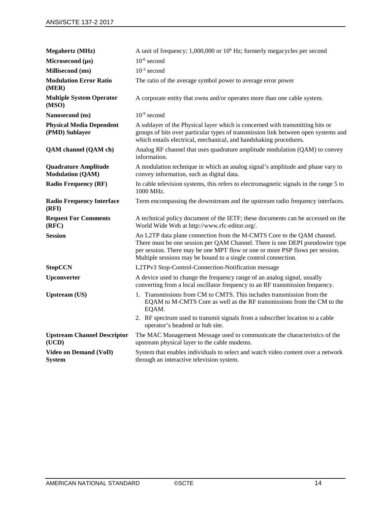| <b>Megahertz</b> (MHz)                                 | A unit of frequency; 1,000,000 or 10 <sup>6</sup> Hz; formerly megacycles per second                                                                                                                                                                                                                     |
|--------------------------------------------------------|----------------------------------------------------------------------------------------------------------------------------------------------------------------------------------------------------------------------------------------------------------------------------------------------------------|
| Microsecond $(\mu s)$                                  | $10^{-6}$ second                                                                                                                                                                                                                                                                                         |
| Millisecond (ms)                                       | $10^{-3}$ second                                                                                                                                                                                                                                                                                         |
| <b>Modulation Error Ratio</b><br>(MER)                 | The ratio of the average symbol power to average error power                                                                                                                                                                                                                                             |
| <b>Multiple System Operator</b><br>(MSO)               | A corporate entity that owns and/or operates more than one cable system.                                                                                                                                                                                                                                 |
| Nanosecond (ns)                                        | $10^{-9}$ second                                                                                                                                                                                                                                                                                         |
| <b>Physical Media Dependent</b><br>(PMD) Sublayer      | A sublayer of the Physical layer which is concerned with transmitting bits or<br>groups of bits over particular types of transmission link between open systems and<br>which entails electrical, mechanical, and handshaking procedures.                                                                 |
| QAM channel (QAM ch)                                   | Analog RF channel that uses quadrature amplitude modulation (QAM) to convey<br>information.                                                                                                                                                                                                              |
| <b>Quadrature Amplitude</b><br><b>Modulation (QAM)</b> | A modulation technique in which an analog signal's amplitude and phase vary to<br>convey information, such as digital data.                                                                                                                                                                              |
| <b>Radio Frequency (RF)</b>                            | In cable television systems, this refers to electromagnetic signals in the range 5 to<br>1000 MHz.                                                                                                                                                                                                       |
| <b>Radio Frequency Interface</b><br>(RFI)              | Term encompassing the downstream and the upstream radio frequency interfaces.                                                                                                                                                                                                                            |
| <b>Request For Comments</b><br>(RFC)                   | A technical policy document of the IETF; these documents can be accessed on the<br>World Wide Web at http://www.rfc-editor.org/.                                                                                                                                                                         |
| <b>Session</b>                                         | An L2TP data plane connection from the M-CMTS Core to the QAM channel.<br>There must be one session per QAM Channel. There is one DEPI pseudowire type<br>per session. There may be one MPT flow or one or more PSP flows per session.<br>Multiple sessions may be bound to a single control connection. |
| <b>StopCCN</b>                                         | L2TPv3 Stop-Control-Connection-Notification message                                                                                                                                                                                                                                                      |
| Upconverter                                            | A device used to change the frequency range of an analog signal, usually<br>converting from a local oscillator frequency to an RF transmission frequency.                                                                                                                                                |
| <b>Upstream (US)</b>                                   | 1. Transmissions from CM to CMTS. This includes transmission from the<br>EQAM to M-CMTS Core as well as the RF transmissions from the CM to the<br>EQAM.<br>2. RF spectrum used to transmit signals from a subscriber location to a cable<br>operator's headend or hub site.                             |
| <b>Upstream Channel Descriptor</b><br>(UCD)            | The MAC Management Message used to communicate the characteristics of the<br>upstream physical layer to the cable modems.                                                                                                                                                                                |
| <b>Video on Demand (VoD)</b><br><b>System</b>          | System that enables individuals to select and watch video content over a network<br>through an interactive television system.                                                                                                                                                                            |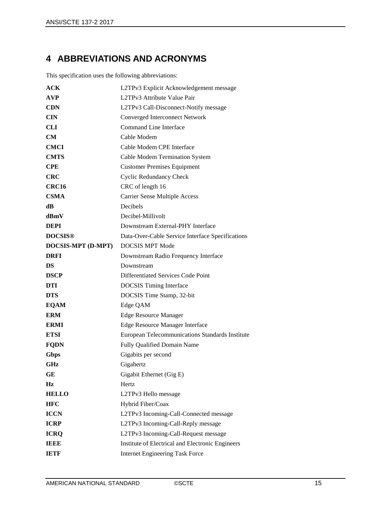## <span id="page-14-0"></span>**4 ABBREVIATIONS AND ACRONYMS**

This specification uses the following abbreviations:

| ACK                       | L2TPv3 Explicit Acknowledgement message          |
|---------------------------|--------------------------------------------------|
| AVP                       | L2TPv3 Attribute Value Pair                      |
| CDN                       | L2TPv3 Call-Disconnect-Notify message            |
| <b>CIN</b>                | <b>Converged Interconnect Network</b>            |
| CLI                       | Command Line Interface                           |
| CM.                       | Cable Modem                                      |
| <b>CMCI</b>               | Cable Modem CPE Interface                        |
| <b>CMTS</b>               | Cable Modem Termination System                   |
| <b>CPE</b>                | <b>Customer Premises Equipment</b>               |
| CRC                       | <b>Cyclic Redundancy Check</b>                   |
| CRC <sub>16</sub>         | CRC of length 16                                 |
| <b>CSMA</b>               | <b>Carrier Sense Multiple Access</b>             |
| dB                        | Decibels                                         |
| dBmV                      | Decibel-Millivolt                                |
| <b>DEPI</b>               | Downstream External-PHY Interface                |
| <b>DOCSIS®</b>            | Data-Over-Cable Service Interface Specifications |
| <b>DOCSIS-MPT (D-MPT)</b> | <b>DOCSIS MPT Mode</b>                           |
| <b>DRFI</b>               | Downstream Radio Frequency Interface             |
| DS                        | Downstream                                       |
| <b>DSCP</b>               | Differentiated Services Code Point               |
| <b>DTI</b>                | <b>DOCSIS</b> Timing Interface                   |
| <b>DTS</b>                | DOCSIS Time Stamp, 32-bit                        |
| <b>EQAM</b>               | Edge QAM                                         |
| <b>ERM</b>                | <b>Edge Resource Manager</b>                     |
| <b>ERMI</b>               | Edge Resource Manager Interface                  |
| <b>ETSI</b>               | European Telecommunications Standards Institute  |
| <b>FQDN</b>               | <b>Fully Qualified Domain Name</b>               |
| Gbps                      | Gigabits per second                              |
| GHz                       | Gigahertz                                        |
| GE                        | Gigabit Ethernet (Gig E)                         |
| Hz                        | Hertz                                            |
| <b>HELLO</b>              | L2TPv3 Hello message                             |
| <b>HFC</b>                | Hybrid Fiber/Coax                                |
| <b>ICCN</b>               | L2TPv3 Incoming-Call-Connected message           |
| <b>ICRP</b>               | L2TPv3 Incoming-Call-Reply message               |
| <b>ICRQ</b>               | L2TPv3 Incoming-Call-Request message             |
| <b>IEEE</b>               | Institute of Electrical and Electronic Engineers |
| <b>IETF</b>               | <b>Internet Engineering Task Force</b>           |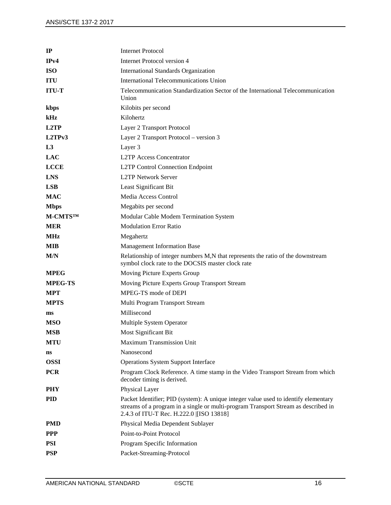| $_{\rm IP}$       | <b>Internet Protocol</b>                                                                                                                                                                                             |
|-------------------|----------------------------------------------------------------------------------------------------------------------------------------------------------------------------------------------------------------------|
| IPv4              | Internet Protocol version 4                                                                                                                                                                                          |
| <b>ISO</b>        | <b>International Standards Organization</b>                                                                                                                                                                          |
| <b>ITU</b>        | International Telecommunications Union                                                                                                                                                                               |
| <b>ITU-T</b>      | Telecommunication Standardization Sector of the International Telecommunication<br>Union                                                                                                                             |
| kbps              | Kilobits per second                                                                                                                                                                                                  |
| kHz               | Kilohertz                                                                                                                                                                                                            |
| L <sub>2</sub> TP | Layer 2 Transport Protocol                                                                                                                                                                                           |
| L2TPv3            | Layer 2 Transport Protocol – version 3                                                                                                                                                                               |
| L <sub>3</sub>    | Layer 3                                                                                                                                                                                                              |
| <b>LAC</b>        | <b>L2TP Access Concentrator</b>                                                                                                                                                                                      |
| <b>LCCE</b>       | L2TP Control Connection Endpoint                                                                                                                                                                                     |
| <b>LNS</b>        | <b>L2TP Network Server</b>                                                                                                                                                                                           |
| <b>LSB</b>        | Least Significant Bit                                                                                                                                                                                                |
| <b>MAC</b>        | Media Access Control                                                                                                                                                                                                 |
| <b>Mbps</b>       | Megabits per second                                                                                                                                                                                                  |
| M-CMTSTM          | Modular Cable Modem Termination System                                                                                                                                                                               |
| <b>MER</b>        | <b>Modulation Error Ratio</b>                                                                                                                                                                                        |
| <b>MHz</b>        | Megahertz                                                                                                                                                                                                            |
| <b>MIB</b>        | <b>Management Information Base</b>                                                                                                                                                                                   |
| M/N               | Relationship of integer numbers M,N that represents the ratio of the downstream<br>symbol clock rate to the DOCSIS master clock rate                                                                                 |
| <b>MPEG</b>       | Moving Picture Experts Group                                                                                                                                                                                         |
| <b>MPEG-TS</b>    | Moving Picture Experts Group Transport Stream                                                                                                                                                                        |
| <b>MPT</b>        | MPEG-TS mode of DEPI                                                                                                                                                                                                 |
| <b>MPTS</b>       | Multi Program Transport Stream                                                                                                                                                                                       |
| ms                | Millisecond                                                                                                                                                                                                          |
| <b>MSO</b>        | Multiple System Operator                                                                                                                                                                                             |
| <b>MSB</b>        | Most Significant Bit                                                                                                                                                                                                 |
| <b>MTU</b>        | Maximum Transmission Unit                                                                                                                                                                                            |
| ns                | Nanosecond                                                                                                                                                                                                           |
| <b>OSSI</b>       | <b>Operations System Support Interface</b>                                                                                                                                                                           |
| <b>PCR</b>        | Program Clock Reference. A time stamp in the Video Transport Stream from which<br>decoder timing is derived.                                                                                                         |
| <b>PHY</b>        | Physical Layer                                                                                                                                                                                                       |
| <b>PID</b>        | Packet Identifier; PID (system): A unique integer value used to identify elementary<br>streams of a program in a single or multi-program Transport Stream as described in<br>2.4.3 of ITU-T Rec. H.222.0 [ISO 13818] |
| <b>PMD</b>        | Physical Media Dependent Sublayer                                                                                                                                                                                    |
| <b>PPP</b>        | Point-to-Point Protocol                                                                                                                                                                                              |
| <b>PSI</b>        | Program Specific Information                                                                                                                                                                                         |
| <b>PSP</b>        | Packet-Streaming-Protocol                                                                                                                                                                                            |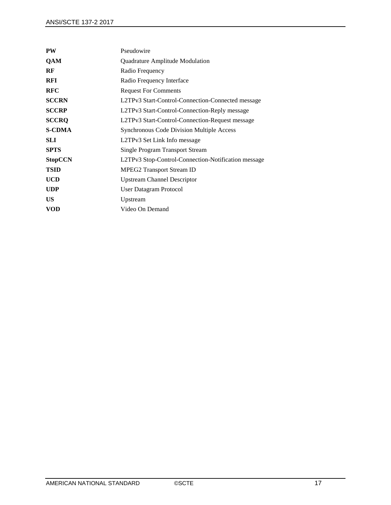| <b>PW</b>      | Pseudowire                                          |
|----------------|-----------------------------------------------------|
| QAM            | Quadrature Amplitude Modulation                     |
| RF             | Radio Frequency                                     |
| <b>RFI</b>     | Radio Frequency Interface                           |
| <b>RFC</b>     | <b>Request For Comments</b>                         |
| <b>SCCRN</b>   | L2TPv3 Start-Control-Connection-Connected message   |
| <b>SCCRP</b>   | L2TPv3 Start-Control-Connection-Reply message       |
| <b>SCCRQ</b>   | L2TPv3 Start-Control-Connection-Request message     |
| <b>S-CDMA</b>  | <b>Synchronous Code Division Multiple Access</b>    |
| <b>SLI</b>     | L2TPv3 Set Link Info message                        |
| <b>SPTS</b>    | <b>Single Program Transport Stream</b>              |
| <b>StopCCN</b> | L2TPv3 Stop-Control-Connection-Notification message |
| <b>TSID</b>    | <b>MPEG2 Transport Stream ID</b>                    |
| <b>UCD</b>     | <b>Upstream Channel Descriptor</b>                  |
| <b>UDP</b>     | <b>User Datagram Protocol</b>                       |
| <b>US</b>      | Upstream                                            |
| <b>VOD</b>     | Video On Demand                                     |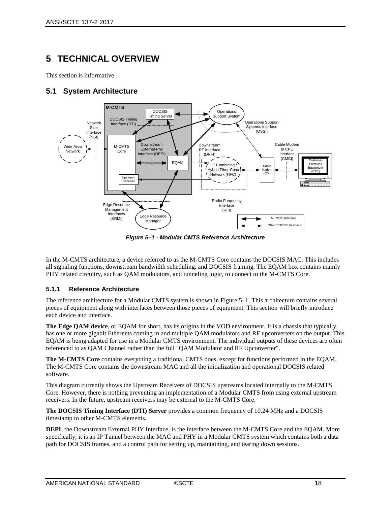## <span id="page-17-0"></span>**5 TECHNICAL OVERVIEW**

This section is informative.

#### <span id="page-17-1"></span>**5.1 System Architecture**



*Figure 5–1 - Modular CMTS Reference Architecture*

<span id="page-17-3"></span>In the M-CMTS architecture, a device referred to as the M-CMTS Core contains the DOCSIS MAC. This includes all signaling functions, downstream bandwidth scheduling, and DOCSIS framing. The EQAM box contains mainly PHY related circuitry, such as QAM modulators, and tunneling logic, to connect to the M-CMTS Core.

#### <span id="page-17-2"></span>**5.1.1 Reference Architecture**

The reference architecture for a Modular CMTS system is shown in [Figure](#page-17-3) 5–1. This architecture contains several pieces of equipment along with interfaces between those pieces of equipment. This section will briefly introduce each device and interface.

**The Edge QAM device**, or EQAM for short, has its origins in the VOD environment. It is a chassis that typically has one or more gigabit Ethernets coming in and multiple QAM modulators and RF upconverters on the output. This EQAM is being adapted for use in a Modular CMTS environment. The individual outputs of these devices are often referenced to as QAM Channel rather than the full "QAM Modulator and RF Upconverter".

**The M-CMTS Core** contains everything a traditional CMTS does, except for functions performed in the EQAM. The M-CMTS Core contains the downstream MAC and all the initialization and operational DOCSIS related software.

This diagram currently shows the Upstream Receivers of DOCSIS upstreams located internally to the M-CMTS Core. However, there is nothing preventing an implementation of a Modular CMTS from using external upstream receivers. In the future, upstream receivers may be external to the M-CMTS Core.

**The DOCSIS Timing Interface (DTI) Server** provides a common frequency of 10.24 MHz and a DOCSIS timestamp to other M-CMTS elements.

**DEPI**, the Downstream External PHY Interface, is the interface between the M-CMTS Core and the EQAM. More specifically, it is an IP Tunnel between the MAC and PHY in a Modular CMTS system which contains both a data path for DOCSIS frames, and a control path for setting up, maintaining, and tearing down sessions.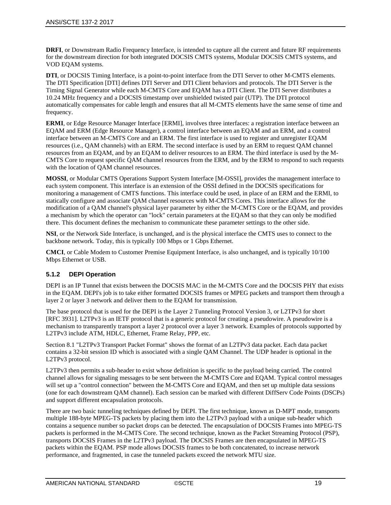**DRFI**, or Downstream Radio Frequency Interface, is intended to capture all the current and future RF requirements for the downstream direction for both integrated DOCSIS CMTS systems, Modular DOCSIS CMTS systems, and VOD EQAM systems.

**DTI**, or DOCSIS Timing Interface, is a point-to-point interface from the DTI Server to other M-CMTS elements. The DTI Specification [\[DTI\]](#page-9-4) defines DTI Server and DTI Client behaviors and protocols. The DTI Server is the Timing Signal Generator while each M-CMTS Core and EQAM has a DTI Client. The DTI Server distributes a 10.24 MHz frequency and a DOCSIS timestamp over unshielded twisted pair (UTP). The DTI protocol automatically compensates for cable length and ensures that all M-CMTS elements have the same sense of time and frequency.

**ERMI**, or Edge Resource Manager Interface [\[ERMI\],](#page-9-5) involves three interfaces: a registration interface between an EQAM and ERM (Edge Resource Manager), a control interface between an EQAM and an ERM, and a control interface between an M-CMTS Core and an ERM. The first interface is used to register and unregister EQAM resources (i.e., QAM channels) with an ERM. The second interface is used by an ERM to request QAM channel resources from an EQAM, and by an EQAM to deliver resources to an ERM. The third interface is used by the M-CMTS Core to request specific QAM channel resources from the ERM, and by the ERM to respond to such requests with the location of QAM channel resources.

**MOSSI**, or Modular CMTS Operations Support System Interface [\[M-OSSI\],](#page-9-6) provides the management interface to each system component. This interface is an extension of the OSSI defined in the DOCSIS specifications for monitoring a management of CMTS functions. This interface could be used, in place of an ERM and the ERMI, to statically configure and associate QAM channel resources with M-CMTS Cores. This interface allows for the modification of a QAM channel's physical layer parameter by either the M-CMTS Core or the EQAM, and provides a mechanism by which the operator can "lock" certain parameters at the EQAM so that they can only be modified there. This document defines the mechanism to communicate these parameter settings to the other side.

**NSI**, or the Network Side Interface, is unchanged, and is the physical interface the CMTS uses to connect to the backbone network. Today, this is typically 100 Mbps or 1 Gbps Ethernet.

**CMCI**, or Cable Modem to Customer Premise Equipment Interface, is also unchanged, and is typically 10/100 Mbps Ethernet or USB.

#### <span id="page-18-0"></span>**5.1.2 DEPI Operation**

DEPI is an IP Tunnel that exists between the DOCSIS MAC in the M-CMTS Core and the DOCSIS PHY that exists in the EQAM. DEPI's job is to take either formatted DOCSIS frames or MPEG packets and transport them through a layer 2 or layer 3 network and deliver them to the EQAM for transmission.

The base protocol that is used for the DEPI is the Layer 2 Tunneling Protocol Version 3, or L2TPv3 for short [RFC [3931\].](#page-9-7) L2TPv3 is an IETF protocol that is a generic protocol for creating a pseudowire. A pseudowire is a mechanism to transparently transport a layer 2 protocol over a layer 3 network. Examples of protocols supported by L2TPv3 include ATM, HDLC, Ethernet, Frame Relay, PPP, etc.

Section [8.1](#page-56-1) ["L2TPv3 Transport Packet Format"](#page-56-1) shows the format of an L2TPv3 data packet. Each data packet contains a 32-bit session ID which is associated with a single QAM Channel. The UDP header is optional in the L2TPv3 protocol.

L2TPv3 then permits a sub-header to exist whose definition is specific to the payload being carried. The control channel allows for signaling messages to be sent between the M-CMTS Core and EQAM. Typical control messages will set up a "control connection" between the M-CMTS Core and EQAM, and then set up multiple data sessions (one for each downstream QAM channel). Each session can be marked with different DiffServ Code Points (DSCPs) and support different encapsulation protocols.

There are two basic tunneling techniques defined by DEPI. The first technique, known as D-MPT mode, transports multiple 188-byte MPEG-TS packets by placing them into the L2TPv3 payload with a unique sub-header which contains a sequence number so packet drops can be detected. The encapsulation of DOCSIS Frames into MPEG-TS packets is performed in the M-CMTS Core. The second technique, known as the Packet Streaming Protocol (PSP), transports DOCSIS Frames in the L2TPv3 payload. The DOCSIS Frames are then encapsulated in MPEG-TS packets within the EQAM. PSP mode allows DOCSIS frames to be both concatenated, to increase network performance, and fragmented, in case the tunneled packets exceed the network MTU size.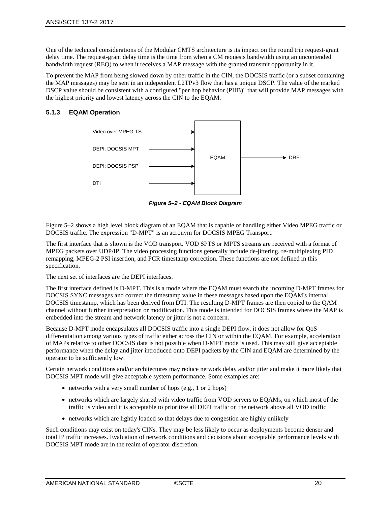One of the technical considerations of the Modular CMTS architecture is its impact on the round trip request-grant delay time. The request-grant delay time is the time from when a CM requests bandwidth using an uncontended bandwidth request (REQ) to when it receives a MAP message with the granted transmit opportunity in it.

To prevent the MAP from being slowed down by other traffic in the CIN, the DOCSIS traffic (or a subset containing the MAP messages) may be sent in an independent L2TPv3 flow that has a unique DSCP. The value of the marked DSCP value should be consistent with a configured "per hop behavior (PHB)" that will provide MAP messages with the highest priority and lowest latency across the CIN to the EQAM.

#### <span id="page-19-0"></span>**5.1.3 EQAM Operation**



*Figure 5–2 - EQAM Block Diagram*

<span id="page-19-1"></span>[Figure](#page-19-1) 5–2 shows a high level block diagram of an EQAM that is capable of handling either Video MPEG traffic or DOCSIS traffic. The expression "D-MPT" is an acronym for DOCSIS MPEG Transport.

The first interface that is shown is the VOD transport. VOD SPTS or MPTS streams are received with a format of MPEG packets over UDP/IP. The video processing functions generally include de-jittering, re-multiplexing PID remapping, MPEG-2 PSI insertion, and PCR timestamp correction. These functions are not defined in this specification.

The next set of interfaces are the DEPI interfaces.

The first interface defined is D-MPT. This is a mode where the EQAM must search the incoming D-MPT frames for DOCSIS SYNC messages and correct the timestamp value in these messages based upon the EQAM's internal DOCSIS timestamp, which has been derived from DTI. The resulting D-MPT frames are then copied to the QAM channel without further interpretation or modification. This mode is intended for DOCSIS frames where the MAP is embedded into the stream and network latency or jitter is not a concern.

Because D-MPT mode encapsulates all DOCSIS traffic into a single DEPI flow, it does not allow for QoS differentiation among various types of traffic either across the CIN or within the EQAM. For example, acceleration of MAPs relative to other DOCSIS data is not possible when D-MPT mode is used. This may still give acceptable performance when the delay and jitter introduced onto DEPI packets by the CIN and EQAM are determined by the operator to be sufficiently low.

Certain network conditions and/or architectures may reduce network delay and/or jitter and make it more likely that DOCSIS MPT mode will give acceptable system performance. Some examples are:

- networks with a very small number of hops (e.g., 1 or 2 hops)
- networks which are largely shared with video traffic from VOD servers to EQAMs, on which most of the traffic is video and it is acceptable to prioritize all DEPI traffic on the network above all VOD traffic
- networks which are lightly loaded so that delays due to congestion are highly unlikely

Such conditions may exist on today's CINs. They may be less likely to occur as deployments become denser and total IP traffic increases. Evaluation of network conditions and decisions about acceptable performance levels with DOCSIS MPT mode are in the realm of operator discretion.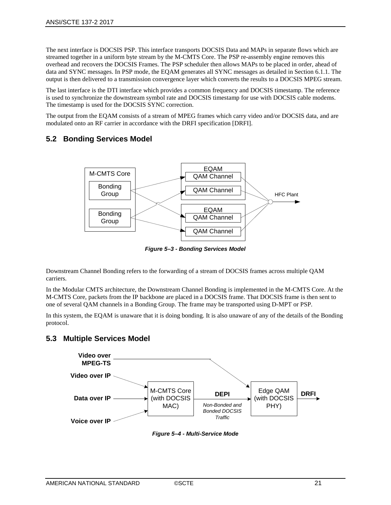The next interface is DOCSIS PSP. This interface transports DOCSIS Data and MAPs in separate flows which are streamed together in a uniform byte stream by the M-CMTS Core. The PSP re-assembly engine removes this overhead and recovers the DOCSIS Frames. The PSP scheduler then allows MAPs to be placed in order, ahead of data and SYNC messages. In PSP mode, the EQAM generates all SYNC messages as detailed in Section [6.1.1.](#page-23-0) The output is then delivered to a transmission convergence layer which converts the results to a DOCSIS MPEG stream.

The last interface is the DTI interface which provides a common frequency and DOCSIS timestamp. The reference is used to synchronize the downstream symbol rate and DOCSIS timestamp for use with DOCSIS cable modems. The timestamp is used for the DOCSIS SYNC correction.

The output from the EQAM consists of a stream of MPEG frames which carry video and/or DOCSIS data, and are modulated onto an RF carrier in accordance with the DRFI specification [\[DRFI\].](#page-9-8)

#### <span id="page-20-0"></span>**5.2 Bonding Services Model**



*Figure 5–3 - Bonding Services Model*

<span id="page-20-2"></span>Downstream Channel Bonding refers to the forwarding of a stream of DOCSIS frames across multiple QAM carriers.

In the Modular CMTS architecture, the Downstream Channel Bonding is implemented in the M-CMTS Core. At the M-CMTS Core, packets from the IP backbone are placed in a DOCSIS frame. That DOCSIS frame is then sent to one of several QAM channels in a Bonding Group. The frame may be transported using D-MPT or PSP.

In this system, the EQAM is unaware that it is doing bonding. It is also unaware of any of the details of the Bonding protocol.

#### <span id="page-20-1"></span>**5.3 Multiple Services Model**

<span id="page-20-3"></span>

*Figure 5–4 - Multi-Service Mode*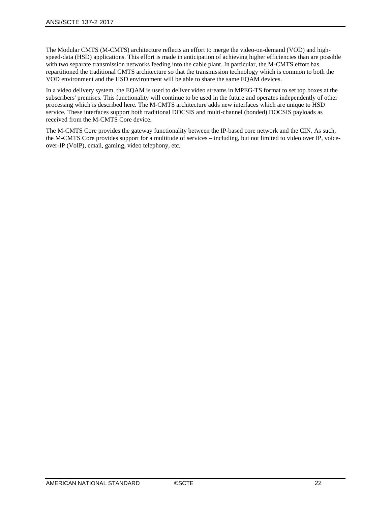The Modular CMTS (M-CMTS) architecture reflects an effort to merge the video-on-demand (VOD) and highspeed-data (HSD) applications. This effort is made in anticipation of achieving higher efficiencies than are possible with two separate transmission networks feeding into the cable plant. In particular, the M-CMTS effort has repartitioned the traditional CMTS architecture so that the transmission technology which is common to both the VOD environment and the HSD environment will be able to share the same EQAM devices.

In a video delivery system, the EQAM is used to deliver video streams in MPEG-TS format to set top boxes at the subscribers' premises. This functionality will continue to be used in the future and operates independently of other processing which is described here. The M-CMTS architecture adds new interfaces which are unique to HSD service. These interfaces support both traditional DOCSIS and multi-channel (bonded) DOCSIS payloads as received from the M-CMTS Core device.

The M-CMTS Core provides the gateway functionality between the IP-based core network and the CIN. As such, the M-CMTS Core provides support for a multitude of services – including, but not limited to video over IP, voiceover-IP (VoIP), email, gaming, video telephony, etc.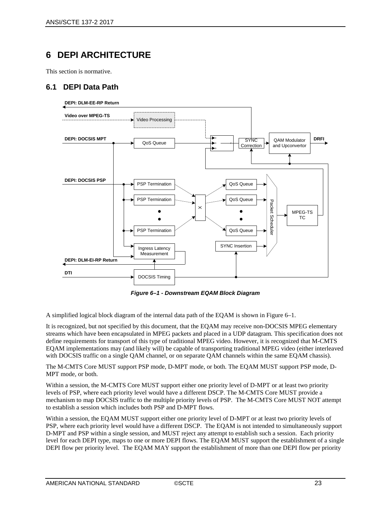## <span id="page-22-0"></span>**6 DEPI ARCHITECTURE**

This section is normative.

#### <span id="page-22-1"></span>**6.1 DEPI Data Path**



*Figure 6–1 - Downstream EQAM Block Diagram*

<span id="page-22-2"></span>A simplified logical block diagram of the internal data path of the EQAM is shown in [Figure](#page-22-2) 6–1.

It is recognized, but not specified by this document, that the EQAM may receive non-DOCSIS MPEG elementary streams which have been encapsulated in MPEG packets and placed in a UDP datagram. This specification does not define requirements for transport of this type of traditional MPEG video. However, it is recognized that M-CMTS EQAM implementations may (and likely will) be capable of transporting traditional MPEG video (either interleaved with DOCSIS traffic on a single OAM channel, or on separate OAM channels within the same EOAM chassis).

The M-CMTS Core MUST support PSP mode, D-MPT mode, or both. The EQAM MUST support PSP mode, D-MPT mode, or both.

Within a session, the M-CMTS Core MUST support either one priority level of D-MPT or at least two priority levels of PSP, where each priority level would have a different DSCP. The M-CMTS Core MUST provide a mechanism to map DOCSIS traffic to the multiple priority levels of PSP. The M-CMTS Core MUST NOT attempt to establish a session which includes both PSP and D-MPT flows.

Within a session, the EQAM MUST support either one priority level of D-MPT or at least two priority levels of PSP, where each priority level would have a different DSCP. The EQAM is not intended to simultaneously support D-MPT and PSP within a single session, and MUST reject any attempt to establish such a session. Each priority level for each DEPI type, maps to one or more DEPI flows. The EQAM MUST support the establishment of a single DEPI flow per priority level. The EQAM MAY support the establishment of more than one DEPI flow per priority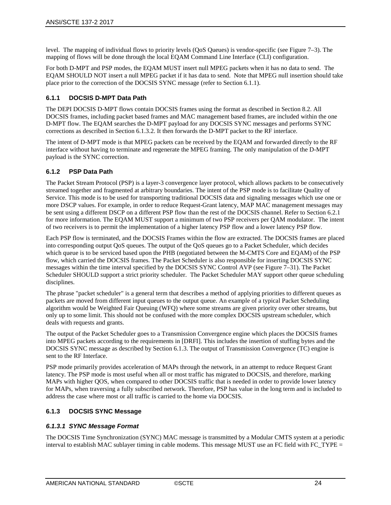level. The mapping of individual flows to priority levels (QoS Queues) is vendor-specific (se[e Figure](#page-30-1) 7–3). The mapping of flows will be done through the local EQAM Command Line Interface (CLI) configuration.

For both D-MPT and PSP modes, the EQAM MUST insert null MPEG packets when it has no data to send. The EQAM SHOULD NOT insert a null MPEG packet if it has data to send. Note that MPEG null insertion should take place prior to the correction of the DOCSIS SYNC message (refer to Section [6.1.1\)](#page-23-0).

#### <span id="page-23-0"></span>**6.1.1 DOCSIS D-MPT Data Path**

The DEPI DOCSIS D-MPT flows contain DOCSIS frames using the format as described in Section [8.2.](#page-59-2) All DOCSIS frames, including packet based frames and MAC management based frames, are included within the one D-MPT flow. The EQAM searches the D-MPT payload for any DOCSIS SYNC messages and performs SYNC corrections as described in Section [6.1.3.2.](#page-24-0) It then forwards the D-MPT packet to the RF interface.

The intent of D-MPT mode is that MPEG packets can be received by the EQAM and forwarded directly to the RF interface without having to terminate and regenerate the MPEG framing. The only manipulation of the D-MPT payload is the SYNC correction.

#### <span id="page-23-1"></span>**6.1.2 PSP Data Path**

The Packet Stream Protocol (PSP) is a layer-3 convergence layer protocol, which allows packets to be consecutively streamed together and fragmented at arbitrary boundaries. The intent of the PSP mode is to facilitate Quality of Service. This mode is to be used for transporting traditional DOCSIS data and signaling messages which use one or more DSCP values. For example, in order to reduce Request-Grant latency, MAP MAC management messages may be sent using a different DSCP on a different PSP flow than the rest of the DOCSIS channel. Refer to Section [6.2.1](#page-25-4) for more information. The EQAM MUST support a minimum of two PSP receivers per QAM modulator. The intent of two receivers is to permit the implementation of a higher latency PSP flow and a lower latency PSP flow.

Each PSP flow is terminated, and the DOCSIS Frames within the flow are extracted. The DOCSIS frames are placed into corresponding output QoS queues. The output of the QoS queues go to a Packet Scheduler, which decides which queue is to be serviced based upon the PHB (negotiated between the M-CMTS Core and EQAM) of the PSP flow, which carried the DOCSIS frames. The Packet Scheduler is also responsible for inserting DOCSIS SYNC messages within the time interval specified by the DOCSIS SYNC Control AVP (se[e Figure](#page-49-3) 7–31). The Packet Scheduler SHOULD support a strict priority scheduler. The Packet Scheduler MAY support other queue scheduling disciplines.

The phrase "packet scheduler" is a general term that describes a method of applying priorities to different queues as packets are moved from different input queues to the output queue. An example of a typical Packet Scheduling algorithm would be Weighted Fair Queuing (WFQ) where some streams are given priority over other streams, but only up to some limit. This should not be confused with the more complex DOCSIS upstream scheduler, which deals with requests and grants.

The output of the Packet Scheduler goes to a Transmission Convergence engine which places the DOCSIS frames into MPEG packets according to the requirements i[n \[DRFI\].](#page-9-8) This includes the insertion of stuffing bytes and the DOCSIS SYNC message as described by Section [6.1.3.](#page-23-2) The output of Transmission Convergence (TC) engine is sent to the RF Interface.

PSP mode primarily provides acceleration of MAPs through the network, in an attempt to reduce Request Grant latency. The PSP mode is most useful when all or most traffic has migrated to DOCSIS, and therefore, marking MAPs with higher QOS, when compared to other DOCSIS traffic that is needed in order to provide lower latency for MAPs, when traversing a fully subscribed network. Therefore, PSP has value in the long term and is included to address the case where most or all traffic is carried to the home via DOCSIS.

#### <span id="page-23-2"></span>**6.1.3 DOCSIS SYNC Message**

#### <span id="page-23-3"></span>*6.1.3.1 SYNC Message Format*

The DOCSIS Time Synchronization (SYNC) MAC message is transmitted by a Modular CMTS system at a periodic interval to establish MAC sublayer timing in cable modems. This message MUST use an FC field with FC\_TYPE =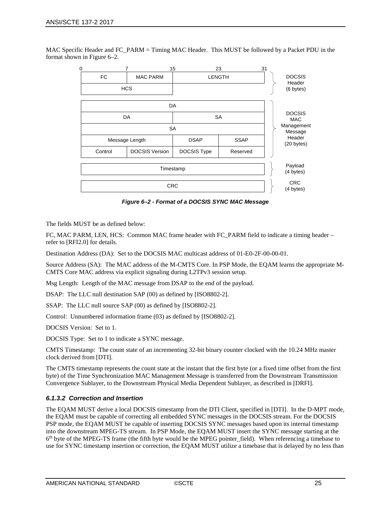MAC Specific Header and FC\_PARM = Timing MAC Header. This MUST be followed by a Packet PDU in the format shown in [Figure](#page-24-1) 6–2.

| 0          |           |                       | 15<br>23           |             | 31 |                             |
|------------|-----------|-----------------------|--------------------|-------------|----|-----------------------------|
|            | <b>FC</b> | <b>MAC PARM</b>       | <b>LENGTH</b>      |             |    | <b>DOCSIS</b>               |
|            |           | <b>HCS</b>            |                    |             |    | Header<br>(6 bytes)         |
|            |           |                       | DA                 |             |    |                             |
|            |           | DA                    | <b>SA</b>          |             |    | <b>DOCSIS</b><br><b>MAC</b> |
|            |           |                       | <b>SA</b>          |             |    | Management<br>Message       |
|            |           | Message Length        | <b>DSAP</b>        | <b>SSAP</b> |    | Header<br>(20 bytes)        |
|            | Control   | <b>DOCSIS Version</b> | <b>DOCSIS Type</b> | Reserved    |    |                             |
|            |           | Timestamp             |                    |             |    | Payload<br>(4 bytes)        |
| <b>CRC</b> |           |                       |                    |             |    | <b>CRC</b><br>(4 bytes)     |

*Figure 6–2 - Format of a DOCSIS SYNC MAC Message*

<span id="page-24-1"></span>The fields MUST be as defined below:

FC, MAC PARM, LEN, HCS: Common MAC frame header with FC\_PARM field to indicate a timing header – refer t[o \[RFI2.0\]](#page-9-2) for details.

Destination Address (DA): Set to the DOCSIS MAC multicast address of 01-E0-2F-00-00-01.

Source Address (SA): The MAC address of the M-CMTS Core. In PSP Mode, the EQAM learns the appropriate M-CMTS Core MAC address via explicit signaling during L2TPv3 session setup.

Msg Length: Length of the MAC message from DSAP to the end of the payload.

DSAP: The LLC null destination SAP (00) as defined by [\[ISO8802-2\].](#page-10-2)

SSAP: The LLC null source SAP (00) as defined b[y \[ISO8802-2\].](#page-10-2)

Control: Unnumbered information frame (03) as defined b[y \[ISO8802-2\].](#page-10-2)

DOCSIS Version: Set to 1.

DOCSIS Type: Set to 1 to indicate a SYNC message.

CMTS Timestamp: The count state of an incrementing 32-bit binary counter clocked with the 10.24 MHz master clock derived fro[m \[DTI\].](#page-9-4)

The CMTS timestamp represents the count state at the instant that the first byte (or a fixed time offset from the first byte) of the Time Synchronization MAC Management Message is transferred from the Downstream Transmission Convergence Sublayer, to the Downstream Physical Media Dependent Sublayer, as described in [\[DRFI\].](#page-9-8)

#### <span id="page-24-0"></span>*6.1.3.2 Correction and Insertion*

The EQAM MUST derive a local DOCSIS timestamp from the DTI Client, specified in [\[DTI\].](#page-9-4) In the D-MPT mode, the EQAM must be capable of correcting all embedded SYNC messages in the DOCSIS stream. For the DOCSIS PSP mode, the EQAM MUST be capable of inserting DOCSIS SYNC messages based upon its internal timestamp into the downstream MPEG-TS stream. In PSP Mode, the EQAM MUST insert the SYNC message starting at the 6th byte of the MPEG-TS frame (the fifth byte would be the MPEG pointer\_field). When referencing a timebase to use for SYNC timestamp insertion or correction, the EQAM MUST utilize a timebase that is delayed by no less than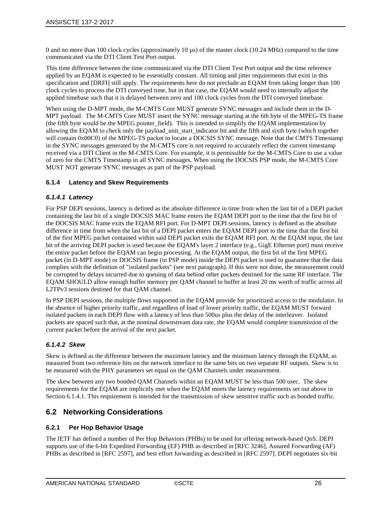0 and no more than 100 clock cycles (approximately 10 µs) of the master clock (10.24 MHz) compared to the time communicated via the DTI Client Test Port output.

This time difference between the time communicated via the DTI Client Test Port output and the time reference applied by an EQAM is expected to be essentially constant. All timing and jitter requirements that exist in this specification and [\[DRFI\]](#page-9-8) still apply. The requirements here do not preclude an EQAM from taking longer than 100 clock cycles to process the DTI conveyed time, but in that case, the EQAM would need to internally adjust the applied timebase such that it is delayed between zero and 100 clock cycles from the DTI conveyed timebase.

When using the D-MPT mode, the M-CMTS Core MUST generate SYNC messages and include them in the D-MPT payload. The M-CMTS Core MUST insert the SYNC message starting at the 6th byte of the MPEG-TS frame (the fifth byte would be the MPEG pointer\_field). This is intended to simplify the EQAM implementation by allowing the EQAM to check only the payload unit start indicator bit and the fifth and sixth byte (which together will contain 0x00C0) of the MPEG-TS packet to locate a DOCSIS SYNC message. Note that the CMTS Timestamp in the SYNC messages generated by the M-CMTS core is not required to accurately reflect the current timestamp received via a DTI Client in the M-CMTS Core. For example, it is permissible for the M-CMTS Core to use a value of zero for the CMTS Timestamp in all SYNC messages. When using the DOCSIS PSP mode, the M-CMTS Core MUST NOT generate SYNC messages as part of the PSP payload.

#### <span id="page-25-0"></span>**6.1.4 Latency and Skew Requirements**

#### <span id="page-25-1"></span>*6.1.4.1 Latency*

For PSP DEPI sessions, latency is defined as the absolute difference in time from when the last bit of a DEPI packet containing the last bit of a single DOCSIS MAC frame enters the EQAM DEPI port to the time that the first bit of the DOCSIS MAC frame exits the EQAM RFI port. For D-MPT DEPI sessions, latency is defined as the absolute difference in time from when the last bit of a DEPI packet enters the EQAM DEPI port to the time that the first bit of the first MPEG packet contained within said DEPI packet exits the EQAM RFI port. At the EQAM input, the last bit of the arriving DEPI packet is used because the EQAM's layer 2 interface (e.g., GigE Ethernet port) must receive the entire packet before the EQAM can begin processing. At the EQAM output, the first bit of the first MPEG packet (in D-MPT mode) or DOCSIS frame (in PSP mode) inside the DEPI packet is used to guarantee that the data complies with the definition of "isolated packets" (see next paragraph). If this were not done, the measurement could be corrupted by delays incurred due to queuing of data behind other packets destined for the same RF interface. The EQAM SHOULD allow enough buffer memory per QAM channel to buffer at least 20 ms worth of traffic across all L2TPv3 sessions destined for that QAM channel.

In PSP DEPI sessions, the multiple flows supported in the EQAM provide for prioritized access to the modulator. In the absence of higher priority traffic, and regardless of load of lower priority traffic, the EQAM MUST forward isolated packets in each DEPI flow with a latency of less than 500us plus the delay of the interleaver. Isolated packets are spaced such that, at the nominal downstream data rate, the EQAM would complete transmission of the current packet before the arrival of the next packet*.*

#### <span id="page-25-2"></span>*6.1.4.2 Skew*

Skew is defined as the difference between the maximum latency and the minimum latency through the EQAM, as measured from two reference bits on the network interface to the same bits on two separate RF outputs. Skew is to be measured with the PHY parameters set equal on the QAM Channels under measurement.

The skew between any two bonded QAM Channels within an EQAM MUST be less than 500 usec. The skew requirements for the EQAM are implicitly met when the EQAM meets the latency requirements set out above in Section [6.1.4.1.](#page-25-1) This requirement is intended for the transmission of skew sensitive traffic such as bonded traffic.

#### <span id="page-25-3"></span>**6.2 Networking Considerations**

#### <span id="page-25-4"></span>**6.2.1 Per Hop Behavior Usage**

The IETF has defined a number of Per Hop Behaviors (PHBs) to be used for offering network-based QoS. DEPI supports use of the 6-bit Expedited Forwarding (EF) PHB as described in [RFC [3246\],](#page-9-9) Assured Forwarding (AF) PHBs as described in [RFC [2597\],](#page-9-10) and best effort forwarding as described in [RFC [2597\].](#page-9-10) DEPI negotiates six-bit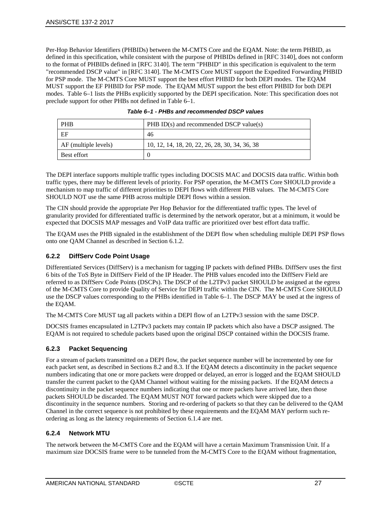Per-Hop Behavior Identifiers (PHBIDs) between the M-CMTS Core and the EQAM. Note: the term PHBID, as defined in this specification, while consistent with the purpose of PHBIDs defined in [RFC [3140\],](#page-10-3) does not conform to the format of PHBIDs defined in [RFC [3140\].](#page-10-3) The term "PHBID" in this specification is equivalent to the term "recommended DSCP value" in [RFC [3140\].](#page-10-3) The M-CMTS Core MUST support the Expedited Forwarding PHBID for PSP mode. The M-CMTS Core MUST support the best effort PHBID for both DEPI modes. The EQAM MUST support the EF PHBID for PSP mode. The EQAM MUST support the best effort PHBID for both DEPI modes. [Table](#page-26-0) 6–1 lists the PHBs explicitly supported by the DEPI specification. Note: This specification does not preclude support for other PHBs not defined in [Table](#page-26-0) 6–1.

<span id="page-26-0"></span>

| <b>PHB</b>           | PHB ID(s) and recommended DSCP value(s)        |
|----------------------|------------------------------------------------|
| EF                   | 46                                             |
| AF (multiple levels) | 10, 12, 14, 18, 20, 22, 26, 28, 30, 34, 36, 38 |
| Best effort          |                                                |

|  | Table 6–1 - PHBs and recommended DSCP values |  |
|--|----------------------------------------------|--|
|--|----------------------------------------------|--|

The DEPI interface supports multiple traffic types including DOCSIS MAC and DOCSIS data traffic. Within both traffic types, there may be different levels of priority. For PSP operation, the M-CMTS Core SHOULD provide a mechanism to map traffic of different priorities to DEPI flows with different PHB values. The M-CMTS Core SHOULD NOT use the same PHB across multiple DEPI flows within a session.

The CIN should provide the appropriate Per Hop Behavior for the differentiated traffic types. The level of granularity provided for differentiated traffic is determined by the network operator, but at a minimum, it would be expected that DOCSIS MAP messages and VoIP data traffic are prioritized over best effort data traffic.

The EQAM uses the PHB signaled in the establishment of the DEPI flow when scheduling multiple DEPI PSP flows onto one QAM Channel as described in Section [6.1.2.](#page-23-1)

#### <span id="page-26-1"></span>**6.2.2 DiffServ Code Point Usage**

Differentiated Services (DiffServ) is a mechanism for tagging IP packets with defined PHBs. DiffServ uses the first 6 bits of the ToS Byte in DiffServ Field of the IP Header. The PHB values encoded into the DiffServ Field are referred to as DiffServ Code Points (DSCPs). The DSCP of the L2TPv3 packet SHOULD be assigned at the egress of the M-CMTS Core to provide Quality of Service for DEPI traffic within the CIN. The M-CMTS Core SHOULD use the DSCP values corresponding to the PHBs identified in [Table](#page-26-0) 6–1. The DSCP MAY be used at the ingress of the EQAM.

The M-CMTS Core MUST tag all packets within a DEPI flow of an L2TPv3 session with the same DSCP.

DOCSIS frames encapsulated in L2TPv3 packets may contain IP packets which also have a DSCP assigned. The EQAM is not required to schedule packets based upon the original DSCP contained within the DOCSIS frame.

#### <span id="page-26-2"></span>**6.2.3 Packet Sequencing**

For a stream of packets transmitted on a DEPI flow, the packet sequence number will be incremented by one for each packet sent, as described in Sections [8.2](#page-59-2) and [8.3.](#page-60-0) If the EQAM detects a discontinuity in the packet sequence numbers indicating that one or more packets were dropped or delayed, an error is logged and the EQAM SHOULD transfer the current packet to the QAM Channel without waiting for the missing packets. If the EQAM detects a discontinuity in the packet sequence numbers indicating that one or more packets have arrived late, then those packets SHOULD be discarded. The EQAM MUST NOT forward packets which were skipped due to a discontinuity in the sequence numbers. Storing and re-ordering of packets so that they can be delivered to the QAM Channel in the correct sequence is not prohibited by these requirements and the EQAM MAY perform such reordering as long as the latency requirements of Section [6.1.4](#page-25-0) are met.

#### <span id="page-26-3"></span>**6.2.4 Network MTU**

The network between the M-CMTS Core and the EQAM will have a certain Maximum Transmission Unit. If a maximum size DOCSIS frame were to be tunneled from the M-CMTS Core to the EQAM without fragmentation,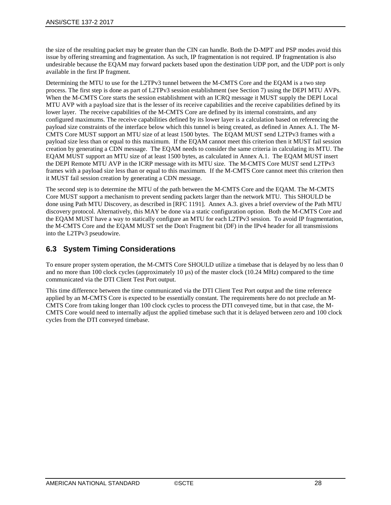the size of the resulting packet may be greater than the CIN can handle. Both the D-MPT and PSP modes avoid this issue by offering streaming and fragmentation. As such, IP fragmentation is not required. IP fragmentation is also undesirable because the EQAM may forward packets based upon the destination UDP port, and the UDP port is only available in the first IP fragment.

Determining the MTU to use for the L2TPv3 tunnel between the M-CMTS Core and the EQAM is a two step process. The first step is done as part of L2TPv3 session establishment (see Section [7\)](#page-28-4) using the DEPI MTU AVPs. When the M-CMTS Core starts the session establishment with an ICRQ message it MUST supply the DEPI Local MTU AVP with a payload size that is the lesser of its receive capabilities and the receive capabilities defined by its lower layer. The receive capabilities of the M-CMTS Core are defined by its internal constraints, and any configured maximums. The receive capabilities defined by its lower layer is a calculation based on referencing the payload size constraints of the interface below which this tunnel is being created, as defined in Annex [A.1.](#page-63-1) The M-CMTS Core MUST support an MTU size of at least 1500 bytes. The EQAM MUST send L2TPv3 frames with a payload size less than or equal to this maximum. If the EQAM cannot meet this criterion then it MUST fail session creation by generating a CDN message. The EQAM needs to consider the same criteria in calculating its MTU. The EQAM MUST support an MTU size of at least 1500 bytes, as calculated in Anne[x A.1.](#page-63-1) The EQAM MUST insert the DEPI Remote MTU AVP in the ICRP message with its MTU size. The M-CMTS Core MUST send L2TPv3 frames with a payload size less than or equal to this maximum. If the M-CMTS Core cannot meet this criterion then it MUST fail session creation by generating a CDN message.

The second step is to determine the MTU of the path between the M-CMTS Core and the EQAM. The M-CMTS Core MUST support a mechanism to prevent sending packets larger than the network MTU. This SHOULD be done using Path MTU Discovery, as described in [RFC [1191\].](#page-9-11) Annex [A.3.](#page-64-0) gives a brief overview of the Path MTU discovery protocol. Alternatively, this MAY be done via a static configuration option. Both the M-CMTS Core and the EQAM MUST have a way to statically configure an MTU for each L2TPv3 session. To avoid IP fragmentation, the M-CMTS Core and the EQAM MUST set the Don't Fragment bit (DF) in the IPv4 header for all transmissions into the L2TPv3 pseudowire.

#### <span id="page-27-0"></span>**6.3 System Timing Considerations**

To ensure proper system operation, the M-CMTS Core SHOULD utilize a timebase that is delayed by no less than 0 and no more than 100 clock cycles (approximately 10  $\mu$ s) of the master clock (10.24 MHz) compared to the time communicated via the DTI Client Test Port output.

This time difference between the time communicated via the DTI Client Test Port output and the time reference applied by an M-CMTS Core is expected to be essentially constant. The requirements here do not preclude an M-CMTS Core from taking longer than 100 clock cycles to process the DTI conveyed time, but in that case, the M-CMTS Core would need to internally adjust the applied timebase such that it is delayed between zero and 100 clock cycles from the DTI conveyed timebase.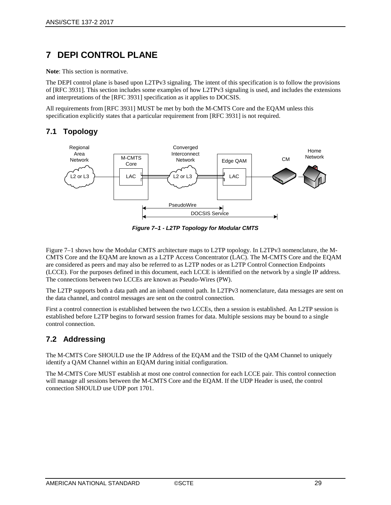## <span id="page-28-4"></span><span id="page-28-0"></span>**7 DEPI CONTROL PLANE**

**Note**: This section is normative.

The DEPI control plane is based upon L2TPv3 signaling. The intent of this specification is to follow the provisions of [RFC [3931\].](#page-9-7) This section includes some examples of how L2TPv3 signaling is used, and includes the extensions and interpretations of th[e \[RFC](#page-9-7) 3931] specification as it applies to DOCSIS.

All requirements from [\[RFC](#page-9-7) 3931] MUST be met by both the M-CMTS Core and the EQAM unless this specification explicitly states that a particular requirement fro[m \[RFC](#page-9-7) 3931] is not required.

### <span id="page-28-1"></span>**7.1 Topology**



*Figure 7–1 - L2TP Topology for Modular CMTS*

<span id="page-28-3"></span>[Figure](#page-28-3) 7–1 shows how the Modular CMTS architecture maps to L2TP topology. In L2TPv3 nomenclature, the M-CMTS Core and the EQAM are known as a L2TP Access Concentrator (LAC). The M-CMTS Core and the EQAM are considered as peers and may also be referred to as L2TP nodes or as L2TP Control Connection Endpoints (LCCE). For the purposes defined in this document, each LCCE is identified on the network by a single IP address. The connections between two LCCEs are known as Pseudo-Wires (PW).

The L2TP supports both a data path and an inband control path. In L2TPv3 nomenclature, data messages are sent on the data channel, and control messages are sent on the control connection.

First a control connection is established between the two LCCEs, then a session is established. An L2TP session is established before L2TP begins to forward session frames for data. Multiple sessions may be bound to a single control connection.

#### <span id="page-28-2"></span>**7.2 Addressing**

The M-CMTS Core SHOULD use the IP Address of the EQAM and the TSID of the QAM Channel to uniquely identify a QAM Channel within an EQAM during initial configuration.

The M-CMTS Core MUST establish at most one control connection for each LCCE pair. This control connection will manage all sessions between the M-CMTS Core and the EQAM. If the UDP Header is used, the control connection SHOULD use UDP port 1701.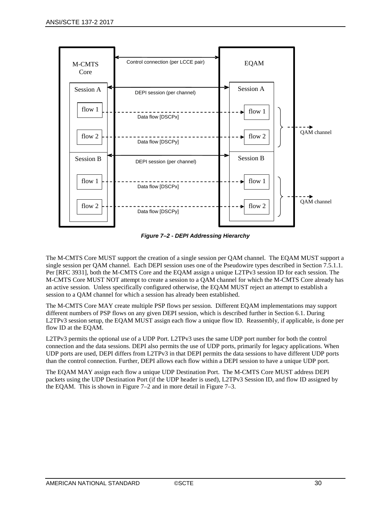

*Figure 7–2 - DEPI Addressing Hierarchy*

<span id="page-29-0"></span>The M-CMTS Core MUST support the creation of a single session per QAM channel. The EQAM MUST support a single session per QAM channel. Each DEPI session uses one of the Pseudowire types described in Sectio[n 7.5.1.1.](#page-42-1) Per [RFC [3931\],](#page-9-7) both the M-CMTS Core and the EQAM assign a unique L2TPv3 session ID for each session. The M-CMTS Core MUST NOT attempt to create a session to a QAM channel for which the M-CMTS Core already has an active session. Unless specifically configured otherwise, the EQAM MUST reject an attempt to establish a session to a QAM channel for which a session has already been established.

The M-CMTS Core MAY create multiple PSP flows per session. Different EQAM implementations may support different numbers of PSP flows on any given DEPI session, which is described further in Section [6.1.](#page-22-1) During L2TPv3 session setup, the EQAM MUST assign each flow a unique flow ID. Reassembly, if applicable, is done per flow ID at the EQAM.

L2TPv3 permits the optional use of a UDP Port. L2TPv3 uses the same UDP port number for both the control connection and the data sessions. DEPI also permits the use of UDP ports, primarily for legacy applications. When UDP ports are used, DEPI differs from L2TPv3 in that DEPI permits the data sessions to have different UDP ports than the control connection. Further, DEPI allows each flow within a DEPI session to have a unique UDP port.

The EQAM MAY assign each flow a unique UDP Destination Port. The M-CMTS Core MUST address DEPI packets using the UDP Destination Port (if the UDP header is used), L2TPv3 Session ID, and flow ID assigned by the EQAM. This is shown in [Figure](#page-29-0) 7–2 and in more detail in [Figure](#page-30-1) 7–3.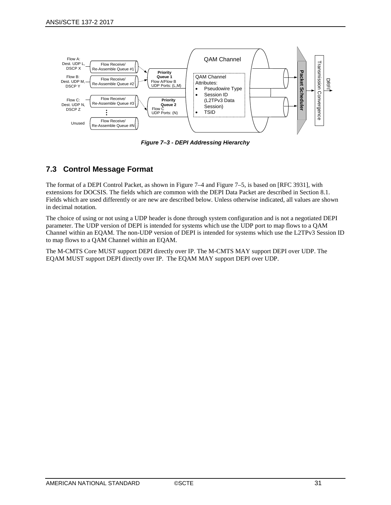

*Figure 7–3 - DEPI Addressing Hierarchy*

#### <span id="page-30-1"></span><span id="page-30-0"></span>**7.3 Control Message Format**

The format of a DEPI Control Packet, as shown in [Figure](#page-31-1) 7–4 and [Figure](#page-32-3) 7–5, is based on [RFC [3931\],](#page-9-7) with extensions for DOCSIS. The fields which are common with the DEPI Data Packet are described in Section [8.1.](#page-56-1)  Fields which are used differently or are new are described below. Unless otherwise indicated, all values are shown in decimal notation.

The choice of using or not using a UDP header is done through system configuration and is not a negotiated DEPI parameter. The UDP version of DEPI is intended for systems which use the UDP port to map flows to a QAM Channel within an EQAM. The non-UDP version of DEPI is intended for systems which use the L2TPv3 Session ID to map flows to a QAM Channel within an EQAM.

The M-CMTS Core MUST support DEPI directly over IP. The M-CMTS MAY support DEPI over UDP. The EQAM MUST support DEPI directly over IP. The EQAM MAY support DEPI over UDP.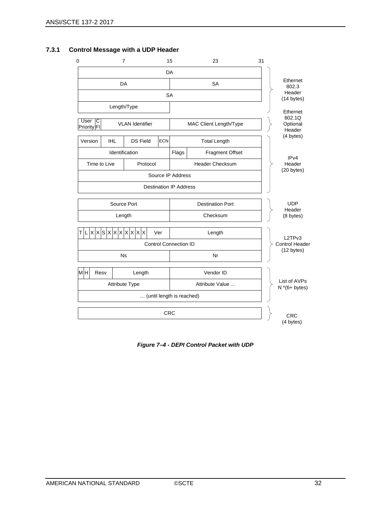| 0                        |                   | 7                         |            | 15                            | 23                      | 31 |                                  |
|--------------------------|-------------------|---------------------------|------------|-------------------------------|-------------------------|----|----------------------------------|
|                          |                   |                           | DA         |                               |                         |    |                                  |
|                          |                   | <b>DA</b>                 |            |                               | <b>SA</b>               |    | Ethernet<br>802.3                |
|                          |                   |                           |            | <b>SA</b>                     |                         |    | Header<br>(14 bytes)             |
|                          |                   | Length/Type               |            |                               |                         |    | Ethernet                         |
| User<br>IС<br>PriorityFI |                   | <b>VLAN Identifier</b>    |            |                               | MAC Client Length/Type  |    | 802.1Q<br>Optional<br>Header     |
| Version                  | <b>IHL</b>        | <b>DS Field</b>           | <b>ECN</b> |                               | <b>Total Length</b>     |    | (4 bytes)                        |
|                          |                   | Identification            |            | Flags                         | Fragment Offset         |    | IP <sub>v4</sub>                 |
| Time to Live             |                   | Protocol                  |            |                               | <b>Header Checksum</b>  |    | Header                           |
|                          |                   |                           |            | Source IP Address             |                         |    | (20 bytes)                       |
|                          |                   |                           |            | <b>Destination IP Address</b> |                         |    |                                  |
|                          |                   | Source Port               |            |                               | <b>Destination Port</b> |    | <b>UDP</b><br>Header             |
|                          |                   | Length                    |            |                               | Checksum                |    | (8 bytes)                        |
| $\lfloor$<br>т           | x x s x x x x x x | X                         | Ver        |                               | Length                  |    | L <sub>2</sub> TP <sub>v</sub> 3 |
|                          |                   |                           |            | <b>Control Connection ID</b>  |                         |    | <b>Control Header</b>            |
|                          |                   | <b>Ns</b>                 |            |                               | Nr                      |    | (12 bytes)                       |
| MН<br>Resv               |                   | Length                    |            |                               | Vendor ID               |    |                                  |
|                          |                   | <b>Attribute Type</b>     |            |                               | Attribute Value         |    | List of AVPs<br>$N*(6+$ bytes)   |
|                          |                   | (until length is reached) |            |                               |                         |    |                                  |
|                          |                   |                           | <b>CRC</b> |                               |                         |    | CRC<br>(4 bytes)                 |

#### <span id="page-31-0"></span>**7.3.1 Control Message with a UDP Header**

<span id="page-31-1"></span>*Figure 7–4 - DEPI Control Packet with UDP*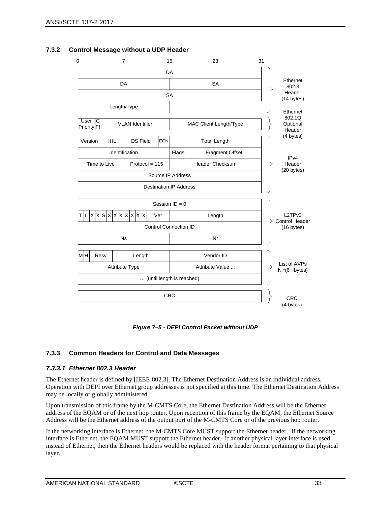

#### <span id="page-32-0"></span>**7.3.2 Control Message without a UDP Header**

*Figure 7–5 - DEPI Control Packet without UDP*

#### <span id="page-32-3"></span><span id="page-32-1"></span>**7.3.3 Common Headers for Control and Data Messages**

#### <span id="page-32-2"></span>*7.3.3.1 Ethernet 802.3 Header*

The Ethernet header is defined b[y \[IEEE-802.3\].](#page-9-12) The Ethernet Destination Address is an individual address. Operation with DEPI over Ethernet group addresses is not specified at this time. The Ethernet Destination Address may be locally or globally administered.

Upon transmission of this frame by the M-CMTS Core, the Ethernet Destination Address will be the Ethernet address of the EQAM or of the next hop router. Upon reception of this frame by the EQAM, the Ethernet Source Address will be the Ethernet address of the output port of the M-CMTS Core or of the previous hop router.

If the networking interface is Ethernet, the M-CMTS Core MUST support the Ethernet header. If the networking interface is Ethernet, the EQAM MUST support the Ethernet header. If another physical layer interface is used instead of Ethernet, then the Ethernet headers would be replaced with the header format pertaining to that physical layer.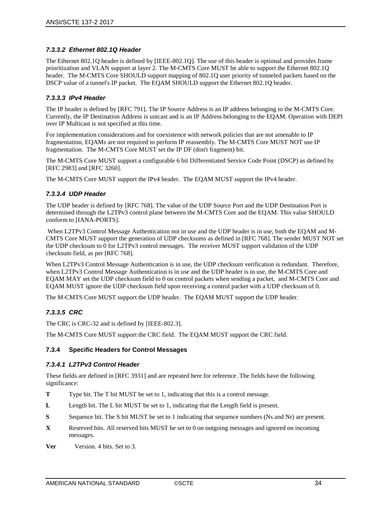#### <span id="page-33-0"></span>*7.3.3.2 Ethernet 802.1Q Header*

The Ethernet 802.1Q header is defined by [\[IEEE-802.1Q\].](#page-9-13) The use of this header is optional and provides frame prioritization and VLAN support at layer 2. The M-CMTS Core MUST be able to support the Ethernet 802.1Q header. The M-CMTS Core SHOULD support mapping of 802.1Q user priority of tunneled packets based on the DSCP value of a tunnel's IP packet. The EQAM SHOULD support the Ethernet 802.1Q header.

#### <span id="page-33-1"></span>*7.3.3.3 IPv4 Header*

The IP header is defined b[y \[RFC](#page-9-14) 791]. The IP Source Address is an IP address belonging to the M-CMTS Core. Currently, the IP Destination Address is unicast and is an IP Address belonging to the EQAM. Operation with DEPI over IP Multicast is not specified at this time.

For implementation considerations and for coexistence with network policies that are not amenable to IP fragmentation, EQAMs are not required to perform IP reassembly. The M-CMTS Core MUST NOT use IP fragmentation. The M-CMTS Core MUST set the IP DF (don't fragment) bit.

The M-CMTS Core MUST support a configurable 6 bit Differentiated Service Code Point (DSCP) as defined by [RFC [2983\]](#page-9-15) and [RFC [3260\].](#page-9-16)

The M-CMTS Core MUST support the IPv4 header. The EQAM MUST support the IPv4 header.

#### <span id="page-33-2"></span>*7.3.3.4 UDP Header*

The UDP header is defined by [\[RFC](#page-9-17) 768]. The value of the UDP Source Port and the UDP Destination Port is determined through the L2TPv3 control plane between the M-CMTS Core and the EQAM. This value SHOULD conform to [\[IANA-PORTS\].](#page-9-18)

When L2TPv3 Control Message Authentication not in use and the UDP header is in use, both the EQAM and M-CMTS Core MUST support the generation of UDP checksums as defined in [\[RFC](#page-9-17) 768]. The sender MUST NOT set the UDP checksum to 0 for L2TPv3 control messages. The receiver MUST support validation of the UDP checksum field, as per [\[RFC](#page-9-17) 768].

When L2TPv3 Control Message Authentication is in use, the UDP checksum verification is redundant. Therefore, when L2TPv3 Control Message Authentication is in use and the UDP header is in use, the M-CMTS Core and EQAM MAY set the UDP checksum field to 0 on control packets when sending a packet, and M-CMTS Core and EQAM MUST ignore the UDP checksum field upon receiving a control packet with a UDP checksum of 0.

The M-CMTS Core MUST support the UDP header. The EQAM MUST support the UDP header.

#### <span id="page-33-3"></span>*7.3.3.5 CRC*

The CRC is CRC-32 and is defined b[y \[IEEE-802.3\].](#page-9-12)

The M-CMTS Core MUST support the CRC field. The EQAM MUST support the CRC field.

#### <span id="page-33-4"></span>**7.3.4 Specific Headers for Control Messages**

#### <span id="page-33-5"></span>*7.3.4.1 L2TPv3 Control Header*

These fields are defined in [\[RFC](#page-9-7) 3931] and are repeated here for reference. The fields have the following significance:

- **T** Type bit. The T bit MUST be set to 1, indicating that this is a control message.
- **L** Length bit. The L bit MUST be set to 1, indicating that the Length field is present.
- **S** Sequence bit. The S bit MUST be set to 1 indicating that sequence numbers (Ns and Nr) are present.
- **X** Reserved bits. All reserved bits MUST be set to 0 on outgoing messages and ignored on incoming messages.

**Ver** Version. 4 bits. Set to 3.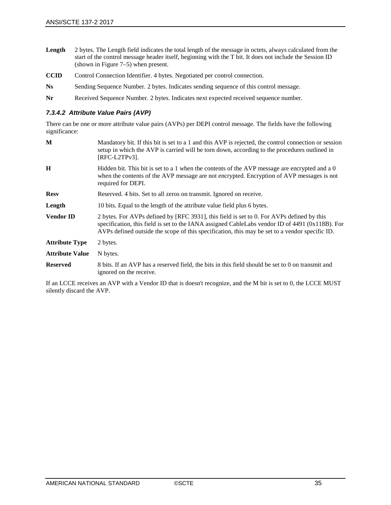- Length 2 bytes. The Length field indicates the total length of the message in octets, always calculated from the start of the control message header itself, beginning with the T bit. It does not include the Session ID (shown in [Figure](#page-32-3) 7–5) when present.
- **CCID** Control Connection Identifier. 4 bytes. Negotiated per control connection.
- **Ns** Sending Sequence Number. 2 bytes. Indicates sending sequence of this control message.
- **Nr** Received Sequence Number. 2 bytes. Indicates next expected received sequence number.

#### <span id="page-34-0"></span>*7.3.4.2 Attribute Value Pairs (AVP)*

There can be one or more attribute value pairs (AVPs) per DEPI control message. The fields have the following significance:

| M                      | Mandatory bit. If this bit is set to a 1 and this AVP is rejected, the control connection or session<br>setup in which the AVP is carried will be torn down, according to the procedures outlined in<br>$[RFC-L2TPv3]$ .                                                                       |
|------------------------|------------------------------------------------------------------------------------------------------------------------------------------------------------------------------------------------------------------------------------------------------------------------------------------------|
| $\bf H$                | Hidden bit. This bit is set to a 1 when the contents of the AVP message are encrypted and a 0<br>when the contents of the AVP message are not encrypted. Encryption of AVP messages is not<br>required for DEPI.                                                                               |
| <b>Resv</b>            | Reserved. 4 bits. Set to all zeros on transmit. Ignored on receive.                                                                                                                                                                                                                            |
| Length                 | 10 bits. Equal to the length of the attribute value field plus 6 bytes.                                                                                                                                                                                                                        |
| <b>Vendor ID</b>       | 2 bytes. For AVPs defined by [RFC 3931], this field is set to 0. For AVPs defined by this<br>specification, this field is set to the IANA assigned CableLabs vendor ID of 4491 (0x118B). For<br>AVPs defined outside the scope of this specification, this may be set to a vendor specific ID. |
| <b>Attribute Type</b>  | 2 bytes.                                                                                                                                                                                                                                                                                       |
| <b>Attribute Value</b> | N bytes.                                                                                                                                                                                                                                                                                       |
| <b>Reserved</b>        | 8 bits. If an AVP has a reserved field, the bits in this field should be set to 0 on transmit and<br>ignored on the receive.                                                                                                                                                                   |

If an LCCE receives an AVP with a Vendor ID that is doesn't recognize, and the M bit is set to 0, the LCCE MUST silently discard the AVP.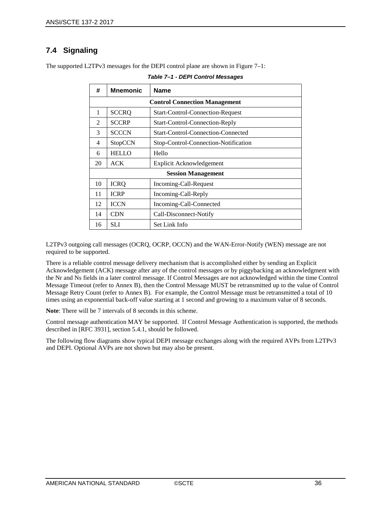#### <span id="page-35-0"></span>**7.4 Signaling**

<span id="page-35-1"></span>The supported L2TPv3 messages for the DEPI control plane are shown i[n Figure](#page-28-3) 7–1:

| #              | <b>Mnemonic</b> | <b>Name</b>                          |
|----------------|-----------------|--------------------------------------|
|                |                 | <b>Control Connection Management</b> |
| 1              | <b>SCCRO</b>    | Start-Control-Connection-Request     |
| $\mathfrak{D}$ | <b>SCCRP</b>    | Start-Control-Connection-Reply       |
| 3              | <b>SCCCN</b>    | Start-Control-Connection-Connected   |
| 4              | StopCCN         | Stop-Control-Connection-Notification |
| 6              | <b>HELLO</b>    | Hello                                |
| 20             | <b>ACK</b>      | Explicit Acknowledgement             |
|                |                 | <b>Session Management</b>            |
| 10             | <b>ICRQ</b>     | Incoming-Call-Request                |
| 11             | <b>ICRP</b>     | Incoming-Call-Reply                  |
| 12             | <b>ICCN</b>     | Incoming-Call-Connected              |
| 14             | <b>CDN</b>      | Call-Disconnect-Notify               |
| 16             | <b>SLI</b>      | Set Link Info                        |

*Table 7–1 - DEPI Control Messages*

L2TPv3 outgoing call messages (OCRQ, OCRP, OCCN) and the WAN-Error-Notify (WEN) message are not required to be supported.

There is a reliable control message delivery mechanism that is accomplished either by sending an Explicit Acknowledgement (ACK) message after any of the control messages or by piggybacking an acknowledgment with the Nr and Ns fields in a later control message. If Control Messages are not acknowledged within the time Control Message Timeout (refer to [Annex B\)](#page-65-0), then the Control Message MUST be retransmitted up to the value of Control Message Retry Count (refer to [Annex B\)](#page-65-0). For example, the Control Message must be retransmitted a total of 10 times using an exponential back-off value starting at 1 second and growing to a maximum value of 8 seconds.

**Note**: There will be 7 intervals of 8 seconds in this scheme.

Control message authentication MAY be supported. If Control Message Authentication is supported, the methods described in [RFC [3931\],](#page-9-7) section 5.4.1, should be followed.

The following flow diagrams show typical DEPI message exchanges along with the required AVPs from L2TPv3 and DEPI. Optional AVPs are not shown but may also be present.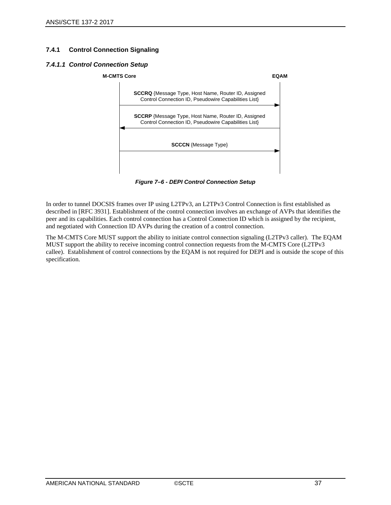## **7.4.1 Control Connection Signaling**

## *7.4.1.1 Control Connection Setup*



*Figure 7–6 - DEPI Control Connection Setup*

In order to tunnel DOCSIS frames over IP using L2TPv3, an L2TPv3 Control Connection is first established as described in [RFC [3931\].](#page-9-0) Establishment of the control connection involves an exchange of AVPs that identifies the peer and its capabilities. Each control connection has a Control Connection ID which is assigned by the recipient, and negotiated with Connection ID AVPs during the creation of a control connection.

The M-CMTS Core MUST support the ability to initiate control connection signaling (L2TPv3 caller). The EQAM MUST support the ability to receive incoming control connection requests from the M-CMTS Core (L2TPv3 callee). Establishment of control connections by the EQAM is not required for DEPI and is outside the scope of this specification.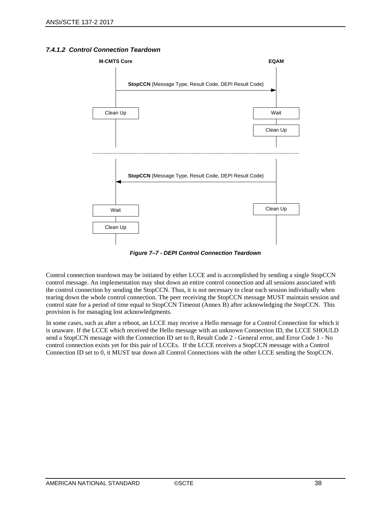

### *7.4.1.2 Control Connection Teardown*

*Figure 7–7 - DEPI Control Connection Teardown*

Control connection teardown may be initiated by either LCCE and is accomplished by sending a single StopCCN control message. An implementation may shut down an entire control connection and all sessions associated with the control connection by sending the StopCCN. Thus, it is not necessary to clear each session individually when tearing down the whole control connection. The peer receiving the StopCCN message MUST maintain session and control state for a period of time equal to StopCCN Timeout [\(Annex B\)](#page-65-0) after acknowledging the StopCCN. This provision is for managing lost acknowledgments.

In some cases, such as after a reboot, an LCCE may receive a Hello message for a Control Connection for which it is unaware. If the LCCE which received the Hello message with an unknown Connection ID, the LCCE SHOULD send a StopCCN message with the Connection ID set to 0, Result Code 2 - General error, and Error Code 1 - No control connection exists yet for this pair of LCCEs. If the LCCE receives a StopCCN message with a Control Connection ID set to 0, it MUST tear down all Control Connections with the other LCCE sending the StopCCN.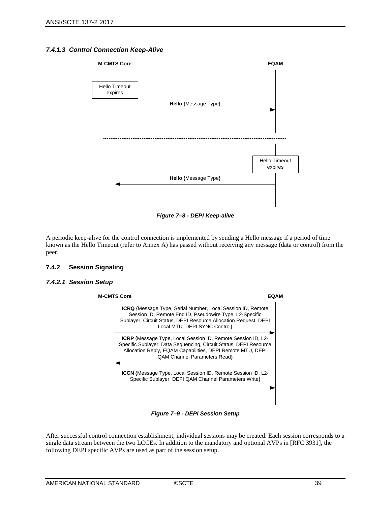## *7.4.1.3 Control Connection Keep-Alive*



*Figure 7–8 - DEPI Keep-alive*

A periodic keep-alive for the control connection is implemented by sending a Hello message if a period of time known as the Hello Timeout (refer to [Annex A\)](#page-63-0) has passed without receiving any message (data or control) from the peer.

## **7.4.2 Session Signaling**

#### *7.4.2.1 Session Setup*



*Figure 7–9 - DEPI Session Setup*

After successful control connection establishment, individual sessions may be created. Each session corresponds to a single data stream between the two LCCEs. In addition to the mandatory and optional AVPs in [RFC [3931\],](#page-9-0) the following DEPI specific AVPs are used as part of the session setup.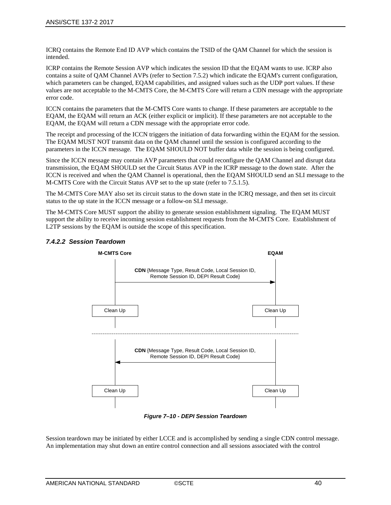ICRQ contains the Remote End ID AVP which contains the TSID of the QAM Channel for which the session is intended.

ICRP contains the Remote Session AVP which indicates the session ID that the EQAM wants to use. ICRP also contains a suite of QAM Channel AVPs (refer to Section [7.5.2\)](#page-47-0) which indicate the EQAM's current configuration, which parameters can be changed, EQAM capabilities, and assigned values such as the UDP port values. If these values are not acceptable to the M-CMTS Core, the M-CMTS Core will return a CDN message with the appropriate error code.

ICCN contains the parameters that the M-CMTS Core wants to change. If these parameters are acceptable to the EQAM, the EQAM will return an ACK (either explicit or implicit). If these parameters are not acceptable to the EQAM, the EQAM will return a CDN message with the appropriate error code.

The receipt and processing of the ICCN triggers the initiation of data forwarding within the EQAM for the session. The EQAM MUST NOT transmit data on the QAM channel until the session is configured according to the parameters in the ICCN message. The EQAM SHOULD NOT buffer data while the session is being configured.

Since the ICCN message may contain AVP parameters that could reconfigure the QAM Channel and disrupt data transmission, the EQAM SHOULD set the Circuit Status AVP in the ICRP message to the down state. After the ICCN is received and when the QAM Channel is operational, then the EQAM SHOULD send an SLI message to the M-CMTS Core with the Circuit Status AVP set to the up state (refer to [7.5.1.5\)](#page-43-0).

The M-CMTS Core MAY also set its circuit status to the down state in the ICRQ message, and then set its circuit status to the up state in the ICCN message or a follow-on SLI message.

The M-CMTS Core MUST support the ability to generate session establishment signaling. The EQAM MUST support the ability to receive incoming session establishment requests from the M-CMTS Core. Establishment of L2TP sessions by the EQAM is outside the scope of this specification.



## *7.4.2.2 Session Teardown*

*Figure 7–10 - DEPI Session Teardown*

Session teardown may be initiated by either LCCE and is accomplished by sending a single CDN control message. An implementation may shut down an entire control connection and all sessions associated with the control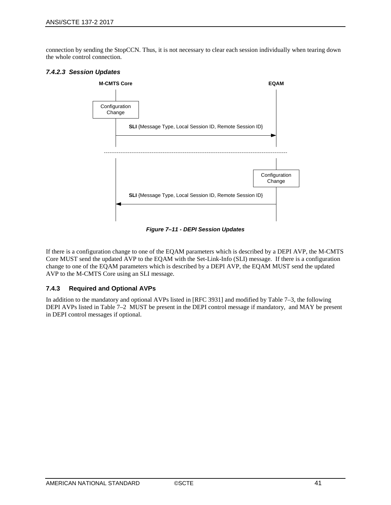connection by sending the StopCCN. Thus, it is not necessary to clear each session individually when tearing down the whole control connection.

#### *7.4.2.3 Session Updates*



*Figure 7–11 - DEPI Session Updates*

If there is a configuration change to one of the EQAM parameters which is described by a DEPI AVP, the M-CMTS Core MUST send the updated AVP to the EQAM with the Set-Link-Info (SLI) message. If there is a configuration change to one of the EQAM parameters which is described by a DEPI AVP, the EQAM MUST send the updated AVP to the M-CMTS Core using an SLI message.

### **7.4.3 Required and Optional AVPs**

In addition to the mandatory and optional AVPs listed in [\[RFC](#page-9-0) 3931] and modified by [Table](#page-42-0) 7–3, the following DEPI AVPs listed in [Table](#page-41-0) 7–2 MUST be present in the DEPI control message if mandatory, and MAY be present in DEPI control messages if optional.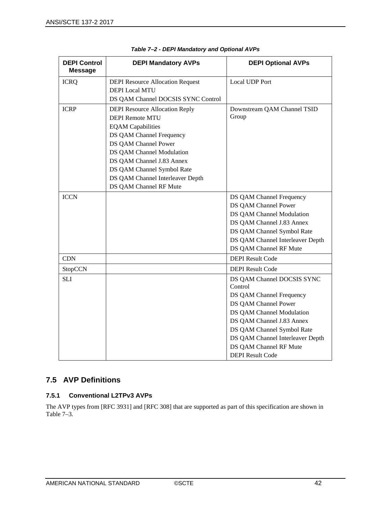<span id="page-41-0"></span>

| <b>DEPI Control</b><br><b>Message</b> | <b>DEPI Mandatory AVPs</b>                                                                                                                                                                                                                                                                            | <b>DEPI Optional AVPs</b>                                                                                                                                                                                                                                                  |
|---------------------------------------|-------------------------------------------------------------------------------------------------------------------------------------------------------------------------------------------------------------------------------------------------------------------------------------------------------|----------------------------------------------------------------------------------------------------------------------------------------------------------------------------------------------------------------------------------------------------------------------------|
| <b>ICRQ</b>                           | <b>DEPI Resource Allocation Request</b><br><b>DEPI</b> Local MTU<br>DS QAM Channel DOCSIS SYNC Control                                                                                                                                                                                                | <b>Local UDP Port</b>                                                                                                                                                                                                                                                      |
| <b>ICRP</b>                           | <b>DEPI Resource Allocation Reply</b><br><b>DEPI Remote MTU</b><br><b>EQAM</b> Capabilities<br>DS QAM Channel Frequency<br>DS QAM Channel Power<br>DS QAM Channel Modulation<br>DS QAM Channel J.83 Annex<br>DS QAM Channel Symbol Rate<br>DS QAM Channel Interleaver Depth<br>DS QAM Channel RF Mute | Downstream QAM Channel TSID<br>Group                                                                                                                                                                                                                                       |
| <b>ICCN</b>                           |                                                                                                                                                                                                                                                                                                       | DS QAM Channel Frequency<br>DS QAM Channel Power<br>DS QAM Channel Modulation<br>DS QAM Channel J.83 Annex<br>DS QAM Channel Symbol Rate<br>DS QAM Channel Interleaver Depth<br>DS QAM Channel RF Mute                                                                     |
| <b>CDN</b>                            |                                                                                                                                                                                                                                                                                                       | <b>DEPI Result Code</b>                                                                                                                                                                                                                                                    |
| StopCCN                               |                                                                                                                                                                                                                                                                                                       | <b>DEPI Result Code</b>                                                                                                                                                                                                                                                    |
| <b>SLI</b>                            |                                                                                                                                                                                                                                                                                                       | DS QAM Channel DOCSIS SYNC<br>Control<br>DS QAM Channel Frequency<br>DS QAM Channel Power<br>DS QAM Channel Modulation<br>DS QAM Channel J.83 Annex<br>DS QAM Channel Symbol Rate<br>DS QAM Channel Interleaver Depth<br>DS QAM Channel RF Mute<br><b>DEPI Result Code</b> |

## **7.5 AVP Definitions**

## **7.5.1 Conventional L2TPv3 AVPs**

The AVP types from [\[RFC](#page-9-0) 3931] an[d \[RFC](#page-9-1) 308] that are supported as part of this specification are shown in [Table](#page-42-0) 7–3.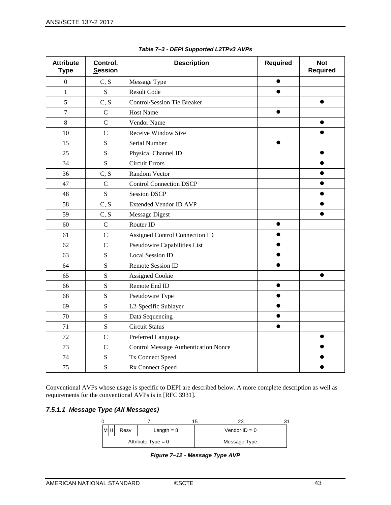<span id="page-42-0"></span>

| <b>Attribute</b><br><b>Type</b> | Control,<br><b>Session</b> | <b>Description</b>                          | <b>Required</b> | <b>Not</b><br><b>Required</b> |
|---------------------------------|----------------------------|---------------------------------------------|-----------------|-------------------------------|
| $\boldsymbol{0}$                | C, S                       | Message Type                                |                 |                               |
| $\mathbf{1}$                    | S                          | <b>Result Code</b>                          | $\bullet$       |                               |
| 5                               | C, S                       | <b>Control/Session Tie Breaker</b>          |                 |                               |
| $\overline{7}$                  | $\mathcal{C}$              | <b>Host Name</b>                            |                 |                               |
| 8                               | $\overline{C}$             | Vendor Name                                 |                 |                               |
| 10                              | $\mathsf{C}$               | Receive Window Size                         |                 |                               |
| 15                              | $\mathbf S$                | Serial Number                               | $\bullet$       |                               |
| 25                              | S                          | Physical Channel ID                         |                 |                               |
| 34                              | S                          | <b>Circuit Errors</b>                       |                 |                               |
| 36                              | C, S                       | Random Vector                               |                 |                               |
| 47                              | $\mathbf C$                | <b>Control Connection DSCP</b>              |                 |                               |
| 48                              | S                          | <b>Session DSCP</b>                         |                 |                               |
| 58                              | C, S                       | <b>Extended Vendor ID AVP</b>               |                 |                               |
| 59                              | C, S                       | Message Digest                              |                 |                               |
| 60                              | $\mathbf C$                | Router ID                                   |                 |                               |
| 61                              | $\mathcal{C}$              | Assigned Control Connection ID              |                 |                               |
| 62                              | $\overline{C}$             | Pseudowire Capabilities List                |                 |                               |
| 63                              | S                          | <b>Local Session ID</b>                     |                 |                               |
| 64                              | S                          | Remote Session ID                           | ●               |                               |
| 65                              | S                          | Assigned Cookie                             |                 |                               |
| 66                              | ${\bf S}$                  | Remote End ID                               | $\bullet$       |                               |
| 68                              | $\mathbf S$                | Pseudowire Type                             |                 |                               |
| 69                              | $\mathbf S$                | L2-Specific Sublayer                        |                 |                               |
| 70                              | S                          | Data Sequencing                             | $\bullet$       |                               |
| 71                              | S                          | <b>Circuit Status</b>                       |                 |                               |
| 72                              | $\mathcal{C}$              | Preferred Language                          |                 |                               |
| 73                              | $\overline{C}$             | <b>Control Message Authentication Nonce</b> |                 |                               |
| 74                              | ${\bf S}$                  | Tx Connect Speed                            |                 |                               |
| 75                              | S                          | Rx Connect Speed                            |                 |                               |

Conventional AVPs whose usage is specific to DEPI are described below. A more complete description as well as requirements for the conventional AVPs is in [RFC [3931\].](#page-9-0)

## *7.5.1.1 Message Type (All Messages)*

| IMI H | Resv | Length $= 8$         | Vendor $ID = 0$ |  |
|-------|------|----------------------|-----------------|--|
|       |      | Attribute $Type = 0$ | Message Type    |  |

*Figure 7–12 - Message Type AVP*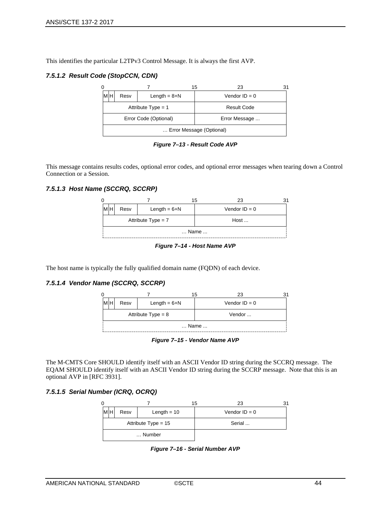This identifies the particular L2TPv3 Control Message. It is always the first AVP.

### *7.5.1.2 Result Code (StopCCN, CDN)*

|      |                       |                          | 15 | 23              |  |
|------|-----------------------|--------------------------|----|-----------------|--|
| MI H | Resv                  | Length $= 8 + N$         |    | Vendor $ID = 0$ |  |
|      | Attribute $Type = 1$  |                          |    | Result Code     |  |
|      | Error Code (Optional) |                          |    | Error Message   |  |
|      |                       | Error Message (Optional) |    |                 |  |

*Figure 7–13 - Result Code AVP*

This message contains results codes, optional error codes, and optional error messages when tearing down a Control Connection or a Session.

### *7.5.1.3 Host Name (SCCRQ, SCCRP)*



*Figure 7–14 - Host Name AVP*

The host name is typically the fully qualified domain name (FQDN) of each device.

#### *7.5.1.4 Vendor Name (SCCRQ, SCCRP)*



*Figure 7–15 - Vendor Name AVP*

The M-CMTS Core SHOULD identify itself with an ASCII Vendor ID string during the SCCRQ message. The EQAM SHOULD identify itself with an ASCII Vendor ID string during the SCCRP message. Note that this is an optional AVP in [RFC [3931\].](#page-9-0)

#### <span id="page-43-0"></span>*7.5.1.5 Serial Number (ICRQ, OCRQ)*

|        |                       |               | 15. |                 |  |
|--------|-----------------------|---------------|-----|-----------------|--|
| lmlh   | Resv                  | Length $= 10$ |     | Vendor $ID = 0$ |  |
|        | Attribute Type = $15$ |               |     | Serial          |  |
| Number |                       |               |     |                 |  |

*Figure 7–16 - Serial Number AVP*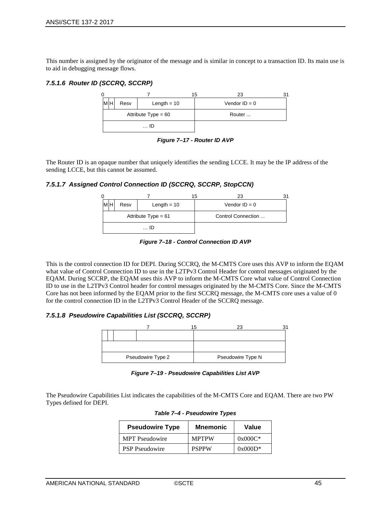This number is assigned by the originator of the message and is similar in concept to a transaction ID. Its main use is to aid in debugging message flows.

#### *7.5.1.6 Router ID (SCCRQ, SCCRP)*

|   |                       |               | 15     | 23              |  |
|---|-----------------------|---------------|--------|-----------------|--|
| M | Resv                  | Length $= 10$ |        | Vendor $ID = 0$ |  |
|   | Attribute $Type = 60$ |               | Router |                 |  |
|   | … ID                  |               |        |                 |  |

*Figure 7–17 - Router ID AVP*

The Router ID is an opaque number that uniquely identifies the sending LCCE. It may be the IP address of the sending LCCE, but this cannot be assumed.

#### *7.5.1.7 Assigned Control Connection ID (SCCRQ, SCCRP, StopCCN)*

|   |                       |               | 15 | 23                 |  |
|---|-----------------------|---------------|----|--------------------|--|
| M | Resv                  | Length $= 10$ |    | Vendor $ID = 0$    |  |
|   | Attribute Type = $61$ |               |    | Control Connection |  |
|   | … ID                  |               |    |                    |  |

*Figure 7–18 - Control Connection ID AVP*

This is the control connection ID for DEPI. During SCCRQ, the M-CMTS Core uses this AVP to inform the EQAM what value of Control Connection ID to use in the L2TPv3 Control Header for control messages originated by the EQAM. During SCCRP, the EQAM uses this AVP to inform the M-CMTS Core what value of Control Connection ID to use in the L2TPv3 Control header for control messages originated by the M-CMTS Core. Since the M-CMTS Core has not been informed by the EQAM prior to the first SCCRQ message, the M-CMTS core uses a value of 0 for the control connection ID in the L2TPv3 Control Header of the SCCRQ message.

### *7.5.1.8 Pseudowire Capabilities List (SCCRQ, SCCRP)*



*Figure 7–19 - Pseudowire Capabilities List AVP*

<span id="page-44-0"></span>The Pseudowire Capabilities List indicates the capabilities of the M-CMTS Core and EQAM. There are two PW Types defined for DEPI.

| <b>Pseudowire Type</b> | <b>Mnemonic</b> | Value     |
|------------------------|-----------------|-----------|
| <b>MPT</b> Pseudowire  | <b>MPTPW</b>    | $0x000C*$ |
| <b>PSP</b> Pseudowire  | <b>PSPPW</b>    | $0x000D*$ |

| Table 7-4 - Pseudowire Types |  |  |
|------------------------------|--|--|
|------------------------------|--|--|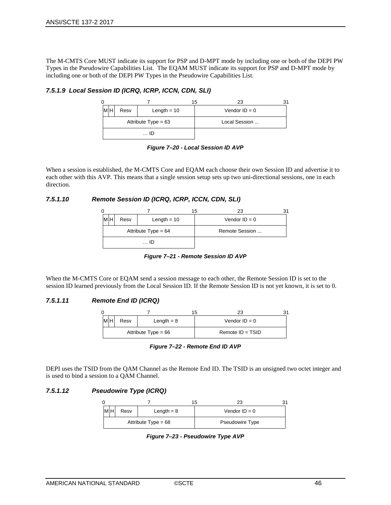The M-CMTS Core MUST indicate its support for PSP and D-MPT mode by including one or both of the DEPI PW Types in the Pseudowire Capabilities List. The EQAM MUST indicate its support for PSP and D-MPT mode by including one or both of the DEPI PW Types in the Pseudowire Capabilities List.

## *7.5.1.9 Local Session ID (ICRQ, ICRP, ICCN, CDN, SLI)*

|                       |      |               | 15            | 23              |  |
|-----------------------|------|---------------|---------------|-----------------|--|
| МŀН                   | Resv | Length $= 10$ |               | Vendor $ID = 0$ |  |
| Attribute $Type = 63$ |      |               | Local Session |                 |  |
| … ID                  |      |               |               |                 |  |

When a session is established, the M-CMTS Core and EQAM each choose their own Session ID and advertise it to each other with this AVP. This means that a single session setup sets up two uni-directional sessions, one in each direction.

### *7.5.1.10 Remote Session ID (ICRQ, ICRP, ICCN, CDN, SLI)*

| 0  |                       |               | 15 | 23              |  |
|----|-----------------------|---------------|----|-----------------|--|
| MH | Resv                  | Length $= 10$ |    | Vendor $ID = 0$ |  |
|    | Attribute $Type = 64$ |               |    | Remote Session  |  |
|    | ID                    |               |    |                 |  |

*Figure 7–21 - Remote Session ID AVP*

When the M-CMTS Core or EQAM send a session message to each other, the Remote Session ID is set to the session ID learned previously from the Local Session ID. If the Remote Session ID is not yet known, it is set to 0.

#### *7.5.1.11 Remote End ID (ICRQ)*

|    |      |                       | מ ו |                    |  |
|----|------|-----------------------|-----|--------------------|--|
| MI | Resv | Length $= 8$          |     | Vendor $ID = 0$    |  |
|    |      | Attribute $Type = 66$ |     | Remote $ID = TSID$ |  |

*Figure 7–22 - Remote End ID AVP*

DEPI uses the TSID from the QAM Channel as the Remote End ID. The TSID is an unsigned two octet integer and is used to bind a session to a QAM Channel.

#### *7.5.1.12 Pseudowire Type (ICRQ)*

| IM H<br>Resv | Length $= 8$          | Vendor $ID = 0$        |  |
|--------------|-----------------------|------------------------|--|
|              | Attribute $Type = 68$ | <b>Pseudowire Type</b> |  |

*Figure 7–23 - Pseudowire Type AVP*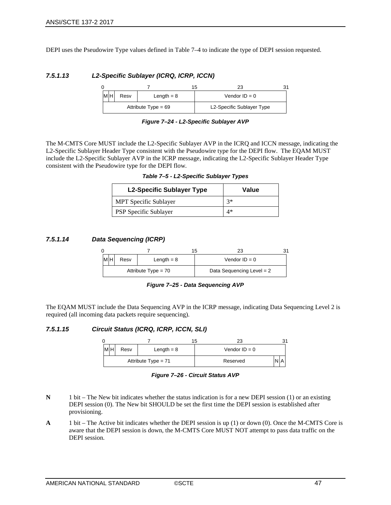DEPI uses the Pseudowire Type values defined in [Table](#page-44-0) 7–4 to indicate the type of DEPI session requested.

## *7.5.1.13 L2-Specific Sublayer (ICRQ, ICRP, ICCN)*

| ML | Resv | Length $= 8$          | Vendor $ID = 0$           |  |
|----|------|-----------------------|---------------------------|--|
|    |      | Attribute $Type = 69$ | L2-Specific Sublayer Type |  |

*Figure 7–24 - L2-Specific Sublayer AVP*

The M-CMTS Core MUST include the L2-Specific Sublayer AVP in the ICRQ and ICCN message, indicating the L2-Specific Sublayer Header Type consistent with the Pseudowire type for the DEPI flow. The EQAM MUST include the L2-Specific Sublayer AVP in the ICRP message, indicating the L2-Specific Sublayer Header Type consistent with the Pseudowire type for the DEPI flow.

| Table 7-5 - L2-Specific Sublayer Types |  |
|----------------------------------------|--|
|                                        |  |

| <b>L2-Specific Sublayer Type</b> | Value |
|----------------------------------|-------|
| MPT Specific Sublayer            | $3*$  |
| <b>PSP Specific Sublayer</b>     | 4*    |

## *7.5.1.14 Data Sequencing (ICRP)*

| IMI H | Resv | Length $= 8$          | Vendor $ID = 0$             |  |
|-------|------|-----------------------|-----------------------------|--|
|       |      | Attribute $Type = 70$ | Data Sequencing Level $= 2$ |  |

*Figure 7–25 - Data Sequencing AVP*

The EQAM MUST include the Data Sequencing AVP in the ICRP message, indicating Data Sequencing Level 2 is required (all incoming data packets require sequencing).

## *7.5.1.15 Circuit Status (ICRQ, ICRP, ICCN, SLI)*

|            |                       | כ ו |                 |  |  |
|------------|-----------------------|-----|-----------------|--|--|
| мH<br>Resv | Length $= 8$          |     | Vendor $ID = 0$ |  |  |
|            | Attribute $Type = 71$ |     | Reserved        |  |  |

*Figure 7–26 - Circuit Status AVP*

- **N** 1 bit The New bit indicates whether the status indication is for a new DEPI session (1) or an existing DEPI session (0). The New bit SHOULD be set the first time the DEPI session is established after provisioning.
- **A** 1 bit The Active bit indicates whether the DEPI session is up (1) or down (0). Once the M-CMTS Core is aware that the DEPI session is down, the M-CMTS Core MUST NOT attempt to pass data traffic on the DEPI session.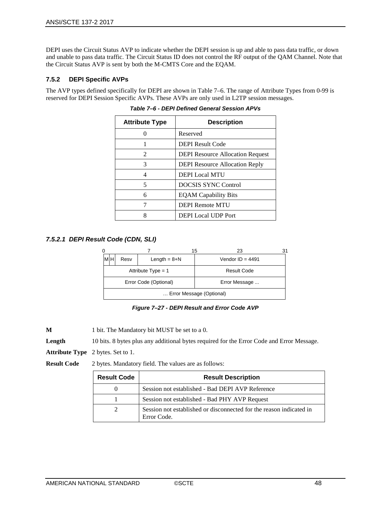DEPI uses the Circuit Status AVP to indicate whether the DEPI session is up and able to pass data traffic, or down and unable to pass data traffic. The Circuit Status ID does not control the RF output of the QAM Channel. Note that the Circuit Status AVP is sent by both the M-CMTS Core and the EQAM.

## <span id="page-47-0"></span>**7.5.2 DEPI Specific AVPs**

<span id="page-47-1"></span>The AVP types defined specifically for DEPI are shown i[n Table](#page-47-1) 7–6. The range of Attribute Types from 0-99 is reserved for DEPI Session Specific AVPs. These AVPs are only used in L2TP session messages.

| <b>Attribute Type</b> | <b>Description</b>                      |
|-----------------------|-----------------------------------------|
|                       | Reserved                                |
|                       | <b>DEPI Result Code</b>                 |
| $\mathfrak{D}$        | <b>DEPI Resource Allocation Request</b> |
| 3                     | <b>DEPI Resource Allocation Reply</b>   |
| 4                     | <b>DEPI Local MTU</b>                   |
| 5                     | <b>DOCSIS SYNC Control</b>              |
| 6                     | <b>EQAM</b> Capability Bits             |
|                       | <b>DEPI Remote MTU</b>                  |
|                       | <b>DEPI</b> Local UDP Port              |

*Table 7–6 - DEPI Defined General Session APVs*

### *7.5.2.1 DEPI Result Code (CDN, SLI)*

|    |                          |                | 15 | 23                 |  |
|----|--------------------------|----------------|----|--------------------|--|
| MН | Resv                     | Length = $8+N$ |    | Vendor ID = $4491$ |  |
|    | Attribute $Type = 1$     |                |    | Result Code        |  |
|    | Error Code (Optional)    |                |    | Error Message      |  |
|    | Error Message (Optional) |                |    |                    |  |

*Figure 7–27 - DEPI Result and Error Code AVP*

**M** 1 bit. The Mandatory bit MUST be set to a 0.

**Length** 10 bits. 8 bytes plus any additional bytes required for the Error Code and Error Message.

**Attribute Type** 2 bytes. Set to 1.

**Result Code** 2 bytes. Mandatory field. The values are as follows:

| <b>Result Code</b> | <b>Result Description</b>                                                          |
|--------------------|------------------------------------------------------------------------------------|
|                    | Session not established - Bad DEPI AVP Reference                                   |
|                    | Session not established - Bad PHY AVP Request                                      |
|                    | Session not established or disconnected for the reason indicated in<br>Error Code. |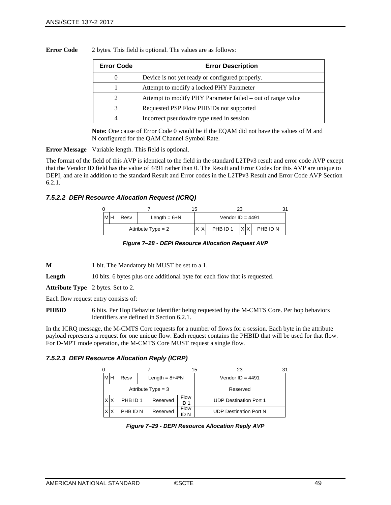| <b>Error Code</b> | <b>Error Description</b>                                    |  |  |  |
|-------------------|-------------------------------------------------------------|--|--|--|
|                   | Device is not yet ready or configured properly.             |  |  |  |
|                   | Attempt to modify a locked PHY Parameter                    |  |  |  |
|                   | Attempt to modify PHY Parameter failed – out of range value |  |  |  |
|                   | Requested PSP Flow PHBIDs not supported                     |  |  |  |
|                   | Incorrect pseudowire type used in session                   |  |  |  |

**Error Code** 2 bytes. This field is optional. The values are as follows:

**Note:** One cause of Error Code 0 would be if the EQAM did not have the values of M and N configured for the QAM Channel Symbol Rate.

**Error Message** Variable length. This field is optional.

The format of the field of this AVP is identical to the field in the standard L2TPv3 result and error code AVP except that the Vendor ID field has the value of 4491 rather than 0. The Result and Error Codes for this AVP are unique to DEPI, and are in addition to the standard Result and Error codes in the L2TPv3 Result and Error Code AVP Section [6.2.1.](#page-25-0)

### *7.5.2.2 DEPI Resource Allocation Request (ICRQ)*

|    |      |                      | ıь |                    |  |          |  |
|----|------|----------------------|----|--------------------|--|----------|--|
| МH | Resv | Length = $6+N$       |    | Vendor ID = $4491$ |  |          |  |
|    |      | Attribute $Type = 2$ |    | PHB ID 1           |  | PHB ID N |  |

**M** 1 bit. The Mandatory bit MUST be set to a 1.

Length 10 bits. 6 bytes plus one additional byte for each flow that is requested.

**Attribute Type** 2 bytes. Set to 2.

Each flow request entry consists of:

**PHBID** 6 bits. Per Hop Behavior Identifier being requested by the M-CMTS Core. Per hop behaviors identifiers are defined in Section [6.2.1.](#page-25-0)

In the ICRQ message, the M-CMTS Core requests for a number of flows for a session. Each byte in the attribute payload represents a request for one unique flow. Each request contains the PHBID that will be used for that flow. For D-MPT mode operation, the M-CMTS Core MUST request a single flow.

#### *7.5.2.3 DEPI Resource Allocation Reply (ICRP)*

| 0  |          |                      |                     | 23<br>15                      |  |
|----|----------|----------------------|---------------------|-------------------------------|--|
| MН | Resv     | Length = $8+4^*N$    |                     | Vendor ID = $4491$            |  |
|    |          | Attribute $Type = 3$ |                     | Reserved                      |  |
|    | PHR ID 1 | Reserved             | Flow<br>ID 1        | <b>UDP Destination Port 1</b> |  |
|    | PHR ID N | Reserved             | <b>Flow</b><br>ID N | <b>UDP Destination Port N</b> |  |

|  | Figure 7-29 - DEPI Resource Allocation Reply AVP |  |  |
|--|--------------------------------------------------|--|--|
|--|--------------------------------------------------|--|--|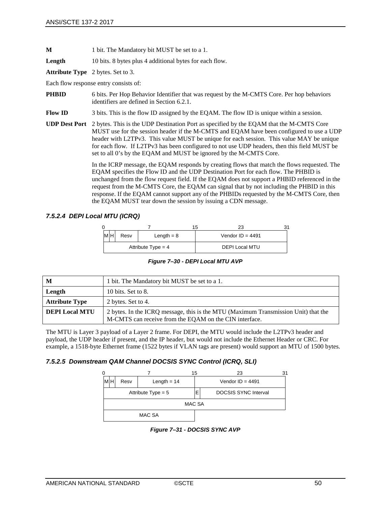**M** 1 bit. The Mandatory bit MUST be set to a 1.

Length 10 bits. 8 bytes plus 4 additional bytes for each flow.

**Attribute Type** 2 bytes. Set to 3.

Each flow response entry consists of:

- **PHBID** 6 bits. Per Hop Behavior Identifier that was request by the M-CMTS Core. Per hop behaviors identifiers are defined in Section [6.2.1.](#page-25-0)
- **Flow ID** 3 bits. This is the flow ID assigned by the EQAM. The flow ID is unique within a session.
- **UDP Dest Port** 2 bytes. This is the UDP Destination Port as specified by the EQAM that the M-CMTS Core MUST use for the session header if the M-CMTS and EQAM have been configured to use a UDP header with L2TPv3. This value MUST be unique for each session. This value MAY be unique for each flow. If L2TPv3 has been configured to not use UDP headers, then this field MUST be set to all 0's by the EQAM and MUST be ignored by the M-CMTS Core.

In the ICRP message, the EQAM responds by creating flows that match the flows requested. The EQAM specifies the Flow ID and the UDP Destination Port for each flow. The PHBID is unchanged from the flow request field. If the EQAM does not support a PHBID referenced in the request from the M-CMTS Core, the EQAM can signal that by not including the PHBID in this response. If the EQAM cannot support any of the PHBIDs requested by the M-CMTS Core, then the EQAM MUST tear down the session by issuing a CDN message.

## *7.5.2.4 DEPI Local MTU (ICRQ)*

| lмlн | Resv | Length $= 8$         | Vendor ID = $4491$    |  |
|------|------|----------------------|-----------------------|--|
|      |      | Attribute Type = $4$ | <b>DEPI Local MTU</b> |  |

*Figure 7–30 - DEPI Local MTU AVP*

| M                     | 1 bit. The Mandatory bit MUST be set to a 1.                                                                                                 |
|-----------------------|----------------------------------------------------------------------------------------------------------------------------------------------|
| Length                | 10 bits. Set to $8.$                                                                                                                         |
| <b>Attribute Type</b> | 2 bytes. Set to 4.                                                                                                                           |
| <b>DEPI Local MTU</b> | 2 bytes. In the ICRQ message, this is the MTU (Maximum Transmission Unit) that the<br>M-CMTS can receive from the EQAM on the CIN interface. |

The MTU is Layer 3 payload of a Layer 2 frame. For DEPI, the MTU would include the L2TPv3 header and payload, the UDP header if present, and the IP header, but would not include the Ethernet Header or CRC. For example, a 1518-byte Ethernet frame (1522 bytes if VLAN tags are present) would support an MTU of 1500 bytes.

#### *7.5.2.5 Downstream QAM Channel DOCSIS SYNC Control (ICRQ, SLI)*

|          |      |                      |        | 15                               | 23 |  |
|----------|------|----------------------|--------|----------------------------------|----|--|
| Ml<br>Iн | Resv | Length $= 14$        |        | Vendor ID = $4491$               |    |  |
|          |      | Attribute Type $= 5$ |        | <b>DOCSIS SYNC Interval</b><br>E |    |  |
|          |      |                      | MAC SA |                                  |    |  |
|          |      | MAC SA               |        |                                  |    |  |

*Figure 7–31 - DOCSIS SYNC AVP*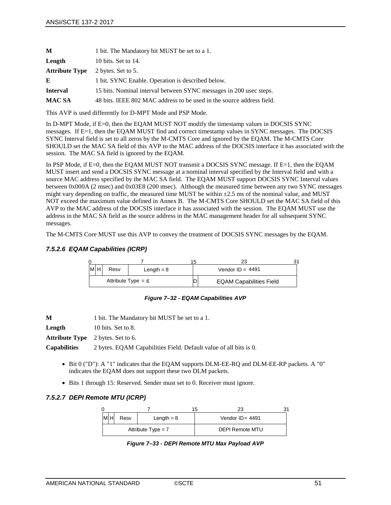| 1 bit. The Mandatory bit MUST be set to a 1.                          |
|-----------------------------------------------------------------------|
| 10 bits. Set to 14.                                                   |
| 2 bytes. Set to 5.                                                    |
| 1 bit. SYNC Enable. Operation is described below.                     |
| 15 bits. Nominal interval between SYNC messages in 200 usec steps.    |
| 48 bits. IEEE 802 MAC address to be used in the source address field. |
|                                                                       |

This AVP is used differently for D-MPT Mode and PSP Mode.

In D-MPT Mode, if  $E=0$ , then the EQAM MUST NOT modify the timestamp values in DOCSIS SYNC messages. If E=1, then the EQAM MUST find and correct timestamp values in SYNC messages. The DOCSIS SYNC Interval field is set to all zeros by the M-CMTS Core and ignored by the EQAM. The M-CMTS Core SHOULD set the MAC SA field of this AVP to the MAC address of the DOCSIS interface it has associated with the session. The MAC SA field is ignored by the EQAM.

In PSP Mode, if E=0, then the EQAM MUST NOT transmit a DOCSIS SYNC message. If E=1, then the EQAM MUST insert and send a DOCSIS SYNC message at a nominal interval specified by the Interval field and with a source MAC address specified by the MAC SA field. The EQAM MUST support DOCSIS SYNC Interval values between 0x000A (2 msec) and 0x03E8 (200 msec). Although the measured time between any two SYNC messages might vary depending on traffic, the measured time MUST be within  $\pm 2.5$  ms of the nominal value, and MUST NOT exceed the maximum value defined in [Annex B.](#page-65-0) The M-CMTS Core SHOULD set the MAC SA field of this AVP to the MAC address of the DOCSIS interface it has associated with the session. The EQAM MUST use the address in the MAC SA field as the source address in the MAC management header for all subsequent SYNC messages.

The M-CMTS Core MUST use this AVP to convey the treatment of DOCSIS SYNC messages by the EQAM.

## *7.5.2.6 EQAM Capabilities (ICRP)*

|            |                      | ᡰ |                                |  |
|------------|----------------------|---|--------------------------------|--|
| MH<br>Resv | Length $= 8$         |   | Vendor ID = $4491$             |  |
|            | Attribute Type = $6$ | ◡ | <b>EQAM Capabilities Field</b> |  |

#### *Figure 7–32 - EQAM Capabilities AVP*

**M** 1 bit. The Mandatory bit MUST be set to a 1. **Length** 10 bits. Set to 8. **Attribute Type** 2 bytes. Set to 6.

**Capabilities** 2 bytes. EQAM Capabilities Field. Default value of all bits is 0.

- Bit 0 ("D"): A "1" indicates that the EQAM supports DLM-EE-RQ and DLM-EE-RP packets. A "0" indicates the EQAM does not support these two DLM packets.
- Bits 1 through 15: Reserved. Sender must set to 0. Receiver must ignore.

## *7.5.2.7 DEPI Remote MTU (ICRP)*

|             |                      | מ! |                        |  |
|-------------|----------------------|----|------------------------|--|
| MHI<br>Resv | Length $= 8$         |    | Vendor $ID = 4491$     |  |
|             | Attribute $Type = 7$ |    | <b>DEPI Remote MTU</b> |  |

*Figure 7–33 - DEPI Remote MTU Max Payload AVP*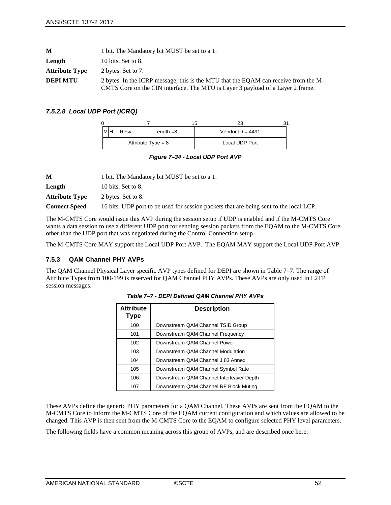| M                     | 1 bit. The Mandatory bit MUST be set to a 1.                                                                                                                          |
|-----------------------|-----------------------------------------------------------------------------------------------------------------------------------------------------------------------|
| Length                | 10 bits. Set to $8.$                                                                                                                                                  |
| <b>Attribute Type</b> | 2 bytes. Set to 7.                                                                                                                                                    |
| <b>DEPI MTU</b>       | 2 bytes. In the ICRP message, this is the MTU that the EOAM can receive from the M-<br>CMTS Core on the CIN interface. The MTU is Layer 3 payload of a Layer 2 frame. |

## *7.5.2.8 Local UDP Port (ICRQ)*

| мIн | Resv<br>Length $=8$  |  | Vendor ID = $4491$ |  |  |  |  |
|-----|----------------------|--|--------------------|--|--|--|--|
|     | Attribute $Type = 8$ |  | Local UDP Port     |  |  |  |  |

#### *Figure 7–34 - Local UDP Port AVP*

| M                     | 1 bit. The Mandatory bit MUST be set to a 1.                                           |
|-----------------------|----------------------------------------------------------------------------------------|
| Length                | 10 bits. Set to 8.                                                                     |
| <b>Attribute Type</b> | 2 bytes. Set to 8.                                                                     |
| <b>Connect Speed</b>  | 16 bits. UDP port to be used for session packets that are being sent to the local LCP. |

The M-CMTS Core would issue this AVP during the session setup if UDP is enabled and if the M-CMTS Core wants a data session to use a different UDP port for sending session packets from the EQAM to the M-CMTS Core other than the UDP port that was negotiated during the Control Connection setup.

The M-CMTS Core MAY support the Local UDP Port AVP. The EQAM MAY support the Local UDP Port AVP.

#### **7.5.3 QAM Channel PHY AVPs**

<span id="page-51-0"></span>The QAM Channel Physical Layer specific AVP types defined for DEPI are shown i[n Table](#page-51-0) 7–7. The range of Attribute Types from 100-199 is reserved for QAM Channel PHY AVPs. These AVPs are only used in L2TP session messages.

| <b>Attribute</b><br>Type | <b>Description</b>                       |
|--------------------------|------------------------------------------|
| 100                      | Downstream QAM Channel TSID Group        |
| 101                      | Downstream QAM Channel Frequency         |
| 102                      | Downstream QAM Channel Power             |
| 103                      | Downstream QAM Channel Modulation        |
| 104                      | Downstream QAM Channel J.83 Annex        |
| 105                      | Downstream QAM Channel Symbol Rate       |
| 106                      | Downstream QAM Channel Interleaver Depth |
| 107                      | Downstream QAM Channel RF Block Muting   |

*Table 7–7 - DEPI Defined QAM Channel PHY AVPs*

These AVPs define the generic PHY parameters for a QAM Channel. These AVPs are sent from the EQAM to the M-CMTS Core to inform the M-CMTS Core of the EQAM current configuration and which values are allowed to be changed. This AVP is then sent from the M-CMTS Core to the EQAM to configure selected PHY level parameters.

The following fields have a common meaning across this group of AVPs, and are described once here: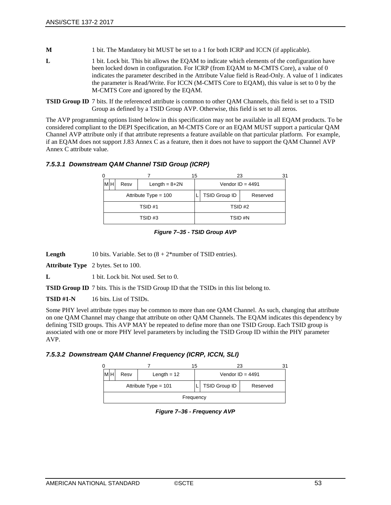- **M** 1 bit. The Mandatory bit MUST be set to a 1 for both ICRP and ICCN (if applicable).
- **L** 1 bit. Lock bit. This bit allows the EQAM to indicate which elements of the configuration have been locked down in configuration. For ICRP (from EQAM to M-CMTS Core), a value of 0 indicates the parameter described in the Attribute Value field is Read-Only. A value of 1 indicates the parameter is Read/Write. For ICCN (M-CMTS Core to EQAM), this value is set to 0 by the M-CMTS Core and ignored by the EQAM.
- **TSID Group ID** 7 bits. If the referenced attribute is common to other QAM Channels, this field is set to a TSID Group as defined by a TSID Group AVP. Otherwise, this field is set to all zeros.

The AVP programming options listed below in this specification may not be available in all EQAM products. To be considered compliant to the DEPI Specification, an M-CMTS Core or an EQAM MUST support a particular QAM Channel AVP attribute only if that attribute represents a feature available on that particular platform. For example, if an EQAM does not support J.83 Annex C as a feature, then it does not have to support the QAM Channel AVP Annex C attribute value.

## *7.5.3.1 Downstream QAM Channel TSID Group (ICRP)*

|       |                         |  | 15 | 23                 |                      |          |  |
|-------|-------------------------|--|----|--------------------|----------------------|----------|--|
| IMIH. | Length = $8+2N$<br>Resv |  |    | Vendor ID = $4491$ |                      |          |  |
|       | Attribute Type = $100$  |  |    |                    | <b>TSID Group ID</b> | Reserved |  |
|       | TSID #1                 |  |    | TSID#2             |                      |          |  |
|       | TSID#3                  |  |    | TSID #N            |                      |          |  |

#### *Figure 7–35 - TSID Group AVP*

Length 10 bits. Variable. Set to  $(8 + 2^*$ number of TSID entries).

**Attribute Type** 2 bytes. Set to 100.

**L** 1 bit. Lock bit. Not used. Set to 0.

**TSID Group ID** 7 bits. This is the TSID Group ID that the TSIDs in this list belong to.

**TSID #1-N** 16 bits. List of TSIDs.

Some PHY level attribute types may be common to more than one QAM Channel. As such, changing that attribute on one QAM Channel may change that attribute on other QAM Channels. The EQAM indicates this dependency by defining TSID groups. This AVP MAY be repeated to define more than one TSID Group. Each TSID group is associated with one or more PHY level parameters by including the TSID Group ID within the PHY parameter AVP.

#### *7.5.3.2 Downstream QAM Channel Frequency (ICRP, ICCN, SLI)*

|                        |                       |  | 15                 | 23            |          |  |
|------------------------|-----------------------|--|--------------------|---------------|----------|--|
|                        | Length $= 12$<br>Resv |  | Vendor ID = $4491$ |               |          |  |
| Attribute Type = $101$ |                       |  |                    | TSID Group ID | Reserved |  |
| Frequency              |                       |  |                    |               |          |  |

*Figure 7–36 - Frequency AVP*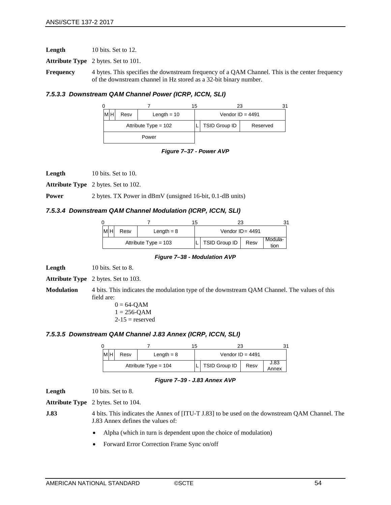Length 10 bits. Set to 12.

**Attribute Type** 2 bytes. Set to 101.

**Frequency** 4 bytes. This specifies the downstream frequency of a QAM Channel. This is the center frequency of the downstream channel in Hz stored as a 32-bit binary number.

#### *7.5.3.3 Downstream QAM Channel Power (ICRP, ICCN, SLI)*

|    |                        |  | 15 |                    | 23            |          |  |
|----|------------------------|--|----|--------------------|---------------|----------|--|
| MН | Length = $10$<br>Resv  |  |    | Vendor ID = $4491$ |               |          |  |
|    | Attribute $Type = 102$ |  |    |                    | TSID Group ID | Reserved |  |
|    | Power                  |  |    |                    |               |          |  |



**Length** 10 bits. Set to 10.

**Attribute Type** 2 bytes. Set to 102.

**Power** 2 bytes. TX Power in dBmV (unsigned 16-bit, 0.1-dB units)

#### *7.5.3.4 Downstream QAM Channel Modulation (ICRP, ICCN, SLI)*

|                        |      |              | 15 |               |                    |                 |
|------------------------|------|--------------|----|---------------|--------------------|-----------------|
| MH                     | Resv | Length $= 8$ |    |               | Vendor $ID = 4491$ |                 |
| Attribute $Type = 103$ |      |              |    | TSID Group ID | Resv               | Modula-<br>tion |

*Figure 7–38 - Modulation AVP*

**Length** 10 bits. Set to 8.

**Attribute Type** 2 bytes. Set to 103.

**Modulation** 4 bits. This indicates the modulation type of the downstream QAM Channel. The values of this field are:

> $0 = 64 - QAM$  $1 = 256 - QAM$  $2-15$  = reserved

#### *7.5.3.5 Downstream QAM Channel J.83 Annex (ICRP, ICCN, SLI)*

|                        |      |              | ۱5 |               |                    |               |
|------------------------|------|--------------|----|---------------|--------------------|---------------|
| MH                     | Resv | Length $= 8$ |    |               | Vendor ID = $4491$ |               |
| Attribute Type = $104$ |      |              |    | TSID Group ID | Resv               | J.83<br>Annex |

*Figure 7–39 - J.83 Annex AVP*

Length 10 bits. Set to 8.

**Attribute Type** 2 bytes. Set to 104.

**J.83** 4 bits. This indicates the Annex of [\[ITU-T J.83\]](#page-9-2) to be used on the downstream QAM Channel. The J.83 Annex defines the values of:

- Alpha (which in turn is dependent upon the choice of modulation)
- Forward Error Correction Frame Sync on/off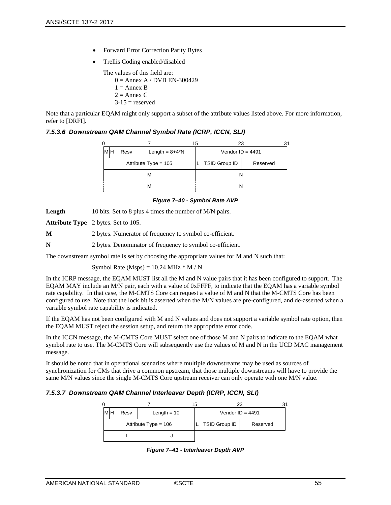- Forward Error Correction Parity Bytes
- Trellis Coding enabled/disabled

```
 The values of this field are:
    0 =Annex A / DVB EN-300429
    1 = Annex B
    2 = Annex C
    3-15 = reserved
```
Note that a particular EQAM might only support a subset of the attribute values listed above. For more information, refer t[o \[DRFI\].](#page-9-3)

|  |  | 7.5.3.6 Downstream QAM Channel Symbol Rate (ICRP, ICCN, SLI) |  |  |  |  |
|--|--|--------------------------------------------------------------|--|--|--|--|
|--|--|--------------------------------------------------------------|--|--|--|--|

|                        |                                   |  |  |                    | 15            |          |  | 23 |  |
|------------------------|-----------------------------------|--|--|--------------------|---------------|----------|--|----|--|
|                        | IMIH<br>Length = $8+4^*N$<br>Resv |  |  | Vendor ID = $4491$ |               |          |  |    |  |
| Attribute $Type = 105$ |                                   |  |  |                    | TSID Group ID | Reserved |  |    |  |
| м                      |                                   |  |  |                    |               |          |  |    |  |
| M                      |                                   |  |  |                    |               |          |  |    |  |

*Figure 7–40 - Symbol Rate AVP*

**Length** 10 bits. Set to 8 plus 4 times the number of M/N pairs.

**Attribute Type** 2 bytes. Set to 105.

**M** 2 bytes. Numerator of frequency to symbol co-efficient.

**N** 2 bytes. Denominator of frequency to symbol co-efficient.

The downstream symbol rate is set by choosing the appropriate values for M and N such that:

Symbol Rate (Msps) =  $10.24$  MHz  $*$  M / N

In the ICRP message, the EQAM MUST list all the M and N value pairs that it has been configured to support. The EQAM MAY include an M/N pair, each with a value of 0xFFFF, to indicate that the EQAM has a variable symbol rate capability. In that case, the M-CMTS Core can request a value of M and N that the M-CMTS Core has been configured to use. Note that the lock bit is asserted when the M/N values are pre-configured, and de-asserted when a variable symbol rate capability is indicated.

If the EQAM has not been configured with M and N values and does not support a variable symbol rate option, then the EQAM MUST reject the session setup, and return the appropriate error code.

In the ICCN message, the M-CMTS Core MUST select one of those M and N pairs to indicate to the EQAM what symbol rate to use. The M-CMTS Core will subsequently use the values of M and N in the UCD MAC management message.

It should be noted that in operational scenarios where multiple downstreams may be used as sources of synchronization for CMs that drive a common upstream, that those multiple downstreams will have to provide the same M/N values since the single M-CMTS Core upstream receiver can only operate with one M/N value.

#### *7.5.3.7 Downstream QAM Channel Interleaver Depth (ICRP, ICCN, SLI)*

|                        | lмlн<br>Length = $10$<br>Resv |  |  | Vendor ID = $4491$ |          |  |  |
|------------------------|-------------------------------|--|--|--------------------|----------|--|--|
| Attribute $Type = 106$ |                               |  |  | TSID Group ID      | Reserved |  |  |
|                        |                               |  |  |                    |          |  |  |

*Figure 7–41 - Interleaver Depth AVP*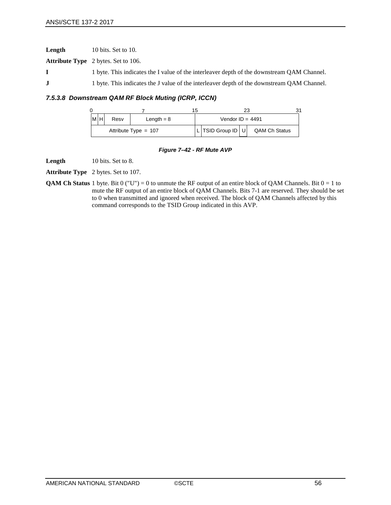Length 10 bits. Set to 10. **Attribute Type** 2 bytes. Set to 106. **I** 1 byte. This indicates the I value of the interleaver depth of the downstream QAM Channel. **J** 1 byte. This indicates the J value of the interleaver depth of the downstream QAM Channel.

## *7.5.3.8 Downstream QAM RF Block Muting (ICRP, ICCN)*

|                        |  |      |              | 15                |                      |  | 21 |
|------------------------|--|------|--------------|-------------------|----------------------|--|----|
| MH                     |  | Resv | Length $= 8$ |                   | Vendor ID = $4491$   |  |    |
| Attribute Type = $107$ |  |      |              | L TSID Group ID U | <b>QAM Ch Status</b> |  |    |

#### *Figure 7–42 - RF Mute AVP*

Length 10 bits. Set to 8.

**Attribute Type** 2 bytes. Set to 107.

**QAM Ch Status** 1 byte. Bit  $0$  ("U") = 0 to unmute the RF output of an entire block of QAM Channels. Bit  $0 = 1$  to mute the RF output of an entire block of QAM Channels. Bits 7-1 are reserved. They should be set to 0 when transmitted and ignored when received. The block of QAM Channels affected by this command corresponds to the TSID Group indicated in this AVP.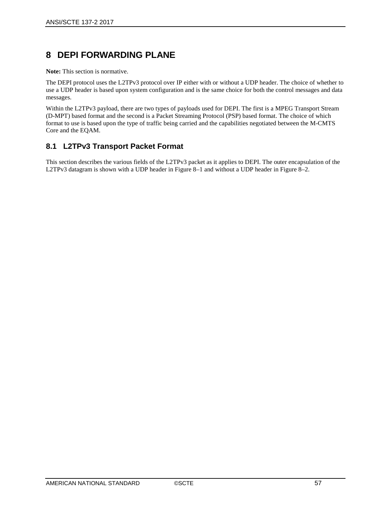# **8 DEPI FORWARDING PLANE**

**Note:** This section is normative.

The DEPI protocol uses the L2TPv3 protocol over IP either with or without a UDP header. The choice of whether to use a UDP header is based upon system configuration and is the same choice for both the control messages and data messages.

Within the L2TPv3 payload, there are two types of payloads used for DEPI. The first is a MPEG Transport Stream (D-MPT) based format and the second is a Packet Streaming Protocol (PSP) based format. The choice of which format to use is based upon the type of traffic being carried and the capabilities negotiated between the M-CMTS Core and the EQAM.

## **8.1 L2TPv3 Transport Packet Format**

This section describes the various fields of the L2TPv3 packet as it applies to DEPI. The outer encapsulation of the L2TPv3 datagram is shown with a UDP header in [Figure](#page-57-0) 8–1 and without a UDP header in [Figure](#page-58-0) 8–2.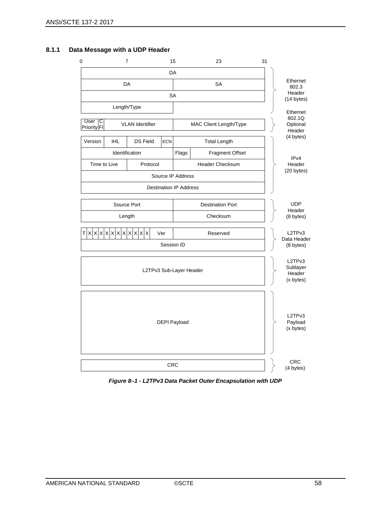

### **8.1.1 Data Message with a UDP Header**

<span id="page-57-0"></span>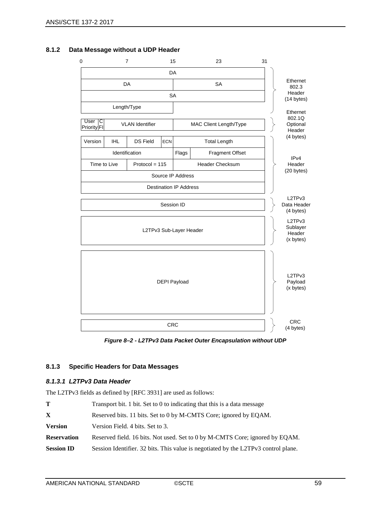

## **8.1.2 Data Message without a UDP Header**

*Figure 8–2 - L2TPv3 Data Packet Outer Encapsulation without UDP*

#### <span id="page-58-0"></span>**8.1.3 Specific Headers for Data Messages**

### *8.1.3.1 L2TPv3 Data Header*

The L2TPv3 fields as defined by [\[RFC](#page-9-0) 3931] are used as follows:

| Т                  | Transport bit. 1 bit. Set to 0 to indicating that this is a data message           |
|--------------------|------------------------------------------------------------------------------------|
| X.                 | Reserved bits. 11 bits. Set to 0 by M-CMTS Core; ignored by EQAM.                  |
| <b>Version</b>     | Version Field. 4 bits. Set to 3.                                                   |
| <b>Reservation</b> | Reserved field. 16 bits. Not used. Set to 0 by M-CMTS Core; ignored by EQAM.       |
| <b>Session ID</b>  | Session Identifier. 32 bits. This value is negotiated by the L2TPv3 control plane. |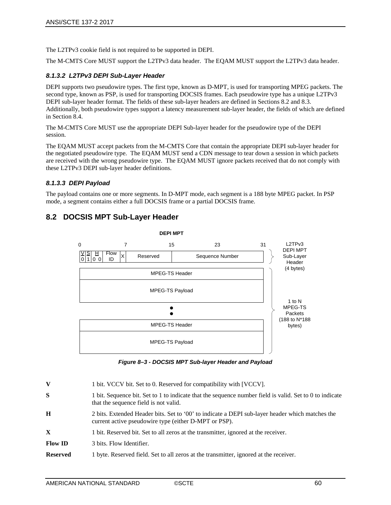The L2TPv3 cookie field is not required to be supported in DEPI.

The M-CMTS Core MUST support the L2TPv3 data header. The EQAM MUST support the L2TPv3 data header.

### *8.1.3.2 L2TPv3 DEPI Sub-Layer Header*

DEPI supports two pseudowire types. The first type, known as D-MPT, is used for transporting MPEG packets. The second type, known as PSP, is used for transporting DOCSIS frames. Each pseudowire type has a unique L2TPv3 DEPI sub-layer header format. The fields of these sub-layer headers are defined in Sections [8.2](#page-59-0) and [8.3.](#page-60-0) Additionally, both pseudowire types support a latency measurement sub-layer header, the fields of which are defined in Section [8.4.](#page-61-0)

The M-CMTS Core MUST use the appropriate DEPI Sub-layer header for the pseudowire type of the DEPI session.

The EQAM MUST accept packets from the M-CMTS Core that contain the appropriate DEPI sub-layer header for the negotiated pseudowire type. The EQAM MUST send a CDN message to tear down a session in which packets are received with the wrong pseudowire type. The EQAM MUST ignore packets received that do not comply with these L2TPv3 DEPI sub-layer header definitions.

## *8.1.3.3 DEPI Payload*

The payload contains one or more segments. In D-MPT mode, each segment is a 188 byte MPEG packet. In PSP mode, a segment contains either a full DOCSIS frame or a partial DOCSIS frame.

## <span id="page-59-0"></span>**8.2 DOCSIS MPT Sub-Layer Header**



*Figure 8–3 - DOCSIS MPT Sub-layer Header and Payload*

| V               | 1 bit. VCCV bit. Set to 0. Reserved for compatibility with [VCCV].                                                                                       |
|-----------------|----------------------------------------------------------------------------------------------------------------------------------------------------------|
| S               | 1 bit. Sequence bit. Set to 1 to indicate that the sequence number field is valid. Set to 0 to indicate<br>that the sequence field is not valid.         |
| H               | 2 bits. Extended Header bits. Set to '00' to indicate a DEPI sub-layer header which matches the<br>current active pseudowire type (either D-MPT or PSP). |
| X               | 1 bit. Reserved bit. Set to all zeros at the transmitter, ignored at the receiver.                                                                       |
| <b>Flow ID</b>  | 3 bits. Flow Identifier.                                                                                                                                 |
| <b>Reserved</b> | 1 byte. Reserved field. Set to all zeros at the transmitter, ignored at the receiver.                                                                    |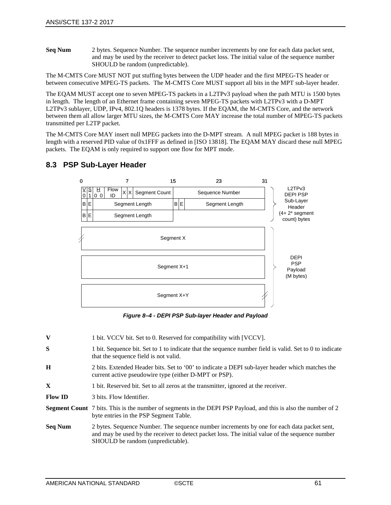#### **Seq Num** 2 bytes. Sequence Number. The sequence number increments by one for each data packet sent, and may be used by the receiver to detect packet loss. The initial value of the sequence number SHOULD be random (unpredictable).

The M-CMTS Core MUST NOT put stuffing bytes between the UDP header and the first MPEG-TS header or between consecutive MPEG-TS packets. The M-CMTS Core MUST support all bits in the MPT sub-layer header.

The EQAM MUST accept one to seven MPEG-TS packets in a L2TPv3 payload when the path MTU is 1500 bytes in length. The length of an Ethernet frame containing seven MPEG-TS packets with L2TPv3 with a D-MPT L2TPv3 sublayer, UDP, IPv4, 802.1Q headers is 1378 bytes. If the EQAM, the M-CMTS Core, and the network between them all allow larger MTU sizes, the M-CMTS Core MAY increase the total number of MPEG-TS packets transmitted per L2TP packet.

The M-CMTS Core MAY insert null MPEG packets into the D-MPT stream. A null MPEG packet is 188 bytes in length with a reserved PID value of 0x1FFF as defined in [ISO [13818\].](#page-9-4) The EQAM MAY discard these null MPEG packets. The EQAM is only required to support one flow for MPT mode.



## <span id="page-60-0"></span>**8.3 PSP Sub-Layer Header**

*Figure 8–4 - DEPI PSP Sub-layer Header and Payload*

| V              | 1 bit. VCCV bit. Set to 0. Reserved for compatibility with [VCCV].                                                                                                                                                                 |  |  |  |  |
|----------------|------------------------------------------------------------------------------------------------------------------------------------------------------------------------------------------------------------------------------------|--|--|--|--|
| S              | 1 bit. Sequence bit. Set to 1 to indicate that the sequence number field is valid. Set to 0 to indicate<br>that the sequence field is not valid.                                                                                   |  |  |  |  |
| H              | 2 bits. Extended Header bits. Set to '00' to indicate a DEPI sub-layer header which matches the<br>current active pseudowire type (either D-MPT or PSP).                                                                           |  |  |  |  |
| $\mathbf{X}$   | 1 bit. Reserved bit. Set to all zeros at the transmitter, ignored at the receiver.                                                                                                                                                 |  |  |  |  |
| <b>Flow ID</b> | 3 bits. Flow Identifier.                                                                                                                                                                                                           |  |  |  |  |
|                | <b>Segment Count</b> 7 bits. This is the number of segments in the DEPI PSP Payload, and this is also the number of 2<br>byte entries in the PSP Segment Table.                                                                    |  |  |  |  |
| <b>Seq Num</b> | 2 bytes. Sequence Number. The sequence number increments by one for each data packet sent,<br>and may be used by the receiver to detect packet loss. The initial value of the sequence number<br>SHOULD be random (unpredictable). |  |  |  |  |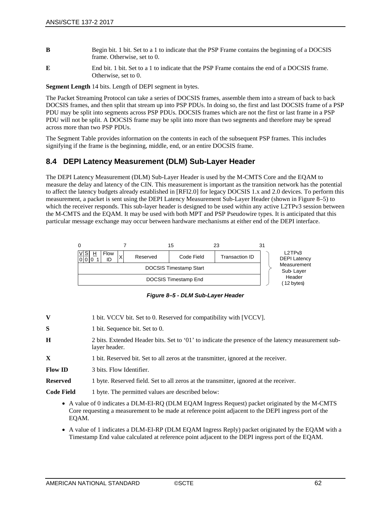- **B** Begin bit. 1 bit. Set to a 1 to indicate that the PSP Frame contains the beginning of a DOCSIS frame. Otherwise, set to 0.
- **E** End bit. 1 bit. Set to a 1 to indicate that the PSP Frame contains the end of a DOCSIS frame. Otherwise, set to 0.

**Segment Length** 14 bits. Length of DEPI segment in bytes.

The Packet Streaming Protocol can take a series of DOCSIS frames, assemble them into a stream of back to back DOCSIS frames, and then split that stream up into PSP PDUs. In doing so, the first and last DOCSIS frame of a PSP PDU may be split into segments across PSP PDUs. DOCSIS frames which are not the first or last frame in a PSP PDU will not be split. A DOCSIS frame may be split into more than two segments and therefore may be spread across more than two PSP PDUs.

The Segment Table provides information on the contents in each of the subsequent PSP frames. This includes signifying if the frame is the beginning, middle, end, or an entire DOCSIS frame.

## <span id="page-61-0"></span>**8.4 DEPI Latency Measurement (DLM) Sub-Layer Header**

The DEPI Latency Measurement (DLM) Sub-Layer Header is used by the M-CMTS Core and the EQAM to measure the delay and latency of the CIN. This measurement is important as the transition network has the potential to affect the latency budgets already established in [\[RFI2.0\]](#page-9-5) for legacy DOCSIS 1.x and 2.0 devices. To perform this measurement, a packet is sent using the DEPI Latency Measurement Sub-Layer Header (shown in [Figure](#page-61-1) 8–5) to which the receiver responds. This sub-layer header is designed to be used within any active L2TPv3 session between the M-CMTS and the EQAM. It may be used with both MPT and PSP Pseudowire types. It is anticipated that this particular message exchange may occur between hardware mechanisms at either end of the DEPI interface.



*Figure 8–5 - DLM Sub-Layer Header*

- <span id="page-61-1"></span>**V** 1 bit. VCCV bit. Set to 0. Reserved for compatibility with [\[VCCV\].](#page-10-0)
- **S** 1 bit. Sequence bit. Set to 0.
- **H** 2 bits. Extended Header bits. Set to '01' to indicate the presence of the latency measurement sublayer header.
- **X** 1 bit. Reserved bit. Set to all zeros at the transmitter, ignored at the receiver.
- **Flow ID** 3 bits. Flow Identifier.
- **Reserved** 1 byte. Reserved field. Set to all zeros at the transmitter, ignored at the receiver.
- **Code Field** 1 byte. The permitted values are described below:
	- A value of 0 indicates a DLM-EI-RQ (DLM EQAM Ingress Request) packet originated by the M-CMTS Core requesting a measurement to be made at reference point adjacent to the DEPI ingress port of the EQAM.
	- A value of 1 indicates a DLM-EI-RP (DLM EQAM Ingress Reply) packet originated by the EQAM with a Timestamp End value calculated at reference point adjacent to the DEPI ingress port of the EQAM.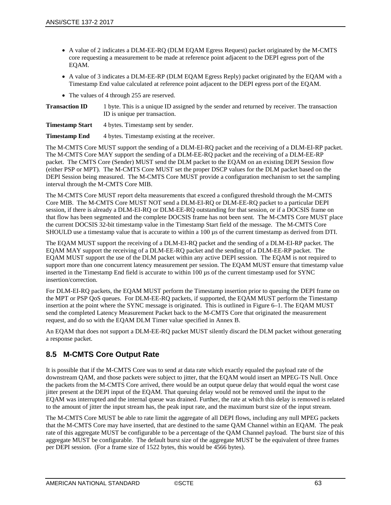- A value of 2 indicates a DLM-EE-RQ (DLM EQAM Egress Request) packet originated by the M-CMTS core requesting a measurement to be made at reference point adjacent to the DEPI egress port of the EQAM.
- A value of 3 indicates a DLM-EE-RP (DLM EQAM Egress Reply) packet originated by the EQAM with a Timestamp End value calculated at reference point adjacent to the DEPI egress port of the EQAM.
- The values of 4 through 255 are reserved.

**Transaction ID** 1 byte. This is a unique ID assigned by the sender and returned by receiver. The transaction ID is unique per transaction.

**Timestamp Start** 4 bytes. Timestamp sent by sender.

**Timestamp End** 4 bytes. Timestamp existing at the receiver.

The M-CMTS Core MUST support the sending of a DLM-EI-RQ packet and the receiving of a DLM-EI-RP packet. The M-CMTS Core MAY support the sending of a DLM-EE-RQ packet and the receiving of a DLM-EE-RP packet. The CMTS Core (Sender) MUST send the DLM packet to the EQAM on an existing DEPI Session flow (either PSP or MPT). The M-CMTS Core MUST set the proper DSCP values for the DLM packet based on the DEPI Session being measured. The M-CMTS Core MUST provide a configuration mechanism to set the sampling interval through the M-CMTS Core MIB.

The M-CMTS Core MUST report delta measurements that exceed a configured threshold through the M-CMTS Core MIB. The M-CMTS Core MUST NOT send a DLM-EI-RQ or DLM-EE-RQ packet to a particular DEPI session, if there is already a DLM-EI-RQ or DLM-EE-RQ outstanding for that session, or if a DOCSIS frame on that flow has been segmented and the complete DOCSIS frame has not been sent. The M-CMTS Core MUST place the current DOCSIS 32-bit timestamp value in the Timestamp Start field of the message. The M-CMTS Core SHOULD use a timestamp value that is accurate to within a 100 µs of the current timestamp as derived from DTI.

The EQAM MUST support the receiving of a DLM-EI-RQ packet and the sending of a DLM-EI-RP packet. The EQAM MAY support the receiving of a DLM-EE-RQ packet and the sending of a DLM-EE-RP packet. The EQAM MUST support the use of the DLM packet within any active DEPI session. The EQAM is not required to support more than one concurrent latency measurement per session. The EQAM MUST ensure that timestamp value inserted in the Timestamp End field is accurate to within 100 µs of the current timestamp used for SYNC insertion/correction.

For DLM-EI-RQ packets, the EQAM MUST perform the Timestamp insertion prior to queuing the DEPI frame on the MPT or PSP QoS queues. For DLM-EE-RQ packets, if supported, the EQAM MUST perform the Timestamp insertion at the point where the SYNC message is originated. This is outlined in [Figure](#page-22-0) 6–1. The EQAM MUST send the completed Latency Measurement Packet back to the M-CMTS Core that originated the measurement request, and do so with the EQAM DLM Timer value specified in [Annex B.](#page-65-0)

An EQAM that does not support a DLM-EE-RQ packet MUST silently discard the DLM packet without generating a response packet.

## **8.5 M-CMTS Core Output Rate**

It is possible that if the M-CMTS Core was to send at data rate which exactly equaled the payload rate of the downstream QAM, and those packets were subject to jitter, that the EQAM would insert an MPEG-TS Null. Once the packets from the M-CMTS Core arrived, there would be an output queue delay that would equal the worst case jitter present at the DEPI input of the EQAM. That queuing delay would not be removed until the input to the EQAM was interrupted and the internal queue was drained. Further, the rate at which this delay is removed is related to the amount of jitter the input stream has, the peak input rate, and the maximum burst size of the input stream.

The M-CMTS Core MUST be able to rate limit the aggregate of all DEPI flows, including any null MPEG packets that the M-CMTS Core may have inserted, that are destined to the same QAM Channel within an EQAM. The peak rate of this aggregate MUST be configurable to be a percentage of the QAM Channel payload. The burst size of this aggregate MUST be configurable. The default burst size of the aggregate MUST be the equivalent of three frames per DEPI session. (For a frame size of 1522 bytes, this would be 4566 bytes).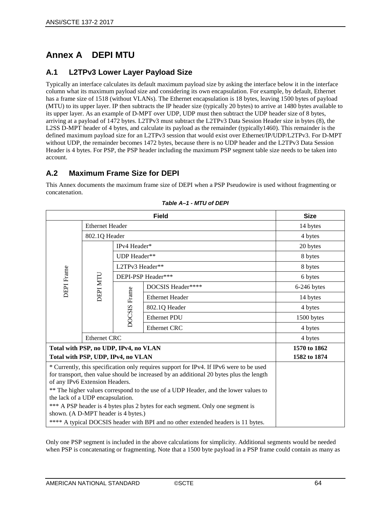# <span id="page-63-0"></span>**Annex A DEPI MTU**

## **A.1 L2TPv3 Lower Layer Payload Size**

Typically an interface calculates its default maximum payload size by asking the interface below it in the interface column what its maximum payload size and considering its own encapsulation. For example, by default, Ethernet has a frame size of 1518 (without VLANs). The Ethernet encapsulation is 18 bytes, leaving 1500 bytes of payload (MTU) to its upper layer. IP then subtracts the IP header size (typically 20 bytes) to arrive at 1480 bytes available to its upper layer. As an example of D-MPT over UDP, UDP must then subtract the UDP header size of 8 bytes, arriving at a payload of 1472 bytes. L2TPv3 must subtract the L2TPv3 Data Session Header size in bytes (8), the L2SS D-MPT header of 4 bytes, and calculate its payload as the remainder (typically1460). This remainder is the defined maximum payload size for an L2TPv3 session that would exist over Ethernet/IP/UDP/L2TPv3. For D-MPT without UDP, the remainder becomes 1472 bytes, because there is no UDP header and the L2TPv3 Data Session Header is 4 bytes. For PSP, the PSP header including the maximum PSP segment table size needs to be taken into account.

## **A.2 Maximum Frame Size for DEPI**

This Annex documents the maximum frame size of DEPI when a PSP Pseudowire is used without fragmenting or concatenation.

| <b>Field</b>                                                                                                                                                                                                                                                                                                                                    |                        |                     |                        | <b>Size</b>  |  |
|-------------------------------------------------------------------------------------------------------------------------------------------------------------------------------------------------------------------------------------------------------------------------------------------------------------------------------------------------|------------------------|---------------------|------------------------|--------------|--|
|                                                                                                                                                                                                                                                                                                                                                 | <b>Ethernet Header</b> |                     |                        | 14 bytes     |  |
| <b>DEPI</b> Frame                                                                                                                                                                                                                                                                                                                               | 802.1Q Header          |                     | 4 bytes                |              |  |
|                                                                                                                                                                                                                                                                                                                                                 | <b>DEPI MTU</b>        | IPv4 Header*        |                        | 20 bytes     |  |
|                                                                                                                                                                                                                                                                                                                                                 |                        | UDP Header**        |                        | 8 bytes      |  |
|                                                                                                                                                                                                                                                                                                                                                 |                        | L2TPv3 Header**     |                        | 8 bytes      |  |
|                                                                                                                                                                                                                                                                                                                                                 |                        | DEPI-PSP Header***  |                        | 6 bytes      |  |
|                                                                                                                                                                                                                                                                                                                                                 |                        | <b>DOCSIS</b> Frame | DOCSIS Header****      | 6-246 bytes  |  |
|                                                                                                                                                                                                                                                                                                                                                 |                        |                     | <b>Ethernet Header</b> | 14 bytes     |  |
|                                                                                                                                                                                                                                                                                                                                                 |                        |                     | 802.1Q Header          | 4 bytes      |  |
|                                                                                                                                                                                                                                                                                                                                                 |                        |                     | <b>Ethernet PDU</b>    | 1500 bytes   |  |
|                                                                                                                                                                                                                                                                                                                                                 |                        |                     | <b>Ethernet CRC</b>    | 4 bytes      |  |
|                                                                                                                                                                                                                                                                                                                                                 | <b>Ethernet CRC</b>    |                     |                        | 4 bytes      |  |
| Total with PSP, no UDP, IPv4, no VLAN                                                                                                                                                                                                                                                                                                           |                        |                     |                        | 1570 to 1862 |  |
| Total with PSP, UDP, IPv4, no VLAN                                                                                                                                                                                                                                                                                                              |                        |                     |                        | 1582 to 1874 |  |
| * Currently, this specification only requires support for IPv4. If IPv6 were to be used<br>for transport, then value should be increased by an additional 20 bytes plus the length<br>of any IPv6 Extension Headers.<br>** The higher values correspond to the use of a UDP Header, and the lower values to<br>the lack of a UDP encapsulation. |                        |                     |                        |              |  |
| *** A PSP header is 4 bytes plus 2 bytes for each segment. Only one segment is<br>shown. (A D-MPT header is 4 bytes.)                                                                                                                                                                                                                           |                        |                     |                        |              |  |
| **** A typical DOCSIS header with BPI and no other extended headers is 11 bytes.                                                                                                                                                                                                                                                                |                        |                     |                        |              |  |

Only one PSP segment is included in the above calculations for simplicity. Additional segments would be needed when PSP is concatenating or fragmenting. Note that a 1500 byte payload in a PSP frame could contain as many as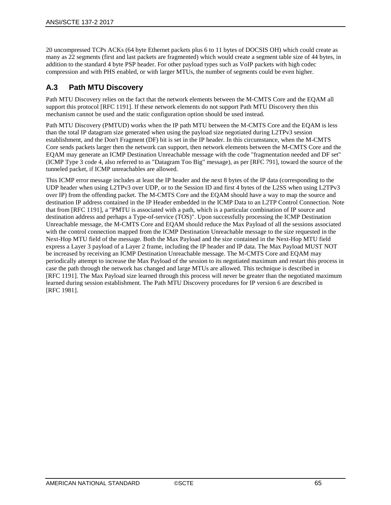20 uncompressed TCPs ACKs (64 byte Ethernet packets plus 6 to 11 bytes of DOCSIS OH) which could create as many as 22 segments (first and last packets are fragmented) which would create a segment table size of 44 bytes, in addition to the standard 4 byte PSP header. For other payload types such as VoIP packets with high codec compression and with PHS enabled, or with larger MTUs, the number of segments could be even higher.

## **A.3 Path MTU Discovery**

Path MTU Discovery relies on the fact that the network elements between the M-CMTS Core and the EQAM all support this protocol [RFC [1191\].](#page-9-6) If these network elements do not support Path MTU Discovery then this mechanism cannot be used and the static configuration option should be used instead.

Path MTU Discovery (PMTUD) works when the IP path MTU between the M-CMTS Core and the EQAM is less than the total IP datagram size generated when using the payload size negotiated during L2TPv3 session establishment, and the Don't Fragment (DF) bit is set in the IP header. In this circumstance, when the M-CMTS Core sends packets larger then the network can support, then network elements between the M-CMTS Core and the EQAM may generate an ICMP Destination Unreachable message with the code "fragmentation needed and DF set" (ICMP Type 3 code 4, also referred to as "Datagram Too Big" message), as per [\[RFC](#page-9-7) 791], toward the source of the tunneled packet, if ICMP unreachables are allowed.

This ICMP error message includes at least the IP header and the next 8 bytes of the IP data (corresponding to the UDP header when using L2TPv3 over UDP, or to the Session ID and first 4 bytes of the L2SS when using L2TPv3 over IP) from the offending packet. The M-CMTS Core and the EQAM should have a way to map the source and destination IP address contained in the IP Header embedded in the ICMP Data to an L2TP Control Connection. Note that from [RFC [1191\],](#page-9-6) a "PMTU is associated with a path, which is a particular combination of IP source and destination address and perhaps a Type-of-service (TOS)". Upon successfully processing the ICMP Destination Unreachable message, the M-CMTS Core and EQAM should reduce the Max Payload of all the sessions associated with the control connection mapped from the ICMP Destination Unreachable message to the size requested in the Next-Hop MTU field of the message. Both the Max Payload and the size contained in the Next-Hop MTU field express a Layer 3 payload of a Layer 2 frame, including the IP header and IP data. The Max Payload MUST NOT be increased by receiving an ICMP Destination Unreachable message. The M-CMTS Core and EQAM may periodically attempt to increase the Max Payload of the session to its negotiated maximum and restart this process in case the path through the network has changed and large MTUs are allowed. This technique is described in [RFC [1191\].](#page-9-6) The Max Payload size learned through this process will never be greater than the negotiated maximum learned during session establishment. The Path MTU Discovery procedures for IP version 6 are described in [RFC [1981\].](#page-9-8)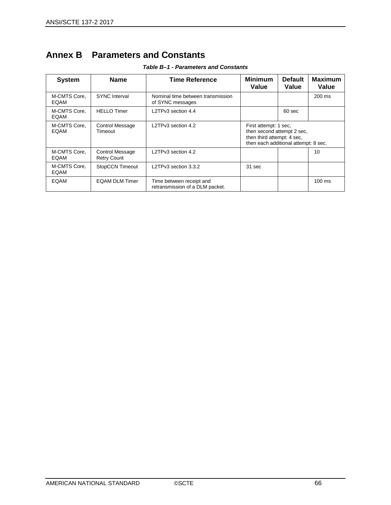# <span id="page-65-0"></span>**Annex B Parameters and Constants**

| <b>System</b>               | <b>Name</b>                           | <b>Time Reference</b>                                       | <b>Minimum</b><br>Value                                                                                                   | <b>Default</b><br>Value | <b>Maximum</b><br>Value |
|-----------------------------|---------------------------------------|-------------------------------------------------------------|---------------------------------------------------------------------------------------------------------------------------|-------------------------|-------------------------|
| M-CMTS Core,<br>EQAM        | <b>SYNC</b> Interval                  | Nominal time between transmission<br>of SYNC messages       |                                                                                                                           |                         | $200 \text{ ms}$        |
| M-CMTS Core.<br>EQAM        | <b>HELLO Timer</b>                    | L2TPv3 section 4.4                                          |                                                                                                                           | 60 sec                  |                         |
| M-CMTS Core,<br>EQAM        | <b>Control Message</b><br>Timeout     | L2TPv3 section 4.2                                          | First attempt: 1 sec.<br>then second attempt 2 sec.<br>then third attempt: 4 sec.<br>then each additional attempt: 8 sec. |                         |                         |
| M-CMTS Core.<br>EQAM        | Control Message<br><b>Retry Count</b> | L2TPv3 section 4.2                                          |                                                                                                                           |                         | 10                      |
| M-CMTS Core,<br><b>EQAM</b> | StopCCN Timeout                       | L2TPv3 section 3.3.2                                        | 31 sec                                                                                                                    |                         |                         |
| <b>EQAM</b>                 | <b>EQAM DLM Timer</b>                 | Time between receipt and<br>retransmission of a DLM packet. |                                                                                                                           |                         | $100 \text{ ms}$        |

### *Table B–1 - Parameters and Constants*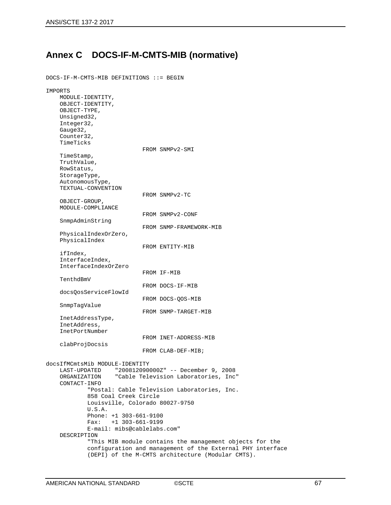## **Annex C DOCS-IF-M-CMTS-MIB (normative)**

DOCS-IF-M-CMTS-MIB DEFINITIONS ::= BEGIN

IMPORTS MODULE-IDENTITY, OBJECT-IDENTITY, OBJECT-TYPE, Unsigned32, Integer32, Gauge32, Counter32, TimeTicks FROM SNMPv2-SMI TimeStamp, TruthValue, RowStatus, StorageType, AutonomousType, TEXTUAL-CONVENTION FROM SNMPv2-TC OBJECT-GROUP, MODULE-COMPLIANCE FROM SNMPv2-CONF SnmpAdminString FROM SNMP-FRAMEWORK-MIB PhysicalIndexOrZero, PhysicalIndex FROM ENTITY-MIB ifIndex, InterfaceIndex, InterfaceIndexOrZero FROM IF-MIB TenthdBmV FROM DOCS-IF-MIB docsQosServiceFlowId FROM DOCS-QOS-MIB SnmpTagValue FROM SNMP-TARGET-MIB InetAddressType, InetAddress, InetPortNumber FROM INET-ADDRESS-MIB clabProjDocsis FROM CLAB-DEF-MIB; docsIfMCmtsMib MODULE-IDENTITY LAST-UPDATED "2008120900002" -- December 9, 2008<br>ORGANIZATION "Cable Television Laboratories, Inc "Cable Television Laboratories, Inc" CONTACT-INFO "Postal: Cable Television Laboratories, Inc. 858 Coal Creek Circle Louisville, Colorado 80027-9750 U.S.A. Phone: +1 303-661-9100 Fax: +1 303-661-9199 E-mail: mibs@cablelabs.com" DESCRIPTION "This MIB module contains the management objects for the configuration and management of the External PHY interface (DEPI) of the M-CMTS architecture (Modular CMTS).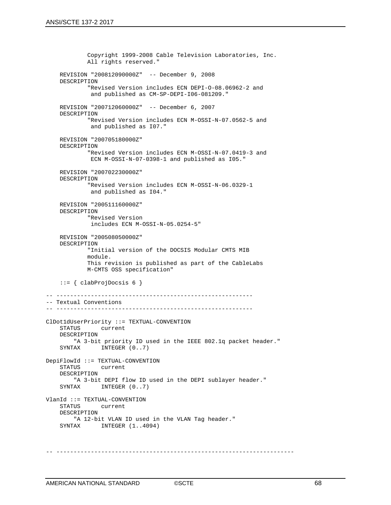```
 Copyright 1999-2008 Cable Television Laboratories, Inc.
             All rights reserved."
     REVISION "200812090000Z" -- December 9, 2008
     DESCRIPTION 
              "Revised Version includes ECN DEPI-O-08.06962-2 and
               and published as CM-SP-DEPI-I06-081209."
     REVISION "200712060000Z" -- December 6, 2007
     DESCRIPTION 
              "Revised Version includes ECN M-OSSI-N-07.0562-5 and
               and published as I07."
     REVISION "200705180000Z" 
     DESCRIPTION 
              "Revised Version includes ECN M-OSSI-N-07.0419-3 and
              ECN M-OSSI-N-07-0398-1 and published as I05."
     REVISION "200702230000Z" 
     DESCRIPTION 
              "Revised Version includes ECN M-OSSI-N-06.0329-1
               and published as I04."
     REVISION "200511160000Z"
     DESCRIPTION
              "Revised Version 
              includes ECN M-OSSI-N-05.0254-5"
     REVISION "200508050000Z"
     DESCRIPTION 
              "Initial version of the DOCSIS Modular CMTS MIB 
              module. 
              This revision is published as part of the CableLabs 
             M-CMTS OSS specification"
    ::= { clabProjDocsis 6 }
-- ---------------------------------------------------------
-- Textual Conventions
-- ---------------------------------------------------------
ClDot1dUserPriority ::= TEXTUAL-CONVENTION
               current
     DESCRIPTION
    "A 3-bit priority ID used in the IEEE 802.1q packet header."<br>SYNTAX INTEGER (0..7)
                INTEGER (0..7)
DepiFlowId ::= TEXTUAL-CONVENTION
                current
     DESCRIPTION
    "A 3-bit DEPI flow ID used in the DEPI sublayer header."<br>SYNTAX INTEGER (0..7)INTEGER (0..7)
VlanId ::= TEXTUAL-CONVENTION<br>STATUS current
                Current
     DESCRIPTION
    "A 12-bit VLAN ID used in the VLAN Tag header."<br>SYNTAX INTEGER (1.4094)INTEGER (1..4094)
  -- ---------------------------------------------------------------------
```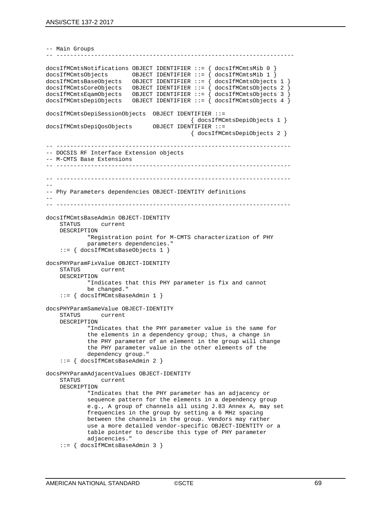```
-- Main Groups
                      -- ---------------------------------------------------------------------
docsIfMCmtsNotifications OBJECT IDENTIFIER ::= { docsIfMCmtsMib 0 }
docsIfMCmtsObjects OBJECT IDENTIFIER ::= { docsIfMCmtsMib 1 }
docsIfMCmtsBaseObjects OBJECT IDENTIFIER ::= { docsIfMCmtsObjects 1 }
docsIfMCmtsCoreObjects OBJECT IDENTIFIER ::= { docsIfMCmtsObjects 2 }
docsIfMCmtsEqamObjects OBJECT IDENTIFIER ::= { docsIfMCmtsObjects 3 }
docsIfMCmtsDepiObjects OBJECT IDENTIFIER ::= { docsIfMCmtsObjects 4 }
docsIfMCmtsDepiSessionObjects OBJECT IDENTIFIER ::= 
                                { docsIfMCmtsDepiObjects 1 }<br>OBJECT IDENTIFIER ::=
docsIfMCmtsDepiQosObjects
                                          { docsIfMCmtsDepiObjects 2 }
-- --------------------------------------------------------------------
-- DOCSIS RF Interface Extension objects 
-- M-CMTS Base Extensions
                         -- --------------------------------------------------------------------
-- --------------------------------------------------------------------
--
-- Phy Parameters dependencies OBJECT-IDENTITY definitions
--
-- --------------------------------------------------------------------
docsIfMCmtsBaseAdmin OBJECT-IDENTITY
               current
     DESCRIPTION
             "Registration point for M-CMTS characterization of PHY 
             parameters dependencies."
     ::= { docsIfMCmtsBaseObjects 1 }
docsPHYParamFixValue OBJECT-IDENTITY
            current
     DESCRIPTION
             "Indicates that this PHY parameter is fix and cannot
             be changed."
     ::= { docsIfMCmtsBaseAdmin 1 }
docsPHYParamSameValue OBJECT-IDENTITY
               current
     DESCRIPTION
             "Indicates that the PHY parameter value is the same for
             the elements in a dependency group; thus, a change in 
             the PHY parameter of an element in the group will change
             the PHY parameter value in the other elements of the
             dependency group."
     ::= { docsIfMCmtsBaseAdmin 2 }
docsPHYParamAdjacentValues OBJECT-IDENTITY
                current
     DESCRIPTION
             "Indicates that the PHY parameter has an adjacency or
             sequence pattern for the elements in a dependency group
             e.g., A group of channels all using J.83 Annex A, may set 
             frequencies in the group by setting a 6 MHz spacing 
             between the channels in the group. Vendors may rather
             use a more detailed vendor-specific OBJECT-IDENTITY or a
             table pointer to describe this type of PHY parameter 
             adjacencies."
     ::= { docsIfMCmtsBaseAdmin 3 }
```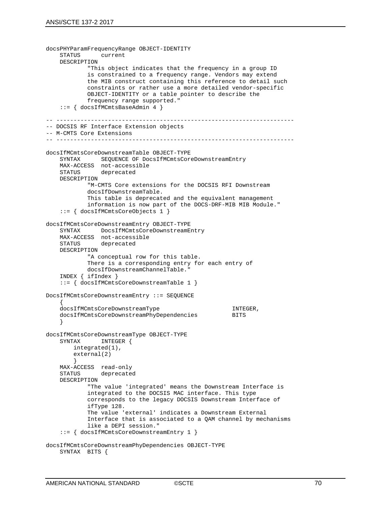```
docsPHYParamFrequencyRange OBJECT-IDENTITY
               current
     DESCRIPTION
             "This object indicates that the frequency in a group ID
             is constrained to a frequency range. Vendors may extend
             the MIB construct containing this reference to detail such 
             constraints or rather use a more detailed vendor-specific 
             OBJECT-IDENTITY or a table pointer to describe the 
             frequency range supported."
     ::= { docsIfMCmtsBaseAdmin 4 }
-- ---------------------------------------------------------------------
-- DOCSIS RF Interface Extension objects 
-- M-CMTS Core Extensions
-- ---------------------------------------------------------------------
docsIfMCmtsCoreDownstreamTable OBJECT-TYPE
            SEQUENCE OF DocsIfMCmtsCoreDownstreamEntry
    MAX-ACCESS not-accessible<br>STATUS deprecated
               deprecated
     DESCRIPTION
             "M-CMTS Core extensions for the DOCSIS RFI Downstream
             docsIfDownstreamTable.
             This table is deprecated and the equivalent management
             information is now part of the DOCS-DRF-MIB MIB Module."
     ::= { docsIfMCmtsCoreObjects 1 }
docsIfMCmtsCoreDownstreamEntry OBJECT-TYPE
     SYNTAX DocsIfMCmtsCoreDownstreamEntry
    MAX-ACCESS not-accessible<br>STATUS deprecated
                deprecated
     DESCRIPTION
             "A conceptual row for this table.
             There is a corresponding entry for each entry of 
             docsIfDownstreamChannelTable."
     INDEX { ifIndex }
     ::= { docsIfMCmtsCoreDownstreamTable 1 }
DocsIfMCmtsCoreDownstreamEntry ::= SEQUENCE
\mathcal{L}docsIfMCmtsCoreDownstreamType  INTEGER,<br>docsIfMCmtsCoreDownstreamPhyDependencies  RITS
    docsIfMCmtsCoreDownstreamPhyDependencies
 }
docsIfMCmtsCoreDownstreamType OBJECT-TYPE<br>SYNTAX INTEGER {
                INTEGER {
         integrated(1),
        external(2)<br>}
 }
 MAX-ACCESS read-only 
     STATUS deprecated 
     DESCRIPTION 
              "The value 'integrated' means the Downstream Interface is 
             integrated to the DOCSIS MAC interface. This type 
             corresponds to the legacy DOCSIS Downstream Interface of
             ifType 128.
             The value 'external' indicates a Downstream External 
             Interface that is associated to a QAM channel by mechanisms
             like a DEPI session."
     ::= { docsIfMCmtsCoreDownstreamEntry 1 } 
docsIfMCmtsCoreDownstreamPhyDependencies OBJECT-TYPE
     SYNTAX BITS {
```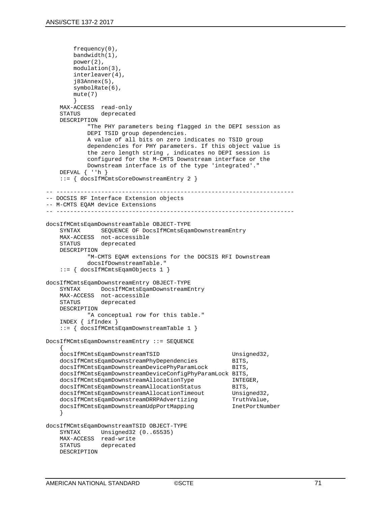```
frequency(0),
          bandwidth(1),
          power(2),
          modulation(3),
          interleaver(4),
          j83Annex(5),
          symbolRate(6),
          mute(7)
 }
    MAX-ACCESS read-only<br>STATUS deprecated
                 deprecated
     DESCRIPTION 
              "The PHY parameters being flagged in the DEPI session as
              DEPI TSID group dependencies.
              A value of all bits on zero indicates no TSID group 
              dependencies for PHY parameters. If this object value is
              the zero length string , indicates no DEPI session is 
              configured for the M-CMTS Downstream interface or the
              Downstream interface is of the type 'integrated'."
     DEFVAL { ''h } 
     ::= { docsIfMCmtsCoreDownstreamEntry 2 }
 -- ---------------------------------------------------------------------
-- DOCSIS RF Interface Extension objects 
-- M-CMTS EQAM device Extensions
-- ---------------------------------------------------------------------
docsIfMCmtsEqamDownstreamTable OBJECT-TYPE
     SYNTAX SEQUENCE OF DocsIfMCmtsEqamDownstreamEntry
    MAX-ACCESS not-accessible<br>STATUS deprecated
                 deprecated
     DESCRIPTION
              "M-CMTS EQAM extensions for the DOCSIS RFI Downstream
              docsIfDownstreamTable."
     ::= { docsIfMCmtsEqamObjects 1 }
docsIfMCmtsEqamDownstreamEntry OBJECT-TYPE
                DocsIfMCmtsEqamDownstreamEntry
    MAX-ACCESS not-accessible<br>STATUS deprecated
                 deprecated
     DESCRIPTION
              "A conceptual row for this table."
     INDEX { ifIndex }
     ::= { docsIfMCmtsEqamDownstreamTable 1 }
DocsIfMCmtsEqamDownstreamEntry ::= SEQUENCE
\mathcal{L} docsIfMCmtsEqamDownstreamTSID Unsigned32,
    docsIfMCmtsEqamDownstreamPhyDependencies BITS,<br>docsIfMCmtsEgamDownstreamDevicePhyParamLock BITS,
    docsIfMCmtsEqamDownstreamDevicePhyParamLock
     docsIfMCmtsEqamDownstreamDeviceConfigPhyParamLock BITS,
    docsIfMCmtsEqamDownstreamAllocationType
    docsIfMCmtsEqamDownstreamAllocationStatus BITS,<br>docsIfMCmtsEqamDownstreamAllocationTimeout Unsigned32,
    docsIfMCmtsEqamDownstreamAllocationTimeout Unsigned32,<br>docsIfMCmtsEqamDownstreamDRRPAdvertizing TruthValue,
    docsIfMCmtsEqamDownstreamDRRPAdvertizing TruthValue,<br>docsIfMCmtsEqamDownstreamUdpPortMapping InetPortNumber
    docsIfMCmtsEqamDownstreamUdpPortMapping
 }
docsIfMCmtsEqamDownstreamTSID OBJECT-TYPE
     SYNTAX Unsigned32 (0..65535)
     MAX-ACCESS read-write 
                 deprecated
     DESCRIPTION
```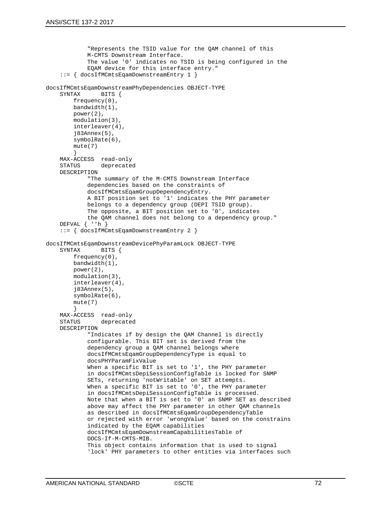```
 "Represents the TSID value for the QAM channel of this 
             M-CMTS Downstream Interface.
             The value '0' indicates no TSID is being configured in the
             EQAM device for this interface entry."
     ::= { docsIfMCmtsEqamDownstreamEntry 1 }
docsIfMCmtsEqamDownstreamPhyDependencies OBJECT-TYPE
                BITS {
         frequency(0),
         bandwidth(1),
         power(2),
         modulation(3),
         interleaver(4),
         j83Annex(5),
         symbolRate(6),
        mute(7) }
    MAX-ACCESS read-only<br>STATUS deprecated
               deprecated
     DESCRIPTION 
             "The summary of the M-CMTS Downstream Interface 
             dependencies based on the constraints of 
             docsIfMCmtsEqamGroupDependencyEntry.
             A BIT position set to '1' indicates the PHY parameter
             belongs to a dependency group (DEPI TSID group). 
             The opposite, a BIT position set to '0', indicates 
             the QAM channel does not belong to a dependency group."
     DEFVAL { ''h } 
     ::= { docsIfMCmtsEqamDownstreamEntry 2 }
docsIfMCmtsEqamDownstreamDevicePhyParamLock OBJECT-TYPE 
                BITS {
         frequency(0),
         bandwidth(1),
         power(2),
         modulation(3),
         interleaver(4),
         j83Annex(5),
         symbolRate(6),
         mute(7)
 }
 MAX-ACCESS read-only 
     STATUS deprecated
     DESCRIPTION 
             "Indicates if by design the QAM Channel is directly
             configurable. This BIT set is derived from the 
             dependency group a QAM channel belongs where 
             docsIfMCmtsEqamGroupDependencyType is equal to 
             docsPHYParamFixValue
            When a specific BIT is set to '1', the PHY parameter
             in docsIfMCmtsDepiSessionConfigTable is locked for SNMP 
             SETs, returning 'notWritable' on SET attempts.
             When a specific BIT is set to '0', the PHY parameter 
             in docsIfMCmtsDepiSessionConfigTable is processed.
             Note that when a BIT is set to '0' an SNMP SET as described
             above may affect the PHY parameter in other QAM channels 
             as described in docsIfMCmtsEqamGroupDependencyTable
             or rejected with error 'wrongValue' based on the constrains
             indicated by the EQAM capabilities 
             docsIfMCmtsEqamDownstreamCapabilitiesTable of 
             DOCS-If-M-CMTS-MIB.
             This object contains information that is used to signal 
             'lock' PHY parameters to other entities via interfaces such
```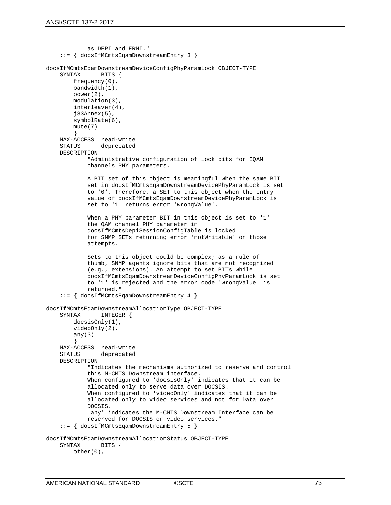```
 as DEPI and ERMI."
     ::= { docsIfMCmtsEqamDownstreamEntry 3 } 
docsIfMCmtsEqamDownstreamDeviceConfigPhyParamLock OBJECT-TYPE 
    SYNTAX
         frequency(0),
         bandwidth(1),
         power(2),
         modulation(3),
         interleaver(4),
         j83Annex(5),
         symbolRate(6),
         mute(7)
 }
 MAX-ACCESS read-write 
     STATUS deprecated
     DESCRIPTION 
             "Administrative configuration of lock bits for EQAM 
             channels PHY parameters.
             A BIT set of this object is meaningful when the same BIT
             set in docsIfMCmtsEqamDownstreamDevicePhyParamLock is set
              to '0'. Therefore, a SET to this object when the entry
             value of docsIfMCmtsEqamDownstreamDevicePhyParamLock is 
             set to '1' returns error 'wrongValue'.
             When a PHY parameter BIT in this object is set to '1' 
             the QAM channel PHY parameter in 
             docsIfMCmtsDepiSessionConfigTable is locked 
             for SNMP SETs returning error 'notWritable' on those 
             attempts.
             Sets to this object could be complex; as a rule of
             thumb, SNMP agents ignore bits that are not recognized 
              (e.g., extensions). An attempt to set BITs while 
             docsIfMCmtsEqamDownstreamDeviceConfigPhyParamLock is set 
              to '1' is rejected and the error code 'wrongValue' is 
             returned."
     ::= { docsIfMCmtsEqamDownstreamEntry 4 } 
docsIfMCmtsEqamDownstreamAllocationType OBJECT-TYPE<br>SYNTAX INTEGER {
                INTEGER {
         docsisOnly(1),
         videoOnly(2),
        any(3)<br>}
 }
    MAX-ACCESS read-write<br>STATUS deprecated
                deprecated
     DESCRIPTION
              "Indicates the mechanisms authorized to reserve and control
              this M-CMTS Downstream interface.
              When configured to 'docsisOnly' indicates that it can be 
             allocated only to serve data over DOCSIS. 
             When configured to 'videoOnly' indicates that it can be 
             allocated only to video services and not for Data over 
             DOCSIS.
              'any' indicates the M-CMTS Downstream Interface can be
             reserved for DOCSIS or video services."
     ::= { docsIfMCmtsEqamDownstreamEntry 5 }
docsIfMCmtsEqamDownstreamAllocationStatus OBJECT-TYPE<br>SYNTAX BITS {
    SYNTAX
         other(0),
```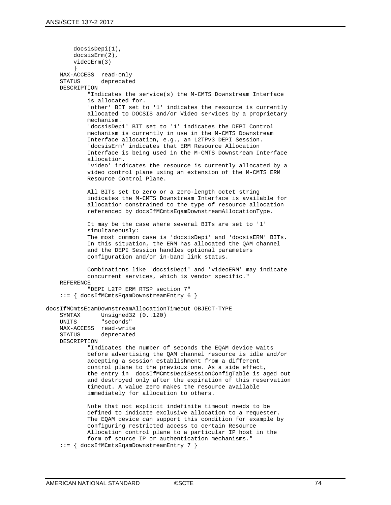```
 docsisDepi(1),
         docsisErm(2),
         videoErm(3)
 }
 MAX-ACCESS read-only
     STATUS deprecated
     DESCRIPTION 
             "Indicates the service(s) the M-CMTS Downstream Interface
             is allocated for.
             'other' BIT set to '1' indicates the resource is currently
             allocated to DOCSIS and/or Video services by a proprietary
             mechanism.
             'docsisDepi' BIT set to '1' indicates the DEPI Control 
             mechanism is currently in use in the M-CMTS Downstream 
             Interface allocation, e.g., an L2TPv3 DEPI Session.
             'docsisErm' indicates that ERM Resource Allocation
             Interface is being used in the M-CMTS Downstream Interface
             allocation.
             'video' indicates the resource is currently allocated by a
             video control plane using an extension of the M-CMTS ERM
             Resource Control Plane.
             All BITs set to zero or a zero-length octet string 
             indicates the M-CMTS Downstream Interface is available for
             allocation constrained to the type of resource allocation
             referenced by docsIfMCmtsEqamDownstreamAllocationType.
             It may be the case where several BITs are set to '1' 
             simultaneously:
             The most common case is 'docsisDepi' and 'docsisERM' BITs.
             In this situation, the ERM has allocated the QAM channel 
             and the DEPI Session handles optional parameters 
             configuration and/or in-band link status.
             Combinations like 'docsisDepi' and 'videoERM' may indicate
             concurrent services, which is vendor specific."
     REFERENCE
             "DEPI L2TP ERM RTSP section 7"
     ::= { docsIfMCmtsEqamDownstreamEntry 6 }
docsIfMCmtsEqamDownstreamAllocationTimeout OBJECT-TYPE 
    SYNTAX Unsigned32 (0..120)<br>UNITS "seconds"
                "seconds"
    MAX-ACCESS read-write<br>STATUS deprecated
                deprecated
     DESCRIPTION 
             "Indicates the number of seconds the EQAM device waits 
             before advertising the QAM channel resource is idle and/or
             accepting a session establishment from a different 
             control plane to the previous one. As a side effect,
             the entry in docsIfMCmtsDepiSessionConfigTable is aged out
             and destroyed only after the expiration of this reservation
             timeout. A value zero makes the resource available 
             immediately for allocation to others.
             Note that not explicit indefinite timeout needs to be 
             defined to indicate exclusive allocation to a requester. 
             The EQAM device can support this condition for example by
             configuring restricted access to certain Resource 
             Allocation control plane to a particular IP host in the 
             form of source IP or authentication mechanisms."
     ::= { docsIfMCmtsEqamDownstreamEntry 7 }
```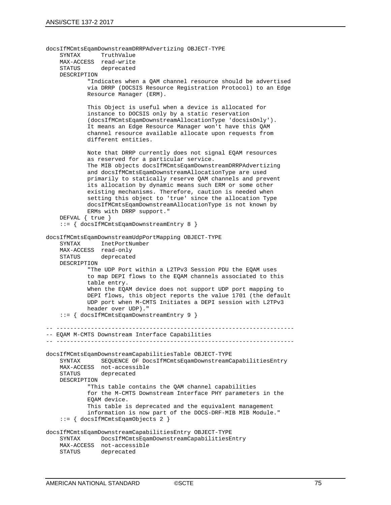```
docsIfMCmtsEqamDownstreamDRRPAdvertizing OBJECT-TYPE 
               TruthValue
     MAX-ACCESS read-write
     STATUS deprecated
    DESCRIPTION 
             "Indicates when a QAM channel resource should be advertised
             via DRRP (DOCSIS Resource Registration Protocol) to an Edge
             Resource Manager (ERM).
             This Object is useful when a device is allocated for 
             instance to DOCSIS only by a static reservation
             (docsIfMCmtsEqamDownstreamAllocationType 'docsisOnly').
             It means an Edge Resource Manager won't have this QAM 
             channel resource available allocate upon requests from 
             different entities.
             Note that DRRP currently does not signal EQAM resources
             as reserved for a particular service.
             The MIB objects docsIfMCmtsEqamDownstreamDRRPAdvertizing 
             and docsIfMCmtsEqamDownstreamAllocationType are used 
             primarily to statically reserve QAM channels and prevent 
             its allocation by dynamic means such ERM or some other 
             existing mechanisms. Therefore, caution is needed when 
             setting this object to 'true' since the allocation Type
             docsIfMCmtsEqamDownstreamAllocationType is not known by 
             ERMs with DRRP support."
     DEFVAL { true }
     ::= { docsIfMCmtsEqamDownstreamEntry 8 }
docsIfMCmtsEqamDownstreamUdpPortMapping OBJECT-TYPE
     SYNTAX InetPortNumber
   MAX-ACCESS read-only<br>STATUS deprecated
                deprecated
    DESCRIPTION 
             "The UDP Port within a L2TPv3 Session PDU the EQAM uses 
             to map DEPI flows to the EQAM channels associated to this
             table entry. 
             When the EQAM device does not support UDP port mapping to
             DEPI flows, this object reports the value 1701 (the default
             UDP port when M-CMTS Initiates a DEPI session with L2TPv3 
             header over UDP)."
     ::= { docsIfMCmtsEqamDownstreamEntry 9 }
-- ---------------------------------------------------------------------
-- EQAM M-CMTS Downstream Interface Capabilities
-- ---------------------------------------------------------------------
docsIfMCmtsEqamDownstreamCapabilitiesTable OBJECT-TYPE
            SEQUENCE OF DocsIfMCmtsEqamDownstreamCapabilitiesEntry
    MAX-ACCESS not-accessible<br>STATUS deprecated
               deprecated
     DESCRIPTION
             "This table contains the QAM channel capabilities
             for the M-CMTS Downstream Interface PHY parameters in the
             EQAM device.
             This table is deprecated and the equivalent management 
             information is now part of the DOCS-DRF-MIB MIB Module."
     ::= { docsIfMCmtsEqamObjects 2 }
docsIfMCmtsEqamDownstreamCapabilitiesEntry OBJECT-TYPE
               DocsIfMCmtsEqamDownstreamCapabilitiesEntry
    MAX-ACCESS not-accessible<br>STATUS deprecated
               deprecated
```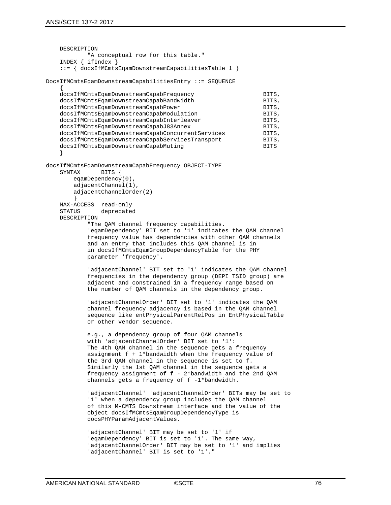```
 DESCRIPTION
             "A conceptual row for this table."
     INDEX { ifIndex }
     ::= { docsIfMCmtsEqamDownstreamCapabilitiesTable 1 }
DocsIfMCmtsEqamDownstreamCapabilitiesEntry ::= SEQUENCE
\mathcal{L}docsIfMCmtsEqamDownstreamCapabFrequency<br>docsIfMCmtsEqamDownstreamCapabBandwidth                               BITS,
     docsIfMCmtsEqamDownstreamCapabBandwidth BITS,
     docsIfMCmtsEqamDownstreamCapabPower BITS,
    docsIfMCmtsEqamDownstreamCapabModulation
     docsIfMCmtsEqamDownstreamCapabInterleaver BITS,
    docsIfMCmtsEqamDownstreamCapabJ83Annex
    docsIfMCmtsEqamDownstreamCapabConcurrentServices                     BITS,<br>docsIfMCmtsEqamDownstreamCapabServicesTransport                          BITS,
    docsIfMCmtsEqamDownstreamCapabServicesTransport<br>docsIfMCmtsEqamDownstreamCapabMuting
    docsIfMCmtsEqamDownstreamCapabMuting
 }
docsIfMCmtsEqamDownstreamCapabFrequency OBJECT-TYPE
                 BITS {
         eqamDependency(0),
         adjacentChannel(1),
         adjacentChannelOrder(2)
 }
     MAX-ACCESS read-only
     STATUS deprecated
     DESCRIPTION 
              "The QAM channel frequency capabilities. 
              'eqamDependency' BIT set to '1' indicates the QAM channel
              frequency value has dependencies with other QAM channels 
              and an entry that includes this QAM channel is in 
              in docsIfMCmtsEqamGroupDependencyTable for the PHY 
             parameter 'frequency'.
              'adjacentChannel' BIT set to '1' indicates the QAM channel
              frequencies in the dependency group (DEPI TSID group) are 
              adjacent and constrained in a frequency range based on 
              the number of QAM channels in the dependency group.
              'adjacentChannelOrder' BIT set to '1' indicates the QAM 
              channel frequency adjacency is based in the QAM channel 
              sequence like entPhysicalParentRelPos in EntPhysicalTable
             or other vendor sequence.
              e.g., a dependency group of four QAM channels 
              with 'adjacentChannelOrder' BIT set to '1':
             The 4th QAM channel in the sequence gets a frequency
              assignment f + 1*bandwidth when the frequency value of 
              the 3rd QAM channel in the sequence is set to f. 
              Similarly the 1st QAM channel in the sequence gets a 
             frequency assignment of f - 2*bandwidth and the 2nd OAM
              channels gets a frequency of f -1*bandwidth.
              'adjacentChannel' 'adjacentChannelOrder' BITs may be set to
              '1' when a dependency group includes the QAM channel
              of this M-CMTS Downstream interface and the value of the 
              object docsIfMCmtsEqamGroupDependencyType is 
             docsPHYParamAdjacentValues.
              'adjacentChannel' BIT may be set to '1' if 
              'eqamDependency' BIT is set to '1'. The same way, 
              'adjacentChannelOrder' BIT may be set to '1' and implies
              'adjacentChannel' BIT is set to '1'."
```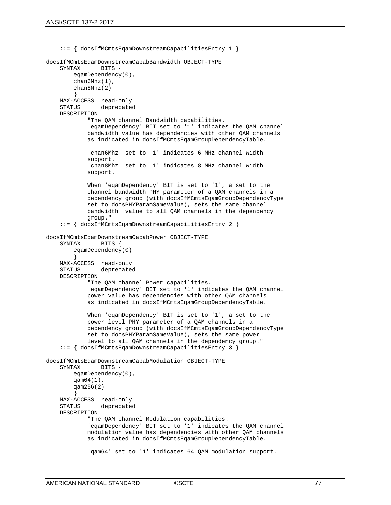```
 ::= { docsIfMCmtsEqamDownstreamCapabilitiesEntry 1 }
docsIfMCmtsEqamDownstreamCapabBandwidth OBJECT-TYPE
     SYNTAX BITS {
         eqamDependency(0),
         chan6Mhz(1),
         chan8Mhz(2)
 }
    MAX-ACCESS read-only<br>STATUS deprecated
                deprecated
    DESCRIPTION 
             "The QAM channel Bandwidth capabilities.
             'eqamDependency' BIT set to '1' indicates the QAM channel
             bandwidth value has dependencies with other QAM channels 
             as indicated in docsIfMCmtsEqamGroupDependencyTable.
             'chan6Mhz' set to '1' indicates 6 MHz channel width 
             support.
             'chan8Mhz' set to '1' indicates 8 MHz channel width 
             support.
             When 'eqamDependency' BIT is set to '1', a set to the 
             channel bandwidth PHY parameter of a QAM channels in a
             dependency group (with docsIfMCmtsEqamGroupDependencyType
             set to docsPHYParamSameValue), sets the same channel 
             bandwidth value to all QAM channels in the dependency
             group."
     ::= { docsIfMCmtsEqamDownstreamCapabilitiesEntry 2 }
docsIfMCmtsEqamDownstreamCapabPower OBJECT-TYPE
                BITS {
         eqamDependency(0)
 }
 MAX-ACCESS read-only
     STATUS deprecated
     DESCRIPTION 
             "The QAM channel Power capabilities.
             'eqamDependency' BIT set to '1' indicates the QAM channel
             power value has dependencies with other QAM channels 
             as indicated in docsIfMCmtsEqamGroupDependencyTable.
             When 'eqamDependency' BIT is set to '1', a set to the 
             power level PHY parameter of a QAM channels in a
             dependency group (with docsIfMCmtsEqamGroupDependencyType
             set to docsPHYParamSameValue), sets the same power 
             level to all QAM channels in the dependency group."
     ::= { docsIfMCmtsEqamDownstreamCapabilitiesEntry 3 }
docsIfMCmtsEqamDownstreamCapabModulation OBJECT-TYPE
                BITS {
         eqamDependency(0),
         qam64(1),
         qam256(2)
 }
    MAX-ACCESS read-only<br>STATUS deprecate
                deprecated
     DESCRIPTION 
             "The QAM channel Modulation capabilities.
             'eqamDependency' BIT set to '1' indicates the QAM channel
             modulation value has dependencies with other QAM channels
             as indicated in docsIfMCmtsEqamGroupDependencyTable.
             'qam64' set to '1' indicates 64 QAM modulation support.
```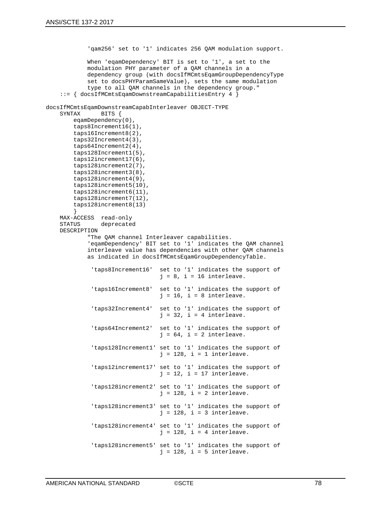```
 'qam256' set to '1' indicates 256 QAM modulation support.
             When 'eqamDependency' BIT is set to '1', a set to the 
             modulation PHY parameter of a QAM channels in a 
             dependency group (with docsIfMCmtsEqamGroupDependencyType
             set to docsPHYParamSameValue), sets the same modulation 
             type to all QAM channels in the dependency group."
     ::= { docsIfMCmtsEqamDownstreamCapabilitiesEntry 4 }
docsIfMCmtsEqamDownstreamCapabInterleaver OBJECT-TYPE
               BITS {
         eqamDependency(0),
         taps8Increment16(1),
         taps16Increment8(2),
         taps32Increment4(3),
         taps64Increment2(4),
         taps128Increment1(5),
         taps12increment17(6),
         taps128increment2(7),
         taps128increment3(8),
         taps128increment4(9),
         taps128increment5(10),
         taps128increment6(11),
         taps128increment7(12),
         taps128increment8(13)
 }
 MAX-ACCESS read-only
     STATUS deprecated
     DESCRIPTION 
             "The QAM channel Interleaver capabilities.
             'eqamDependency' BIT set to '1' indicates the QAM channel
             interleave value has dependencies with other QAM channels
             as indicated in docsIfMCmtsEqamGroupDependencyTable.
              'taps8Increment16' set to '1' indicates the support of
                                 j = 8, i = 16 interleave.
              'taps16Increment8' set to '1' indicates the support of
                                  j = 16, i = 8 interleave.
              'taps32Increment4' set to '1' indicates the support of
                                 j = 32, i = 4 interleave.
              'taps64Increment2' set to '1' indicates the support of
                                 j = 64, i = 2 interleave.
              'taps128Increment1' set to '1' indicates the support of
                                  j = 128, i = 1 interleave.
              'taps12increment17' set to '1' indicates the support of
                                  j = 12, i = 17 interleave.
              'taps128increment2' set to '1' indicates the support of
                                  j = 128, i = 2 interleave.
              'taps128increment3' set to '1' indicates the support of
                                  j = 128, i = 3 interleave.
              'taps128increment4' set to '1' indicates the support of
                                 j = 128, i = 4 interleave.
              'taps128increment5' set to '1' indicates the support of
                                  j = 128, i = 5 interleave.
```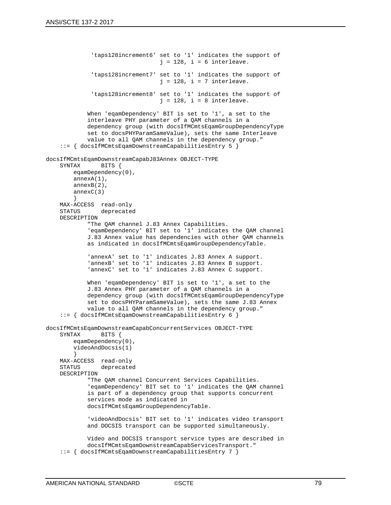```
 'taps128increment6' set to '1' indicates the support of
                                 j = 128, i = 6 interleave.
              'taps128increment7' set to '1' indicates the support of
                                 j = 128, i = 7 interleave.
              'taps128increment8' set to '1' indicates the support of
                                 j = 128, i = 8 interleave.
             When 'eqamDependency' BIT is set to '1', a set to the 
             interleave PHY parameter of a QAM channels in a
             dependency group (with docsIfMCmtsEqamGroupDependencyType
             set to docsPHYParamSameValue), sets the same Interleave 
             value to all QAM channels in the dependency group."
     ::= { docsIfMCmtsEqamDownstreamCapabilitiesEntry 5 }
docsIfMCmtsEqamDownstreamCapabJ83Annex OBJECT-TYPE
               BITS {
         eqamDependency(0),
         annexA(1),
         annexB(2),
         annexC(3)
 }
    MAX-ACCESS read-only
    STATUS deprecated
    DESCRIPTION 
             "The QAM channel J.83 Annex Capabilities.
             'eqamDependency' BIT set to '1' indicates the QAM channel
             J.83 Annex value has dependencies with other QAM channels
             as indicated in docsIfMCmtsEqamGroupDependencyTable.
             'annexA' set to '1' indicates J.83 Annex A support.
            'annexB' set to '1' indicates J.83 Annex B support.
            'annexC' set to '1' indicates J.83 Annex C support.
             When 'eqamDependency' BIT is set to '1', a set to the 
             J.83 Annex PHY parameter of a QAM channels in a
             dependency group (with docsIfMCmtsEqamGroupDependencyType
             set to docsPHYParamSameValue), sets the same J.83 Annex
             value to all QAM channels in the dependency group."
     ::= { docsIfMCmtsEqamDownstreamCapabilitiesEntry 6 }
docsIfMCmtsEqamDownstreamCapabConcurrentServices OBJECT-TYPE
               BITS {
         eqamDependency(0),
         videoAndDocsis(1)
 }
 MAX-ACCESS read-only
     STATUS deprecated
     DESCRIPTION 
             "The QAM channel Concurrent Services Capabilities.
             'eqamDependency' BIT set to '1' indicates the QAM channel
             is part of a dependency group that supports concurrent 
             services mode as indicated in 
             docsIfMCmtsEqamGroupDependencyTable.
             'videoAndDocsis' BIT set to '1' indicates video transport
             and DOCSIS transport can be supported simultaneously.
             Video and DOCSIS transport service types are described in
             docsIfMCmtsEqamDownstreamCapabServicesTransport."
     ::= { docsIfMCmtsEqamDownstreamCapabilitiesEntry 7 }
```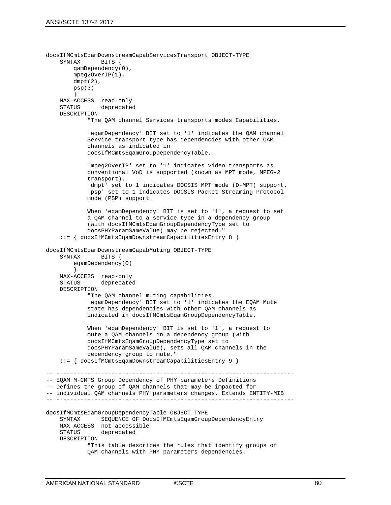```
docsIfMCmtsEqamDownstreamCapabServicesTransport OBJECT-TYPE
                BITS {
         qamDependency(0),
         mpeg2OverIP(1),
         dmpt(2),
         psp(3)
 }
    MAX-ACCESS read-only<br>STATUS deprecate
                deprecated
     DESCRIPTION 
             "The QAM channel Services transports modes Capabilities.
              'eqamDependency' BIT set to '1' indicates the QAM channel
             Service transport type has dependencies with other QAM 
             channels as indicated in 
             docsIfMCmtsEqamGroupDependencyTable.
             'mpeg2OverIP' set to '1' indicates video transports as 
             conventional VoD is supported (known as MPT mode, MPEG-2
             transport).
              'dmpt' set to 1 indicates DOCSIS MPT mode (D-MPT) support.
              'psp' set to 1 indicates DOCSIS Packet Streaming Protocol
             mode (PSP) support.
             When 'eqamDependency' BIT is set to '1', a request to set
             a QAM channel to a service type in a dependency group 
             (with docsIfMCmtsEqamGroupDependencyType set to 
             docsPHYParamSameValue) may be rejected."
     ::= { docsIfMCmtsEqamDownstreamCapabilitiesEntry 8 }
docsIfMCmtsEqamDownstreamCapabMuting OBJECT-TYPE<br>SYNTAX BITS {
              BITS {
         eqamDependency(0)
 }
    MAX-ACCESS read-only<br>STATUS deprecated
                deprecated
     DESCRIPTION 
              "The QAM channel muting capabilities.
              'eqamDependency' BIT set to '1' indicates the EQAM Mute
             state has dependencies with other QAM channels as 
             indicated in docsIfMCmtsEqamGroupDependencyTable.
             When 'eqamDependency' BIT is set to '1', a request to 
             mute a QAM channels in a dependency group (with 
             docsIfMCmtsEqamGroupDependencyType set to 
             docsPHYParamSameValue), sets all QAM channels in the 
             dependency group to mute."
     ::= { docsIfMCmtsEqamDownstreamCapabilitiesEntry 9 }
-- ---------------------------------------------------------------------
-- EQAM M-CMTS Group Dependency of PHY parameters Definitions
-- Defines the group of QAM channels that may be impacted for 
-- individual QAM channels PHY parameters changes. Extends ENTITY-MIB
-- ---------------------------------------------------------------------
docsIfMCmtsEqamGroupDependencyTable OBJECT-TYPE
            SEQUENCE OF DocsIfMCmtsEqamGroupDependencyEntry
    MAX-ACCESS not-accessible<br>STATUS deprecated
                deprecated
     DESCRIPTION
             "This table describes the rules that identify groups of 
             QAM channels with PHY parameters dependencies.
```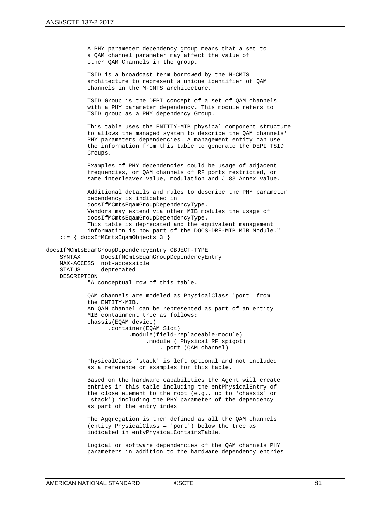```
 A PHY parameter dependency group means that a set to 
             a QAM channel parameter may affect the value of 
             other QAM Channels in the group.
             TSID is a broadcast term borrowed by the M-CMTS 
             architecture to represent a unique identifier of QAM
             channels in the M-CMTS architecture. 
             TSID Group is the DEPI concept of a set of QAM channels
             with a PHY parameter dependency. This module refers to 
             TSID group as a PHY dependency Group.
             This table uses the ENTITY-MIB physical component structure
             to allows the managed system to describe the QAM channels'
             PHY parameters dependencies. A management entity can use
             the information from this table to generate the DEPI TSID
             Groups.
             Examples of PHY dependencies could be usage of adjacent
             frequencies, or QAM channels of RF ports restricted, or 
             same interleaver value, modulation and J.83 Annex value.
             Additional details and rules to describe the PHY parameter
             dependency is indicated in 
             docsIfMCmtsEqamGroupDependencyType.
             Vendors may extend via other MIB modules the usage of
             docsIfMCmtsEqamGroupDependencyType.
             This table is deprecated and the equivalent management 
             information is now part of the DOCS-DRF-MIB MIB Module."
     ::= { docsIfMCmtsEqamObjects 3 }
docsIfMCmtsEqamGroupDependencyEntry OBJECT-TYPE
              DocsIfMCmtsEqamGroupDependencyEntry
    MAX-ACCESS not-accessible<br>STATUS deprecated
                deprecated
     DESCRIPTION
             "A conceptual row of this table.
             QAM channels are modeled as PhysicalClass 'port' from 
             the ENTITY-MIB.
             An QAM channel can be represented as part of an entity 
             MIB containment tree as follows: 
             chassis(EQAM device)
                    .container(EQAM Slot)
                          .module(field-replaceable-module) 
                               .module ( Physical RF spigot)
                                   . port (QAM channel) 
             PhysicalClass 'stack' is left optional and not included 
             as a reference or examples for this table.
             Based on the hardware capabilities the Agent will create
             entries in this table including the entPhysicalEntry of
             the close element to the root (e.g., up to 'chassis' or 
             'stack') including the PHY parameter of the dependency 
             as part of the entry index
             The Aggregation is then defined as all the QAM channels
             (entity PhysicalClass = 'port') below the tree as 
             indicated in entyPhysicalContainsTable.
             Logical or software dependencies of the QAM channels PHY
             parameters in addition to the hardware dependency entries
```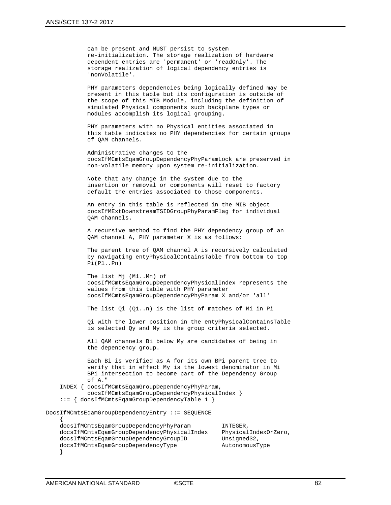can be present and MUST persist to system re-initialization. The storage realization of hardware dependent entries are 'permanent' or 'readOnly'. The storage realization of logical dependency entries is 'nonVolatile'.

 PHY parameters dependencies being logically defined may be present in this table but its configuration is outside of the scope of this MIB Module, including the definition of simulated Physical components such backplane types or modules accomplish its logical grouping.

 PHY parameters with no Physical entities associated in this table indicates no PHY dependencies for certain groups of QAM channels.

 Administrative changes to the docsIfMCmtsEqamGroupDependencyPhyParamLock are preserved in non-volatile memory upon system re-initialization.

 Note that any change in the system due to the insertion or removal or components will reset to factory default the entries associated to those components.

 An entry in this table is reflected in the MIB object docsIfMExtDownstreamTSIDGroupPhyParamFlag for individual QAM channels.

 A recursive method to find the PHY dependency group of an QAM channel A, PHY parameter X is as follows:

 The parent tree of QAM channel A is recursively calculated by navigating entyPhysicalContainsTable from bottom to top Pi(P1..Pn)

 The list Mj (M1..Mn) of docsIfMCmtsEqamGroupDependencyPhysicalIndex represents the values from this table with PHY parameter docsIfMCmtsEqamGroupDependencyPhyParam X and/or 'all'

The list Qi (Q1..n) is the list of matches of Mi in Pi

 Qi with the lower position in the entyPhysicalContainsTable is selected Qy and My is the group criteria selected.

 All QAM channels Bi below My are candidates of being in the dependency group.

 Each Bi is verified as A for its own BPi parent tree to verify that in effect My is the lowest denominator in Mi BPi intersection to become part of the Dependency Group of A."

 INDEX { docsIfMCmtsEqamGroupDependencyPhyParam, docsIfMCmtsEqamGroupDependencyPhysicalIndex }

::= { docsIfMCmtsEqamGroupDependencyTable 1 }

DocsIfMCmtsEqamGroupDependencyEntry ::= SEQUENCE

| docsIfMCmtsEqamGroupDependencyPhyParam      | INTEGER.             |
|---------------------------------------------|----------------------|
| docsIfMCmtsEqamGroupDependencyPhysicalIndex | PhysicalIndexOrZero, |
| docsIfMCmtsEqamGroupDependencyGroupID       | Unsigned32,          |
| docsIfMCmtsEqamGroupDependencyType          | AutonomousType       |
|                                             |                      |

{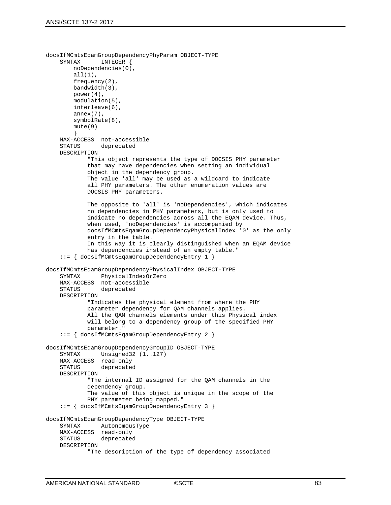```
docsIfMCmtsEqamGroupDependencyPhyParam OBJECT-TYPE<br>SYNTAX INTEGER {
                 INTEGER {
         noDependencies(0),
        all(1),
         frequency(2),
         bandwidth(3),
         power(4),
         modulation(5),
         interleave(6),
         annex(7),
         symbolRate(8),
         mute(9)
 }
     MAX-ACCESS not-accessible 
                 deprecated
     DESCRIPTION 
              "This object represents the type of DOCSIS PHY parameter 
              that may have dependencies when setting an individual 
              object in the dependency group.
              The value 'all' may be used as a wildcard to indicate
              all PHY parameters. The other enumeration values are
              DOCSIS PHY parameters.
              The opposite to 'all' is 'noDependencies', which indicates
              no dependencies in PHY parameters, but is only used to 
              indicate no dependencies across all the EQAM device. Thus,
              when used, 'noDependencies' is accompanied by 
              docsIfMCmtsEqamGroupDependencyPhysicalIndex '0' as the only
              entry in the table. 
              In this way it is clearly distinguished when an EQAM device
              has dependencies instead of an empty table." 
     ::= { docsIfMCmtsEqamGroupDependencyEntry 1 }
docsIfMCmtsEqamGroupDependencyPhysicalIndex OBJECT-TYPE
                PhysicalIndexOrZero
    MAX-ACCESS not-accessible<br>STATUS deprecated
                 deprecated
     DESCRIPTION 
              "Indicates the physical element from where the PHY 
              parameter dependency for QAM channels applies.
             All the QAM channels elements under this Physical index
              will belong to a dependency group of the specified PHY 
             parameter." 
     ::= { docsIfMCmtsEqamGroupDependencyEntry 2 }
docsIfMCmtsEqamGroupDependencyGroupID OBJECT-TYPE 
              Unsigned32 (1..127)
    MAX-ACCESS read-only<br>STATUS deprecate
                deprecated
     DESCRIPTION 
              "The internal ID assigned for the QAM channels in the 
              dependency group. 
              The value of this object is unique in the scope of the
              PHY parameter being mapped." 
     ::= { docsIfMCmtsEqamGroupDependencyEntry 3 } 
docsIfMCmtsEqamGroupDependencyType OBJECT-TYPE 
                AutonomousType
    MAX-ACCESS read-only<br>STATUS deprecated
                 deprecated
     DESCRIPTION 
              "The description of the type of dependency associated
```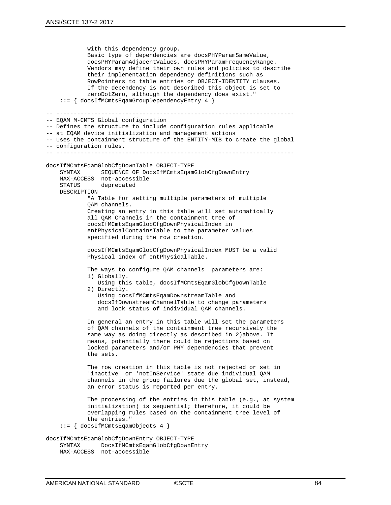with this dependency group. Basic type of dependencies are docsPHYParamSameValue, docsPHYParamAdjacentValues, docsPHYParamFrequencyRange. Vendors may define their own rules and policies to describe their implementation dependency definitions such as RowPointers to table entries or OBJECT-IDENTITY clauses. If the dependency is not described this object is set to zeroDotZero, although the dependency does exist." ::= { docsIfMCmtsEqamGroupDependencyEntry 4 } -- --------------------------------------------------------------------- -- EQAM M-CMTS Global configuration -- Defines the structure to include configuration rules applicable -- at EQAM device initialization and management actions -- Uses the containment structure of the ENTITY-MIB to create the global -- configuration rules. -- -------------------------------------------------------------------- docsIfMCmtsEqamGlobCfgDownTable OBJECT-TYPE SEQUENCE OF DocsIfMCmtsEqamGlobCfgDownEntry MAX-ACCESS not-accessible<br>STATUS deprecated deprecated DESCRIPTION "A Table for setting multiple parameters of multiple QAM channels. Creating an entry in this table will set automatically all QAM Channels in the containment tree of docsIfMCmtsEqamGlobCfgDownPhysicalIndex in entPhysicalContainsTable to the parameter values specified during the row creation. docsIfMCmtsEqamGlobCfgDownPhysicalIndex MUST be a valid Physical index of entPhysicalTable. The ways to configure QAM channels parameters are: 1) Globally. Using this table, docsIfMCmtsEqamGlobCfgDownTable 2) Directly. Using docsIfMCmtsEqamDownstreamTable and docsIfDownstreamChannelTable to change parameters and lock status of individual QAM channels. In general an entry in this table will set the parameters of QAM channels of the containment tree recursively the same way as doing directly as described in 2)above. It means, potentially there could be rejections based on locked parameters and/or PHY dependencies that prevent the sets. The row creation in this table is not rejected or set in 'inactive' or 'notInService' state due individual QAM channels in the group failures due the global set, instead, an error status is reported per entry. The processing of the entries in this table (e.g., at system initialization) is sequential; therefore, it could be overlapping rules based on the containment tree level of the entries." ::= { docsIfMCmtsEqamObjects 4 } docsIfMCmtsEqamGlobCfgDownEntry OBJECT-TYPE DocsIfMCmtsEqamGlobCfgDownEntry

MAX-ACCESS not-accessible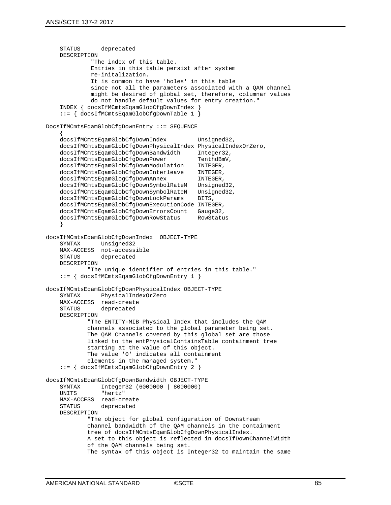```
 STATUS deprecated
     DESCRIPTION
                "The index of this table.
                Entries in this table persist after system 
                re-initalization.
                It is common to have 'holes' in this table
                since not all the parameters associated with a QAM channel
                might be desired of global set, therefore, columnar values
                do not handle default values for entry creation."
     INDEX { docsIfMCmtsEqamGlobCfgDownIndex }
     ::= { docsIfMCmtsEqamGlobCfgDownTable 1 }
DocsIfMCmtsEqamGlobCfgDownEntry ::= SEQUENCE
\mathcal{L}docsIfMCmtsEqamGlobCfqDownIndex Unsigned32,
    docsIfMCmtsEqamGlobCfgDownPhysicalIndex PhysicalIndexOrZero,<br>docsIfMCmtsEqamGlobCfqDownBandwidth    Integer32,
    docsIfMCmtsEqamGlobCfgDownBandwidth Integer32,<br>docsIfMCmtsEqamGlobCfqDownPower TenthdBmV,
    docsIfMCmtsEqamGlobCfgDownPower TenthdBm<br>docsIfMCmtsEqamGlobCfqDownModulation INTEGER,
    docsIfMCmtsEqamGlobCfgDownModulation INTEGER,<br>docsIfMCmtsEqamGlobCfgDownInterleave INTEGER,
    docsIfMCmtsEqamGlobCfgDownInterleave INTEGER,<br>docsIfMCmtsEgamGlogCfgDownAnnex INTEGER
    docsIfMCmtsEqamGlogCfgDownAnnex INTEGER,<br>docsIfMCmtsEqamGlobCfqDownSymbolRateM Unsiqned32,
     docsIfMCmtsEqamGlobCfgDownSymbolRateM Unsigned32,
    docsIfMCmtsEqamGlobCfgDownSymbolRateN Unsig<br>docsIfMCmtsEqamGlobCfqDownLockParams BITS,
    docsIfMCmtsEqamGlobCfgDownLockParams
     docsIfMCmtsEqamGlobCfgDownExecutionCode INTEGER,
    docsIfMCmtsEqamGlobCfgDownErrorsCount Gauge32,<br>docsIfMCmtsEgamGlobCfgDownRowStatus RowStatus
    docsIfMCmtsEqamGlobCfgDownRowStatus
 }
docsIfMCmtsEqamGlobCfgDownIndex OBJECT-TYPE
     SYNTAX Unsigned32
    MAX-ACCESS not-accessible<br>STATUS deprecated
                  deprecated
     DESCRIPTION
               "The unique identifier of entries in this table."
     ::= { docsIfMCmtsEqamGlobCfgDownEntry 1 }
docsIfMCmtsEqamGlobCfgDownPhysicalIndex OBJECT-TYPE
                 PhysicalIndexOrZero
     MAX-ACCESS read-create
                  deprecated
     DESCRIPTION
               "The ENTITY-MIB Physical Index that includes the QAM 
               channels associated to the global parameter being set.
               The QAM Channels covered by this global set are those 
               linked to the entPhysicalContainsTable containment tree
               starting at the value of this object.
               The value '0' indicates all containment
               elements in the managed system."
      ::= { docsIfMCmtsEqamGlobCfgDownEntry 2 }
docsIfMCmtsEqamGlobCfgDownBandwidth OBJECT-TYPE
     SYNTAX Integer32 (6000000 | 8000000)
 UNITS "hertz"
 MAX-ACCESS read-create
     STATUS deprecated
     DESCRIPTION
               "The object for global configuration of Downstream
               channel bandwidth of the QAM channels in the containment
               tree of docsIfMCmtsEqamGlobCfgDownPhysicalIndex.
               A set to this object is reflected in docsIfDownChannelWidth
               of the QAM channels being set.
               The syntax of this object is Integer32 to maintain the same
```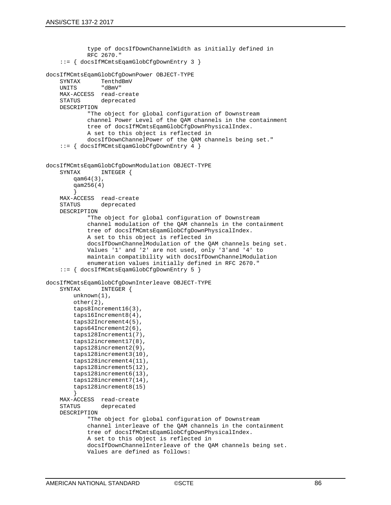```
 type of docsIfDownChannelWidth as initially defined in 
             RFC 2670."
     ::= { docsIfMCmtsEqamGlobCfgDownEntry 3 }
docsIfMCmtsEqamGlobCfgDownPower OBJECT-TYPE
                TenthdBmV<br>"dBmV"
    UNITS
     MAX-ACCESS read-create
                deprecated
     DESCRIPTION
             "The object for global configuration of Downstream 
             channel Power Level of the QAM channels in the containment
             tree of docsIfMCmtsEqamGlobCfgDownPhysicalIndex.
             A set to this object is reflected in 
             docsIfDownChannelPower of the QAM channels being set."
     ::= { docsIfMCmtsEqamGlobCfgDownEntry 4 }
docsIfMCmtsEqamGlobCfgDownModulation OBJECT-TYPE
                INTEGER {
         qam64(3),
         qam256(4)
 }
     MAX-ACCESS read-create
                deprecated
     DESCRIPTION
             "The object for global configuration of Downstream 
             channel modulation of the QAM channels in the containment
             tree of docsIfMCmtsEqamGlobCfgDownPhysicalIndex.
             A set to this object is reflected in 
             docsIfDownChannelModulation of the QAM channels being set.
             Values '1' and '2' are not used, only '3'and '4' to 
             maintain compatibility with docsIfDownChannelModulation
             enumeration values initially defined in RFC 2670."
     ::= { docsIfMCmtsEqamGlobCfgDownEntry 5 }
docsIfMCmtsEqamGlobCfgDownInterleave OBJECT-TYPE
                INTEGER {
         unknown(1),
         other(2),
         taps8Increment16(3),
         taps16Increment8(4),
         taps32Increment4(5),
         taps64Increment2(6),
         taps128Increment1(7),
         taps12increment17(8),
         taps128increment2(9),
         taps128increment3(10),
         taps128increment4(11),
         taps128increment5(12),
         taps128increment6(13),
         taps128increment7(14),
         taps128increment8(15)
 }
    MAX-ACCESS read-create<br>STATUS deprecated
                deprecated
     DESCRIPTION
             "The object for global configuration of Downstream 
             channel interleave of the QAM channels in the containment
             tree of docsIfMCmtsEqamGlobCfgDownPhysicalIndex.
             A set to this object is reflected in 
             docsIfDownChannelInterleave of the QAM channels being set.
             Values are defined as follows:
```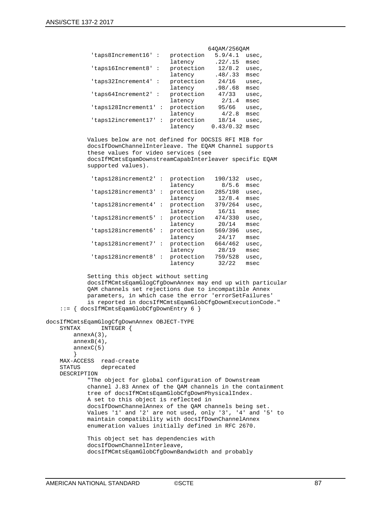|                     |                |            | 640AM/2560AM     |       |
|---------------------|----------------|------------|------------------|-------|
| 'taps8Increment16': |                | protection | 5.9/4.1          | usec, |
|                     |                | latency    | .22/ .15         | msec  |
| 'taps16Increment8': |                | protection | 12/8.2           | usec, |
|                     |                | latency    | .48/.33          | msec  |
| 'taps32Increment4'  | $\cdot$ :      | protection | 24/16            | usec, |
|                     |                | latency    | .98/ .68         | msec  |
| 'taps64Increment2'  | $\cdot$ :      | protection | 47/33            | usec, |
|                     |                | latency    | 2/1.4            | msec  |
| 'taps128Increment1' | $\ddot{\cdot}$ | protection | 95/66            | usec, |
|                     |                | latency    | 4/2.8            | msec  |
| 'taps12increment17' | $\ddot{\cdot}$ | protection | 18/14            | usec, |
|                     |                | latency    | $0.43/0.32$ msec |       |
|                     |                |            |                  |       |

 Values below are not defined for DOCSIS RFI MIB for docsIfDownChannelInterleave. The EQAM Channel supports these values for video services (see docsIfMCmtsEqamDownstreamCapabInterleaver specific EQAM supported values).

| 'taps128increment2' |                | protection | 190/132 | usec, |
|---------------------|----------------|------------|---------|-------|
|                     |                | latency    | 8/5.6   | msec  |
| 'taps128increment3' | $\ddot{\cdot}$ | protection | 285/198 | usec, |
|                     |                | latency    | 12/8.4  | msec  |
| 'taps128increment4' | $\ddot{\cdot}$ | protection | 379/264 | usec, |
|                     |                | latency    | 16/11   | msec  |
| 'taps128increment5' | ÷              | protection | 474/330 | usec, |
|                     |                | latency    | 20/14   | msec  |
| 'taps128increment6' | :              | protection | 569/396 | usec, |
|                     |                | latency    | 24/17   | msec  |
| 'taps128increment7' | $\ddot{\cdot}$ | protection | 664/462 | usec, |
|                     |                | latency    | 28/19   | msec  |
| 'taps128increment8' | $\ddot{\cdot}$ | protection | 759/528 | usec, |
|                     |                | latency    | 32/22   | msec  |
|                     |                |            |         |       |

```
 Setting this object without setting 
         docsIfMCmtsEqamGlogCfgDownAnnex may end up with particular
         QAM channels set rejections due to incompatible Annex 
         parameters, in which case the error 'errorSetFailures' 
         is reported in docsIfMCmtsEqamGlobCfgDownExecutionCode."
 ::= { docsIfMCmtsEqamGlobCfgDownEntry 6 }
```
docsIfMCmtsEqamGlogCfgDownAnnex OBJECT-TYPE<br>SYNTAX INTEGER {

```
INTEGER {
        annexA(3),
        annexB(4),
        annexC(5)
 }
 MAX-ACCESS read-create
    STATUS deprecated
    DESCRIPTION
             "The object for global configuration of Downstream 
            channel J.83 Annex of the QAM channels in the containment
            tree of docsIfMCmtsEqamGlobCfgDownPhysicalIndex.
            A set to this object is reflected in 
            docsIfDownChannelAnnex of the QAM channels being set.
            Values '1' and '2' are not used, only '3', '4' and '5' to
            maintain compatibility with docsIfDownChannelAnnex
            enumeration values initially defined in RFC 2670.
            This object set has dependencies with 
            docsIfDownChannelInterleave, 
            docsIfMCmtsEqamGlobCfgDownBandwidth and probably
```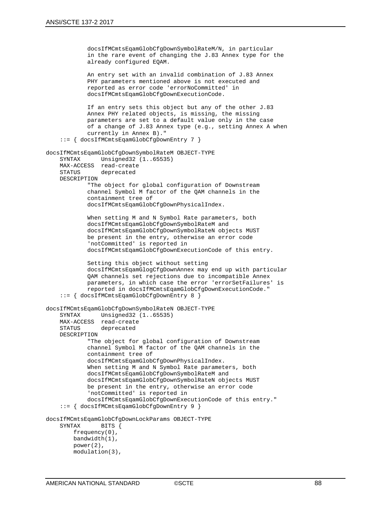```
 docsIfMCmtsEqamGlobCfgDownSymbolRateM/N, in particular 
             in the rare event of changing the J.83 Annex type for the
             already configured EQAM.
             An entry set with an invalid combination of J.83 Annex 
             PHY parameters mentioned above is not executed and 
             reported as error code 'errorNoCommitted' in 
             docsIfMCmtsEqamGlobCfgDownExecutionCode.
             If an entry sets this object but any of the other J.83 
             Annex PHY related objects, is missing, the missing
             parameters are set to a default value only in the case 
             of a change of J.83 Annex type (e.g., setting Annex A when 
             currently in Annex B)."
     ::= { docsIfMCmtsEqamGlobCfgDownEntry 7 }
docsIfMCmtsEqamGlobCfgDownSymbolRateM OBJECT-TYPE
              Unsigned32 (1..65535)
     MAX-ACCESS read-create
                deprecated
     DESCRIPTION 
             "The object for global configuration of Downstream 
             channel Symbol M factor of the QAM channels in the
             containment tree of 
             docsIfMCmtsEqamGlobCfgDownPhysicalIndex.
            When setting M and N Symbol Rate parameters, both
             docsIfMCmtsEqamGlobCfgDownSymbolRateM and 
             docsIfMCmtsEqamGlobCfgDownSymbolRateN objects MUST
             be present in the entry, otherwise an error code 
             'notCommitted' is reported in 
             docsIfMCmtsEqamGlobCfgDownExecutionCode of this entry.
             Setting this object without setting 
             docsIfMCmtsEqamGlogCfgDownAnnex may end up with particular
             QAM channels set rejections due to incompatible Annex 
             parameters, in which case the error 'errorSetFailures' is
             reported in docsIfMCmtsEqamGlobCfgDownExecutionCode."
     ::= { docsIfMCmtsEqamGlobCfgDownEntry 8 }
docsIfMCmtsEqamGlobCfgDownSymbolRateN OBJECT-TYPE
               Unsigned32 (1..65535) MAX-ACCESS read-create
                deprecated
     DESCRIPTION 
             "The object for global configuration of Downstream 
             channel Symbol M factor of the QAM channels in the
             containment tree of 
             docsIfMCmtsEqamGlobCfgDownPhysicalIndex.
            When setting M and N Symbol Rate parameters, both
             docsIfMCmtsEqamGlobCfgDownSymbolRateM and 
             docsIfMCmtsEqamGlobCfgDownSymbolRateN objects MUST
             be present in the entry, otherwise an error code 
             'notCommitted' is reported in 
             docsIfMCmtsEqamGlobCfgDownExecutionCode of this entry."
     ::= { docsIfMCmtsEqamGlobCfgDownEntry 9 }
docsIfMCmtsEqamGlobCfgDownLockParams OBJECT-TYPE 
    SYNTAX
        frequency(0),
         bandwidth(1),
         power(2),
         modulation(3),
```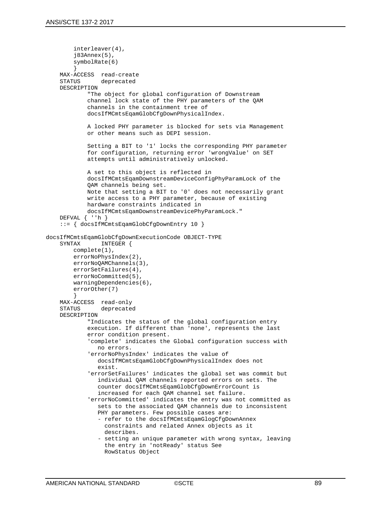```
 interleaver(4),
         j83Annex(5),
         symbolRate(6)
 }
 MAX-ACCESS read-create 
     STATUS deprecated
     DESCRIPTION 
             "The object for global configuration of Downstream 
             channel lock state of the PHY parameters of the QAM
             channels in the containment tree of 
             docsIfMCmtsEqamGlobCfgDownPhysicalIndex.
             A locked PHY parameter is blocked for sets via Management
             or other means such as DEPI session. 
             Setting a BIT to '1' locks the corresponding PHY parameter
             for configuration, returning error 'wrongValue' on SET 
             attempts until administratively unlocked.
             A set to this object is reflected in 
             docsIfMCmtsEqamDownstreamDeviceConfigPhyParamLock of the
             QAM channels being set.
             Note that setting a BIT to '0' does not necessarily grant
             write access to a PHY parameter, because of existing 
             hardware constraints indicated in 
             docsIfMCmtsEqamDownstreamDevicePhyParamLock."
     DEFVAL { ''h }
     ::= { docsIfMCmtsEqamGlobCfgDownEntry 10 } 
docsIfMCmtsEqamGlobCfgDownExecutionCode OBJECT-TYPE
                INTEGER {
         complete(1),
         errorNoPhysIndex(2),
         errorNoQAMChannels(3),
         errorSetFailures(4),
         errorNoCommitted(5),
         warningDependencies(6),
         errorOther(7)
 }
    MAX-ACCESS read-only<br>STATUS deprecate
                deprecated
     DESCRIPTION
             "Indicates the status of the global configuration entry 
             execution. If different than 'none', represents the last
             error condition present.
             'complete' indicates the Global configuration success with
                no errors.
             'errorNoPhysIndex' indicates the value of 
                docsIfMCmtsEqamGlobCfgDownPhysicalIndex does not
                exist.
             'errorSetFailures' indicates the global set was commit but
                individual QAM channels reported errors on sets. The 
                counter docsIfMCmtsEqamGlobCfgDownErrorCount is 
                increased for each QAM channel set failure.
             'errorNoCommitted' indicates the entry was not committed as
                sets to the associated QAM channels due to inconsistent
               PHY parameters. Few possible cases are:
                - refer to the docsIfMCmtsEqamGlogCfgDownAnnex 
                  constraints and related Annex objects as it 
                 describes.
                 - setting an unique parameter with wrong syntax, leaving
                  the entry in 'notReady' status See
                 RowStatus Object
```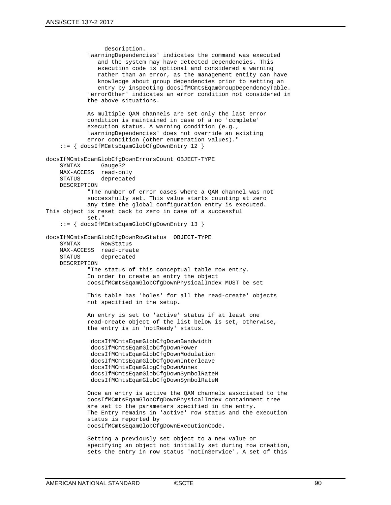```
 description.
             'warningDependencies' indicates the command was executed
                and the system may have detected dependencies. This 
                execution code is optional and considered a warning 
                rather than an error, as the management entity can have
                knowledge about group dependencies prior to setting an 
                entry by inspecting docsIfMCmtsEqamGroupDependencyTable.
             'errorOther' indicates an error condition not considered in
             the above situations.
             As multiple QAM channels are set only the last error 
             condition is maintained in case of a no 'complete' 
             execution status. A warning condition (e.g., 
             'warningDependencies' does not override an existing
             error condition (other enumeration values)."
     ::= { docsIfMCmtsEqamGlobCfgDownEntry 12 }
docsIfMCmtsEqamGlobCfgDownErrorsCount OBJECT-TYPE
              Gauge32
    MAX-ACCESS read-only<br>STATUS deprecate
               deprecated
     DESCRIPTION
             "The number of error cases where a QAM channel was not
             successfully set. This value starts counting at zero 
             any time the global configuration entry is executed.
This object is reset back to zero in case of a successful
             set."
     ::= { docsIfMCmtsEqamGlobCfgDownEntry 13 }
docsIfMCmtsEqamGlobCfgDownRowStatus OBJECT-TYPE
     SYNTAX RowStatus
    MAX-ACCESS read-create
                deprecated
     DESCRIPTION
             "The status of this conceptual table row entry.
             In order to create an entry the object 
             docsIfMCmtsEqamGlobCfgDownPhysicalIndex MUST be set
             This table has 'holes' for all the read-create' objects 
             not specified in the setup.
             An entry is set to 'active' status if at least one
             read-create object of the list below is set, otherwise,
             the entry is in 'notReady' status.
              docsIfMCmtsEqamGlobCfgDownBandwidth
              docsIfMCmtsEqamGlobCfgDownPower
              docsIfMCmtsEqamGlobCfgDownModulation
              docsIfMCmtsEqamGlobCfgDownInterleave
              docsIfMCmtsEqamGlogCfgDownAnnex
              docsIfMCmtsEqamGlobCfgDownSymbolRateM
              docsIfMCmtsEqamGlobCfgDownSymbolRateN
             Once an entry is active the QAM channels associated to the
             docsIfMCmtsEqamGlobCfgDownPhysicalIndex containment tree 
             are set to the parameters specified in the entry.
             The Entry remains in 'active' row status and the execution
             status is reported by 
             docsIfMCmtsEqamGlobCfgDownExecutionCode.
             Setting a previously set object to a new value or 
             specifying an object not initially set during row creation, 
             sets the entry in row status 'notInService'. A set of this
```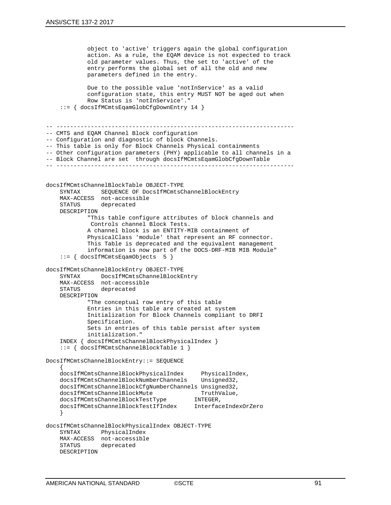object to 'active' triggers again the global configuration action. As a rule, the EQAM device is not expected to track old parameter values. Thus, the set to 'active' of the entry performs the global set of all the old and new parameters defined in the entry. Due to the possible value 'notInService' as a valid configuration state, this entry MUST NOT be aged out when Row Status is 'notInService'." ::= { docsIfMCmtsEqamGlobCfgDownEntry 14 } -- --------------------------------------------------------------------- -- CMTS and EQAM Channel Block configuration -- Configuration and diagnostic of block Channels. -- This table is only for Block Channels Physical containments -- Other configuration parameters (PHY) applicable to all channels in a -- Block Channel are set through docsIfMCmtsEqamGlobCfgDownTable -- -------------------------------------------------------------------- docsIfMCmtsChannelBlockTable OBJECT-TYPE SYNTAX SEQUENCE OF DocsIfMCmtsChannelBlockEntry MAX-ACCESS not-accessible<br>STATUS deprecated deprecated DESCRIPTION "This table configure attributes of block channels and Controls channel Block Tests. A channel block is an ENTITY-MIB containment of PhysicalClass 'module' that represent an RF connector. This Table is deprecated and the equivalent management information is now part of the DOCS-DRF-MIB MIB Module" ::= { docsIfMCmtsEqamObjects 5 } docsIfMCmtsChannelBlockEntry OBJECT-TYPE DocsIfMCmtsChannelBlockEntry MAX-ACCESS not-accessible<br>STATUS deprecated deprecated DESCRIPTION "The conceptual row entry of this table Entries in this table are created at system Initialization for Block Channels compliant to DRFI Specification. Sets in entries of this table persist after system initialization." INDEX { docsIfMCmtsChannelBlockPhysicalIndex } ::= { docsIfMCmtsChannelBlockTable 1 } DocsIfMCmtsChannelBlockEntry::= SEQUENCE  $\mathcal{L}$  docsIfMCmtsChannelBlockPhysicalIndex PhysicalIndex, docsIfMCmtsChannelBlockNumberChannels Unsigned32, docsIfMCmtsChannelBlockCfgNumberChannels Unsigned32, docsIfMCmtsChannelBlockMute docsIfMCmtsChannelBlockTestType INTEGER, docsIfMCmtsChannelBlockTestIfIndex InterfaceIndexOrZero } docsIfMCmtsChannelBlockPhysicalIndex OBJECT-TYPE SYNTAX PhysicalIndex MAX-ACCESS not-accessible<br>STATUS deprecated deprecated DESCRIPTION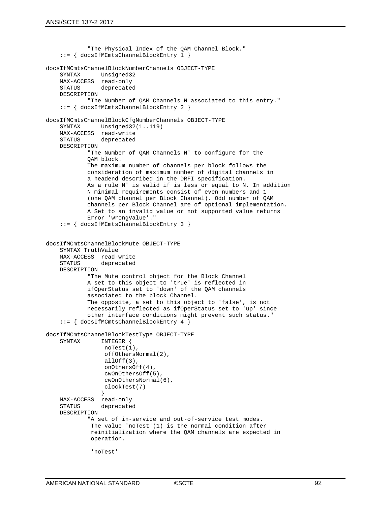```
 "The Physical Index of the QAM Channel Block."
     ::= { docsIfMCmtsChannelBlockEntry 1 }
docsIfMCmtsChannelBlockNumberChannels OBJECT-TYPE
               Unsigned32
    MAX-ACCESS read-only<br>STATUS deprecated
                deprecated
     DESCRIPTION
             "The Number of QAM Channels N associated to this entry."
     ::= { docsIfMCmtsChannelBlockEntry 2 }
docsIfMCmtsChannelBlockCfgNumberChannels OBJECT-TYPE
               Unsigned32(1..119)MAX-ACCESS read-write<br>STATUS deprecated
                deprecated
     DESCRIPTION
             "The Number of QAM Channels N' to configure for the 
             QAM block.
             The maximum number of channels per block follows the 
             consideration of maximum number of digital channels in 
             a headend described in the DRFI specification.
             As a rule N' is valid if is less or equal to N. In addition
             N minimal requirements consist of even numbers and 1 
             (one QAM channel per Block Channel). Odd number of QAM 
             channels per Block Channel are of optional implementation.
             A Set to an invalid value or not supported value returns
             Error 'wrongValue'."
     ::= { docsIfMCmtsChannelBlockEntry 3 }
docsIfMCmtsChannelBlockMute OBJECT-TYPE
     SYNTAX TruthValue
     MAX-ACCESS read-write
                deprecated
     DESCRIPTION
             "The Mute control object for the Block Channel
             A set to this object to 'true' is reflected in 
             ifOperStatus set to 'down' of the QAM channels 
             associated to the block Channel.
             The opposite, a set to this object to 'false', is not 
             necessarily reflected as ifOperStatus set to 'up' since
             other interface conditions might prevent such status."
     ::= { docsIfMCmtsChannelBlockEntry 4 }
docsIfMCmtsChannelBlockTestType OBJECT-TYPE
                INTEGER {
                  noTest(1),
                 offOthersNormal(2),
                 allOff(3),
                 onOthersOff(4),
                  cwOnOthersOff(5),
                  cwOnOthersNormal(6),
                 clockTest(7) 
}<br>{}
 MAX-ACCESS read-only
     STATUS deprecated
     DESCRIPTION
             "A set of in-service and out-of-service test modes.
              The value 'noTest'(1) is the normal condition after
              reinitialization where the QAM channels are expected in
              operation.
              'noTest'
```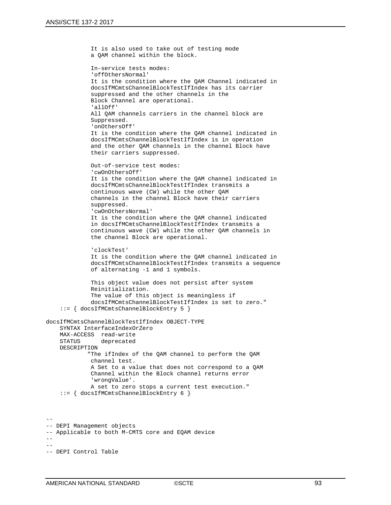```
 It is also used to take out of testing mode
              a QAM channel within the block.
              In-service tests modes:
               'offOthersNormal'
              It is the condition where the QAM Channel indicated in
              docsIfMCmtsChannelBlockTestIfIndex has its carrier 
              suppressed and the other channels in the 
              Block Channel are operational.
               'allOff'
              All QAM channels carriers in the channel block are
              Suppressed. 
               'onOthersOff'
              It is the condition where the QAM channel indicated in
              docsIfMCmtsChannelBlockTestIfIndex is in operation
              and the other QAM channels in the channel Block have
              their carriers suppressed.
              Out-of-service test modes:
               'cwOnOthersOff'
              It is the condition where the QAM channel indicated in 
              docsIfMCmtsChannelBlockTestIfIndex transmits a 
              continuous wave (CW) while the other QAM 
              channels in the channel Block have their carriers 
              suppressed.
               'cwOnOthersNormal'
              It is the condition where the QAM channel indicated
              in docsIfMCmtsChannelBlockTestIfIndex transmits a 
              continuous wave (CW) while the other QAM channels in
              the channel Block are operational.
              'clockTest'
              It is the condition where the QAM channel indicated in
              docsIfMCmtsChannelBlockTestIfIndex transmits a sequence 
              of alternating -1 and 1 symbols.
              This object value does not persist after system 
              Reinitialization.
              The value of this object is meaningless if 
              docsIfMCmtsChannelBlockTestIfIndex is set to zero."
     ::= { docsIfMCmtsChannelBlockEntry 5 }
docsIfMCmtsChannelBlockTestIfIndex OBJECT-TYPE
     SYNTAX InterfaceIndexOrZero
    MAX-ACCESS read-write<br>STATUS deprecated
                deprecated
     DESCRIPTION
             "The ifIndex of the QAM channel to perform the QAM
              channel test.
              A Set to a value that does not correspond to a QAM 
              Channel within the Block channel returns error 
               'wrongValue'.
              A set to zero stops a current test execution."
     ::= { docsIfMCmtsChannelBlockEntry 6 }
-- DEPI Management objects
```

```
-- Applicable to both M-CMTS core and EQAM device
--
--
```

```
-- DEPI Control Table
```
--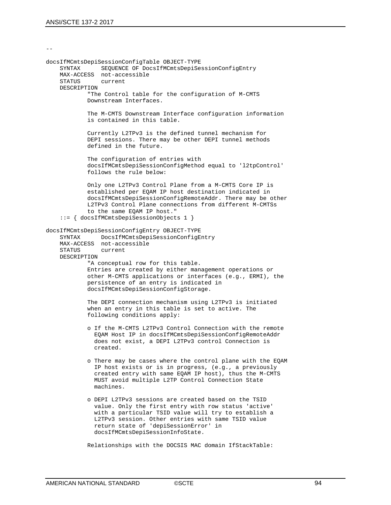```
--
docsIfMCmtsDepiSessionConfigTable OBJECT-TYPE
     SYNTAX SEQUENCE OF DocsIfMCmtsDepiSessionConfigEntry
    MAX-ACCESS not-accessible<br>STATUS current
                current
     DESCRIPTION
             "The Control table for the configuration of M-CMTS 
             Downstream Interfaces. 
             The M-CMTS Downstream Interface configuration information
             is contained in this table.
             Currently L2TPv3 is the defined tunnel mechanism for 
             DEPI sessions. There may be other DEPI tunnel methods
             defined in the future.
             The configuration of entries with 
             docsIfMCmtsDepiSessionConfigMethod equal to 'l2tpControl' 
             follows the rule below:
             Only one L2TPv3 Control Plane from a M-CMTS Core IP is 
             established per EQAM IP host destination indicated in
             docsIfMCmtsDepiSessionConfigRemoteAddr. There may be other
             L2TPv3 Control Plane connections from different M-CMTSs
             to the same EQAM IP host."
     ::= { docsIfMCmtsDepiSessionObjects 1 }
docsIfMCmtsDepiSessionConfigEntry OBJECT-TYPE
               DocsIfMCmtsDepiSessionConfigEntry
     MAX-ACCESS not-accessible
                current
    DESCRIPTION
             "A conceptual row for this table.
             Entries are created by either management operations or 
             other M-CMTS applications or interfaces (e.g., ERMI), the
             persistence of an entry is indicated in 
             docsIfMCmtsDepiSessionConfigStorage.
             The DEPI connection mechanism using L2TPv3 is initiated 
             when an entry in this table is set to active. The 
             following conditions apply: 
             o If the M-CMTS L2TPv3 Control Connection with the remote
               EQAM Host IP in docsIfMCmtsDepiSessionConfigRemoteAddr 
               does not exist, a DEPI L2TPv3 control Connection is 
               created.
             o There may be cases where the control plane with the EQAM
               IP host exists or is in progress, (e.g., a previously 
               created entry with same EQAM IP host), thus the M-CMTS
               MUST avoid multiple L2TP Control Connection State 
               machines.
             o DEPI L2TPv3 sessions are created based on the TSID 
               value. Only the first entry with row status 'active'
               with a particular TSID value will try to establish a 
               L2TPv3 session. Other entries with same TSID value 
               return state of 'depiSessionError' in 
               docsIfMCmtsDepiSessionInfoState. 
             Relationships with the DOCSIS MAC domain IfStackTable:
```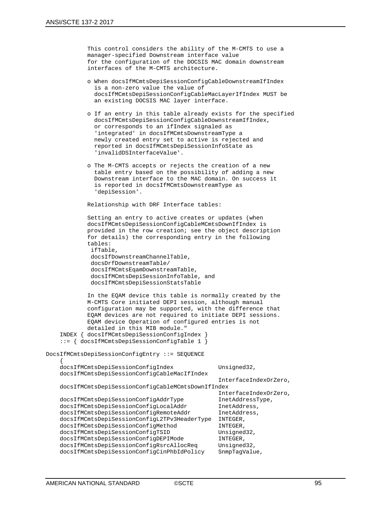This control considers the ability of the M-CMTS to use a manager-specified Downstream interface value for the configuration of the DOCSIS MAC domain downstream interfaces of the M-CMTS architecture.

- o When docsIfMCmtsDepiSessionConfigCableDownstreamIfIndex is a non-zero value the value of docsIfMCmtsDepiSessionConfigCableMacLayerIfIndex MUST be an existing DOCSIS MAC layer interface.
- o If an entry in this table already exists for the specified docsIfMCmtsDepiSessionConfigCableDownstreamIfIndex, or corresponds to an ifIndex signaled as 'integrated' in docsIfMCmtsDownstreamType a newly created entry set to active is rejected and reported in docsIfMCmtsDepiSessionInfoState as 'invalidDSInterfaceValue'.
- o The M-CMTS accepts or rejects the creation of a new table entry based on the possibility of adding a new Downstream interface to the MAC domain. On success it is reported in docsIfMCmtsDownstreamType as 'depiSession'.

Relationship with DRF Interface tables:

 Setting an entry to active creates or updates (when docsIfMCmtsDepiSessionConfigCableMCmtsDownIfIndex is provided in the row creation; see the object description for details) the corresponding entry in the following tables: ifTable, docsIfDownstreamChannelTable, docsDrfDownstreamTable/ docsIfMCmtsEqamDownstreamTable, docsIfMCmtsDepiSessionInfoTable, and docsIfMCmtsDepiSessionStatsTable In the EQAM device this table is normally created by the M-CMTS Core initiated DEPI session, although manual configuration may be supported, with the difference that EQAM devices are not required to initiate DEPI sessions. EQAM device Operation of configured entries is not detailed in this MIB module." INDEX { docsIfMCmtsDepiSessionConfigIndex } ::= { docsIfMCmtsDepiSessionConfigTable 1 } DocsIfMCmtsDepiSessionConfigEntry ::= SEQUENCE  $\mathcal{A}$  docsIfMCmtsDepiSessionConfigIndex Unsigned32, docsIfMCmtsDepiSessionConfigCableMacIfIndex InterfaceIndexOrZero, docsIfMCmtsDepiSessionConfigCableMCmtsDownIfIndex InterfaceIndexOrZero, docsIfMCmtsDepiSessionConfigAddrType InetAddressType,<br>docsIfMCmtsDepiSessionConfigLocalAddr InetAddress, docsIfMCmtsDepiSessionConfigLocalAddr InetAddress,<br>docsIfMCmtsDepiSessionConfigRemoteAddr InetAddress. docsIfMCmtsDepiSessionConfigRemoteAddr docsIfMCmtsDepiSessionConfigL2TPv3HeaderType INTEGER,<br>docsIfMCmtsDepiSessionConfigMethod INTEGER, docsIfMCmtsDepiSessionConfigMethod docsIfMCmtsDepiSessionConfigTSID Unsigned32,<br>docsIfMCmtsDepiSessionConfigDEPIMode INTEGER, docsIfMCmtsDepiSessionConfigDEPIMode INTEGER,<br>docsIfMCmtsDepiSessionConfigRsrcAllocReq Unsigned32, docsIfMCmtsDepiSessionConfigRsrcAllocReq docsIfMCmtsDepiSessionConfigCinPhbIdPolicy SnmpTagValue,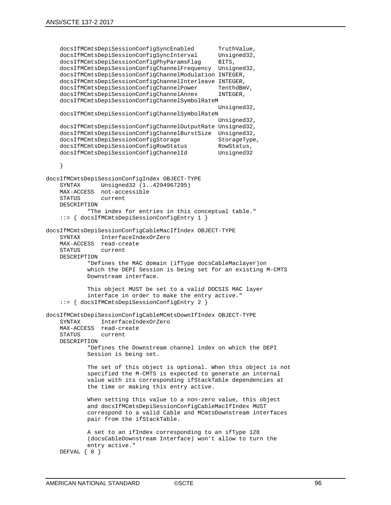```
 docsIfMCmtsDepiSessionConfigSyncEnabled TruthValue,
    docsIfMCmtsDepiSessionConfigSyncInterval Unsig<br>docsIfMCmtsDepiSessionConfigPhyParamsFlaq BITS,
    docsIfMCmtsDepiSessionConfigPhyParamsFlag
     docsIfMCmtsDepiSessionConfigChannelFrequency Unsigned32,
     docsIfMCmtsDepiSessionConfigChannelModulation INTEGER,
    docsIfMCmtsDepiSessionConfigChannelInterleave INTEGER,<br>docsIfMCmtsDepiSessionConfigChannelPower TenthdBmV,
    docsIfMCmtsDepiSessionConfigChannelPower TenthdBm<br>docsIfMCmtsDepiSessionConfigChannelAnnex INTEGER
    docsIfMCmtsDepiSessionConfigChannelAnnex
     docsIfMCmtsDepiSessionConfigChannelSymbolRateM
                                                          Unsigned32,
     docsIfMCmtsDepiSessionConfigChannelSymbolRateN
                                                          Unsigned32,
     docsIfMCmtsDepiSessionConfigChannelOutputRate Unsigned32,
     docsIfMCmtsDepiSessionConfigChannelBurstSize Unsigned32,
    docsIfMCmtsDepiSessionConfigStorage StorageTyp<br>docsIfMCmtsDepiSessionConfigRowStatus RowStatus,
    docsIfMCmtsDepiSessionConfigRowStatus RowStatus,<br>docsIfMCmtsDepiSessionConfigChannelId Unsigned32
    docsIfMCmtsDepiSessionConfigChannelId
     }
docsIfMCmtsDepiSessionConfigIndex OBJECT-TYPE
                  Unsigned32 (1..4294967295)
    MAX-ACCESS not-accessible<br>STATUS current
                  current.
     DESCRIPTION 
              "The index for entries in this conceptual table."
     ::= { docsIfMCmtsDepiSessionConfigEntry 1 }
docsIfMCmtsDepiSessionConfigCableMacIfIndex OBJECT-TYPE
                 InterfaceIndexOrZero
     MAX-ACCESS read-create
                  current
     DESCRIPTION 
              "Defines the MAC domain (ifType docsCableMaclayer)on 
              which the DEPI Session is being set for an existing M-CMTS
              Downstream interface. 
              This object MUST be set to a valid DOCSIS MAC layer 
              interface in order to make the entry active." 
     ::= { docsIfMCmtsDepiSessionConfigEntry 2 }
docsIfMCmtsDepiSessionConfigCableMCmtsDownIfIndex OBJECT-TYPE
                InterfaceIndexOrZero
     MAX-ACCESS read-create
                  current
     DESCRIPTION 
              "Defines the Downstream channel index on which the DEPI
              Session is being set. 
              The set of this object is optional. When this object is not
              specified the M-CMTS is expected to generate an internal 
              value with its corresponding ifStackTable dependencies at 
              the time or making this entry active.
             When setting this value to a non-zero value, this object
              and docsIfMCmtsDepiSessionConfigCableMacIfIndex MUST 
              correspond to a valid Cable and MCmtsDownstream interfaces
              pair from the ifStackTable.
              A set to an ifIndex corresponding to an ifType 128 
              (docsCableDownstream Interface) won't allow to turn the 
              entry active."
     DEFVAL { 0 }
```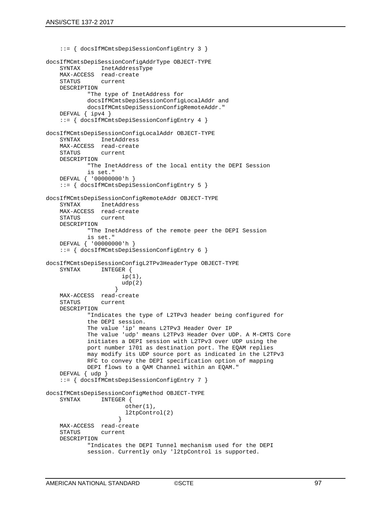```
 ::= { docsIfMCmtsDepiSessionConfigEntry 3 }
docsIfMCmtsDepiSessionConfigAddrType OBJECT-TYPE
    SYNTAX InetAddressType
   MAX-ACCESS read-create<br>STATUS current
               current
    DESCRIPTION 
             "The type of InetAddress for 
             docsIfMCmtsDepiSessionConfigLocalAddr and 
             docsIfMCmtsDepiSessionConfigRemoteAddr."
    DEFVAL { ipv4 }
     ::= { docsIfMCmtsDepiSessionConfigEntry 4 }
docsIfMCmtsDepiSessionConfigLocalAddr OBJECT-TYPE
              InetAddress
    MAX-ACCESS read-create
              current
    DESCRIPTION 
             "The InetAddress of the local entity the DEPI Session
             is set."
    DEFVAL { '00000000'h }
     ::= { docsIfMCmtsDepiSessionConfigEntry 5 }
docsIfMCmtsDepiSessionConfigRemoteAddr OBJECT-TYPE
    SYNTAX InetAddress
   MAX-ACCESS read-create<br>STATUS current
               current
    DESCRIPTION 
             "The InetAddress of the remote peer the DEPI Session
             is set."
    DEFVAL { '00000000'h }
     ::= { docsIfMCmtsDepiSessionConfigEntry 6 }
docsIfMCmtsDepiSessionConfigL2TPv3HeaderType OBJECT-TYPE
    SYNTAX INTEGER {
                      ip(1),
                      udp(2) }
 MAX-ACCESS read-create
    STATUS current
    DESCRIPTION 
             "Indicates the type of L2TPv3 header being configured for
             the DEPI session.
             The value 'ip' means L2TPv3 Header Over IP
             The value 'udp' means L2TPv3 Header Over UDP. A M-CMTS Core
             initiates a DEPI session with L2TPv3 over UDP using the
             port number 1701 as destination port. The EQAM replies 
             may modify its UDP source port as indicated in the L2TPv3 
             RFC to convey the DEPI specification option of mapping
             DEPI flows to a QAM Channel within an EQAM."
     DEFVAL { udp }
     ::= { docsIfMCmtsDepiSessionConfigEntry 7 }
docsIfMCmtsDepiSessionConfigMethod OBJECT-TYPE
                INTEGER {
                        other(1),
                       l2tpControl(2)
 }
    MAX-ACCESS read-create
                current
    DESCRIPTION 
             "Indicates the DEPI Tunnel mechanism used for the DEPI
             session. Currently only 'l2tpControl is supported.
```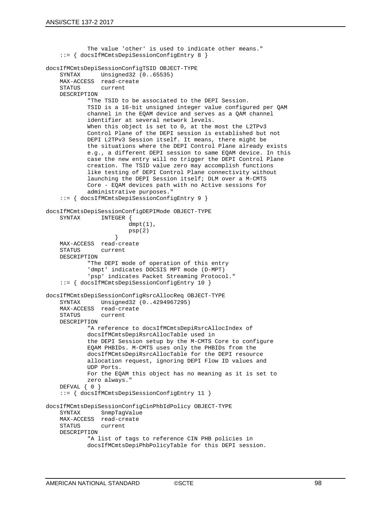```
 The value 'other' is used to indicate other means."
     ::= { docsIfMCmtsDepiSessionConfigEntry 8 }
docsIfMCmtsDepiSessionConfigTSID OBJECT-TYPE
               Unsigned32 (0..65535)MAX-ACCESS read-create<br>STATUS current
                current
     DESCRIPTION 
             "The TSID to be associated to the DEPI Session.
             TSID is a 16-bit unsigned integer value configured per QAM
             channel in the EQAM device and serves as a QAM channel 
             identifier at several network levels.
            When this object is set to 0, at the most the L2TPv3
             Control Plane of the DEPI session is established but not 
             DEPI L2TPv3 Session itself. It means, there might be 
             the situations where the DEPI Control Plane already exists
             e.g., a different DEPI session to same EQAM device. In this
             case the new entry will no trigger the DEPI Control Plane 
             creation. The TSID value zero may accomplish functions 
             like testing of DEPI Control Plane connectivity without 
             launching the DEPI Session itself; DLM over a M-CMTS 
             Core - EQAM devices path with no Active sessions for 
             administrative purposes."
     ::= { docsIfMCmtsDepiSessionConfigEntry 9 }
docsIfMCmtsDepiSessionConfigDEPIMode OBJECT-TYPE
                SYNTAX INTEGER {
                          dmpt(1),
                         psp(2)
 }
     MAX-ACCESS read-create
                current
    DESCRIPTION 
             "The DEPI mode of operation of this entry
             'dmpt' indicates DOCSIS MPT mode (D-MPT)
              'psp' indicates Packet Streaming Protocol."
     ::= { docsIfMCmtsDepiSessionConfigEntry 10 }
docsIfMCmtsDepiSessionConfigRsrcAllocReq OBJECT-TYPE
               Unsigned32 (0..4294967295)
    MAX-ACCESS read-create<br>STATUS current
    STATUS
     DESCRIPTION 
             "A reference to docsIfMCmtsDepiRsrcAllocIndex of 
             docsIfMCmtsDepiRsrcAllocTable used in
             the DEPI Session setup by the M-CMTS Core to configure
             EQAM PHBIDs. M-CMTS uses only the PHBIDs from the 
             docsIfMCmtsDepiRsrcAllocTable for the DEPI resource 
             allocation request, ignoring DEPI Flow ID values and 
             UDP Ports.
             For the EQAM this object has no meaning as it is set to 
             zero always."
     DEFVAL { 0 }
     ::= { docsIfMCmtsDepiSessionConfigEntry 11 }
docsIfMCmtsDepiSessionConfigCinPhbIdPolicy OBJECT-TYPE
               SnmpTagValue
     MAX-ACCESS read-create
                current
     DESCRIPTION 
             "A list of tags to reference CIN PHB policies in 
             docsIfMCmtsDepiPhbPolicyTable for this DEPI session.
```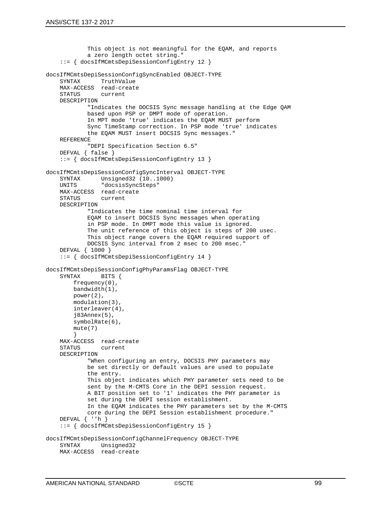```
 This object is not meaningful for the EQAM, and reports
             a zero length octet string."
     ::= { docsIfMCmtsDepiSessionConfigEntry 12 }
docsIfMCmtsDepiSessionConfigSyncEnabled OBJECT-TYPE
               TruthValue
    MAX-ACCESS read-create<br>STATUS current
                current
     DESCRIPTION 
             "Indicates the DOCSIS Sync message handling at the Edge QAM
             based upon PSP or DMPT mode of operation.
             In MPT mode 'true' indicates the EQAM MUST perform 
             Sync TimeStamp correction. In PSP mode 'true' indicates
             the EQAM MUST insert DOCSIS Sync messages."
     REFERENCE
             "DEPI Specification Section 6.5"
     DEFVAL { false }
     ::= { docsIfMCmtsDepiSessionConfigEntry 13 }
docsIfMCmtsDepiSessionConfigSyncInterval OBJECT-TYPE
    SYNTAX Unsigned32 (10..1000)<br>UNITS "docsisSyncSteps"
                "docsisSyncSteps"
     MAX-ACCESS read-create
                current.
    DESCRIPTION 
             "Indicates the time nominal time interval for 
             EQAM to insert DOCSIS Sync messages when operating
             in PSP mode. In DMPT mode this value is ignored.
             The unit reference of this object is steps of 200 usec. 
             This object range covers the EQAM required support of 
             DOCSIS Sync interval from 2 msec to 200 msec."
     DEFVAL { 1000 }
     ::= { docsIfMCmtsDepiSessionConfigEntry 14 }
docsIfMCmtsDepiSessionConfigPhyParamsFlag OBJECT-TYPE
               BITS {
        frequency(0),
         bandwidth(1),
         power(2),
         modulation(3),
         interleaver(4),
         j83Annex(5),
         symbolRate(6),
         mute(7)
 }
     MAX-ACCESS read-create
                current
     DESCRIPTION 
             "When configuring an entry, DOCSIS PHY parameters may
             be set directly or default values are used to populate
             the entry. 
             This object indicates which PHY parameter sets need to be
             sent by the M-CMTS Core in the DEPI session request.
             A BIT position set to '1' indicates the PHY parameter is 
             set during the DEPI session establishment.
             In the EQAM indicates the PHY parameters set by the M-CMTS
             core during the DEPI Session establishment procedure."
     DEFVAL { ''h }
     ::= { docsIfMCmtsDepiSessionConfigEntry 15 }
docsIfMCmtsDepiSessionConfigChannelFrequency OBJECT-TYPE
     SYNTAX Unsigned32
     MAX-ACCESS read-create
```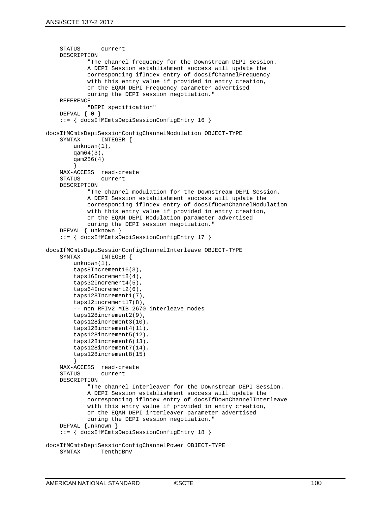```
 STATUS current
     DESCRIPTION 
             "The channel frequency for the Downstream DEPI Session.
             A DEPI Session establishment success will update the 
             corresponding ifIndex entry of docsIfChannelFrequency 
             with this entry value if provided in entry creation,
             or the EQAM DEPI Frequency parameter advertised 
             during the DEPI session negotiation."
     REFERENCE 
             "DEPI specification"
    DEFVAL { 0 }
     ::= { docsIfMCmtsDepiSessionConfigEntry 16 }
docsIfMCmtsDepiSessionConfigChannelModulation OBJECT-TYPE<br>SYNTAX INTEGER {
               INTEGER {
         unknown(1),
         qam64(3),
         qam256(4)
 }
 MAX-ACCESS read-create
     STATUS current
     DESCRIPTION 
             "The channel modulation for the Downstream DEPI Session.
             A DEPI Session establishment success will update the 
             corresponding ifIndex entry of docsIfDownChannelModulation
             with this entry value if provided in entry creation,
             or the EQAM DEPI Modulation parameter advertised 
             during the DEPI session negotiation."
     DEFVAL { unknown } 
     ::= { docsIfMCmtsDepiSessionConfigEntry 17 }
docsIfMCmtsDepiSessionConfigChannelInterleave OBJECT-TYPE
     SYNTAX INTEGER {
         unknown(1),
         taps8Increment16(3),
         taps16Increment8(4),
         taps32Increment4(5),
         taps64Increment2(6),
         taps128Increment1(7),
         taps12increment17(8),
         -- non RFIv2 MIB 2670 interleave modes
         taps128increment2(9),
         taps128increment3(10),
         taps128increment4(11),
         taps128increment5(12),
         taps128increment6(13),
         taps128increment7(14),
         taps128increment8(15)
 }
    MAX-ACCESS read-create<br>STATUS current
                current
     DESCRIPTION 
             "The channel Interleaver for the Downstream DEPI Session.
             A DEPI Session establishment success will update the 
             corresponding ifIndex entry of docsIfDownChannelInterleave
             with this entry value if provided in entry creation,
             or the EQAM DEPI interleaver parameter advertised 
             during the DEPI session negotiation."
     DEFVAL {unknown }
     ::= { docsIfMCmtsDepiSessionConfigEntry 18 }
docsIfMCmtsDepiSessionConfigChannelPower OBJECT-TYPE
                TenthdBmV
```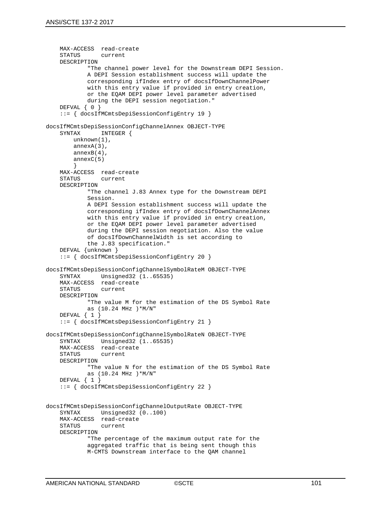```
 MAX-ACCESS read-create
                current
     DESCRIPTION 
             "The channel power level for the Downstream DEPI Session.
             A DEPI Session establishment success will update the 
             corresponding ifIndex entry of docsIfDownChannelPower 
             with this entry value if provided in entry creation, 
             or the EQAM DEPI power level parameter advertised 
             during the DEPI session negotiation."
     DEFVAL { 0 }
     ::= { docsIfMCmtsDepiSessionConfigEntry 19 }
docsIfMCmtsDepiSessionConfigChannelAnnex OBJECT-TYPE
               INTEGER {
         unknown(1),
         annexA(3),
         annexB(4),
         annexC(5)
 }
 MAX-ACCESS read-create
     STATUS current
     DESCRIPTION 
             "The channel J.83 Annex type for the Downstream DEPI 
             Session.
             A DEPI Session establishment success will update the 
             corresponding ifIndex entry of docsIfDownChannelAnnex 
             with this entry value if provided in entry creation,
             or the EQAM DEPI power level parameter advertised 
             during the DEPI session negotiation. Also the value 
             of docsIfDownChannelWidth is set according to
             the J.83 specification."
     DEFVAL {unknown }
     ::= { docsIfMCmtsDepiSessionConfigEntry 20 }
docsIfMCmtsDepiSessionConfigChannelSymbolRateM OBJECT-TYPE<br>SYNTAX Unsigned32 (1..65535)
               Unsigned32 (1..65535) MAX-ACCESS read-create
                current
     DESCRIPTION 
             "The value M for the estimation of the DS Symbol Rate
             as (10.24 MHz )*M/N"
     DEFVAL { 1 }
     ::= { docsIfMCmtsDepiSessionConfigEntry 21 }
docsIfMCmtsDepiSessionConfigChannelSymbolRateN OBJECT-TYPE<br>SYNTAX Unsigned32 (1..65535)
               Unsigned32 (1..65535)
     MAX-ACCESS read-create
               current
     DESCRIPTION 
              "The value N for the estimation of the DS Symbol Rate
             as (10.24 MHz )*M/N"
     DEFVAL { 1 }
     ::= { docsIfMCmtsDepiSessionConfigEntry 22 }
docsIfMCmtsDepiSessionConfigChannelOutputRate OBJECT-TYPE
               Unsigned32 (0..100) MAX-ACCESS read-create
                current
     DESCRIPTION 
             "The percentage of the maximum output rate for the 
             aggregated traffic that is being sent though this 
             M-CMTS Downstream interface to the QAM channel
```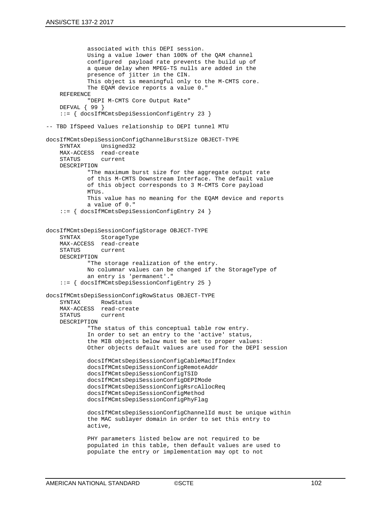```
 associated with this DEPI session.
             Using a value lower than 100% of the QAM channel 
             configured payload rate prevents the build up of
             a queue delay when MPEG-TS nulls are added in the
             presence of jitter in the CIN.
             This object is meaningful only to the M-CMTS core. 
             The EQAM device reports a value 0."
     REFERENCE
             "DEPI M-CMTS Core Output Rate"
     DEFVAL { 99 }
     ::= { docsIfMCmtsDepiSessionConfigEntry 23 }
-- TBD IfSpeed Values relationship to DEPI tunnel MTU
docsIfMCmtsDepiSessionConfigChannelBurstSize OBJECT-TYPE
               Unsigned32
    MAX-ACCESS read-create
               current
    DESCRIPTION 
             "The maximum burst size for the aggregate output rate
             of this M-CMTS Downstream Interface. The default value
             of this object corresponds to 3 M-CMTS Core payload 
             MTUs.
             This value has no meaning for the EQAM device and reports
             a value of 0."
     ::= { docsIfMCmtsDepiSessionConfigEntry 24 }
docsIfMCmtsDepiSessionConfigStorage OBJECT-TYPE
               StorageType
     MAX-ACCESS read-create
                current
    DESCRIPTION 
             "The storage realization of the entry.
             No columnar values can be changed if the StorageType of 
             an entry is 'permanent'."
     ::= { docsIfMCmtsDepiSessionConfigEntry 25 }
docsIfMCmtsDepiSessionConfigRowStatus OBJECT-TYPE
               RowStatus
     MAX-ACCESS read-create
    STATUS
     DESCRIPTION 
             "The status of this conceptual table row entry.
             In order to set an entry to the 'active' status,
             the MIB objects below must be set to proper values:
             Other objects default values are used for the DEPI session
             docsIfMCmtsDepiSessionConfigCableMacIfIndex
             docsIfMCmtsDepiSessionConfigRemoteAddr
             docsIfMCmtsDepiSessionConfigTSID 
             docsIfMCmtsDepiSessionConfigDEPIMode 
             docsIfMCmtsDepiSessionConfigRsrcAllocReq
             docsIfMCmtsDepiSessionConfigMethod
             docsIfMCmtsDepiSessionConfigPhyFlag 
             docsIfMCmtsDepiSessionConfigChannelId must be unique within
             the MAC sublayer domain in order to set this entry to
             active,
             PHY parameters listed below are not required to be 
             populated in this table, then default values are used to 
             populate the entry or implementation may opt to not
```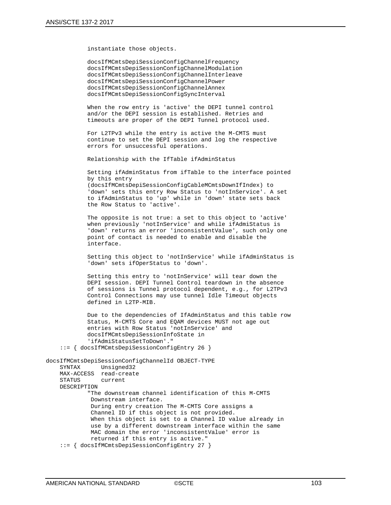instantiate those objects.

 docsIfMCmtsDepiSessionConfigChannelFrequency docsIfMCmtsDepiSessionConfigChannelModulation docsIfMCmtsDepiSessionConfigChannelInterleave docsIfMCmtsDepiSessionConfigChannelPower docsIfMCmtsDepiSessionConfigChannelAnnex docsIfMCmtsDepiSessionConfigSyncInterval

 When the row entry is 'active' the DEPI tunnel control and/or the DEPI session is established. Retries and timeouts are proper of the DEPI Tunnel protocol used.

 For L2TPv3 while the entry is active the M-CMTS must continue to set the DEPI session and log the respective errors for unsuccessful operations.

Relationship with the IfTable ifAdminStatus

 Setting ifAdminStatus from ifTable to the interface pointed by this entry (docsIfMCmtsDepiSessionConfigCableMCmtsDownIfIndex) to 'down' sets this entry Row Status to 'notInService'. A set to ifAdminStatus to 'up' while in 'down' state sets back the Row Status to 'active'.

 The opposite is not true: a set to this object to 'active' when previously 'notInService' and while ifAdmiStatus is 'down' returns an error 'inconsistentValue', such only one point of contact is needed to enable and disable the interface.

 Setting this object to 'notInService' while ifAdminStatus is 'down' sets ifOperStatus to 'down'.

 Setting this entry to 'notInService' will tear down the DEPI session. DEPI Tunnel Control teardown in the absence of sessions is Tunnel protocol dependent, e.g., for L2TPv3 Control Connections may use tunnel Idle Timeout objects defined in L2TP-MIB.

 Due to the dependencies of IfAdminStatus and this table row Status, M-CMTS Core and EQAM devices MUST not age out entries with Row Status 'notInService' and docsIfMCmtsDepiSessionInfoState in 'ifAdmiStatusSetToDown'."

::= { docsIfMCmtsDepiSessionConfigEntry 26 }

docsIfMCmtsDepiSessionConfigChannelId OBJECT-TYPE Unsigned32 MAX-ACCESS read-create current DESCRIPTION "The downstream channel identification of this M-CMTS Downstream interface. During entry creation The M-CMTS Core assigns a Channel ID if this object is not provided. When this object is set to a Channel ID value already in use by a different downstream interface within the same MAC domain the error 'inconsistentValue' error is returned if this entry is active." ::= { docsIfMCmtsDepiSessionConfigEntry 27 }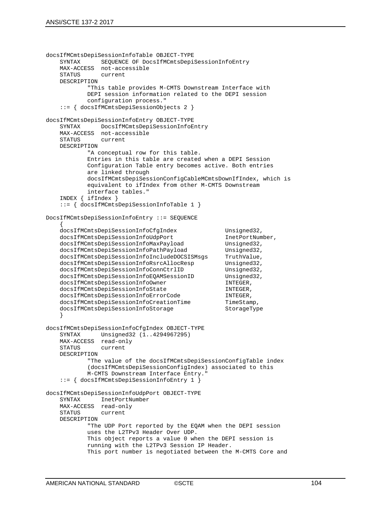```
docsIfMCmtsDepiSessionInfoTable OBJECT-TYPE
                   SEQUENCE OF DocsIfMCmtsDepiSessionInfoEntry
     MAX-ACCESS not-accessible
                   current
     DESCRIPTION
                "This table provides M-CMTS Downstream Interface with 
                DEPI session information related to the DEPI session
                configuration process."
      ::= { docsIfMCmtsDepiSessionObjects 2 }
docsIfMCmtsDepiSessionInfoEntry OBJECT-TYPE
                  DocsIfMCmtsDepiSessionInfoEntry
    MAX-ACCESS not-accessible<br>STATUS current
                   current
      DESCRIPTION
                "A conceptual row for this table.
                Entries in this table are created when a DEPI Session 
                Configuration Table entry becomes active. Both entries
                are linked through 
                docsIfMCmtsDepiSessionConfigCableMCmtsDownIfIndex, which is
                equivalent to ifIndex from other M-CMTS Downstream 
                interface tables."
      INDEX { ifIndex }
      ::= { docsIfMCmtsDepiSessionInfoTable 1 }
DocsIfMCmtsDepiSessionInfoEntry ::= SEQUENCE
\mathcal{L}docsIfMCmtsDepiSessionInfoCfgIndex Unsigned32,<br>docsIfMCmtsDepiSessionInfoUdpPort 1netPortNumber,
    docsIfMCmtsDepiSessionInfoUdpPort 1netPortNum<br>docsIfMCmtsDepiSessionInfoMaxPayload Unsigned32,
    docsIfMCmtsDepiSessionInfoMaxPayload Unsigned32,<br>docsIfMCmtsDepiSessionInfoPathPayload Unsigned32,
    docsIfMCmtsDepiSessionInfoPathPayload Unsigned32,<br>docsIfMCmtsDepiSessionInfoIncludeDOCSISMsqs TruthValue,
    docsIfMCmtsDepiSessionInfoIncludeDOCSISMsgs TruthValue,<br>docsIfMCmtsDepiSessionInfoRsrcAllocResp Unsigned32,
    docsIfMCmtsDepiSessionInfoRsrcAllocResp Unsigned32,<br>docsIfMCmtsDepiSessionInfoConnCtrlID Unsigned32,
    docsIfMCmtsDepiSessionInfoConnCtrlID Unsigned32,<br>docsIfMCmtsDepiSessionInfoEOAMSessionID Unsigned32,
     docsIfMCmtsDepiSessionInfoEQAMSessionID Unsigned<br>docsIfMCmtsDepiSessionInfoOwner TNTEGER
     docsIfMCmtsDepiSessionInfoOwner               INTEGER,<br>docsIfMCmtsDepiSessionInfoState               INTEGER.
      docsIfMCmtsDepiSessionInfoState INTEGER,
     docsIfMCmtsDepiSessionInfoErrorCode INTEGER,<br>docsIfMCmtsDepiSessionInfoCreationTime TimeStamp,
     docsIfMCmtsDepiSessionInfoCreationTime TimeStamp,<br>docsIfMCmtsDepiSessionInfoStorage StorageType
     docsIfMCmtsDepiSessionInfoStorage
 }
docsIfMCmtsDepiSessionInfoCfgIndex OBJECT-TYPE
                  Unsigned32 (1..4294967295)
    MAX-ACCESS read-only<br>STATUS current
                   current
     DESCRIPTION 
                "The value of the docsIfMCmtsDepiSessionConfigTable index
                (docsIfMCmtsDepiSessionConfigIndex) associated to this
                M-CMTS Downstream Interface Entry."
      ::= { docsIfMCmtsDepiSessionInfoEntry 1 }
docsIfMCmtsDepiSessionInfoUdpPort OBJECT-TYPE
                  InetPortNumber
    MAX-ACCESS read-only<br>STATUS current
    STATUS
     DESCRIPTION 
                "The UDP Port reported by the EQAM when the DEPI session 
                uses the L2TPv3 Header Over UDP. 
               This object reports a value 0 when the DEPI session is 
                running with the L2TPv3 Session IP Header.
                This port number is negotiated between the M-CMTS Core and
```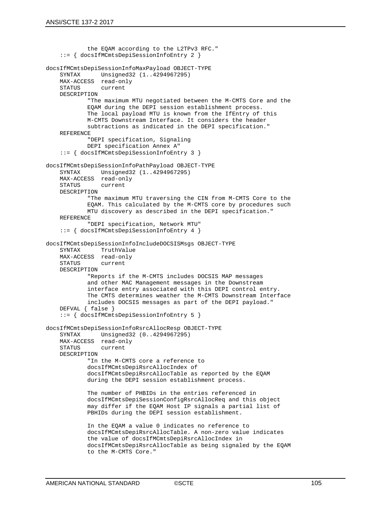```
 the EQAM according to the L2TPv3 RFC."
     ::= { docsIfMCmtsDepiSessionInfoEntry 2 }
docsIfMCmtsDepiSessionInfoMaxPayload OBJECT-TYPE
               Unsigned32 (1..4294967295)
    MAX-ACCESS read-only<br>STATUS current
                current
     DESCRIPTION 
              "The maximum MTU negotiated between the M-CMTS Core and the
             EQAM during the DEPI session establishment process.
             The local payload MTU is known from the IfEntry of this 
             M-CMTS Downstream Interface. It considers the header 
             subtractions as indicated in the DEPI specification."
     REFERENCE
              "DEPI specification, Signaling
             DEPI specification Annex A"
     ::= { docsIfMCmtsDepiSessionInfoEntry 3 }
docsIfMCmtsDepiSessionInfoPathPayload OBJECT-TYPE
                Unsigned32 (1..4294967295)
    MAX-ACCESS read-only<br>STATUS current
                current
     DESCRIPTION 
             "The maximum MTU traversing the CIN from M-CMTS Core to the
             EQAM. This calculated by the M-CMTS core by procedures such
             MTU discovery as described in the DEPI specification."
     REFERENCE
             "DEPI specification, Network MTU"
     ::= { docsIfMCmtsDepiSessionInfoEntry 4 }
docsIfMCmtsDepiSessionInfoIncludeDOCSISMsgs OBJECT-TYPE
                TruthValue
    MAX-ACCESS read-only<br>STATUS current
                current
     DESCRIPTION 
             "Reports if the M-CMTS includes DOCSIS MAP messages 
             and other MAC Management messages in the Downstream
             interface entry associated with this DEPI control entry.
             The CMTS determines weather the M-CMTS Downstream Interface
             includes DOCSIS messages as part of the DEPI payload."
     DEFVAL { false }
     ::= { docsIfMCmtsDepiSessionInfoEntry 5 }
docsIfMCmtsDepiSessionInfoRsrcAllocResp OBJECT-TYPE
               Unsigned32 (0..4294967295)
    MAX-ACCESS read-only<br>STATUS current
                current
     DESCRIPTION 
             "In the M-CMTS core a reference to 
             docsIfMCmtsDepiRsrcAllocIndex of 
             docsIfMCmtsDepiRsrcAllocTable as reported by the EQAM
             during the DEPI session establishment process.
             The number of PHBIDs in the entries referenced in 
             docsIfMCmtsDepiSessionConfigRsrcAllocReq and this object 
             may differ if the EQAM Host IP signals a partial list of
             PBHIDs during the DEPI session establishment.
             In the EQAM a value 0 indicates no reference to 
             docsIfMCmtsDepiRsrcAllocTable. A non-zero value indicates
             the value of docsIfMCmtsDepiRsrcAllocIndex in 
             docsIfMCmtsDepiRsrcAllocTable as being signaled by the EQAM
```
to the M-CMTS Core."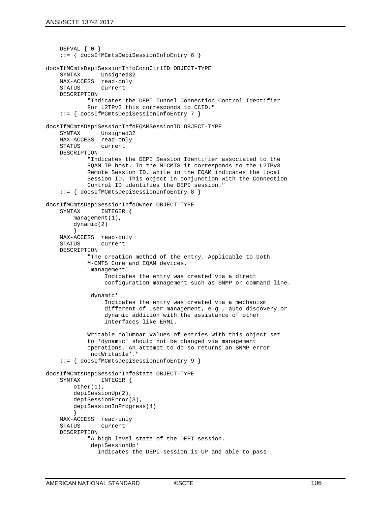```
 DEFVAL { 0 }
     ::= { docsIfMCmtsDepiSessionInfoEntry 6 }
docsIfMCmtsDepiSessionInfoConnCtrlID OBJECT-TYPE
                Unsigned32
    MAX-ACCESS read-only<br>STATUS current
                 current
     DESCRIPTION 
              "Indicates the DEPI Tunnel Connection Control Identifier
              For L2TPv3 this corresponds to CCID."
     ::= { docsIfMCmtsDepiSessionInfoEntry 7 }
docsIfMCmtsDepiSessionInfoEQAMSessionID OBJECT-TYPE
                Unsigned32
    MAX-ACCESS read-only<br>STATUS current
                current
     DESCRIPTION 
              "Indicates the DEPI Session Identifier associated to the 
              EQAM IP host. In the M-CMTS it corresponds to the L2TPv3
              Remote Session ID, while in the EQAM indicates the local 
              Session ID. This object in conjunction with the Connection
              Control ID identifies the DEPI session."
     ::= { docsIfMCmtsDepiSessionInfoEntry 8 }
docsIfMCmtsDepiSessionInfoOwner OBJECT-TYPE
     SYNTAX INTEGER {
         management(1),
         dynamic(2)
 }
    MAX-ACCESS read-only<br>STATUS current
                 current
     DESCRIPTION 
              "The creation method of the entry. Applicable to both 
              M-CMTS Core and EQAM devices.
              'management' 
                   Indicates the entry was created via a direct
                  configuration management such as SNMP or command line.
              'dynamic' 
                   Indicates the entry was created via a mechanism 
                  different of user management, e.g., auto discovery or 
                  dynamic addition with the assistance of other 
                  Interfaces like ERMI.
              Writable columnar values of entries with this object set 
              to 'dynamic' should not be changed via management 
              operations. An attempt to do so returns an SNMP error 
              'notWritable'."
     ::= { docsIfMCmtsDepiSessionInfoEntry 9 }
docsIfMCmtsDepiSessionInfoState OBJECT-TYPE<br>SYNTAX INTEGER {
                 INTEGER {
         other(1),
         depiSessionUp(2),
         depiSessionError(3),
        depiSessionInProgress(4)
 }
    MAX-ACCESS read-only<br>STATUS current
                 current
     DESCRIPTION 
              "A high level state of the DEPI session.
              'depiSessionUp' 
                 Indicates the DEPI session is UP and able to pass
```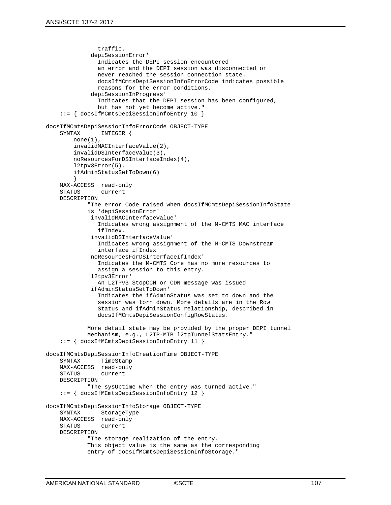```
 traffic.
              'depiSessionError' 
                 Indicates the DEPI session encountered 
                 an error and the DEPI session was disconnected or 
                never reached the session connection state. 
                 docsIfMCmtsDepiSessionInfoErrorCode indicates possible
                 reasons for the error conditions.
              'depiSessionInProgress'
                 Indicates that the DEPI session has been configured, 
                 but has not yet become active."
     ::= { docsIfMCmtsDepiSessionInfoEntry 10 }
docsIfMCmtsDepiSessionInfoErrorCode OBJECT-TYPE<br>SYNTAX INTEGER {
                 INTEGER {
        none(1),
         invalidMACInterfaceValue(2),
         invalidDSInterfaceValue(3),
         noResourcesForDSInterfaceIndex(4),
         l2tpv3Error(5),
         ifAdminStatusSetToDown(6)
 }
 MAX-ACCESS read-only
     STATUS current
     DESCRIPTION 
             "The error Code raised when docsIfMCmtsDepiSessionInfoState
             is 'depiSessionError' 
              'invalidMACInterfaceValue' 
                 Indicates wrong assignment of the M-CMTS MAC interface
                 ifIndex.
              'invalidDSInterfaceValue' 
                 Indicates wrong assignment of the M-CMTS Downstream 
                 interface ifIndex
              'noResourcesForDSInterfaceIfIndex' 
                 Indicates the M-CMTS Core has no more resources to
                 assign a session to this entry.
              'l2tpv3Error'
                 An L2TPv3 StopCCN or CDN message was issued 
              'ifAdminStatusSetToDown'
                 Indicates the ifAdminStatus was set to down and the
                 session was torn down. More details are in the Row 
                 Status and ifAdminStatus relationship, described in 
                docsIfMCmtsDepiSessionConfigRowStatus.
             More detail state may be provided by the proper DEPI tunnel
             Mechanism, e.g., L2TP-MIB l2tpTunnelStatsEntry."
     ::= { docsIfMCmtsDepiSessionInfoEntry 11 }
docsIfMCmtsDepiSessionInfoCreationTime OBJECT-TYPE
                TimeStamp
    MAX-ACCESS read-only<br>STATUS current
                 current
     DESCRIPTION 
              "The sysUptime when the entry was turned active."
     ::= { docsIfMCmtsDepiSessionInfoEntry 12 }
docsIfMCmtsDepiSessionInfoStorage OBJECT-TYPE
               StorageType
    MAX-ACCESS read-only<br>STATUS current
                 current
     DESCRIPTION 
             "The storage realization of the entry.
             This object value is the same as the corresponding
             entry of docsIfMCmtsDepiSessionInfoStorage."
```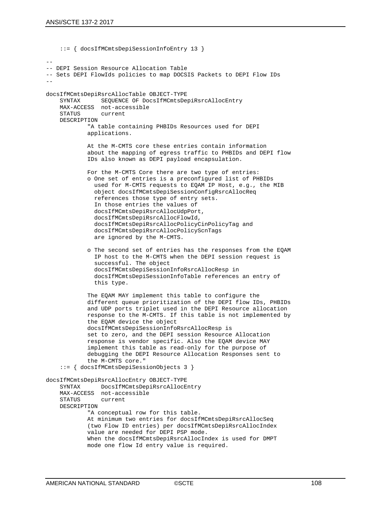```
 ::= { docsIfMCmtsDepiSessionInfoEntry 13 }
--
-- DEPI Session Resource Allocation Table 
-- Sets DEPI FlowIds policies to map DOCSIS Packets to DEPI Flow IDs
--
docsIfMCmtsDepiRsrcAllocTable OBJECT-TYPE
                SEQUENCE OF DocsIfMCmtsDepiRsrcAllocEntry
     MAX-ACCESS not-accessible
                current
     DESCRIPTION
             "A table containing PHBIDs Resources used for DEPI 
             applications.
             At the M-CMTS core these entries contain information
             about the mapping of egress traffic to PHBIDs and DEPI flow
             IDs also known as DEPI payload encapsulation.
             For the M-CMTS Core there are two type of entries:
             o One set of entries is a preconfigured list of PHBIDs 
               used for M-CMTS requests to EQAM IP Host, e.g., the MIB 
               object docsIfMCmtsDepiSessionConfigRsrcAllocReq
               references those type of entry sets.
               In those entries the values of 
               docsIfMCmtsDepiRsrcAllocUdpPort, 
               docsIfMCmtsDepiRsrcAllocFlowId, 
               docsIfMCmtsDepiRsrcAllocPolicyCinPolicyTag and
               docsIfMCmtsDepiRsrcAllocPolicyScnTags
               are ignored by the M-CMTS.
             o The second set of entries has the responses from the EQAM
               IP host to the M-CMTS when the DEPI session request is
               successful. The object 
               docsIfMCmtsDepiSessionInfoRsrcAllocResp in 
               docsIfMCmtsDepiSessionInfoTable references an entry of
               this type.
             The EQAM MAY implement this table to configure the 
             different queue prioritization of the DEPI flow IDs, PHBIDs
             and UDP ports triplet used in the DEPI Resource allocation
             response to the M-CMTS. If this table is not implemented by
             the EQAM device the object 
             docsIfMCmtsDepiSessionInfoRsrcAllocResp is
             set to zero, and the DEPI session Resource Allocation 
             response is vendor specific. Also the EQAM device MAY 
             implement this table as read-only for the purpose of 
             debugging the DEPI Resource Allocation Responses sent to
             the M-CMTS core."
     ::= { docsIfMCmtsDepiSessionObjects 3 }
docsIfMCmtsDepiRsrcAllocEntry OBJECT-TYPE
     SYNTAX DocsIfMCmtsDepiRsrcAllocEntry
     MAX-ACCESS not-accessible
                current
     DESCRIPTION
             "A conceptual row for this table.
             At minimum two entries for docsIfMCmtsDepiRsrcAllocSeq 
             (two Flow ID entries) per docsIfMCmtsDepiRsrcAllocIndex 
             value are needed for DEPI PSP mode.
             When the docsIfMCmtsDepiRsrcAllocIndex is used for DMPT 
             mode one flow Id entry value is required.
```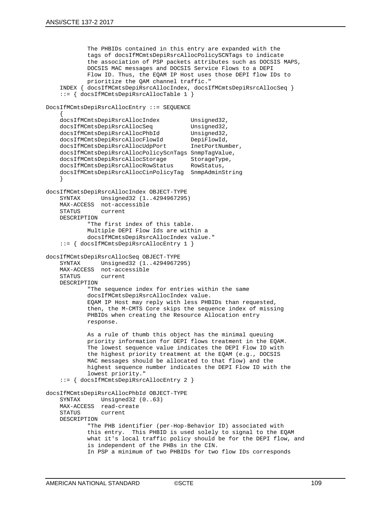```
 The PHBIDs contained in this entry are expanded with the 
              tags of docsIfMCmtsDepiRsrcAllocPolicySCNTags to indicate 
              the association of PSP packets attributes such as DOCSIS MAPS, 
              DOCSIS MAC messages and DOCSIS Service Flows to a DEPI 
              Flow ID. Thus, the EQAM IP Host uses those DEPI flow IDs to 
              prioritize the QAM channel traffic."
     INDEX { docsIfMCmtsDepiRsrcAllocIndex, docsIfMCmtsDepiRsrcAllocSeq }
     ::= { docsIfMCmtsDepiRsrcAllocTable 1 }
DocsIfMCmtsDepiRsrcAllocEntry ::= SEQUENCE
\mathcal{L}docsIfMCmtsDepiRsrcAllocIndex Unsigned32,<br>docsIfMCmtsDepiRsrcAllocSeq Unsigned32,
    docsIfMCmtsDepiRsrcAllocSeq Unsigned32,<br>docsIfMCmtsDepiRsrcAllocPhbId Unsigned32,
    docsIfMCmtsDepiRsrcAllocPhbId Unsigned32,<br>docsIfMCmtsDepiRsrcAllocFlowId DepiFlowId,
    docsIfMCmtsDepiRsrcAllocFlowId DepiFlowId,<br>docsIfMCmtsDepiRsrcAllocUdpPort InetPortNumber,
    docsIfMCmtsDepiRsrcAllocUdpPort
     docsIfMCmtsDepiRsrcAllocPolicyScnTags SnmpTagValue,
    docsIfMCmtsDepiRsrcAllocStorage StorageType<br>docsIfMCmtsDepiRsrcAllocRowStatus RowStatus.
    docsIfMCmtsDepiRsrcAllocRowStatus
     docsIfMCmtsDepiRsrcAllocCinPolicyTag SnmpAdminString
     }
docsIfMCmtsDepiRsrcAllocIndex OBJECT-TYPE
                 Unsigned32 (1..4294967295)
     MAX-ACCESS not-accessible
     STATUS current
     DESCRIPTION 
              "The first index of this table.
              Multiple DEPI Flow Ids are within a 
              docsIfMCmtsDepiRsrcAllocIndex value."
     ::= { docsIfMCmtsDepiRsrcAllocEntry 1 }
docsIfMCmtsDepiRsrcAllocSeq OBJECT-TYPE
                Unsigned32 (1..4294967295)
    MAX-ACCESS not-accessible<br>STATUS current
    STATUS
     DESCRIPTION 
              "The sequence index for entries within the same 
              docsIfMCmtsDepiRsrcAllocIndex value.
              EQAM IP Host may reply with less PHBIDs than requested, 
              then, the M-CMTS Core skips the sequence index of missing
              PHBIDs when creating the Resource Allocation entry 
              response.
              As a rule of thumb this object has the minimal queuing 
              priority information for DEPI flows treatment in the EQAM.
              The lowest sequence value indicates the DEPI Flow ID with 
              the highest priority treatment at the EQAM (e.g., DOCSIS 
              MAC messages should be allocated to that flow) and the 
              highest sequence number indicates the DEPI Flow ID with the
              lowest priority." 
     ::= { docsIfMCmtsDepiRsrcAllocEntry 2 }
docsIfMCmtsDepiRsrcAllocPhbId OBJECT-TYPE
                Unsigned32 (0..63)MAX-ACCESS read-create<br>STATUS current
    STATUS
     DESCRIPTION 
              "The PHB identifier (per-Hop-Behavior ID) associated with 
              this entry. This PHBID is used solely to signal to the EQAM
              what it's local traffic policy should be for the DEPI flow, and
              is independent of the PHBs in the CIN. 
              In PSP a minimum of two PHBIDs for two flow IDs corresponds
```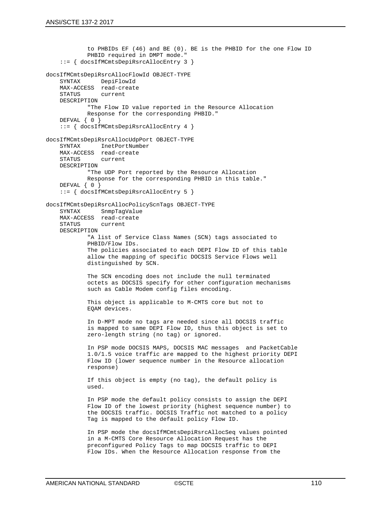```
 to PHBIDs EF (46) and BE (0). BE is the PHBID for the one Flow ID 
             PHBID required in DMPT mode."
     ::= { docsIfMCmtsDepiRsrcAllocEntry 3 }
docsIfMCmtsDepiRsrcAllocFlowId OBJECT-TYPE
               DepiFlowId
    MAX-ACCESS read-create<br>STATUS current
                current
     DESCRIPTION 
             "The Flow ID value reported in the Resource Allocation
             Response for the corresponding PHBID."
     DEFVAL { 0 }
     ::= { docsIfMCmtsDepiRsrcAllocEntry 4 }
docsIfMCmtsDepiRsrcAllocUdpPort OBJECT-TYPE
               InetPortNumber
     MAX-ACCESS read-create
               current
    DESCRIPTION 
             "The UDP Port reported by the Resource Allocation
             Response for the corresponding PHBID in this table."
     DEFVAL { 0 }
     ::= { docsIfMCmtsDepiRsrcAllocEntry 5 }
docsIfMCmtsDepiRsrcAllocPolicyScnTags OBJECT-TYPE
     SYNTAX SnmpTagValue
    MAX-ACCESS read-create
                current
     DESCRIPTION 
             "A list of Service Class Names (SCN) tags associated to 
             PHBID/Flow IDs.
             The policies associated to each DEPI Flow ID of this table
             allow the mapping of specific DOCSIS Service Flows well
             distinguished by SCN.
             The SCN encoding does not include the null terminated 
             octets as DOCSIS specify for other configuration mechanisms
             such as Cable Modem config files encoding.
             This object is applicable to M-CMTS core but not to 
             EQAM devices.
             In D-MPT mode no tags are needed since all DOCSIS traffic
             is mapped to same DEPI Flow ID, thus this object is set to
             zero-length string (no tag) or ignored.
             In PSP mode DOCSIS MAPS, DOCSIS MAC messages and PacketCable 
             1.0/1.5 voice traffic are mapped to the highest priority DEPI 
             Flow ID (lower sequence number in the Resource allocation
             response)
             If this object is empty (no tag), the default policy is 
             used. 
             In PSP mode the default policy consists to assign the DEPI 
             Flow ID of the lowest priority (highest sequence number) to
             the DOCSIS traffic. DOCSIS Traffic not matched to a policy 
             Tag is mapped to the default policy Flow ID.
             In PSP mode the docsIfMCmtsDepiRsrcAllocSeq values pointed 
             in a M-CMTS Core Resource Allocation Request has the 
             preconfigured Policy Tags to map DOCSIS traffic to DEPI 
             Flow IDs. When the Resource Allocation response from the
```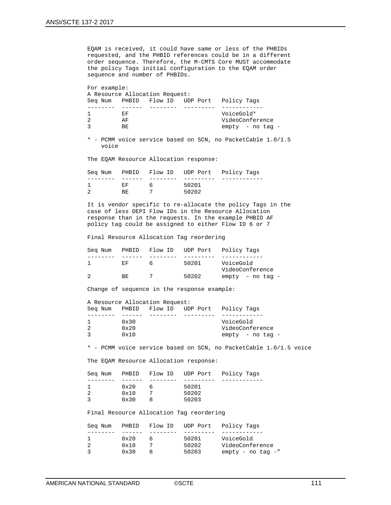EQAM is received, it could have same or less of the PHBIDs requested, and the PHBID references could be in a different order sequence. Therefore, the M-CMTS Core MUST accommodate the policy Tags initial configuration to the EQAM order sequence and number of PHBIDs. For example: A Resource Allocation Request: Seq Num PHBID Flow ID UDP Port Policy Tags -------- ------ -------- --------- ------------ 1 EF VoiceGold\*<br>2 AF VideoConfe: 2 AF VideoConference<br>3 BE RE Sempty - no tag empty - no tag - \* - PCMM voice service based on SCN, no PacketCable 1.0/1.5 voice The EQAM Resource Allocation response: Seq Num PHBID Flow ID UDP Port Policy Tags -------- ------ -------- --------- ------------ 1 EF 6 50201<br>2 BE 7 50202 2 BE 7 50202 It is vendor specific to re-allocate the policy Tags in the case of less DEPI Flow IDs in the Resource Allocation response than in the requests. In the example PHBID AF policy tag could be assigned to either Flow ID 6 or 7 Final Resource Allocation Tag reordering Seq Num PHBID Flow ID UDP Port Policy Tags -------- ------ -------- --------- ------------ VoiceGold VideoConference<br>2 BE 7 50202 empty - no tag empty - no tag - Change of sequence in the response example: A Resource Allocation Request: Seq Num PHBID Flow ID UDP Port Policy Tags -------- ------ -------- --------- ------------ 1 0x30 VoiceGold 2 0x20 1 0x20 2 0x20 2 0x10 2 0x10 2 0x10 2 0x10 2 0x10 2 0x10 2 0x10 2 0x10 2 0x10 2 0x10 2 0x10 2 0x10 2 0x10 2 0x10 2 0x10 2 0x10 2 0x10 2 0x10 2 0x10 2 0x10 2 0x10 2 0x10 2 0x10 2 0x10 2 0x10 2 0x10 2 0x10 2 0x10 2 0x1 empty - no tag - \* - PCMM voice service based on SCN, no PacketCable 1.0/1.5 voice The EQAM Resource Allocation response: Seq Num PHBID Flow ID UDP Port Policy Tags -------- ------ -------- --------- ------------  $\frac{1}{2}$   $\frac{0 \times 20}{0 \times 10}$  5 2  $0 \times 10$  7 50202<br>3  $0 \times 30$  8 50203 3 0x30 8 50203 Final Resource Allocation Tag reordering Seq Num PHBID Flow ID UDP Port Policy Tags -------- ------ -------- --------- ------------ 1 0x20 6 50201 VoiceGold 2 0x10 7 50202 VideoConference 3 0x30 8 50203 empty - no tag -"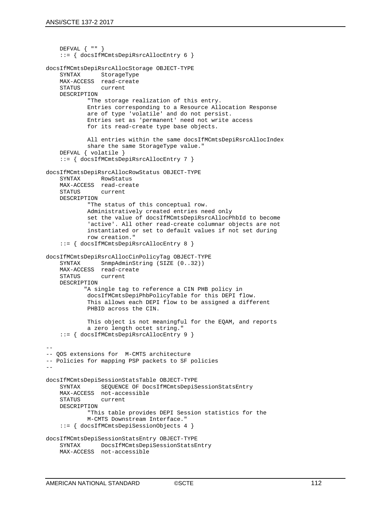```
 DEFVAL { "" }
     ::= { docsIfMCmtsDepiRsrcAllocEntry 6 }
docsIfMCmtsDepiRsrcAllocStorage OBJECT-TYPE
               StorageType
    MAX-ACCESS read-create<br>STATUS current
                current
     DESCRIPTION 
             "The storage realization of this entry.
             Entries corresponding to a Resource Allocation Response
             are of type 'volatile' and do not persist.
             Entries set as 'permanent' need not write access
             for its read-create type base objects.
             All entries within the same docsIfMCmtsDepiRsrcAllocIndex
             share the same StorageType value."
     DEFVAL { volatile }
     ::= { docsIfMCmtsDepiRsrcAllocEntry 7 }
docsIfMCmtsDepiRsrcAllocRowStatus OBJECT-TYPE
            RowStatus
     MAX-ACCESS read-create
                current
    DESCRIPTION 
             "The status of this conceptual row.
             Administratively created entries need only 
             set the value of docsIfMCmtsDepiRsrcAllocPhbId to become
             'active'. All other read-create columnar objects are not
             instantiated or set to default values if not set during 
             row creation."
     ::= { docsIfMCmtsDepiRsrcAllocEntry 8 }
docsIfMCmtsDepiRsrcAllocCinPolicyTag OBJECT-TYPE
              SnmpAdminString (SIZE (0..32))
     MAX-ACCESS read-create
                current
     DESCRIPTION 
            "A single tag to reference a CIN PHB policy in 
             docsIfMCmtsDepiPhbPolicyTable for this DEPI flow.
             This allows each DEPI flow to be assigned a different
             PHBID across the CIN.
             This object is not meaningful for the EQAM, and reports
             a zero length octet string."
     ::= { docsIfMCmtsDepiRsrcAllocEntry 9 }
--
-- QOS extensions for M-CMTS architecture
-- Policies for mapping PSP packets to SF policies
--
docsIfMCmtsDepiSessionStatsTable OBJECT-TYPE
                SEQUENCE OF DocsIfMCmtsDepiSessionStatsEntry
   MAX-ACCESS not-accessible<br>STATUS current
                current
    DESCRIPTION
             "This table provides DEPI Session statistics for the 
             M-CMTS Downstream Interface."
     ::= { docsIfMCmtsDepiSessionObjects 4 }
docsIfMCmtsDepiSessionStatsEntry OBJECT-TYPE
     SYNTAX DocsIfMCmtsDepiSessionStatsEntry
     MAX-ACCESS not-accessible
```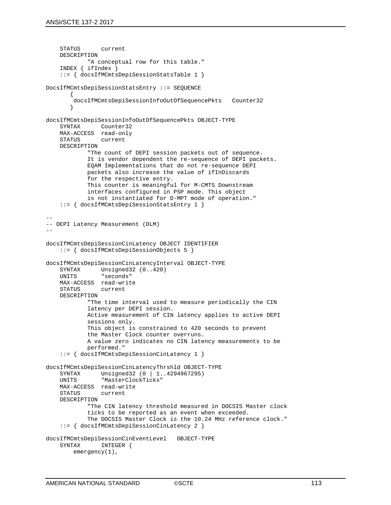```
 STATUS current
     DESCRIPTION
             "A conceptual row for this table."
     INDEX { ifIndex }
     ::= { docsIfMCmtsDepiSessionStatsTable 1 }
DocsIfMCmtsDepiSessionStatsEntry ::= SEQUENCE
\sim docsIfMCmtsDepiSessionInfoOutOfSequencePkts Counter32
 }
docsIfMCmtsDepiSessionInfoOutOfSequencePkts OBJECT-TYPE
               Counter32
    MAX-ACCESS read-only<br>STATUS current
                current
     DESCRIPTION 
             "The count of DEPI session packets out of sequence.
             It is vendor dependent the re-sequence of DEPI packets.
             EQAM Implementations that do not re-sequence DEPI 
             packets also increase the value of ifInDiscards 
             for the respective entry.
             This counter is meaningful for M-CMTS Downstream
             interfaces configured in PSP mode. This object 
             is not instantiated for D-MPT mode of operation."
     ::= { docsIfMCmtsDepiSessionStatsEntry 1 }
--
-- DEPI Latency Measurement (DLM)
--
docsIfMCmtsDepiSessionCinLatency OBJECT IDENTIFIER 
     ::= { docsIfMCmtsDepiSessionObjects 5 }
docsIfMCmtsDepiSessionCinLatencyInterval OBJECT-TYPE
    SYNTAX Unsigned32 (0..420)<br>UNITS "seconds"
                 "seconds"
     MAX-ACCESS read-write
                 current.
     DESCRIPTION 
             "The time interval used to measure periodically the CIN
             latency per DEPI session.
             Active measurement of CIN latency applies to active DEPI
             sessions only.
             This object is constrained to 420 seconds to prevent 
             the Master Clock counter overruns.
             A value zero indicates no CIN latency measurements to be
             performed."
     ::= { docsIfMCmtsDepiSessionCinLatency 1 }
docsIfMCmtsDepiSessionCinLatencyThrshld OBJECT-TYPE<br>SYNTAX Unsigned32 (0 1 1 4294967295)
    SYNTAX Unsigned32 (0 | 1..4294967295)<br>UNITS "MasterClockTicks"
                 "MasterClockTicks"
     MAX-ACCESS read-write
                 current
     DESCRIPTION 
              "The CIN latency threshold measured in DOCSIS Master clock
             ticks to be reported as an event when exceeded.
             The DOCSIS Master Clock is the 10.24 MHz reference clock."
     ::= { docsIfMCmtsDepiSessionCinLatency 2 }
docsIfMCmtsDepiSessionCinEventLevel OBJECT-TYPE
     SYNTAX INTEGER {
         emergency(1),
```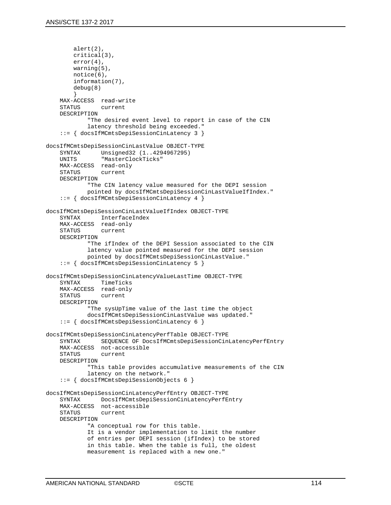```
 alert(2),
         critical(3),
         error(4),
         warning(5),
         notice(6),
         information(7),
         debug(8)
 }
    MAX-ACCESS read-write<br>STATUS current
                 current
     DESCRIPTION 
              "The desired event level to report in case of the CIN 
              latency threshold being exceeded."
     ::= { docsIfMCmtsDepiSessionCinLatency 3 }
docsIfMCmtsDepiSessionCinLastValue OBJECT-TYPE
     SYNTAX Unsigned32 (1..4294967295)
                 "MasterClockTicks"
    MAX-ACCESS read-only<br>STATUS current
                current
     DESCRIPTION 
              "The CIN latency value measured for the DEPI session 
              pointed by docsIfMCmtsDepiSessionCinLastValueIfIndex."
     ::= { docsIfMCmtsDepiSessionCinLatency 4 }
docsIfMCmtsDepiSessionCinLastValueIfIndex OBJECT-TYPE
               InterfaceIndex
    MAX-ACCESS read-only<br>STATUS current
                current
     DESCRIPTION 
              "The ifIndex of the DEPI Session associated to the CIN 
              latency value pointed measured for the DEPI session 
              pointed by docsIfMCmtsDepiSessionCinLastValue."
     ::= { docsIfMCmtsDepiSessionCinLatency 5 }
docsIfMCmtsDepiSessionCinLatencyValueLastTime OBJECT-TYPE
               TimeTicks
    MAX-ACCESS read-only<br>STATUS current
                 current
     DESCRIPTION 
              "The sysUpTime value of the last time the object
              docsIfMCmtsDepiSessionCinLastValue was updated."
     ::= { docsIfMCmtsDepiSessionCinLatency 6 }
docsIfMCmtsDepiSessionCinLatencyPerfTable OBJECT-TYPE
                SEQUENCE OF DocsIfMCmtsDepiSessionCinLatencyPerfEntry
    MAX-ACCESS not-accessible<br>STATUS current
                current
     DESCRIPTION
              "This table provides accumulative measurements of the CIN
              latency on the network."
     ::= { docsIfMCmtsDepiSessionObjects 6 }
docsIfMCmtsDepiSessionCinLatencyPerfEntry OBJECT-TYPE
                DocsIfMCmtsDepiSessionCinLatencyPerfEntry
    MAX-ACCESS not-accessible<br>STATUS current
                 current
     DESCRIPTION
              "A conceptual row for this table.
              It is a vendor implementation to limit the number
              of entries per DEPI session (ifIndex) to be stored
              in this table. When the table is full, the oldest
              measurement is replaced with a new one."
```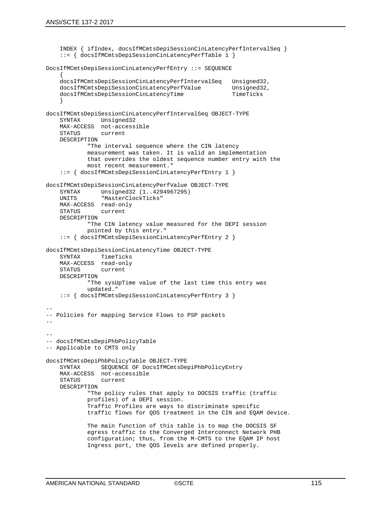```
 INDEX { ifIndex, docsIfMCmtsDepiSessionCinLatencyPerfIntervalSeq }
     ::= { docsIfMCmtsDepiSessionCinLatencyPerfTable 1 }
DocsIfMCmtsDepiSessionCinLatencyPerfEntry ::= SEQUENCE
\mathcal{L} docsIfMCmtsDepiSessionCinLatencyPerfIntervalSeq Unsigned32,
    docsIfMCmtsDepiSessionCinLatencyPerfValue Unsigned3<br>docsIfMCmtsDepiSessionCinLatencyTime TimeTicks
    docsIfMCmtsDepiSessionCinLatencyTime
 }
docsIfMCmtsDepiSessionCinLatencyPerfIntervalSeq OBJECT-TYPE
               Unsigned32
    MAX-ACCESS not-accessible<br>STATUS current
                current
     DESCRIPTION 
             "The interval sequence where the CIN latency 
             measurement was taken. It is valid an implementation
             that overrides the oldest sequence number entry with the
             most recent measurement." 
     ::= { docsIfMCmtsDepiSessionCinLatencyPerfEntry 1 }
docsIfMCmtsDepiSessionCinLatencyPerfValue OBJECT-TYPE
     SYNTAX Unsigned32 (1..4294967295)
                "MasterClockTicks"
     MAX-ACCESS read-only
     STATUS current
     DESCRIPTION 
             "The CIN latency value measured for the DEPI session 
             pointed by this entry."
     ::= { docsIfMCmtsDepiSessionCinLatencyPerfEntry 2 }
docsIfMCmtsDepiSessionCinLatencyTime OBJECT-TYPE
              TimeTicks
    MAX-ACCESS read-only<br>STATUS current
                current
     DESCRIPTION 
              "The sysUpTime value of the last time this entry was 
             updated."
     ::= { docsIfMCmtsDepiSessionCinLatencyPerfEntry 3 }
--
-- Policies for mapping Service Flows to PSP packets
--
--
-- docsIfMCmtsDepiPhbPolicyTable
-- Applicable to CMTS only
docsIfMCmtsDepiPhbPolicyTable OBJECT-TYPE
               SEQUENCE OF DocsIfMCmtsDepiPhbPolicyEntry
     MAX-ACCESS not-accessible
                current
     DESCRIPTION
              "The policy rules that apply to DOCSIS traffic (traffic
             profiles) of a DEPI session.
             Traffic Profiles are ways to discriminate specific
             traffic flows for QOS treatment in the CIN and EQAM device.
             The main function of this table is to map the DOCSIS SF 
             egress traffic to the Converged Interconnect Network PHB
             configuration; thus, from the M-CMTS to the EQAM IP host
             Ingress port, the QOS levels are defined properly.
```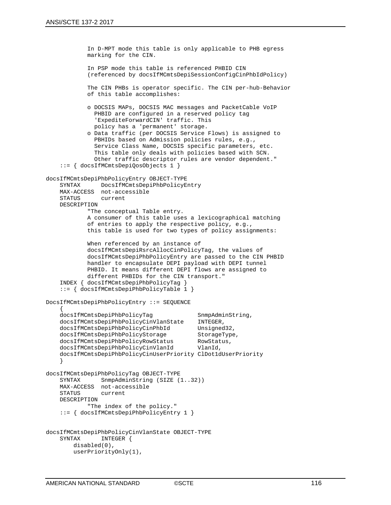```
 In D-MPT mode this table is only applicable to PHB egress 
              marking for the CIN.
              In PSP mode this table is referenced PHBID CIN 
              (referenced by docsIfMCmtsDepiSessionConfigCinPhbIdPolicy)
              The CIN PHBs is operator specific. The CIN per-hub-Behavior
              of this table accomplishes:
              o DOCSIS MAPs, DOCSIS MAC messages and PacketCable VoIP 
                PHBID are configured in a reserved policy tag
                 'ExpediteForwardCIN' traffic. This
                policy has a 'permanent' storage.
              o Data traffic (per DOCSIS Service Flows) is assigned to 
                 PBHIDs based on Admission policies rules, e.g., 
                 Service Class Name, DOCSIS specific parameters, etc.
                 This table only deals with policies based with SCN.
                 Other traffic descriptor rules are vendor dependent."
     ::= { docsIfMCmtsDepiQosObjects 1 }
docsIfMCmtsDepiPhbPolicyEntry OBJECT-TYPE
                 DocsIfMCmtsDepiPhbPolicyEntry
    MAX-ACCESS not-accessible<br>STATUS current
                 current
     DESCRIPTION
              "The conceptual Table entry.
              A consumer of this table uses a lexicographical matching
              of entries to apply the respective policy, e.g., 
              this table is used for two types of policy assignments:
              When referenced by an instance of 
              docsIfMCmtsDepiRsrcAllocCinPolicyTag, the values of
              docsIfMCmtsDepiPhbPolicyEntry are passed to the CIN PHBID
              handler to encapsulate DEPI payload with DEPI tunnel
              PHBID. It means different DEPI flows are assigned to
              different PHBIDs for the CIN transport."
     INDEX { docsIfMCmtsDepiPhbPolicyTag }
     ::= { docsIfMCmtsDepiPhbPolicyTable 1 }
DocsIfMCmtsDepiPhbPolicyEntry ::= SEQUENCE
\mathcal{L}docsIfMCmtsDepiPhbPolicyTag SnmpAdminString,<br>docsIfMCmtsDepiPhbPolicyCinVlanState INTEGER,
    docsIfMCmtsDepiPhbPolicyCinVlanState INTEGER,<br>docsIfMCmtsDepiPhbPolicyCinPhbId Unsigned32,
    docsIfMCmtsDepiPhbPolicyCinPhbId Unsigned32,<br>docsIfMCmtsDepiPhbPolicyStorage StorageType,
    docsIfMCmtsDepiPhbPolicyStorage StorageTyp<br>docsIfMCmtsDepiPhbPolicyRowStatus RowStatus,
    docsIfMCmtsDepiPhbPolicyRowStatus RowStat<br>docsIfMCmtsDepiPhbPolicyCinVlanId VlanId,
    docsIfMCmtsDepiPhbPolicyCinVlanId
     docsIfMCmtsDepiPhbPolicyCinUserPriority ClDot1dUserPriority
 }
docsIfMCmtsDepiPhbPolicyTag OBJECT-TYPE
                  SnmpAdminString (SIZE (1..32))
     MAX-ACCESS not-accessible
                  current
     DESCRIPTION 
              "The index of the policy."
     ::= { docsIfMCmtsDepiPhbPolicyEntry 1 }
docsIfMCmtsDepiPhbPolicyCinVlanState OBJECT-TYPE
                  INTEGER {
         disabled(0),
          userPriorityOnly(1),
```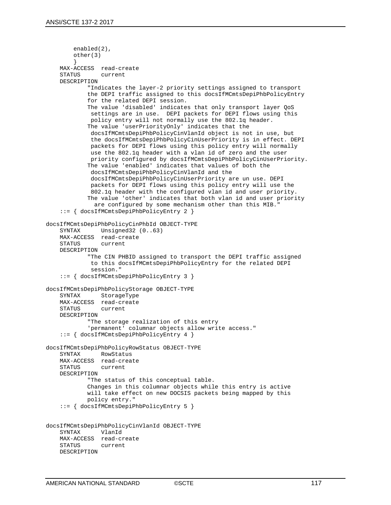```
 enabled(2),
         other(3)
 }
    MAX-ACCESS read-create
                current
    DESCRIPTION 
             "Indicates the layer-2 priority settings assigned to transport
             the DEPI traffic assigned to this docsIfMCmtsDepiPhbPolicyEntry
             for the related DEPI session.
             The value 'disabled' indicates that only transport layer QoS
              settings are in use. DEPI packets for DEPI flows using this
              policy entry will not normally use the 802.1q header.
             The value 'userPriorityOnly' indicates that the
              docsIfMCmtsDepiPhbPolicyCinVlanId object is not in use, but
              the docsIfMCmtsDepiPhbPolicyCinUserPriority is in effect. DEPI
              packets for DEPI flows using this policy entry will normally
              use the 802.1q header with a vlan id of zero and the user
              priority configured by docsIfMCmtsDepiPhbPolicyCinUserPriority.
             The value 'enabled' indicates that values of both the
              docsIfMCmtsDepiPhbPolicyCinVlanId and the
              docsIfMCmtsDepiPhbPolicyCinUserPriority are un use. DEPI
              packets for DEPI flows using this policy entry will use the
              802.1q header with the configured vlan id and user priority.
             The value 'other' indicates that both vlan id and user priority
               are configured by some mechanism other than this MIB."
     ::= { docsIfMCmtsDepiPhbPolicyEntry 2 }
docsIfMCmtsDepiPhbPolicyCinPhbId OBJECT-TYPE
            Unsigned32 (0..63) MAX-ACCESS read-create
               current
    DESCRIPTION 
             "The CIN PHBID assigned to transport the DEPI traffic assigned
              to this docsIfMCmtsDepiPhbPolicyEntry for the related DEPI
              session."
     ::= { docsIfMCmtsDepiPhbPolicyEntry 3 }
docsIfMCmtsDepiPhbPolicyStorage OBJECT-TYPE
               StorageType
    MAX-ACCESS read-create
   STATUS
    DESCRIPTION 
             "The storage realization of this entry
             'permanent' columnar objects allow write access."
     ::= { docsIfMCmtsDepiPhbPolicyEntry 4 }
docsIfMCmtsDepiPhbPolicyRowStatus OBJECT-TYPE
              RowStatus
    MAX-ACCESS read-create
               current
     DESCRIPTION 
             "The status of this conceptual table.
             Changes in this columnar objects while this entry is active
             will take effect on new DOCSIS packets being mapped by this
             policy entry."
     ::= { docsIfMCmtsDepiPhbPolicyEntry 5 }
docsIfMCmtsDepiPhbPolicyCinVlanId OBJECT-TYPE
               VlanId
    MAX-ACCESS read-create
                current
    DESCRIPTION
```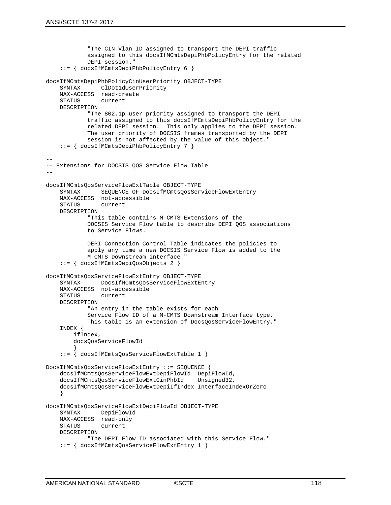```
 "The CIN Vlan ID assigned to transport the DEPI traffic 
             assigned to this docsIfMCmtsDepiPhbPolicyEntry for the related
             DEPI session."
     ::= { docsIfMCmtsDepiPhbPolicyEntry 6 }
docsIfMCmtsDepiPhbPolicyCinUserPriority OBJECT-TYPE
               ClDot1dUserPriority
     MAX-ACCESS read-create
                 current
     DESCRIPTION 
             "The 802.1p user priority assigned to transport the DEPI 
             traffic assigned to this docsIfMCmtsDepiPhbPolicyEntry for the
             related DEPI session. This only applies to the DEPI session.
             The user priority of DOCSIS frames transported by the DEPI
             session is not affected by the value of this object."
     ::= { docsIfMCmtsDepiPhbPolicyEntry 7 }
--
-- Extensions for DOCSIS QOS Service Flow Table
--
docsIfMCmtsQosServiceFlowExtTable OBJECT-TYPE
                SEQUENCE OF DocsIfMCmtsQosServiceFlowExtEntry
     MAX-ACCESS not-accessible
                current
     DESCRIPTION
              "This table contains M-CMTS Extensions of the 
             DOCSIS Service Flow table to describe DEPI QOS associations
             to Service Flows.
             DEPI Connection Control Table indicates the policies to 
             apply any time a new DOCSIS Service Flow is added to the
             M-CMTS Downstream interface."
     ::= { docsIfMCmtsDepiQosObjects 2 }
docsIfMCmtsQosServiceFlowExtEntry OBJECT-TYPE
               DocsIfMCmtsQosServiceFlowExtEntry
    MAX-ACCESS not-accessible<br>STATUS current
                 current.
     DESCRIPTION
             "An entry in the table exists for each
             Service Flow ID of a M-CMTS Downstream Interface type. 
             This table is an extension of DocsQosServiceFlowEntry."
     INDEX {
         ifIndex,
         docsQosServiceFlowId
 }
     ::= { docsIfMCmtsQosServiceFlowExtTable 1 }
DocsIfMCmtsQosServiceFlowExtEntry ::= SEQUENCE
    docsIfMCmtsQosServiceFlowExtDepiFlowId DepiFlowId,<br>docsIfMCmtsQosServiceFlowExtCinPhbId Unsigned32,
    docsIfMCmtsQosServiceFlowExtCinPhbId
     docsIfMCmtsQosServiceFlowExtDepiIfIndex InterfaceIndexOrZero
 }
docsIfMCmtsQosServiceFlowExtDepiFlowId OBJECT-TYPE
               DepiFlowId
    MAX-ACCESS read-only<br>STATUS current
                current
     DESCRIPTION
             "The DEPI Flow ID associated with this Service Flow."
     ::= { docsIfMCmtsQosServiceFlowExtEntry 1 }
```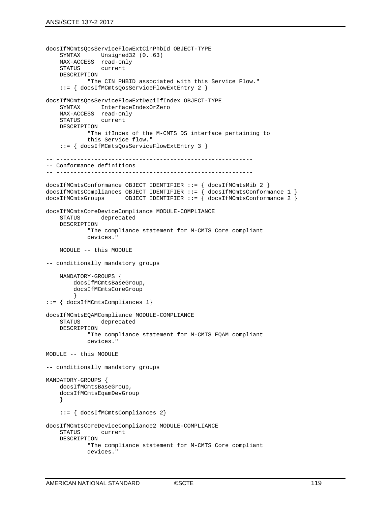```
docsIfMCmtsQosServiceFlowExtCinPhbId OBJECT-TYPE
              Unsigned32 (0..63)
    MAX-ACCESS read-only
    STATUS current
    DESCRIPTION
             "The CIN PHBID associated with this Service Flow."
     ::= { docsIfMCmtsQosServiceFlowExtEntry 2 }
docsIfMCmtsQosServiceFlowExtDepiIfIndex OBJECT-TYPE
               InterfaceIndexOrZero
   MAX-ACCESS read-only<br>STATUS current
   STATUS
    DESCRIPTION
             "The ifIndex of the M-CMTS DS interface pertaining to
             this Service flow."
     ::= { docsIfMCmtsQosServiceFlowExtEntry 3 }
-- ---------------------------------------------------------
-- Conformance definitions 
-- ---------------------------------------------------------
docsIfMCmtsConformance OBJECT IDENTIFIER ::= { docsIfMCmtsMib 2 }
docsIfMCmtsCompliances OBJECT IDENTIFIER ::= { docsIfMCmtsConformance 1 }
docsIfMCmtsGroups OBJECT IDENTIFIER ::= { docsIfMCmtsConformance 2 }
docsIfMCmtsCoreDeviceCompliance MODULE-COMPLIANCE 
              deprecated
    DESCRIPTION 
             "The compliance statement for M-CMTS Core compliant 
             devices."
    MODULE -- this MODULE
-- conditionally mandatory groups
    MANDATORY-GROUPS {
         docsIfMCmtsBaseGroup,
         docsIfMCmtsCoreGroup
 }
::= { docsIfMCmtsCompliances 1}
docsIfMCmtsEQAMCompliance MODULE-COMPLIANCE 
               deprecated
     DESCRIPTION 
             "The compliance statement for M-CMTS EQAM compliant 
             devices."
MODULE -- this MODULE
-- conditionally mandatory groups
MANDATORY-GROUPS {
     docsIfMCmtsBaseGroup,
     docsIfMCmtsEqamDevGroup
     }
     ::= { docsIfMCmtsCompliances 2}
docsIfMCmtsCoreDeviceCompliance2 MODULE-COMPLIANCE 
                current
    DESCRIPTION 
             "The compliance statement for M-CMTS Core compliant 
             devices."
```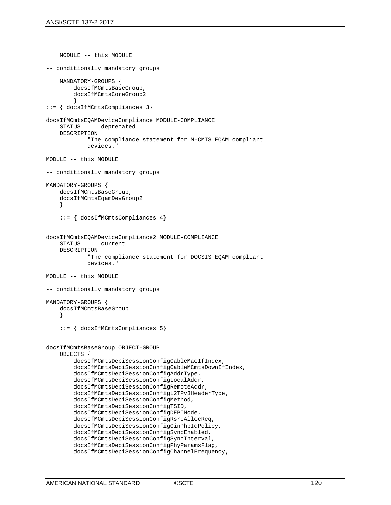```
 MODULE -- this MODULE
-- conditionally mandatory groups
     MANDATORY-GROUPS {
         docsIfMCmtsBaseGroup,
         docsIfMCmtsCoreGroup2
 }
::= { docsIfMCmtsCompliances 3}
docsIfMCmtsEQAMDeviceCompliance MODULE-COMPLIANCE 
               deprecated
     DESCRIPTION 
             "The compliance statement for M-CMTS EQAM compliant 
             devices."
MODULE -- this MODULE
-- conditionally mandatory groups
MANDATORY-GROUPS {
     docsIfMCmtsBaseGroup,
     docsIfMCmtsEqamDevGroup2
 }
     ::= { docsIfMCmtsCompliances 4}
docsIfMCmtsEQAMDeviceCompliance2 MODULE-COMPLIANCE 
    {\tt STATUS} DESCRIPTION 
             "The compliance statement for DOCSIS EQAM compliant 
            devices."
MODULE -- this MODULE
-- conditionally mandatory groups
MANDATORY-GROUPS {
   docsIfMCmtsBaseGroup<br>}
 }
     ::= { docsIfMCmtsCompliances 5}
docsIfMCmtsBaseGroup OBJECT-GROUP
     OBJECTS {
         docsIfMCmtsDepiSessionConfigCableMacIfIndex,
         docsIfMCmtsDepiSessionConfigCableMCmtsDownIfIndex,
         docsIfMCmtsDepiSessionConfigAddrType,
         docsIfMCmtsDepiSessionConfigLocalAddr,
         docsIfMCmtsDepiSessionConfigRemoteAddr,
         docsIfMCmtsDepiSessionConfigL2TPv3HeaderType,
         docsIfMCmtsDepiSessionConfigMethod,
         docsIfMCmtsDepiSessionConfigTSID,
         docsIfMCmtsDepiSessionConfigDEPIMode,
         docsIfMCmtsDepiSessionConfigRsrcAllocReq,
         docsIfMCmtsDepiSessionConfigCinPhbIdPolicy,
         docsIfMCmtsDepiSessionConfigSyncEnabled,
         docsIfMCmtsDepiSessionConfigSyncInterval,
         docsIfMCmtsDepiSessionConfigPhyParamsFlag,
         docsIfMCmtsDepiSessionConfigChannelFrequency,
```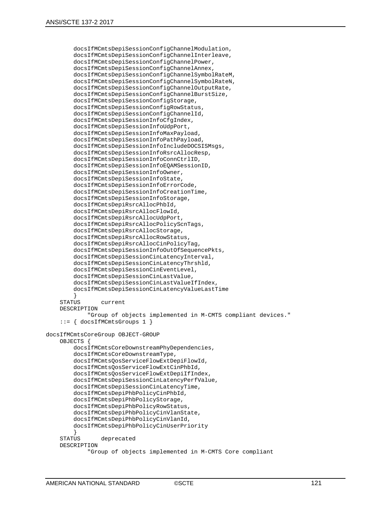```
 docsIfMCmtsDepiSessionConfigChannelModulation,
         docsIfMCmtsDepiSessionConfigChannelInterleave,
         docsIfMCmtsDepiSessionConfigChannelPower,
         docsIfMCmtsDepiSessionConfigChannelAnnex,
         docsIfMCmtsDepiSessionConfigChannelSymbolRateM,
         docsIfMCmtsDepiSessionConfigChannelSymbolRateN,
         docsIfMCmtsDepiSessionConfigChannelOutputRate,
         docsIfMCmtsDepiSessionConfigChannelBurstSize,
         docsIfMCmtsDepiSessionConfigStorage,
         docsIfMCmtsDepiSessionConfigRowStatus,
         docsIfMCmtsDepiSessionConfigChannelId,
         docsIfMCmtsDepiSessionInfoCfgIndex,
         docsIfMCmtsDepiSessionInfoUdpPort,
         docsIfMCmtsDepiSessionInfoMaxPayload,
         docsIfMCmtsDepiSessionInfoPathPayload,
         docsIfMCmtsDepiSessionInfoIncludeDOCSISMsgs,
         docsIfMCmtsDepiSessionInfoRsrcAllocResp,
         docsIfMCmtsDepiSessionInfoConnCtrlID,
         docsIfMCmtsDepiSessionInfoEQAMSessionID,
         docsIfMCmtsDepiSessionInfoOwner,
         docsIfMCmtsDepiSessionInfoState,
         docsIfMCmtsDepiSessionInfoErrorCode,
         docsIfMCmtsDepiSessionInfoCreationTime,
         docsIfMCmtsDepiSessionInfoStorage,
         docsIfMCmtsDepiRsrcAllocPhbId,
         docsIfMCmtsDepiRsrcAllocFlowId,
         docsIfMCmtsDepiRsrcAllocUdpPort,
         docsIfMCmtsDepiRsrcAllocPolicyScnTags,
         docsIfMCmtsDepiRsrcAllocStorage,
         docsIfMCmtsDepiRsrcAllocRowStatus,
         docsIfMCmtsDepiRsrcAllocCinPolicyTag,
         docsIfMCmtsDepiSessionInfoOutOfSequencePkts,
         docsIfMCmtsDepiSessionCinLatencyInterval,
         docsIfMCmtsDepiSessionCinLatencyThrshld,
         docsIfMCmtsDepiSessionCinEventLevel,
         docsIfMCmtsDepiSessionCinLastValue,
         docsIfMCmtsDepiSessionCinLastValueIfIndex,
         docsIfMCmtsDepiSessionCinLatencyValueLastTime
 }
     STATUS current
     DESCRIPTION
             "Group of objects implemented in M-CMTS compliant devices."
     ::= { docsIfMCmtsGroups 1 }
docsIfMCmtsCoreGroup OBJECT-GROUP
     OBJECTS {
         docsIfMCmtsCoreDownstreamPhyDependencies,
         docsIfMCmtsCoreDownstreamType,
         docsIfMCmtsQosServiceFlowExtDepiFlowId,
         docsIfMCmtsQosServiceFlowExtCinPhbId,
         docsIfMCmtsQosServiceFlowExtDepiIfIndex,
         docsIfMCmtsDepiSessionCinLatencyPerfValue,
         docsIfMCmtsDepiSessionCinLatencyTime,
         docsIfMCmtsDepiPhbPolicyCinPhbId,
         docsIfMCmtsDepiPhbPolicyStorage,
         docsIfMCmtsDepiPhbPolicyRowStatus,
         docsIfMCmtsDepiPhbPolicyCinVlanState,
         docsIfMCmtsDepiPhbPolicyCinVlanId,
         docsIfMCmtsDepiPhbPolicyCinUserPriority
 }
     STATUS deprecated
     DESCRIPTION
             "Group of objects implemented in M-CMTS Core compliant
```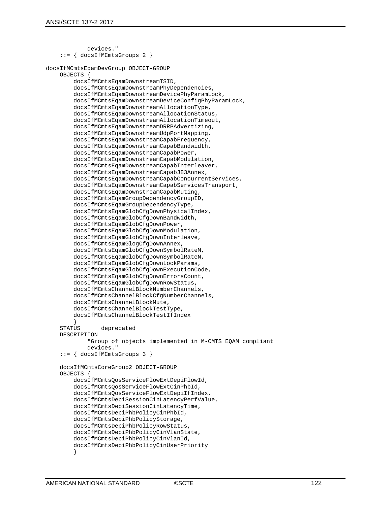```
 devices."
     ::= { docsIfMCmtsGroups 2 }
docsIfMCmtsEqamDevGroup OBJECT-GROUP
     OBJECTS {
         docsIfMCmtsEqamDownstreamTSID,
         docsIfMCmtsEqamDownstreamPhyDependencies,
         docsIfMCmtsEqamDownstreamDevicePhyParamLock,
         docsIfMCmtsEqamDownstreamDeviceConfigPhyParamLock,
         docsIfMCmtsEqamDownstreamAllocationType,
         docsIfMCmtsEqamDownstreamAllocationStatus,
         docsIfMCmtsEqamDownstreamAllocationTimeout,
         docsIfMCmtsEqamDownstreamDRRPAdvertizing,
         docsIfMCmtsEqamDownstreamUdpPortMapping,
         docsIfMCmtsEqamDownstreamCapabFrequency,
         docsIfMCmtsEqamDownstreamCapabBandwidth,
         docsIfMCmtsEqamDownstreamCapabPower,
         docsIfMCmtsEqamDownstreamCapabModulation,
         docsIfMCmtsEqamDownstreamCapabInterleaver,
         docsIfMCmtsEqamDownstreamCapabJ83Annex,
         docsIfMCmtsEqamDownstreamCapabConcurrentServices,
         docsIfMCmtsEqamDownstreamCapabServicesTransport,
         docsIfMCmtsEqamDownstreamCapabMuting,
         docsIfMCmtsEqamGroupDependencyGroupID,
         docsIfMCmtsEqamGroupDependencyType,
         docsIfMCmtsEqamGlobCfgDownPhysicalIndex,
         docsIfMCmtsEqamGlobCfgDownBandwidth,
         docsIfMCmtsEqamGlobCfgDownPower,
         docsIfMCmtsEqamGlobCfgDownModulation,
         docsIfMCmtsEqamGlobCfgDownInterleave,
         docsIfMCmtsEqamGlogCfgDownAnnex,
         docsIfMCmtsEqamGlobCfgDownSymbolRateM,
         docsIfMCmtsEqamGlobCfgDownSymbolRateN,
         docsIfMCmtsEqamGlobCfgDownLockParams,
         docsIfMCmtsEqamGlobCfgDownExecutionCode,
         docsIfMCmtsEqamGlobCfgDownErrorsCount,
         docsIfMCmtsEqamGlobCfgDownRowStatus,
         docsIfMCmtsChannelBlockNumberChannels,
         docsIfMCmtsChannelBlockCfgNumberChannels,
         docsIfMCmtsChannelBlockMute,
         docsIfMCmtsChannelBlockTestType,
         docsIfMCmtsChannelBlockTestIfIndex
 }
     STATUS deprecated
     DESCRIPTION
             "Group of objects implemented in M-CMTS EQAM compliant
             devices."
     ::= { docsIfMCmtsGroups 3 }
     docsIfMCmtsCoreGroup2 OBJECT-GROUP
     OBJECTS {
         docsIfMCmtsQosServiceFlowExtDepiFlowId,
         docsIfMCmtsQosServiceFlowExtCinPhbId,
         docsIfMCmtsQosServiceFlowExtDepiIfIndex,
         docsIfMCmtsDepiSessionCinLatencyPerfValue,
         docsIfMCmtsDepiSessionCinLatencyTime,
         docsIfMCmtsDepiPhbPolicyCinPhbId,
         docsIfMCmtsDepiPhbPolicyStorage,
         docsIfMCmtsDepiPhbPolicyRowStatus,
         docsIfMCmtsDepiPhbPolicyCinVlanState,
         docsIfMCmtsDepiPhbPolicyCinVlanId,
         docsIfMCmtsDepiPhbPolicyCinUserPriority
 }
```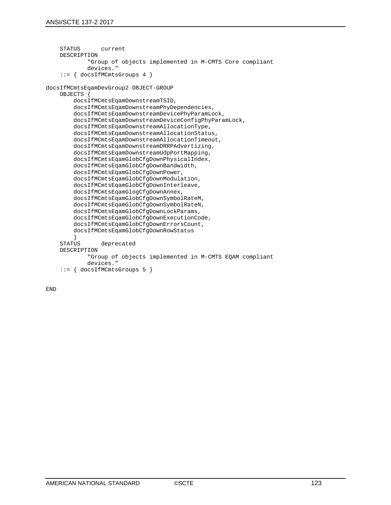```
 STATUS current
     DESCRIPTION
             "Group of objects implemented in M-CMTS Core compliant
             devices."
     ::= { docsIfMCmtsGroups 4 }
docsIfMCmtsEqamDevGroup2 OBJECT-GROUP
     OBJECTS {
         docsIfMCmtsEqamDownstreamTSID,
         docsIfMCmtsEqamDownstreamPhyDependencies,
         docsIfMCmtsEqamDownstreamDevicePhyParamLock,
         docsIfMCmtsEqamDownstreamDeviceConfigPhyParamLock,
         docsIfMCmtsEqamDownstreamAllocationType,
         docsIfMCmtsEqamDownstreamAllocationStatus,
         docsIfMCmtsEqamDownstreamAllocationTimeout,
         docsIfMCmtsEqamDownstreamDRRPAdvertizing,
         docsIfMCmtsEqamDownstreamUdpPortMapping,
         docsIfMCmtsEqamGlobCfgDownPhysicalIndex,
         docsIfMCmtsEqamGlobCfgDownBandwidth,
         docsIfMCmtsEqamGlobCfgDownPower,
         docsIfMCmtsEqamGlobCfgDownModulation,
         docsIfMCmtsEqamGlobCfgDownInterleave,
         docsIfMCmtsEqamGlogCfgDownAnnex,
         docsIfMCmtsEqamGlobCfgDownSymbolRateM,
         docsIfMCmtsEqamGlobCfgDownSymbolRateN,
         docsIfMCmtsEqamGlobCfgDownLockParams,
         docsIfMCmtsEqamGlobCfgDownExecutionCode,
         docsIfMCmtsEqamGlobCfgDownErrorsCount,
         docsIfMCmtsEqamGlobCfgDownRowStatus
 }
     STATUS deprecated
     DESCRIPTION
             "Group of objects implemented in M-CMTS EQAM compliant
             devices."
     ::= { docsIfMCmtsGroups 5 }
```
END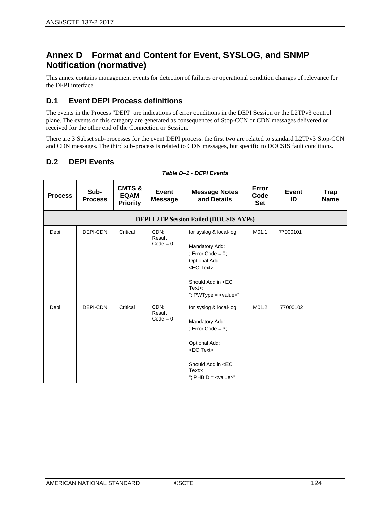# **Annex D Format and Content for Event, SYSLOG, and SNMP Notification (normative)**

This annex contains management events for detection of failures or operational condition changes of relevance for the DEPI interface.

# **D.1 Event DEPI Process definitions**

The events in the Process "DEPI" are indications of error conditions in the DEPI Session or the L2TPv3 control plane. The events on this category are generated as consequences of Stop-CCN or CDN messages delivered or received for the other end of the Connection or Session.

There are 3 Subset sub-processes for the event DEPI process: the first two are related to standard L2TPv3 Stop-CCN and CDN messages. The third sub-process is related to CDN messages, but specific to DOCSIS fault conditions.

# **D.2 DEPI Events**

| <b>Process</b>                                | Sub-<br><b>Process</b> | <b>CMTS &amp;</b><br><b>EQAM</b><br><b>Priority</b> | Event<br><b>Message</b>        | <b>Message Notes</b><br>and Details                                                                                                                                                                     | Error<br>Code<br><b>Set</b> | <b>Event</b><br>ID | Trap<br><b>Name</b> |
|-----------------------------------------------|------------------------|-----------------------------------------------------|--------------------------------|---------------------------------------------------------------------------------------------------------------------------------------------------------------------------------------------------------|-----------------------------|--------------------|---------------------|
| <b>DEPI L2TP Session Failed (DOCSIS AVPs)</b> |                        |                                                     |                                |                                                                                                                                                                                                         |                             |                    |                     |
| Depi                                          | DEPI-CDN               | Critical                                            | CDN;<br>Result<br>$Code = 0$ ; | for syslog & local-log<br>Mandatory Add:<br>; Error Code = $0$ ;<br>Optional Add:<br><ec text=""><br/>Should Add in <ec<br><math>Text</math>:<br/>"; <math>PWType = &lt; value&gt;</math>"</ec<br></ec> | M01.1                       | 77000101           |                     |
| Depi                                          | DEPI-CDN               | Critical                                            | CDN;<br>Result<br>$Code = 0$   | for syslog & local-log<br>Mandatory Add:<br>; Error Code = $3$ ;<br>Optional Add:<br><ec text=""><br/>Should Add in <ec<br><math>Text</math>:<br/>"; <math>PHBID = &lt;</math>value&gt;"</ec<br></ec>   | M01.2                       | 77000102           |                     |

#### *Table D–1 - DEPI Events*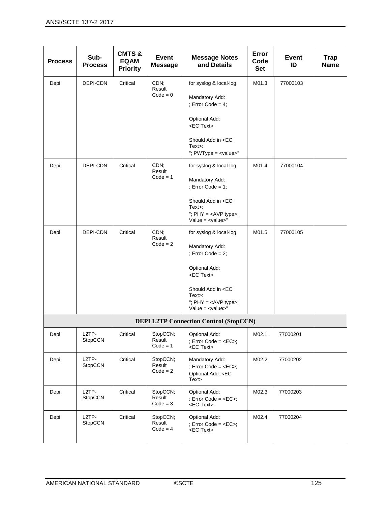| <b>Process</b>                                | Sub-<br><b>Process</b>        | <b>CMTS &amp;</b><br><b>EQAM</b><br><b>Priority</b> | <b>Event</b><br><b>Message</b>   | <b>Message Notes</b><br>and Details                                                                                                                                                                                                                     | Error<br>Code<br><b>Set</b> | <b>Event</b><br>ID | <b>Trap</b><br><b>Name</b> |
|-----------------------------------------------|-------------------------------|-----------------------------------------------------|----------------------------------|---------------------------------------------------------------------------------------------------------------------------------------------------------------------------------------------------------------------------------------------------------|-----------------------------|--------------------|----------------------------|
| Depi                                          | DEPI-CDN                      | Critical                                            | CDN;<br>Result<br>$Code = 0$     | for syslog & local-log<br>Mandatory Add:<br>; Error Code = $4$ ;<br>Optional Add:<br><ec text=""><br/>Should Add in <ec<br><math>Text</math>:<br/>"; <math>PWType = <value></value></math>"</ec<br></ec>                                                | M01.3                       | 77000103           |                            |
| Depi                                          | DEPI-CDN                      | Critical                                            | CDN;<br>Result<br>$Code = 1$     | for syslog & local-log<br>Mandatory Add:<br>; Error Code = $1$ ;<br>Should Add in <ec<br><math>Text</math>:<br/>"; <math>PHY = &lt;</math> AVP type&gt;;<br/>Value = <math>\langle</math>value&gt;"</ec<br>                                             | M01.4                       | 77000104           |                            |
| Depi                                          | DEPI-CDN                      | Critical                                            | CDN;<br>Result<br>$Code = 2$     | for syslog & local-log<br>Mandatory Add:<br>; Error Code = $2$ ;<br>Optional Add:<br><ec text=""><br/>Should Add in <ec<br><math>Text</math>:<br/>"; PHY = <avp type="">;<br/>Value = <math>\langle</math>value<math>\rangle</math>"</avp></ec<br></ec> | M01.5                       | 77000105           |                            |
| <b>DEPI L2TP Connection Control (StopCCN)</b> |                               |                                                     |                                  |                                                                                                                                                                                                                                                         |                             |                    |                            |
| Depi                                          | L <sub>2</sub> TP-<br>StopCCN | Critical                                            | StopCCN;<br>Result<br>$Code = 1$ | Optional Add:<br>; Error Code = $\leq$ EC>;<br><ec text=""></ec>                                                                                                                                                                                        | M02.1                       | 77000201           |                            |
| Depi                                          | L <sub>2</sub> TP-<br>StopCCN | Critical                                            | StopCCN;<br>Result<br>$Code = 2$ | Mandatory Add:<br>; Error Code = <ec>;<br/>Optional Add: <ec<br>Text&gt;</ec<br></ec>                                                                                                                                                                   | M02.2                       | 77000202           |                            |
| Depi                                          | L <sub>2</sub> TP-<br>StopCCN | Critical                                            | StopCCN;<br>Result<br>$Code = 3$ | Optional Add:<br>; Error Code = $\leq$ EC>;<br><ec text=""></ec>                                                                                                                                                                                        | M02.3                       | 77000203           |                            |
| Depi                                          | L <sub>2</sub> TP-<br>StopCCN | Critical                                            | StopCCN;<br>Result<br>$Code = 4$ | Optional Add:<br>; Error Code = $ >;$                                                                                                                                                                                                                   | M02.4                       | 77000204           |                            |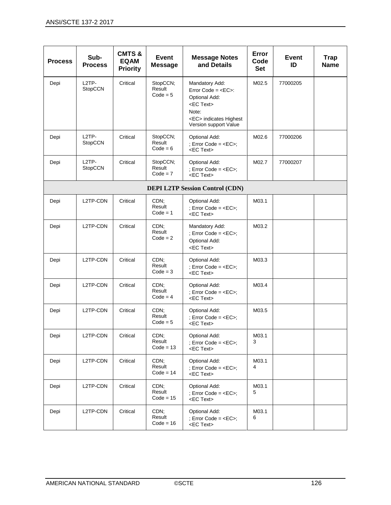| <b>Process</b>                         | Sub-<br><b>Process</b>               | <b>CMTS&amp;</b><br><b>EQAM</b><br><b>Priority</b> | Event<br><b>Message</b>          | <b>Message Notes</b><br>and Details                                                                                                           | Error<br>Code<br><b>Set</b> | <b>Event</b><br>ID | <b>Trap</b><br><b>Name</b> |
|----------------------------------------|--------------------------------------|----------------------------------------------------|----------------------------------|-----------------------------------------------------------------------------------------------------------------------------------------------|-----------------------------|--------------------|----------------------------|
| Depi                                   | L <sub>2</sub> TP-<br>StopCCN        | Critical                                           | StopCCN;<br>Result<br>$Code = 5$ | Mandatory Add:<br>$Error Code = $ :<br>Optional Add:<br><ec text=""><br/>Note:<br/><ec> indicates Highest<br/>Version support Value</ec></ec> | M02.5                       | 77000205           |                            |
| Depi                                   | L <sub>2</sub> TP-<br><b>StopCCN</b> | Critical                                           | StopCCN;<br>Result<br>$Code = 6$ | Optional Add:<br>; Error Code = $\leq$ EC>;<br><ec text=""></ec>                                                                              | M02.6                       | 77000206           |                            |
| Depi                                   | L <sub>2</sub> TP-<br>StopCCN        | Critical                                           | StopCCN;<br>Result<br>$Code = 7$ | Optional Add:<br>; Error Code = $\leq$ EC>;<br><ec text=""></ec>                                                                              | M02.7                       | 77000207           |                            |
| <b>DEPI L2TP Session Control (CDN)</b> |                                      |                                                    |                                  |                                                                                                                                               |                             |                    |                            |
| Depi                                   | L2TP-CDN                             | Critical                                           | CDN:<br>Result<br>$Code = 1$     | Optional Add:<br>; Error Code = $\leq$ EC>;<br><ec text=""></ec>                                                                              | M03.1                       |                    |                            |
| Depi                                   | L2TP-CDN                             | Critical                                           | CDN:<br>Result<br>$Code = 2$     | Mandatory Add:<br>; Error Code = $\leq$ EC>;<br>Optional Add:<br><ec text=""></ec>                                                            | M03.2                       |                    |                            |
| Depi                                   | L2TP-CDN                             | Critical                                           | CDN:<br>Result<br>$Code = 3$     | Optional Add:<br>: Error Code = $E$ C>:<br><ec text=""></ec>                                                                                  | M03.3                       |                    |                            |
| Depi                                   | L2TP-CDN                             | Critical                                           | CDN:<br>Result<br>$Code = 4$     | Optional Add:<br>; Error Code = $\leq$ EC>;<br><ec text=""></ec>                                                                              | M03.4                       |                    |                            |
| Depi                                   | L2TP-CDN                             | Critical                                           | CDN;<br>Result<br>$Code = 5$     | Optional Add:<br>; Error Code = $\leq$ EC>;<br><ec text=""></ec>                                                                              | M03.5                       |                    |                            |
| Depi                                   | L2TP-CDN                             | Critical                                           | CDN;<br>Result<br>$Code = 13$    | Optional Add:<br>; Error Code = $\leq$ EC>;<br><ec text=""></ec>                                                                              | M03.1<br>3                  |                    |                            |
| Depi                                   | L2TP-CDN                             | Critical                                           | CDN;<br>Result<br>$Code = 14$    | Optional Add:<br>; Error Code = $\leq$ EC>;<br><ec text=""></ec>                                                                              | M03.1<br>4                  |                    |                            |
| Depi                                   | L2TP-CDN                             | Critical                                           | CDN;<br>Result<br>$Code = 15$    | Optional Add:<br>; Error Code = $\leq$ EC>;<br><ec text=""></ec>                                                                              | M03.1<br>5                  |                    |                            |
| Depi                                   | L2TP-CDN                             | Critical                                           | CDN;<br>Result<br>$Code = 16$    | Optional Add:<br>; Error Code = $\leq$ EC>;<br><ec text=""></ec>                                                                              | M03.1<br>6                  |                    |                            |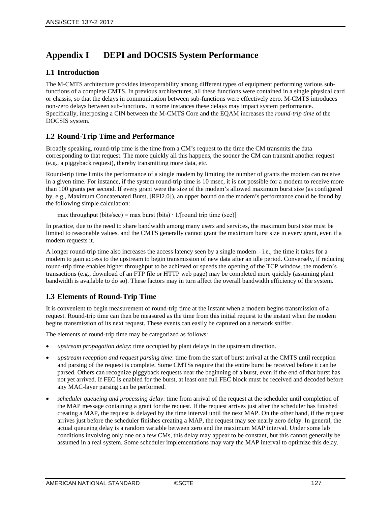# **Appendix I DEPI and DOCSIS System Performance**

## **I.1 Introduction**

The M-CMTS architecture provides interoperability among different types of equipment performing various subfunctions of a complete CMTS. In previous architectures, all these functions were contained in a single physical card or chassis, so that the delays in communication between sub-functions were effectively zero. M-CMTS introduces non-zero delays between sub-functions. In some instances these delays may impact system performance. Specifically, interposing a CIN between the M-CMTS Core and the EQAM increases the *round-trip time* of the DOCSIS system.

## **I.2 Round-Trip Time and Performance**

Broadly speaking, round-trip time is the time from a CM's request to the time the CM transmits the data corresponding to that request. The more quickly all this happens, the sooner the CM can transmit another request (e.g., a piggyback request), thereby transmitting more data, etc.

Round-trip time limits the performance of a single modem by limiting the number of grants the modem can receive in a given time. For instance, if the system round-trip time is 10 msec, it is not possible for a modem to receive more than 100 grants per second. If every grant were the size of the modem's allowed maximum burst size (as configured by, e.g., Maximum Concatenated Burst, [\[RFI2.0\]\)](#page-9-0), an upper bound on the modem's performance could be found by the following simple calculation:

```
max throughput (bits/sec) = max burst (bits) \cdot 1/[round trip time (sec)]
```
In practice, due to the need to share bandwidth among many users and services, the maximum burst size must be limited to reasonable values, and the CMTS generally cannot grant the maximum burst size in every grant, even if a modem requests it.

A longer round-trip time also increases the access latency seen by a single modem – i.e., the time it takes for a modem to gain access to the upstream to begin transmission of new data after an idle period. Conversely, if reducing round-trip time enables higher throughput to be achieved or speeds the opening of the TCP window, the modem's transactions (e.g., download of an FTP file or HTTP web page) may be completed more quickly (assuming plant bandwidth is available to do so). These factors may in turn affect the overall bandwidth efficiency of the system.

# <span id="page-126-0"></span>**I.3 Elements of Round-Trip Time**

It is convenient to begin measurement of round-trip time at the instant when a modem begins transmission of a request. Round-trip time can then be measured as the time from this initial request to the instant when the modem begins transmission of its next request. These events can easily be captured on a network sniffer.

The elements of round-trip time may be categorized as follows:

- upstream propagation delay: time occupied by plant delays in the upstream direction.
- *upstream reception and request parsing time*: time from the start of burst arrival at the CMTS until reception and parsing of the request is complete. Some CMTSs require that the entire burst be received before it can be parsed. Others can recognize piggyback requests near the beginning of a burst, even if the end of that burst has not yet arrived. If FEC is enabled for the burst, at least one full FEC block must be received and decoded before any MAC-layer parsing can be performed.
- *scheduler queueing and processing delay*: time from arrival of the request at the scheduler until completion of the MAP message containing a grant for the request. If the request arrives just after the scheduler has finished creating a MAP, the request is delayed by the time interval until the next MAP. On the other hand, if the request arrives just before the scheduler finishes creating a MAP, the request may see nearly zero delay. In general, the actual queueing delay is a random variable between zero and the maximum MAP interval. Under some lab conditions involving only one or a few CMs, this delay may appear to be constant, but this cannot generally be assumed in a real system. Some scheduler implementations may vary the MAP interval to optimize this delay.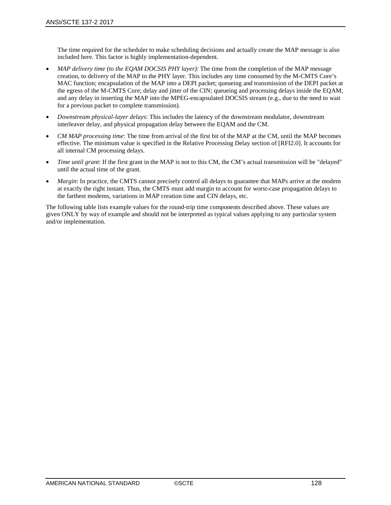The time required for the scheduler to make scheduling decisions and actually create the MAP message is also included here. This factor is highly implementation-dependent.

- *MAP delivery time (to the EQAM DOCSIS PHY layer)*: The time from the completion of the MAP message creation, to delivery of the MAP to the PHY layer. This includes any time consumed by the M-CMTS Core's MAC function; encapsulation of the MAP into a DEPI packet; queueing and transmission of the DEPI packet at the egress of the M-CMTS Core; delay and jitter of the CIN; queueing and processing delays inside the EQAM; and any delay in inserting the MAP into the MPEG-encapsulated DOCSIS stream (e.g., due to the need to wait for a previous packet to complete transmission).
- *Downstream physical-layer delays*: This includes the latency of the downstream modulator, downstream interleaver delay, and physical propagation delay between the EQAM and the CM.
- *CM MAP processing time*: The time from arrival of the first bit of the MAP at the CM, until the MAP becomes effective. The minimum value is specified in the Relative Processing Delay section of [\[RFI2.0\].](#page-9-0) It accounts for all internal CM processing delays.
- *Time until grant*: If the first grant in the MAP is not to this CM, the CM's actual transmission will be "delayed" until the actual time of the grant.
- *Margin*: In practice, the CMTS cannot precisely control all delays to guarantee that MAPs arrive at the modem at exactly the right instant. Thus, the CMTS must add margin to account for worst-case propagation delays to the farthest modems, variations in MAP creation time and CIN delays, etc.

The following table lists example values for the round-trip time components described above. These values are given ONLY by way of example and should not be interpreted as typical values applying to any particular system and/or implementation.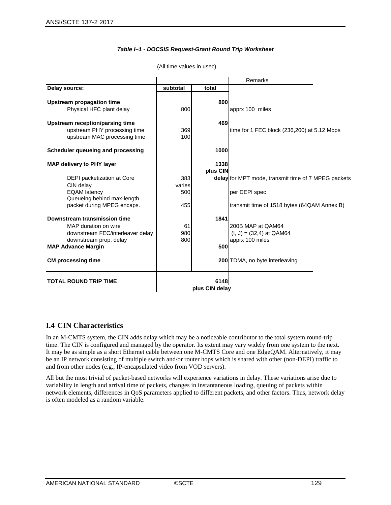#### *Table I–1 - DOCSIS Request-Grant Round Trip Worksheet*

|                                                                                                                                                 |                  |                        | Remarks                                                             |
|-------------------------------------------------------------------------------------------------------------------------------------------------|------------------|------------------------|---------------------------------------------------------------------|
| Delay source:                                                                                                                                   | subtotal         | total                  |                                                                     |
| <b>Upstream propagation time</b><br>Physical HFC plant delay                                                                                    | 800              | 800                    | apprx 100 miles                                                     |
| Upstream reception/parsing time<br>upstream PHY processing time<br>upstream MAC processing time                                                 | 369<br>100       | 469                    | time for 1 FEC block (236,200) at 5.12 Mbps                         |
| Scheduler queueing and processing                                                                                                               |                  | 1000                   |                                                                     |
| <b>MAP delivery to PHY layer</b>                                                                                                                |                  | 1338<br>plus CIN       |                                                                     |
| DEPI packetization at Core                                                                                                                      | 383              |                        | delay for MPT mode, transmit time of 7 MPEG packets                 |
| CIN delay<br><b>EQAM</b> latency<br>Queueing behind max-length                                                                                  | varies<br>500    |                        | per DEPI spec                                                       |
| packet during MPEG encaps.                                                                                                                      | 455              |                        | transmit time of 1518 bytes (64QAM Annex B)                         |
| Downstream transmission time<br>MAP duration on wire<br>downstream FEC/interleaver delay<br>downstream prop. delay<br><b>MAP Advance Margin</b> | 61<br>980<br>800 | 1841<br>500            | 200B MAP at QAM64<br>$(I, J) = (32, 4)$ at QAM64<br>apprx 100 miles |
| <b>CM</b> processing time                                                                                                                       |                  |                        | <b>200</b> TDMA, no byte interleaving                               |
| <b>TOTAL ROUND TRIP TIME</b>                                                                                                                    |                  | 6148<br>plus CIN delay |                                                                     |

(All time values in usec)

## **I.4 CIN Characteristics**

In an M-CMTS system, the CIN adds delay which may be a noticeable contributor to the total system round-trip time. The CIN is configured and managed by the operator. Its extent may vary widely from one system to the next. It may be as simple as a short Ethernet cable between one M-CMTS Core and one EdgeQAM. Alternatively, it may be an IP network consisting of multiple switch and/or router hops which is shared with other (non-DEPI) traffic to and from other nodes (e.g., IP-encapsulated video from VOD servers).

All but the most trivial of packet-based networks will experience variations in delay. These variations arise due to variability in length and arrival time of packets, changes in instantaneous loading, queuing of packets within network elements, differences in QoS parameters applied to different packets, and other factors. Thus, network delay is often modeled as a random variable.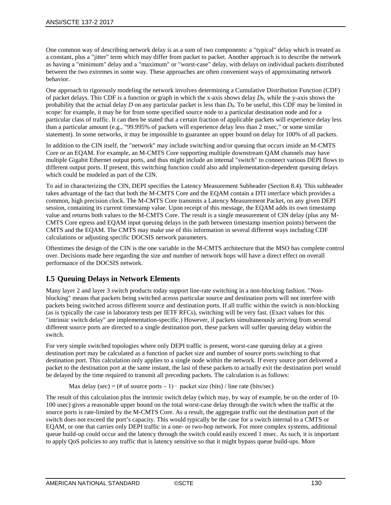One common way of describing network delay is as a sum of two components: a "typical" delay which is treated as a constant, plus a "jitter" term which may differ from packet to packet. Another approach is to describe the network as having a "minimum" delay and a "maximum" or "worst-case" delay, with delays on individual packets distributed between the two extremes in some way. These approaches are often convenient ways of approximating network behavior.

One approach to rigorously modeling the network involves determining a Cumulative Distribution Function (CDF) of packet delays. This CDF is a function or graph in which the x-axis shows delay  $D_0$ , while the y-axis shows the probability that the actual delay *D* on any particular packet is less than *D*0. To be useful, this CDF may be limited in scope: for example, it may be for from some specified source node to a particular destination node and for a particular class of traffic. It can then be stated that a certain fraction of applicable packets will experience delay less than a particular amount (e.g., "99.995% of packets will experience delay less than 2 msec," or some similar statement). In some networks, it may be impossible to guarantee an upper bound on delay for 100% of all packets.

In addition to the CIN itself, the "network" may include switching and/or queuing that occurs inside an M-CMTS Core or an EQAM. For example, an M-CMTS Core supporting multiple downstream QAM channels may have multiple Gigabit Ethernet output ports, and thus might include an internal "switch" to connect various DEPI flows to different output ports. If present, this switching function could also add implementation-dependent queuing delays which could be modeled as part of the CIN.

To aid in characterizing the CIN, DEPI specifies the Latency Measurement Subheader (Section [8.4\)](#page-61-0). This subheader takes advantage of the fact that both the M-CMTS Core and the EQAM contain a DTI interface which provides a common, high precision clock. The M-CMTS Core transmits a Latency Measurement Packet, on any given DEPI session, containing its current timestamp value. Upon receipt of this message, the EQAM adds its own timestamp value and returns both values to the M-CMTS Core. The result is a single measurement of CIN delay (plus any M-CMTS Core egress and EQAM input queuing delays in the path between timestamp insertion points) between the CMTS and the EQAM. The CMTS may make use of this information in several different ways including CDF calculations or adjusting specific DOCSIS network parameters.

Oftentimes the design of the CIN is the one variable in the M-CMTS architecture that the MSO has complete control over. Decisions made here regarding the size and number of network hops will have a direct effect on overall performance of the DOCSIS network.

# **I.5 Queuing Delays in Network Elements**

Many layer 2 and layer 3 switch products today support line-rate switching in a non-blocking fashion. "Nonblocking" means that packets being switched across particular source and destination ports will not interfere with packets being switched across different source and destination ports. If all traffic within the switch is non-blocking (as is typically the case in laboratory tests per IETF RFCs), switching will be very fast. (Exact values for this "intrinsic switch delay" are implementation-specific.) However, if packets simultaneously arriving from several different source ports are directed to a single destination port, these packets will suffer queuing delay within the switch.

For very simple switched topologies where only DEPI traffic is present, worst-case queuing delay at a given destination port may be calculated as a function of packet size and number of source ports switching to that destination port. This calculation only applies to a single node within the network. If every source port delivered a packet to the destination port at the same instant, the last of these packets to actually exit the destination port would be delayed by the time required to transmit all preceding packets. The calculation is as follows:

Max delay (sec) = (# of source ports – 1)  $\cdot$  packet size (bits) / line rate (bits/sec)

The result of this calculation plus the intrinsic switch delay (which may, by way of example, be on the order of 10- 100 usec) gives a reasonable upper bound on the total worst-case delay through the switch when the traffic at the source ports is rate-limited by the M-CMTS Core. As a result, the aggregate traffic out the destination port of the switch does not exceed the port's capacity. This would typically be the case for a switch internal to a CMTS or EQAM, or one that carries only DEPI traffic in a one- or two-hop network. For more complex systems, additional queue build-up could occur and the latency through the switch could easily exceed 1 msec. As such, it is important to apply QoS policies to any traffic that is latency sensitive so that it might bypass queue build-ups. More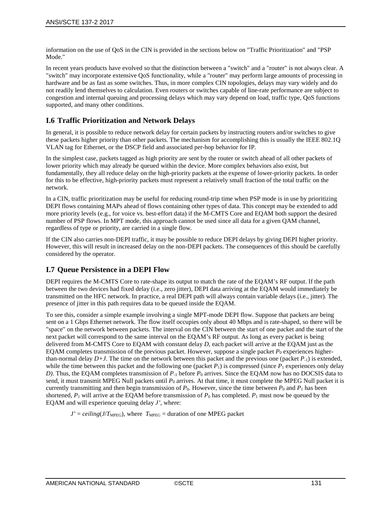information on the use of QoS in the CIN is provided in the sections below on "Traffic Prioritization" and "PSP Mode."

In recent years products have evolved so that the distinction between a "switch" and a "router" is not always clear. A "switch" may incorporate extensive QoS functionality, while a "router" may perform large amounts of processing in hardware and be as fast as some switches. Thus, in more complex CIN topologies, delays may vary widely and do not readily lend themselves to calculation. Even routers or switches capable of line-rate performance are subject to congestion and internal queuing and processing delays which may vary depend on load, traffic type, QoS functions supported, and many other conditions.

## <span id="page-130-0"></span>**I.6 Traffic Prioritization and Network Delays**

In general, it is possible to reduce network delay for certain packets by instructing routers and/or switches to give these packets higher priority than other packets. The mechanism for accomplishing this is usually the IEEE 802.1Q VLAN tag for Ethernet, or the DSCP field and associated per-hop behavior for IP.

In the simplest case, packets tagged as high priority are sent by the router or switch ahead of all other packets of lower priority which may already be queued within the device. More complex behaviors also exist, but fundamentally, they all reduce delay on the high-priority packets at the expense of lower-priority packets. In order for this to be effective, high-priority packets must represent a relatively small fraction of the total traffic on the network.

In a CIN, traffic prioritization may be useful for reducing round-trip time when PSP mode is in use by prioritizing DEPI flows containing MAPs ahead of flows containing other types of data. This concept may be extended to add more priority levels (e.g., for voice vs. best-effort data) if the M-CMTS Core and EQAM both support the desired number of PSP flows. In MPT mode, this approach cannot be used since all data for a given QAM channel, regardless of type or priority, are carried in a single flow.

If the CIN also carries non-DEPI traffic, it may be possible to reduce DEPI delays by giving DEPI higher priority. However, this will result in increased delay on the non-DEPI packets. The consequences of this should be carefully considered by the operator.

## **I.7 Queue Persistence in a DEPI Flow**

DEPI requires the M-CMTS Core to rate-shape its output to match the rate of the EQAM's RF output. If the path between the two devices had fixed delay (i.e., zero jitter), DEPI data arriving at the EQAM would immediately be transmitted on the HFC network. In practice, a real DEPI path will always contain variable delays (i.e., jitter). The presence of jitter in this path requires data to be queued inside the EQAM.

To see this, consider a simple example involving a single MPT-mode DEPI flow. Suppose that packets are being sent on a 1 Gbps Ethernet network. The flow itself occupies only about 40 Mbps and is rate-shaped, so there will be "space" on the network between packets. The interval on the CIN between the start of one packet and the start of the next packet will correspond to the same interval on the EQAM's RF output. As long as every packet is being delivered from M-CMTS Core to EQAM with constant delay *D*, each packet will arrive at the EQAM just as the EQAM completes transmission of the previous packet. However, suppose a single packet  $P_0$  experiences higherthan-normal delay  $D+J$ . The time on the network between this packet and the previous one (packet  $P_{-1}$ ) is extended, while the time between this packet and the following one (packet  $P_1$ ) is compressed (since  $P_1$  experiences only delay *D*). Thus, the EQAM completes transmission of *P*<sub>-1</sub> before *P*<sub>0</sub> arrives. Since the EQAM now has no DOCSIS data to send, it must transmit MPEG Null packets until  $P_0$  arrives. At that time, it must complete the MPEG Null packet it is currently transmitting and then begin transmission of  $P_0$ . However, since the time between  $P_0$  and  $P_1$  has been shortened,  $P_1$  will arrive at the EQAM before transmission of  $P_0$  has completed.  $P_1$  must now be queued by the EQAM and will experience queuing delay *J'*, where:

 $J' = ceiling(J/T<sub>MPEG</sub>)$ , where  $T<sub>MPEG</sub> = duration of one MPEG packet$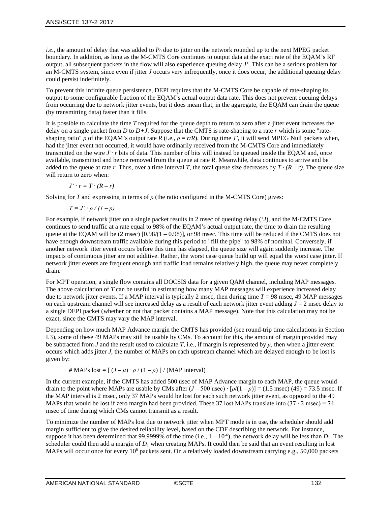*i.e.*, the amount of delay that was added to  $P_0$  due to jitter on the network rounded up to the next MPEG packet boundary. In addition, as long as the M-CMTS Core continues to output data at the exact rate of the EQAM's RF output, all subsequent packets in the flow will also experience queuing delay *J'*. This can be a serious problem for an M-CMTS system, since even if jitter *J* occurs very infrequently, once it does occur, the additional queuing delay could persist indefinitely.

To prevent this infinite queue persistence, DEPI requires that the M-CMTS Core be capable of rate-shaping its output to some configurable fraction of the EQAM's actual output data rate. This does not prevent queuing delays from occurring due to network jitter events, but it does mean that, in the aggregate, the EQAM can drain the queue (by transmitting data) faster than it fills.

It is possible to calculate the time *T* required for the queue depth to return to zero after a jitter event increases the delay on a single packet from *D* to *D+J*. Suppose that the CMTS is rate-shaping to a rate *r* which is some "rateshaping ratio"  $\rho$  of the EQAM's output rate *R* (i.e.,  $\rho = r/R$ ). During time *J*', it will send MPEG Null packets when, had the jitter event not occurred, it would have ordinarily received from the M-CMTS Core and immediately transmitted on the wire *J'· r* bits of data. This number of bits will instead be queued inside the EQAM and, once available, transmitted and hence removed from the queue at rate *R*. Meanwhile, data continues to arrive and be added to the queue at rate *r*. Thus, over a time interval *T*, the total queue size decreases by  $T \cdot (R - r)$ . The queue size will return to zero when:

$$
J'\cdot r=T\cdot(R-r)
$$

Solving for *T* and expressing in terms of  $\rho$  (the ratio configured in the M-CMTS Core) gives:

$$
T = J' \cdot \rho / (1 - \rho)
$$

For example, if network jitter on a single packet results in 2 msec of queuing delay ('*J*), and the M-CMTS Core continues to send traffic at a rate equal to 98% of the EQAM's actual output rate, the time to drain the resulting queue at the EQAM will be  $(2 \text{ msec}) [0.98/(1 - 0.98)]$ , or 98 msec. This time will be reduced if the CMTS does not have enough downstream traffic available during this period to "fill the pipe" to 98% of nominal. Conversely, if another network jitter event occurs before this time has elapsed, the queue size will again suddenly increase. The impacts of continuous jitter are not additive. Rather, the worst case queue build up will equal the worst case jitter. If network jitter events are frequent enough and traffic load remains relatively high, the queue may never completely drain.

For MPT operation, a single flow contains all DOCSIS data for a given QAM channel, including MAP messages. The above calculation of *T* can be useful in estimating how many MAP messages will experience increased delay due to network jitter events. If a MAP interval is typically 2 msec, then during time *T* = 98 msec, 49 MAP messages on each upstream channel will see increased delay as a result of each network jitter event adding *J* = 2 msec delay to a single DEPI packet (whether or not that packet contains a MAP message). Note that this calculation may not be exact, since the CMTS may vary the MAP interval.

Depending on how much MAP Advance margin the CMTS has provided (see round-trip time calculations in Section [I.3\)](#page-126-0), some of these 49 MAPs may still be usable by CMs. To account for this, the amount of margin provided may be subtracted from *J* and the result used to calculate *T*, i.e., if margin is represented by  $\mu$ , then when a jitter event occurs which adds jitter *J*, the number of MAPs on each upstream channel which are delayed enough to be lost is given by:

 $\# \text{MAPs lost} = \left[ (J - \mu) \cdot \rho / (1 - \rho) \right] / (\text{MAP interval})$ 

In the current example, if the CMTS has added 500 usec of MAP Advance margin to each MAP, the queue would drain to the point where MAPs are usable by CMs after  $(J - 500$  usec)  $\cdot [\rho/(1 - \rho)] = (1.5 \text{ msec}) (49) = 73.5 \text{ msec}$ . If the MAP interval is 2 msec, only 37 MAPs would be lost for each such network jitter event, as opposed to the 49 MAPs that would be lost if zero margin had been provided. These 37 lost MAPs translate into  $(37 \cdot 2 \text{ msec}) = 74$ msec of time during which CMs cannot transmit as a result.

To minimize the number of MAPs lost due to network jitter when MPT mode is in use, the scheduler should add margin sufficient to give the desired reliability level, based on the CDF describing the network. For instance, suppose it has been determined that 99.9999% of the time  $(i.e., 1 - 10^{-6})$ , the network delay will be less than  $D_1$ . The scheduler could then add a margin of  $D_1$  when creating MAPs. It could then be said that an event resulting in lost MAPs will occur once for every  $10^6$  packets sent. On a relatively loaded downstream carrying e.g., 50,000 packets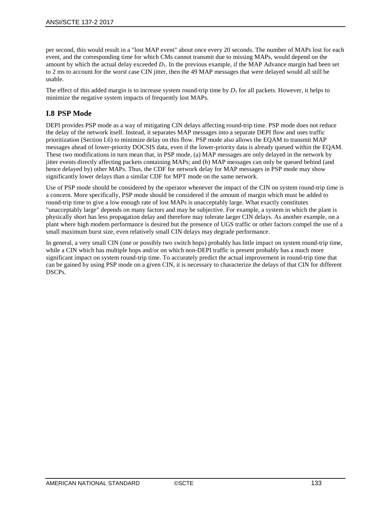per second, this would result in a "lost MAP event" about once every 20 seconds. The number of MAPs lost for each event, and the corresponding time for which CMs cannot transmit due to missing MAPs, would depend on the amount by which the actual delay exceeded *D*1. In the previous example, if the MAP Advance margin had been set to 2 ms to account for the worst case CIN jitter, then the 49 MAP messages that were delayed would all still be usable.

The effect of this added margin is to increase system round-trip time by  $D_1$  for all packets. However, it helps to minimize the negative system impacts of frequently lost MAPs.

## **I.8 PSP Mode**

DEPI provides PSP mode as a way of mitigating CIN delays affecting round-trip time. PSP mode does not reduce the delay of the network itself. Instead, it separates MAP messages into a separate DEPI flow and uses traffic prioritization (Sectio[n I.6\)](#page-130-0) to minimize delay on this flow. PSP mode also allows the EQAM to transmit MAP messages ahead of lower-priority DOCSIS data, even if the lower-priority data is already queued within the EQAM. These two modifications in turn mean that, in PSP mode, (a) MAP messages are only delayed in the network by jitter events directly affecting packets containing MAPs; and (b) MAP messages can only be queued behind (and hence delayed by) other MAPs. Thus, the CDF for network delay for MAP messages in PSP mode may show significantly lower delays than a similar CDF for MPT mode on the same network.

Use of PSP mode should be considered by the operator whenever the impact of the CIN on system round-trip time is a concern. More specifically, PSP mode should be considered if the amount of margin which must be added to round-trip time to give a low enough rate of lost MAPs is unacceptably large. What exactly constitutes "unacceptably large" depends on many factors and may be subjective. For example, a system in which the plant is physically short has less propagation delay and therefore may tolerate larger CIN delays. As another example, on a plant where high modem performance is desired but the presence of UGS traffic or other factors compel the use of a small maximum burst size, even relatively small CIN delays may degrade performance.

In general, a very small CIN (one or possibly two switch hops) probably has little impact on system round-trip time, while a CIN which has multiple hops and/or on which non-DEPI traffic is present probably has a much more significant impact on system round-trip time. To accurately predict the actual improvement in round-trip time that can be gained by using PSP mode on a given CIN, it is necessary to characterize the delays of that CIN for different DSCPs.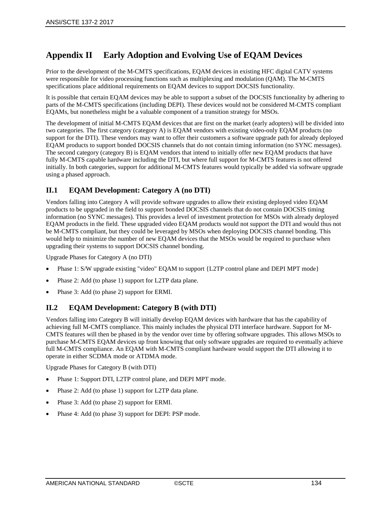# **Appendix II Early Adoption and Evolving Use of EQAM Devices**

Prior to the development of the M-CMTS specifications, EQAM devices in existing HFC digital CATV systems were responsible for video processing functions such as multiplexing and modulation (QAM). The M-CMTS specifications place additional requirements on EQAM devices to support DOCSIS functionality.

It is possible that certain EQAM devices may be able to support a subset of the DOCSIS functionality by adhering to parts of the M-CMTS specifications (including DEPI). These devices would not be considered M-CMTS compliant EQAMs, but nonetheless might be a valuable component of a transition strategy for MSOs.

The development of initial M-CMTS EQAM devices that are first on the market (early adopters) will be divided into two categories. The first category (category A) is EQAM vendors with existing video-only EQAM products (no support for the DTI). These vendors may want to offer their customers a software upgrade path for already deployed EQAM products to support bonded DOCSIS channels that do not contain timing information (no SYNC messages). The second category (category B) is EQAM vendors that intend to initially offer new EQAM products that have fully M-CMTS capable hardware including the DTI, but where full support for M-CMTS features is not offered initially. In both categories, support for additional M-CMTS features would typically be added via software upgrade using a phased approach.

# **II.1 EQAM Development: Category A (no DTI)**

Vendors falling into Category A will provide software upgrades to allow their existing deployed video EQAM products to be upgraded in the field to support bonded DOCSIS channels that do not contain DOCSIS timing information (no SYNC messages). This provides a level of investment protection for MSOs with already deployed EQAM products in the field. These upgraded video EQAM products would not support the DTI and would thus not be M-CMTS compliant, but they could be leveraged by MSOs when deploying DOCSIS channel bonding. This would help to minimize the number of new EQAM devices that the MSOs would be required to purchase when upgrading their systems to support DOCSIS channel bonding.

Upgrade Phases for Category A (no DTI)

- Phase 1: S/W upgrade existing "video" EQAM to support {L2TP control plane and DEPI MPT mode}
- Phase 2: Add (to phase 1) support for L2TP data plane.
- Phase 3: Add (to phase 2) support for ERMI.

## **II.2 EQAM Development: Category B (with DTI)**

Vendors falling into Category B will initially develop EQAM devices with hardware that has the capability of achieving full M-CMTS compliance. This mainly includes the physical DTI interface hardware. Support for M-CMTS features will then be phased in by the vendor over time by offering software upgrades. This allows MSOs to purchase M-CMTS EQAM devices up front knowing that only software upgrades are required to eventually achieve full M-CMTS compliance. An EQAM with M-CMTS compliant hardware would support the DTI allowing it to operate in either SCDMA mode or ATDMA mode.

Upgrade Phases for Category B (with DTI)

- Phase 1: Support DTI, L2TP control plane, and DEPI MPT mode.
- Phase 2: Add (to phase 1) support for L2TP data plane.
- Phase 3: Add (to phase 2) support for ERMI.
- Phase 4: Add (to phase 3) support for DEPI: PSP mode.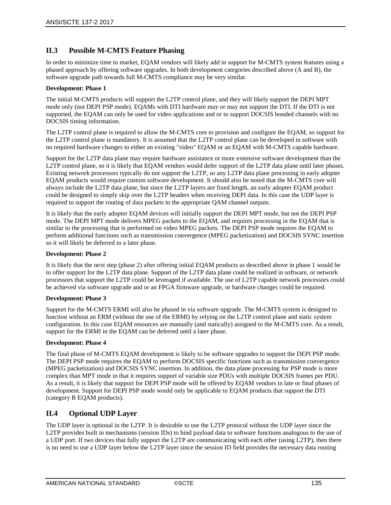## **II.3 Possible M-CMTS Feature Phasing**

In order to minimize time to market, EQAM vendors will likely add in support for M-CMTS system features using a phased approach by offering software upgrades. In both development categories described above (A and B), the software upgrade path towards full M-CMTS compliance may be very similar.

#### **Development: Phase 1**

The initial M-CMTS products will support the L2TP control plane, and they will likely support the DEPI MPT mode only (not DEPI PSP mode). EQAMs with DTI hardware may or may not support the DTI. If the DTI is not supported, the EQAM can only be used for video applications and or to support DOCSIS bonded channels with no DOCSIS timing information.

The L2TP control plane is required to allow the M-CMTS core to provision and configure the EQAM, so support for the L2TP control plane is mandatory. It is assumed that the L2TP control plane can be developed in software with no required hardware changes to either an existing "video" EQAM or an EQAM with M-CMTS capable hardware.

Support for the L2TP data plane may require hardware assistance or more extensive software development than the L2TP control plane, so it is likely that EQAM vendors would defer support of the L2TP data plane until later phases. Existing network processors typically do not support the L2TP, so any L2TP data plane processing in early adopter EQAM products would require custom software development. It should also be noted that the M-CMTS core will always include the L2TP data plane, but since the L2TP layers are fixed length, an early adopter EQAM product could be designed to simply skip over the L2TP headers when receiving DEPI data. In this case the UDP layer is required to support the routing of data packets to the appropriate QAM channel outputs.

It is likely that the early adopter EQAM devices will initially support the DEPI MPT mode, but not the DEPI PSP mode. The DEPI MPT mode delivers MPEG packets to the EQAM, and requires processing in the EQAM that is similar to the processing that is performed on video MPEG packets. The DEPI PSP mode requires the EQAM to perform additional functions such as transmission convergence (MPEG packetization) and DOCSIS SYNC insertion so it will likely be deferred to a later phase.

#### **Development: Phase 2**

It is likely that the next step (phase 2) after offering initial EQAM products as described above in phase 1 would be to offer support for the L2TP data plane. Support of the L2TP data plane could be realized in software, or network processors that support the L2TP could be leveraged if available. The use of L2TP capable network processors could be achieved via software upgrade and or an FPGA firmware upgrade, or hardware changes could be required.

#### **Development: Phase 3**

Support for the M-CMTS ERMI will also be phased in via software upgrade. The M-CMTS system is designed to function without an ERM (without the use of the ERMI) by relying on the L2TP control plane and static system configuration. In this case EQAM resources are manually (and statically) assigned to the M-CMTS core. As a result, support for the ERMI in the EQAM can be deferred until a later phase.

#### **Development: Phase 4**

The final phase of M-CMTS EQAM development is likely to be software upgrades to support the DEPI PSP mode. The DEPI PSP mode requires the EQAM to perform DOCSIS specific functions such as transmission convergence (MPEG packetization) and DOCSIS SYNC insertion. In addition, the data plane processing for PSP mode is more complex than MPT mode in that it requires support of variable size PDUs with multiple DOCSIS frames per PDU. As a result, it is likely that support for DEPI PSP mode will be offered by EQAM vendors in late or final phases of development. Support for DEPI PSP mode would only be applicable to EQAM products that support the DTI (category B EQAM products).

#### **II.4 Optional UDP Layer**

The UDP layer is optional in the L2TP. It is desirable to use the L2TP protocol without the UDP layer since the L2TP provides built in mechanisms (session IDs) to bind payload data to software functions analogous to the use of a UDP port. If two devices that fully support the L2TP are communicating with each other (using L2TP), then there is no need to use a UDP layer below the L2TP layer since the session ID field provides the necessary data routing